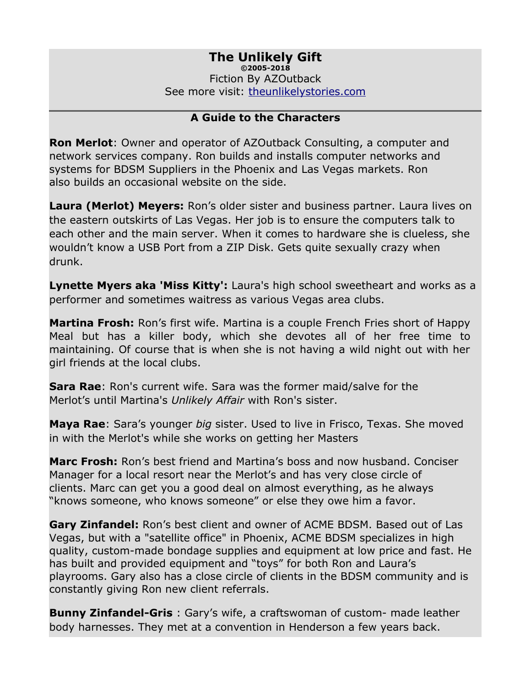#### **The Unlikely Gift ©2005-2018** Fiction By AZOutback

See more visit: [theunlikelystories.com](http://theunlikelystories.com/)

#### **A Guide to the Characters**

**Ron Merlot**: Owner and operator of AZOutback Consulting, a computer and network services company. Ron builds and installs computer networks and systems for BDSM Suppliers in the Phoenix and Las Vegas markets. Ron also builds an occasional website on the side.

**Laura (Merlot) Meyers:** Ron's older sister and business partner. Laura lives on the eastern outskirts of Las Vegas. Her job is to ensure the computers talk to each other and the main server. When it comes to hardware she is clueless, she wouldn't know a USB Port from a ZIP Disk. Gets quite sexually crazy when drunk.

**Lynette Myers aka 'Miss Kitty':** Laura's high school sweetheart and works as a performer and sometimes waitress as various Vegas area clubs.

**Martina Frosh:** Ron's first wife. Martina is a couple French Fries short of Happy Meal but has a killer body, which she devotes all of her free time to maintaining. Of course that is when she is not having a wild night out with her girl friends at the local clubs.

**Sara Rae**: Ron's current wife. Sara was the former maid/salve for the Merlot's until Martina's *Unlikely Affair* with Ron's sister.

**Maya Rae**: Sara's younger *big* sister. Used to live in Frisco, Texas. She moved in with the Merlot's while she works on getting her Masters

**Marc Frosh:** Ron's best friend and Martina's boss and now husband. Conciser Manager for a local resort near the Merlot's and has very close circle of clients. Marc can get you a good deal on almost everything, as he always "knows someone, who knows someone" or else they owe him a favor.

**Gary Zinfandel:** Ron's best client and owner of ACME BDSM. Based out of Las Vegas, but with a "satellite office" in Phoenix, ACME BDSM specializes in high quality, custom-made bondage supplies and equipment at low price and fast. He has built and provided equipment and "toys" for both Ron and Laura's playrooms. Gary also has a close circle of clients in the BDSM community and is constantly giving Ron new client referrals.

**Bunny Zinfandel-Gris** : Gary's wife, a craftswoman of custom- made leather body harnesses. They met at a convention in Henderson a few years back.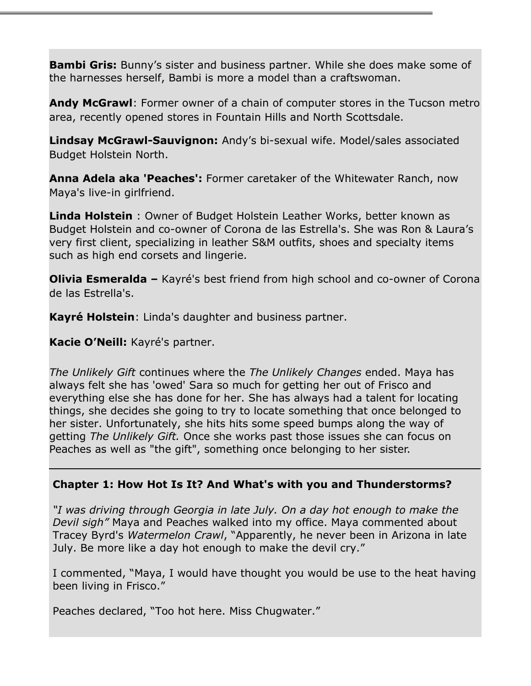**Bambi Gris:** Bunny's sister and business partner. While she does make some of the harnesses herself, Bambi is more a model than a craftswoman.

**Andy McGrawl**: Former owner of a chain of computer stores in the Tucson metro area, recently opened stores in Fountain Hills and North Scottsdale.

**Lindsay McGrawl-Sauvignon:** Andy's bi-sexual wife. Model/sales associated Budget Holstein North.

**Anna Adela aka 'Peaches':** Former caretaker of the Whitewater Ranch, now Maya's live-in girlfriend.

**Linda Holstein** : Owner of Budget Holstein Leather Works, better known as Budget Holstein and co-owner of Corona de las Estrella's. She was Ron & Laura's very first client, specializing in leather S&M outfits, shoes and specialty items such as high end corsets and lingerie.

**Olivia Esmeralda –** Kayré's best friend from high school and co-owner of Corona de las Estrella's.

**Kayré Holstein**: Linda's daughter and business partner.

**Kacie O'Neill:** Kayré's partner.

*The Unlikely Gift* continues where the *The Unlikely Changes* ended. Maya has always felt she has 'owed' Sara so much for getting her out of Frisco and everything else she has done for her. She has always had a talent for locating things, she decides she going to try to locate something that once belonged to her sister. Unfortunately, she hits hits some speed bumps along the way of getting *The Unlikely Gift.* Once she works past those issues she can focus on Peaches as well as "the gift", something once belonging to her sister.

## **Chapter 1: How Hot Is It? And What's with you and Thunderstorms?**

*"I was driving through Georgia in late July. On a day hot enough to make the Devil sigh"* Maya and Peaches walked into my office. Maya commented about Tracey Byrd's *Watermelon Crawl*, "Apparently, he never been in Arizona in late July. Be more like a day hot enough to make the devil cry."

I commented, "Maya, I would have thought you would be use to the heat having been living in Frisco."

Peaches declared, "Too hot here. Miss Chugwater."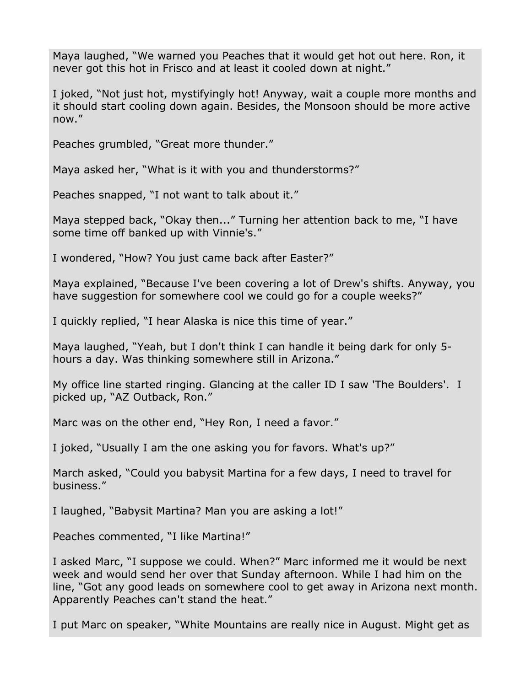Maya laughed, "We warned you Peaches that it would get hot out here. Ron, it never got this hot in Frisco and at least it cooled down at night."

I joked, "Not just hot, mystifyingly hot! Anyway, wait a couple more months and it should start cooling down again. Besides, the Monsoon should be more active now."

Peaches grumbled, "Great more thunder."

Maya asked her, "What is it with you and thunderstorms?"

Peaches snapped, "I not want to talk about it."

Maya stepped back, "Okay then..." Turning her attention back to me, "I have some time off banked up with Vinnie's."

I wondered, "How? You just came back after Easter?"

Maya explained, "Because I've been covering a lot of Drew's shifts. Anyway, you have suggestion for somewhere cool we could go for a couple weeks?"

I quickly replied, "I hear Alaska is nice this time of year."

Maya laughed, "Yeah, but I don't think I can handle it being dark for only 5 hours a day. Was thinking somewhere still in Arizona."

My office line started ringing. Glancing at the caller ID I saw 'The Boulders'. I picked up, "AZ Outback, Ron."

Marc was on the other end, "Hey Ron, I need a favor."

I joked, "Usually I am the one asking you for favors. What's up?"

March asked, "Could you babysit Martina for a few days, I need to travel for business."

I laughed, "Babysit Martina? Man you are asking a lot!"

Peaches commented, "I like Martina!"

I asked Marc, "I suppose we could. When?" Marc informed me it would be next week and would send her over that Sunday afternoon. While I had him on the line, "Got any good leads on somewhere cool to get away in Arizona next month. Apparently Peaches can't stand the heat."

I put Marc on speaker, "White Mountains are really nice in August. Might get as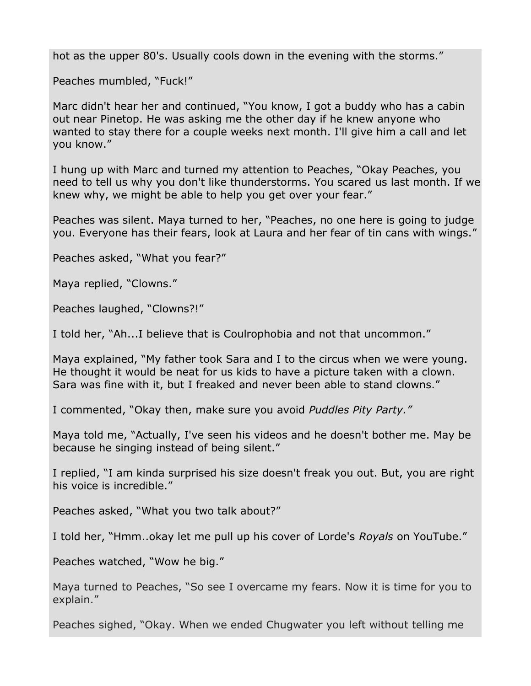hot as the upper 80's. Usually cools down in the evening with the storms."

Peaches mumbled, "Fuck!"

Marc didn't hear her and continued, "You know, I got a buddy who has a cabin out near Pinetop. He was asking me the other day if he knew anyone who wanted to stay there for a couple weeks next month. I'll give him a call and let you know."

I hung up with Marc and turned my attention to Peaches, "Okay Peaches, you need to tell us why you don't like thunderstorms. You scared us last month. If we knew why, we might be able to help you get over your fear."

Peaches was silent. Maya turned to her, "Peaches, no one here is going to judge you. Everyone has their fears, look at Laura and her fear of tin cans with wings."

Peaches asked, "What you fear?"

Maya replied, "Clowns."

Peaches laughed, "Clowns?!"

I told her, "Ah...I believe that is Coulrophobia and not that uncommon."

Maya explained, "My father took Sara and I to the circus when we were young. He thought it would be neat for us kids to have a picture taken with a clown. Sara was fine with it, but I freaked and never been able to stand clowns."

I commented, "Okay then, make sure you avoid *Puddles Pity Party."*

Maya told me, "Actually, I've seen his videos and he doesn't bother me. May be because he singing instead of being silent."

I replied, "I am kinda surprised his size doesn't freak you out. But, you are right his voice is incredible."

Peaches asked, "What you two talk about?"

I told her, "Hmm..okay let me pull up his cover of Lorde's *Royals* on YouTube."

Peaches watched, "Wow he big."

Maya turned to Peaches, "So see I overcame my fears. Now it is time for you to explain."

Peaches sighed, "Okay. When we ended Chugwater you left without telling me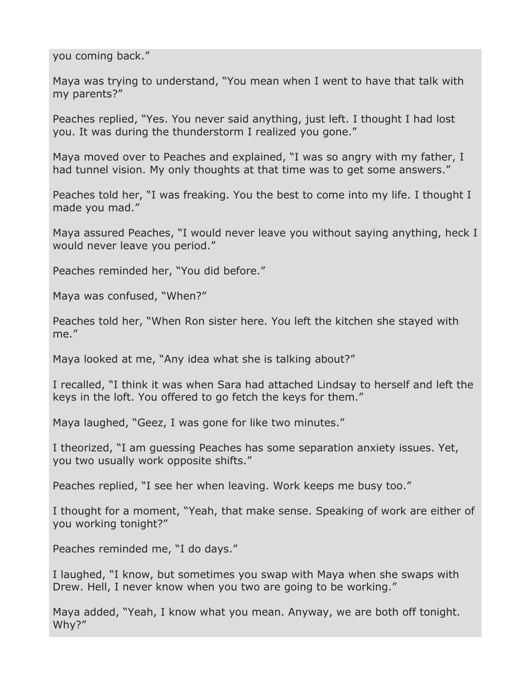you coming back."

Maya was trying to understand, "You mean when I went to have that talk with my parents?"

Peaches replied, "Yes. You never said anything, just left. I thought I had lost you. It was during the thunderstorm I realized you gone."

Maya moved over to Peaches and explained, "I was so angry with my father, I had tunnel vision. My only thoughts at that time was to get some answers."

Peaches told her, "I was freaking. You the best to come into my life. I thought I made you mad."

Maya assured Peaches, "I would never leave you without saying anything, heck I would never leave you period."

Peaches reminded her, "You did before."

Maya was confused, "When?"

Peaches told her, "When Ron sister here. You left the kitchen she stayed with me."

Maya looked at me, "Any idea what she is talking about?"

I recalled, "I think it was when Sara had attached Lindsay to herself and left the keys in the loft. You offered to go fetch the keys for them."

Maya laughed, "Geez, I was gone for like two minutes."

I theorized, "I am guessing Peaches has some separation anxiety issues. Yet, you two usually work opposite shifts."

Peaches replied, "I see her when leaving. Work keeps me busy too."

I thought for a moment, "Yeah, that make sense. Speaking of work are either of you working tonight?"

Peaches reminded me, "I do days."

I laughed, "I know, but sometimes you swap with Maya when she swaps with Drew. Hell, I never know when you two are going to be working."

Maya added, "Yeah, I know what you mean. Anyway, we are both off tonight. Why?"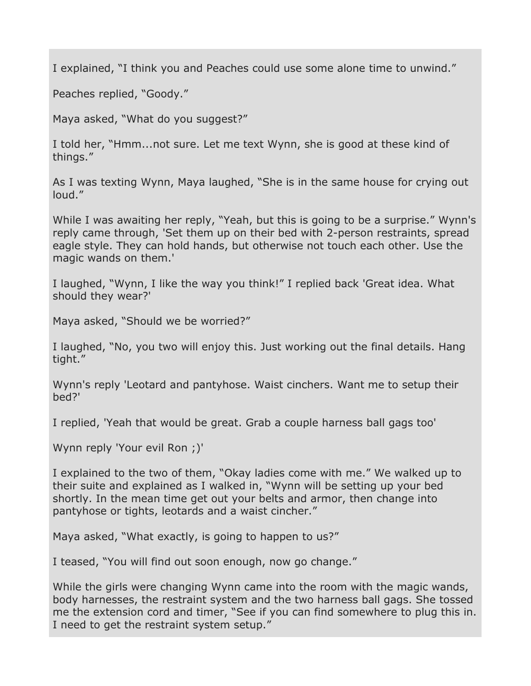I explained, "I think you and Peaches could use some alone time to unwind."

Peaches replied, "Goody."

Maya asked, "What do you suggest?"

I told her, "Hmm...not sure. Let me text Wynn, she is good at these kind of things."

As I was texting Wynn, Maya laughed, "She is in the same house for crying out loud."

While I was awaiting her reply, "Yeah, but this is going to be a surprise." Wynn's reply came through, 'Set them up on their bed with 2-person restraints, spread eagle style. They can hold hands, but otherwise not touch each other. Use the magic wands on them.'

I laughed, "Wynn, I like the way you think!" I replied back 'Great idea. What should they wear?'

Maya asked, "Should we be worried?"

I laughed, "No, you two will enjoy this. Just working out the final details. Hang tight."

Wynn's reply 'Leotard and pantyhose. Waist cinchers. Want me to setup their bed?'

I replied, 'Yeah that would be great. Grab a couple harness ball gags too'

Wynn reply 'Your evil Ron ;)'

I explained to the two of them, "Okay ladies come with me." We walked up to their suite and explained as I walked in, "Wynn will be setting up your bed shortly. In the mean time get out your belts and armor, then change into pantyhose or tights, leotards and a waist cincher."

Maya asked, "What exactly, is going to happen to us?"

I teased, "You will find out soon enough, now go change."

While the girls were changing Wynn came into the room with the magic wands, body harnesses, the restraint system and the two harness ball gags. She tossed me the extension cord and timer, "See if you can find somewhere to plug this in. I need to get the restraint system setup."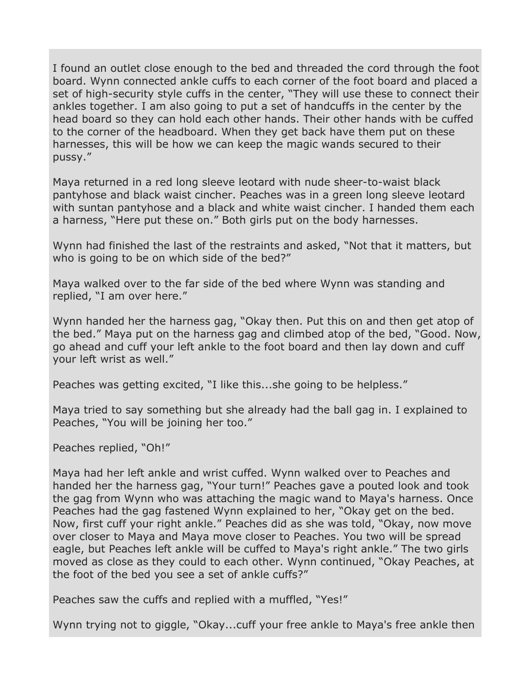I found an outlet close enough to the bed and threaded the cord through the foot board. Wynn connected ankle cuffs to each corner of the foot board and placed a set of high-security style cuffs in the center, "They will use these to connect their ankles together. I am also going to put a set of handcuffs in the center by the head board so they can hold each other hands. Their other hands with be cuffed to the corner of the headboard. When they get back have them put on these harnesses, this will be how we can keep the magic wands secured to their pussy."

Maya returned in a red long sleeve leotard with nude sheer-to-waist black pantyhose and black waist cincher. Peaches was in a green long sleeve leotard with suntan pantyhose and a black and white waist cincher. I handed them each a harness, "Here put these on." Both girls put on the body harnesses.

Wynn had finished the last of the restraints and asked, "Not that it matters, but who is going to be on which side of the bed?"

Maya walked over to the far side of the bed where Wynn was standing and replied, "I am over here."

Wynn handed her the harness gag, "Okay then. Put this on and then get atop of the bed." Maya put on the harness gag and climbed atop of the bed, "Good. Now, go ahead and cuff your left ankle to the foot board and then lay down and cuff your left wrist as well."

Peaches was getting excited, "I like this...she going to be helpless."

Maya tried to say something but she already had the ball gag in. I explained to Peaches, "You will be joining her too."

Peaches replied, "Oh!"

Maya had her left ankle and wrist cuffed. Wynn walked over to Peaches and handed her the harness gag, "Your turn!" Peaches gave a pouted look and took the gag from Wynn who was attaching the magic wand to Maya's harness. Once Peaches had the gag fastened Wynn explained to her, "Okay get on the bed. Now, first cuff your right ankle." Peaches did as she was told, "Okay, now move over closer to Maya and Maya move closer to Peaches. You two will be spread eagle, but Peaches left ankle will be cuffed to Maya's right ankle." The two girls moved as close as they could to each other. Wynn continued, "Okay Peaches, at the foot of the bed you see a set of ankle cuffs?"

Peaches saw the cuffs and replied with a muffled, "Yes!"

Wynn trying not to giggle, "Okay...cuff your free ankle to Maya's free ankle then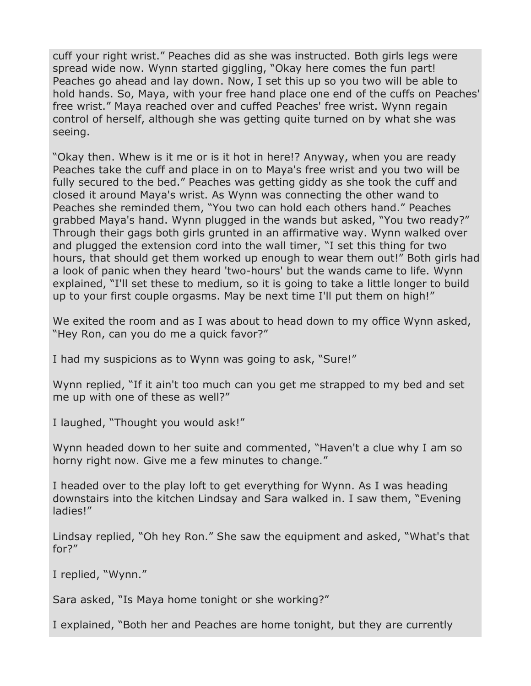cuff your right wrist." Peaches did as she was instructed. Both girls legs were spread wide now. Wynn started giggling, "Okay here comes the fun part! Peaches go ahead and lay down. Now, I set this up so you two will be able to hold hands. So, Maya, with your free hand place one end of the cuffs on Peaches' free wrist." Maya reached over and cuffed Peaches' free wrist. Wynn regain control of herself, although she was getting quite turned on by what she was seeing.

"Okay then. Whew is it me or is it hot in here!? Anyway, when you are ready Peaches take the cuff and place in on to Maya's free wrist and you two will be fully secured to the bed." Peaches was getting giddy as she took the cuff and closed it around Maya's wrist. As Wynn was connecting the other wand to Peaches she reminded them, "You two can hold each others hand." Peaches grabbed Maya's hand. Wynn plugged in the wands but asked, "You two ready?" Through their gags both girls grunted in an affirmative way. Wynn walked over and plugged the extension cord into the wall timer, "I set this thing for two hours, that should get them worked up enough to wear them out!" Both girls had a look of panic when they heard 'two-hours' but the wands came to life. Wynn explained, "I'll set these to medium, so it is going to take a little longer to build up to your first couple orgasms. May be next time I'll put them on high!"

We exited the room and as I was about to head down to my office Wynn asked, "Hey Ron, can you do me a quick favor?"

I had my suspicions as to Wynn was going to ask, "Sure!"

Wynn replied, "If it ain't too much can you get me strapped to my bed and set me up with one of these as well?"

I laughed, "Thought you would ask!"

Wynn headed down to her suite and commented, "Haven't a clue why I am so horny right now. Give me a few minutes to change."

I headed over to the play loft to get everything for Wynn. As I was heading downstairs into the kitchen Lindsay and Sara walked in. I saw them, "Evening ladies!"

Lindsay replied, "Oh hey Ron." She saw the equipment and asked, "What's that for?"

I replied, "Wynn."

Sara asked, "Is Maya home tonight or she working?"

I explained, "Both her and Peaches are home tonight, but they are currently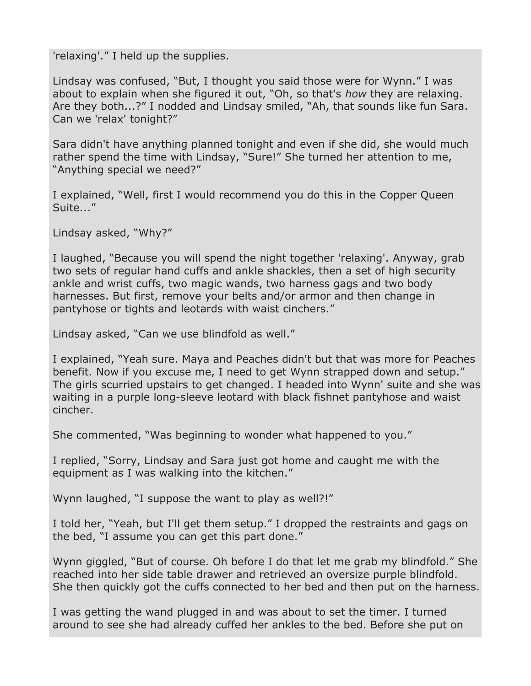'relaxing'." I held up the supplies.

Lindsay was confused, "But, I thought you said those were for Wynn." I was about to explain when she figured it out, "Oh, so that's *how* they are relaxing. Are they both...?" I nodded and Lindsay smiled, "Ah, that sounds like fun Sara. Can we 'relax' tonight?"

Sara didn't have anything planned tonight and even if she did, she would much rather spend the time with Lindsay, "Sure!" She turned her attention to me, "Anything special we need?"

I explained, "Well, first I would recommend you do this in the Copper Queen Suite..."

Lindsay asked, "Why?"

I laughed, "Because you will spend the night together 'relaxing'. Anyway, grab two sets of regular hand cuffs and ankle shackles, then a set of high security ankle and wrist cuffs, two magic wands, two harness gags and two body harnesses. But first, remove your belts and/or armor and then change in pantyhose or tights and leotards with waist cinchers."

Lindsay asked, "Can we use blindfold as well."

I explained, "Yeah sure. Maya and Peaches didn't but that was more for Peaches benefit. Now if you excuse me, I need to get Wynn strapped down and setup." The girls scurried upstairs to get changed. I headed into Wynn' suite and she was waiting in a purple long-sleeve leotard with black fishnet pantyhose and waist cincher.

She commented, "Was beginning to wonder what happened to you."

I replied, "Sorry, Lindsay and Sara just got home and caught me with the equipment as I was walking into the kitchen."

Wynn laughed, "I suppose the want to play as well?!"

I told her, "Yeah, but I'll get them setup." I dropped the restraints and gags on the bed, "I assume you can get this part done."

Wynn giggled, "But of course. Oh before I do that let me grab my blindfold." She reached into her side table drawer and retrieved an oversize purple blindfold. She then quickly got the cuffs connected to her bed and then put on the harness.

I was getting the wand plugged in and was about to set the timer. I turned around to see she had already cuffed her ankles to the bed. Before she put on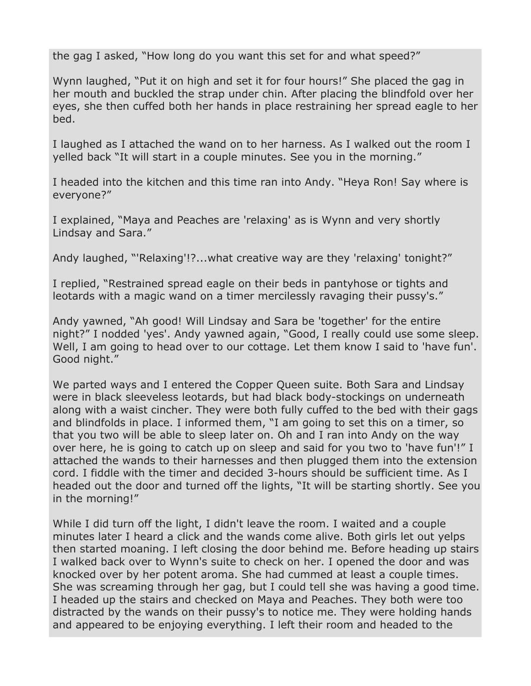the gag I asked, "How long do you want this set for and what speed?"

Wynn laughed, "Put it on high and set it for four hours!" She placed the gag in her mouth and buckled the strap under chin. After placing the blindfold over her eyes, she then cuffed both her hands in place restraining her spread eagle to her bed.

I laughed as I attached the wand on to her harness. As I walked out the room I yelled back "It will start in a couple minutes. See you in the morning."

I headed into the kitchen and this time ran into Andy. "Heya Ron! Say where is everyone?"

I explained, "Maya and Peaches are 'relaxing' as is Wynn and very shortly Lindsay and Sara."

Andy laughed, "'Relaxing'!?...what creative way are they 'relaxing' tonight?"

I replied, "Restrained spread eagle on their beds in pantyhose or tights and leotards with a magic wand on a timer mercilessly ravaging their pussy's."

Andy yawned, "Ah good! Will Lindsay and Sara be 'together' for the entire night?" I nodded 'yes'. Andy yawned again, "Good, I really could use some sleep. Well, I am going to head over to our cottage. Let them know I said to 'have fun'. Good night."

We parted ways and I entered the Copper Queen suite. Both Sara and Lindsay were in black sleeveless leotards, but had black body-stockings on underneath along with a waist cincher. They were both fully cuffed to the bed with their gags and blindfolds in place. I informed them, "I am going to set this on a timer, so that you two will be able to sleep later on. Oh and I ran into Andy on the way over here, he is going to catch up on sleep and said for you two to 'have fun'!" I attached the wands to their harnesses and then plugged them into the extension cord. I fiddle with the timer and decided 3-hours should be sufficient time. As I headed out the door and turned off the lights, "It will be starting shortly. See you in the morning!"

While I did turn off the light, I didn't leave the room. I waited and a couple minutes later I heard a click and the wands come alive. Both girls let out yelps then started moaning. I left closing the door behind me. Before heading up stairs I walked back over to Wynn's suite to check on her. I opened the door and was knocked over by her potent aroma. She had cummed at least a couple times. She was screaming through her gag, but I could tell she was having a good time. I headed up the stairs and checked on Maya and Peaches. They both were too distracted by the wands on their pussy's to notice me. They were holding hands and appeared to be enjoying everything. I left their room and headed to the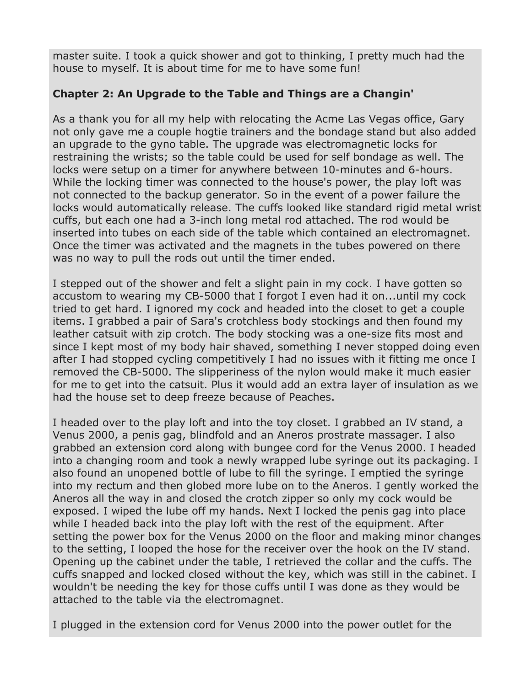master suite. I took a quick shower and got to thinking, I pretty much had the house to myself. It is about time for me to have some fun!

# **Chapter 2: An Upgrade to the Table and Things are a Changin'**

As a thank you for all my help with relocating the Acme Las Vegas office, Gary not only gave me a couple hogtie trainers and the bondage stand but also added an upgrade to the gyno table. The upgrade was electromagnetic locks for restraining the wrists; so the table could be used for self bondage as well. The locks were setup on a timer for anywhere between 10-minutes and 6-hours. While the locking timer was connected to the house's power, the play loft was not connected to the backup generator. So in the event of a power failure the locks would automatically release. The cuffs looked like standard rigid metal wrist cuffs, but each one had a 3-inch long metal rod attached. The rod would be inserted into tubes on each side of the table which contained an electromagnet. Once the timer was activated and the magnets in the tubes powered on there was no way to pull the rods out until the timer ended.

I stepped out of the shower and felt a slight pain in my cock. I have gotten so accustom to wearing my CB-5000 that I forgot I even had it on...until my cock tried to get hard. I ignored my cock and headed into the closet to get a couple items. I grabbed a pair of Sara's crotchless body stockings and then found my leather catsuit with zip crotch. The body stocking was a one-size fits most and since I kept most of my body hair shaved, something I never stopped doing even after I had stopped cycling competitively I had no issues with it fitting me once I removed the CB-5000. The slipperiness of the nylon would make it much easier for me to get into the catsuit. Plus it would add an extra layer of insulation as we had the house set to deep freeze because of Peaches.

I headed over to the play loft and into the toy closet. I grabbed an IV stand, a Venus 2000, a penis gag, blindfold and an Aneros prostrate massager. I also grabbed an extension cord along with bungee cord for the Venus 2000. I headed into a changing room and took a newly wrapped lube syringe out its packaging. I also found an unopened bottle of lube to fill the syringe. I emptied the syringe into my rectum and then globed more lube on to the Aneros. I gently worked the Aneros all the way in and closed the crotch zipper so only my cock would be exposed. I wiped the lube off my hands. Next I locked the penis gag into place while I headed back into the play loft with the rest of the equipment. After setting the power box for the Venus 2000 on the floor and making minor changes to the setting, I looped the hose for the receiver over the hook on the IV stand. Opening up the cabinet under the table, I retrieved the collar and the cuffs. The cuffs snapped and locked closed without the key, which was still in the cabinet. I wouldn't be needing the key for those cuffs until I was done as they would be attached to the table via the electromagnet.

I plugged in the extension cord for Venus 2000 into the power outlet for the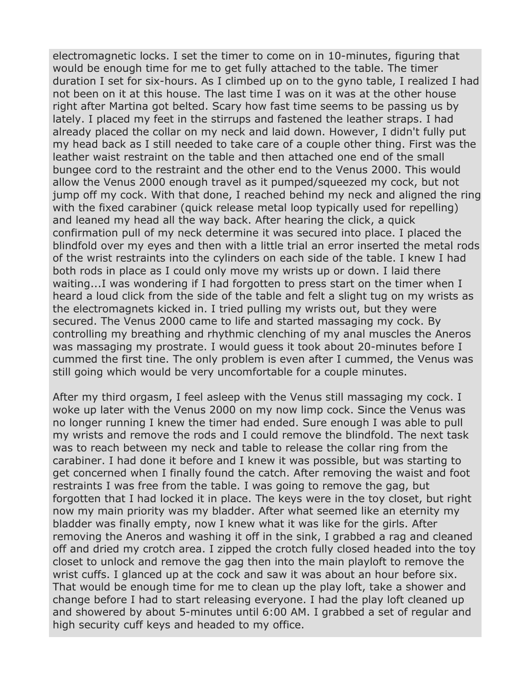electromagnetic locks. I set the timer to come on in 10-minutes, figuring that would be enough time for me to get fully attached to the table. The timer duration I set for six-hours. As I climbed up on to the gyno table, I realized I had not been on it at this house. The last time I was on it was at the other house right after Martina got belted. Scary how fast time seems to be passing us by lately. I placed my feet in the stirrups and fastened the leather straps. I had already placed the collar on my neck and laid down. However, I didn't fully put my head back as I still needed to take care of a couple other thing. First was the leather waist restraint on the table and then attached one end of the small bungee cord to the restraint and the other end to the Venus 2000. This would allow the Venus 2000 enough travel as it pumped/squeezed my cock, but not jump off my cock. With that done, I reached behind my neck and aligned the ring with the fixed carabiner (quick release metal loop typically used for repelling) and leaned my head all the way back. After hearing the click, a quick confirmation pull of my neck determine it was secured into place. I placed the blindfold over my eyes and then with a little trial an error inserted the metal rods of the wrist restraints into the cylinders on each side of the table. I knew I had both rods in place as I could only move my wrists up or down. I laid there waiting...I was wondering if I had forgotten to press start on the timer when I heard a loud click from the side of the table and felt a slight tug on my wrists as the electromagnets kicked in. I tried pulling my wrists out, but they were secured. The Venus 2000 came to life and started massaging my cock. By controlling my breathing and rhythmic clenching of my anal muscles the Aneros was massaging my prostrate. I would guess it took about 20-minutes before I cummed the first tine. The only problem is even after I cummed, the Venus was still going which would be very uncomfortable for a couple minutes.

After my third orgasm, I feel asleep with the Venus still massaging my cock. I woke up later with the Venus 2000 on my now limp cock. Since the Venus was no longer running I knew the timer had ended. Sure enough I was able to pull my wrists and remove the rods and I could remove the blindfold. The next task was to reach between my neck and table to release the collar ring from the carabiner. I had done it before and I knew it was possible, but was starting to get concerned when I finally found the catch. After removing the waist and foot restraints I was free from the table. I was going to remove the gag, but forgotten that I had locked it in place. The keys were in the toy closet, but right now my main priority was my bladder. After what seemed like an eternity my bladder was finally empty, now I knew what it was like for the girls. After removing the Aneros and washing it off in the sink, I grabbed a rag and cleaned off and dried my crotch area. I zipped the crotch fully closed headed into the toy closet to unlock and remove the gag then into the main playloft to remove the wrist cuffs. I glanced up at the cock and saw it was about an hour before six. That would be enough time for me to clean up the play loft, take a shower and change before I had to start releasing everyone. I had the play loft cleaned up and showered by about 5-minutes until 6:00 AM. I grabbed a set of regular and high security cuff keys and headed to my office.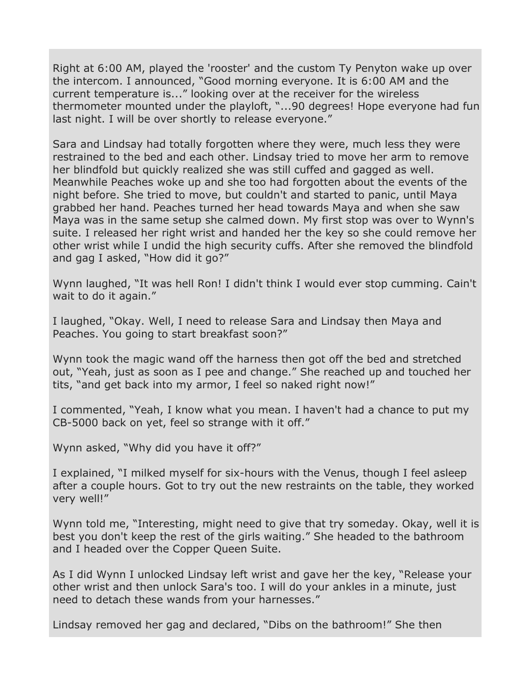Right at 6:00 AM, played the 'rooster' and the custom Ty Penyton wake up over the intercom. I announced, "Good morning everyone. It is 6:00 AM and the current temperature is..." looking over at the receiver for the wireless thermometer mounted under the playloft, "...90 degrees! Hope everyone had fun last night. I will be over shortly to release everyone."

Sara and Lindsay had totally forgotten where they were, much less they were restrained to the bed and each other. Lindsay tried to move her arm to remove her blindfold but quickly realized she was still cuffed and gagged as well. Meanwhile Peaches woke up and she too had forgotten about the events of the night before. She tried to move, but couldn't and started to panic, until Maya grabbed her hand. Peaches turned her head towards Maya and when she saw Maya was in the same setup she calmed down. My first stop was over to Wynn's suite. I released her right wrist and handed her the key so she could remove her other wrist while I undid the high security cuffs. After she removed the blindfold and gag I asked, "How did it go?"

Wynn laughed, "It was hell Ron! I didn't think I would ever stop cumming. Cain't wait to do it again."

I laughed, "Okay. Well, I need to release Sara and Lindsay then Maya and Peaches. You going to start breakfast soon?"

Wynn took the magic wand off the harness then got off the bed and stretched out, "Yeah, just as soon as I pee and change." She reached up and touched her tits, "and get back into my armor, I feel so naked right now!"

I commented, "Yeah, I know what you mean. I haven't had a chance to put my CB-5000 back on yet, feel so strange with it off."

Wynn asked, "Why did you have it off?"

I explained, "I milked myself for six-hours with the Venus, though I feel asleep after a couple hours. Got to try out the new restraints on the table, they worked very well!"

Wynn told me, "Interesting, might need to give that try someday. Okay, well it is best you don't keep the rest of the girls waiting." She headed to the bathroom and I headed over the Copper Queen Suite.

As I did Wynn I unlocked Lindsay left wrist and gave her the key, "Release your other wrist and then unlock Sara's too. I will do your ankles in a minute, just need to detach these wands from your harnesses."

Lindsay removed her gag and declared, "Dibs on the bathroom!" She then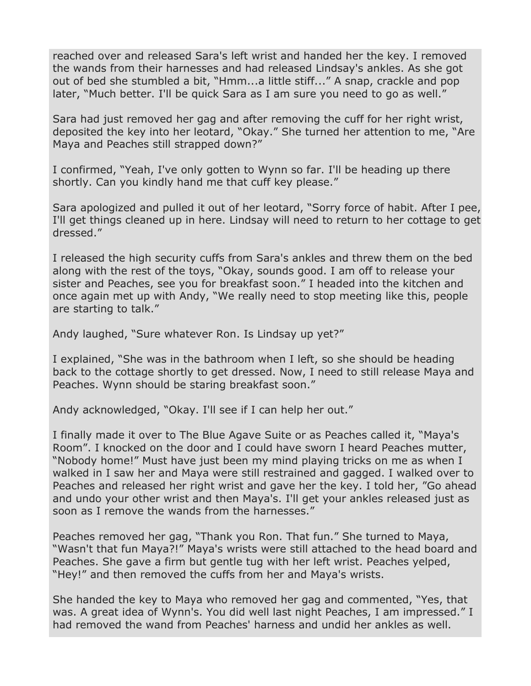reached over and released Sara's left wrist and handed her the key. I removed the wands from their harnesses and had released Lindsay's ankles. As she got out of bed she stumbled a bit, "Hmm...a little stiff..." A snap, crackle and pop later, "Much better. I'll be quick Sara as I am sure you need to go as well."

Sara had just removed her gag and after removing the cuff for her right wrist, deposited the key into her leotard, "Okay." She turned her attention to me, "Are Maya and Peaches still strapped down?"

I confirmed, "Yeah, I've only gotten to Wynn so far. I'll be heading up there shortly. Can you kindly hand me that cuff key please."

Sara apologized and pulled it out of her leotard, "Sorry force of habit. After I pee, I'll get things cleaned up in here. Lindsay will need to return to her cottage to get dressed."

I released the high security cuffs from Sara's ankles and threw them on the bed along with the rest of the toys, "Okay, sounds good. I am off to release your sister and Peaches, see you for breakfast soon." I headed into the kitchen and once again met up with Andy, "We really need to stop meeting like this, people are starting to talk."

Andy laughed, "Sure whatever Ron. Is Lindsay up yet?"

I explained, "She was in the bathroom when I left, so she should be heading back to the cottage shortly to get dressed. Now, I need to still release Maya and Peaches. Wynn should be staring breakfast soon."

Andy acknowledged, "Okay. I'll see if I can help her out."

I finally made it over to The Blue Agave Suite or as Peaches called it, "Maya's Room". I knocked on the door and I could have sworn I heard Peaches mutter, "Nobody home!" Must have just been my mind playing tricks on me as when I walked in I saw her and Maya were still restrained and gagged. I walked over to Peaches and released her right wrist and gave her the key. I told her, "Go ahead and undo your other wrist and then Maya's. I'll get your ankles released just as soon as I remove the wands from the harnesses."

Peaches removed her gag, "Thank you Ron. That fun." She turned to Maya, "Wasn't that fun Maya?!" Maya's wrists were still attached to the head board and Peaches. She gave a firm but gentle tug with her left wrist. Peaches yelped, "Hey!" and then removed the cuffs from her and Maya's wrists.

She handed the key to Maya who removed her gag and commented, "Yes, that was. A great idea of Wynn's. You did well last night Peaches, I am impressed." I had removed the wand from Peaches' harness and undid her ankles as well.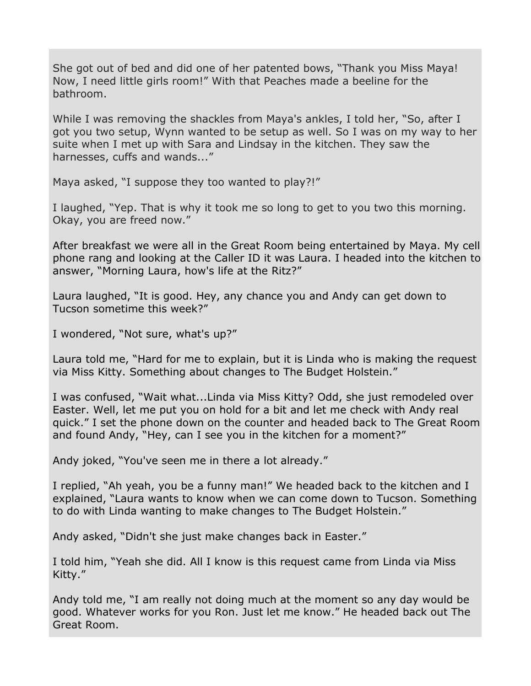She got out of bed and did one of her patented bows, "Thank you Miss Maya! Now, I need little girls room!" With that Peaches made a beeline for the bathroom.

While I was removing the shackles from Maya's ankles, I told her, "So, after I got you two setup, Wynn wanted to be setup as well. So I was on my way to her suite when I met up with Sara and Lindsay in the kitchen. They saw the harnesses, cuffs and wands..."

Maya asked, "I suppose they too wanted to play?!"

I laughed, "Yep. That is why it took me so long to get to you two this morning. Okay, you are freed now."

After breakfast we were all in the Great Room being entertained by Maya. My cell phone rang and looking at the Caller ID it was Laura. I headed into the kitchen to answer, "Morning Laura, how's life at the Ritz?"

Laura laughed, "It is good. Hey, any chance you and Andy can get down to Tucson sometime this week?"

I wondered, "Not sure, what's up?"

Laura told me, "Hard for me to explain, but it is Linda who is making the request via Miss Kitty. Something about changes to The Budget Holstein."

I was confused, "Wait what...Linda via Miss Kitty? Odd, she just remodeled over Easter. Well, let me put you on hold for a bit and let me check with Andy real quick." I set the phone down on the counter and headed back to The Great Room and found Andy, "Hey, can I see you in the kitchen for a moment?"

Andy joked, "You've seen me in there a lot already."

I replied, "Ah yeah, you be a funny man!" We headed back to the kitchen and I explained, "Laura wants to know when we can come down to Tucson. Something to do with Linda wanting to make changes to The Budget Holstein."

Andy asked, "Didn't she just make changes back in Easter."

I told him, "Yeah she did. All I know is this request came from Linda via Miss Kitty."

Andy told me, "I am really not doing much at the moment so any day would be good. Whatever works for you Ron. Just let me know." He headed back out The Great Room.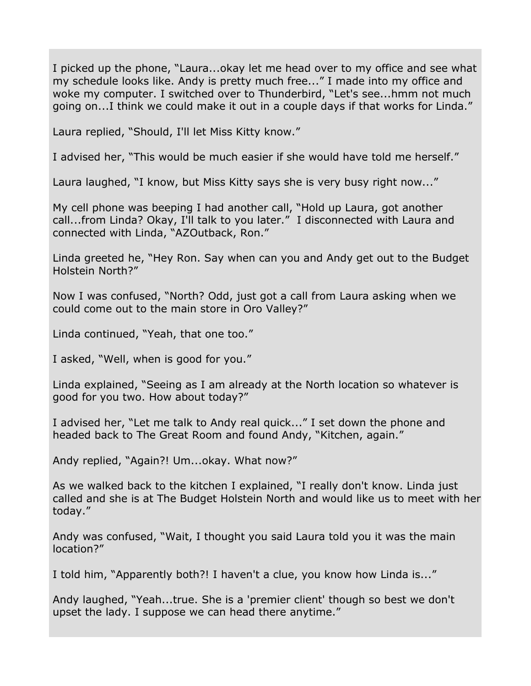I picked up the phone, "Laura...okay let me head over to my office and see what my schedule looks like. Andy is pretty much free..." I made into my office and woke my computer. I switched over to Thunderbird, "Let's see...hmm not much going on...I think we could make it out in a couple days if that works for Linda."

Laura replied, "Should, I'll let Miss Kitty know."

I advised her, "This would be much easier if she would have told me herself."

Laura laughed, "I know, but Miss Kitty says she is very busy right now..."

My cell phone was beeping I had another call, "Hold up Laura, got another call...from Linda? Okay, I'll talk to you later." I disconnected with Laura and connected with Linda, "AZOutback, Ron."

Linda greeted he, "Hey Ron. Say when can you and Andy get out to the Budget Holstein North?"

Now I was confused, "North? Odd, just got a call from Laura asking when we could come out to the main store in Oro Valley?"

Linda continued, "Yeah, that one too."

I asked, "Well, when is good for you."

Linda explained, "Seeing as I am already at the North location so whatever is good for you two. How about today?"

I advised her, "Let me talk to Andy real quick..." I set down the phone and headed back to The Great Room and found Andy, "Kitchen, again."

Andy replied, "Again?! Um...okay. What now?"

As we walked back to the kitchen I explained, "I really don't know. Linda just called and she is at The Budget Holstein North and would like us to meet with her today."

Andy was confused, "Wait, I thought you said Laura told you it was the main location?"

I told him, "Apparently both?! I haven't a clue, you know how Linda is..."

Andy laughed, "Yeah...true. She is a 'premier client' though so best we don't upset the lady. I suppose we can head there anytime."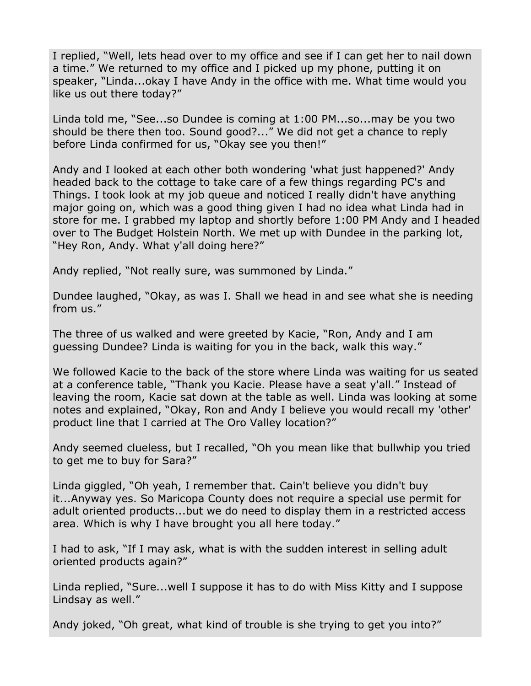I replied, "Well, lets head over to my office and see if I can get her to nail down a time." We returned to my office and I picked up my phone, putting it on speaker, "Linda...okay I have Andy in the office with me. What time would you like us out there today?"

Linda told me, "See...so Dundee is coming at 1:00 PM...so...may be you two should be there then too. Sound good?..." We did not get a chance to reply before Linda confirmed for us, "Okay see you then!"

Andy and I looked at each other both wondering 'what just happened?' Andy headed back to the cottage to take care of a few things regarding PC's and Things. I took look at my job queue and noticed I really didn't have anything major going on, which was a good thing given I had no idea what Linda had in store for me. I grabbed my laptop and shortly before 1:00 PM Andy and I headed over to The Budget Holstein North. We met up with Dundee in the parking lot, "Hey Ron, Andy. What y'all doing here?"

Andy replied, "Not really sure, was summoned by Linda."

Dundee laughed, "Okay, as was I. Shall we head in and see what she is needing from us."

The three of us walked and were greeted by Kacie, "Ron, Andy and I am guessing Dundee? Linda is waiting for you in the back, walk this way."

We followed Kacie to the back of the store where Linda was waiting for us seated at a conference table, "Thank you Kacie. Please have a seat y'all." Instead of leaving the room, Kacie sat down at the table as well. Linda was looking at some notes and explained, "Okay, Ron and Andy I believe you would recall my 'other' product line that I carried at The Oro Valley location?"

Andy seemed clueless, but I recalled, "Oh you mean like that bullwhip you tried to get me to buy for Sara?"

Linda giggled, "Oh yeah, I remember that. Cain't believe you didn't buy it...Anyway yes. So Maricopa County does not require a special use permit for adult oriented products...but we do need to display them in a restricted access area. Which is why I have brought you all here today."

I had to ask, "If I may ask, what is with the sudden interest in selling adult oriented products again?"

Linda replied, "Sure...well I suppose it has to do with Miss Kitty and I suppose Lindsay as well."

Andy joked, "Oh great, what kind of trouble is she trying to get you into?"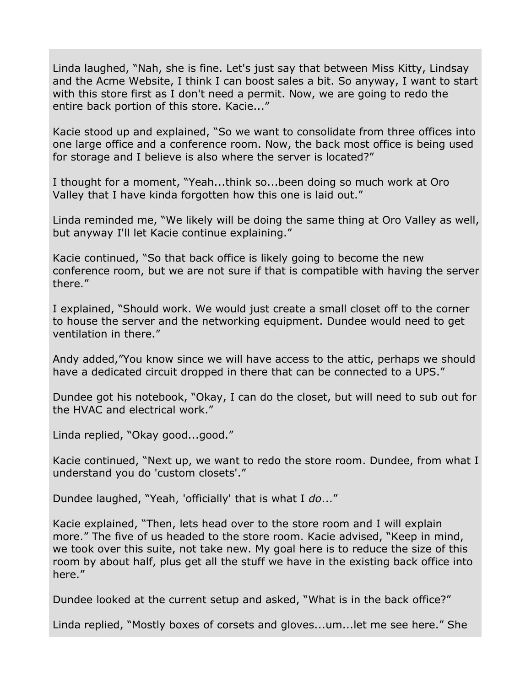Linda laughed, "Nah, she is fine. Let's just say that between Miss Kitty, Lindsay and the Acme Website, I think I can boost sales a bit. So anyway, I want to start with this store first as I don't need a permit. Now, we are going to redo the entire back portion of this store. Kacie..."

Kacie stood up and explained, "So we want to consolidate from three offices into one large office and a conference room. Now, the back most office is being used for storage and I believe is also where the server is located?"

I thought for a moment, "Yeah...think so...been doing so much work at Oro Valley that I have kinda forgotten how this one is laid out."

Linda reminded me, "We likely will be doing the same thing at Oro Valley as well, but anyway I'll let Kacie continue explaining."

Kacie continued, "So that back office is likely going to become the new conference room, but we are not sure if that is compatible with having the server there."

I explained, "Should work. We would just create a small closet off to the corner to house the server and the networking equipment. Dundee would need to get ventilation in there."

Andy added,"You know since we will have access to the attic, perhaps we should have a dedicated circuit dropped in there that can be connected to a UPS."

Dundee got his notebook, "Okay, I can do the closet, but will need to sub out for the HVAC and electrical work."

Linda replied, "Okay good...good."

Kacie continued, "Next up, we want to redo the store room. Dundee, from what I understand you do 'custom closets'."

Dundee laughed, "Yeah, 'officially' that is what I *do*..."

Kacie explained, "Then, lets head over to the store room and I will explain more." The five of us headed to the store room. Kacie advised, "Keep in mind, we took over this suite, not take new. My goal here is to reduce the size of this room by about half, plus get all the stuff we have in the existing back office into here."

Dundee looked at the current setup and asked, "What is in the back office?"

Linda replied, "Mostly boxes of corsets and gloves...um...let me see here." She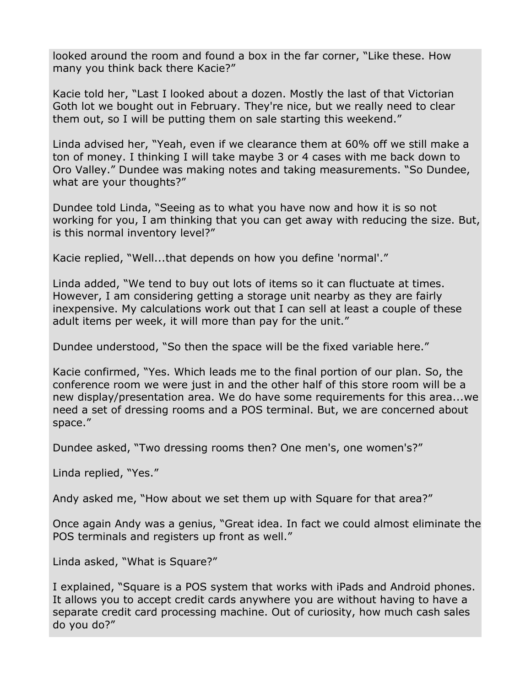looked around the room and found a box in the far corner, "Like these. How many you think back there Kacie?"

Kacie told her, "Last I looked about a dozen. Mostly the last of that Victorian Goth lot we bought out in February. They're nice, but we really need to clear them out, so I will be putting them on sale starting this weekend."

Linda advised her, "Yeah, even if we clearance them at 60% off we still make a ton of money. I thinking I will take maybe 3 or 4 cases with me back down to Oro Valley." Dundee was making notes and taking measurements. "So Dundee, what are your thoughts?"

Dundee told Linda, "Seeing as to what you have now and how it is so not working for you, I am thinking that you can get away with reducing the size. But, is this normal inventory level?"

Kacie replied, "Well...that depends on how you define 'normal'."

Linda added, "We tend to buy out lots of items so it can fluctuate at times. However, I am considering getting a storage unit nearby as they are fairly inexpensive. My calculations work out that I can sell at least a couple of these adult items per week, it will more than pay for the unit."

Dundee understood, "So then the space will be the fixed variable here."

Kacie confirmed, "Yes. Which leads me to the final portion of our plan. So, the conference room we were just in and the other half of this store room will be a new display/presentation area. We do have some requirements for this area...we need a set of dressing rooms and a POS terminal. But, we are concerned about space."

Dundee asked, "Two dressing rooms then? One men's, one women's?"

Linda replied, "Yes."

Andy asked me, "How about we set them up with Square for that area?"

Once again Andy was a genius, "Great idea. In fact we could almost eliminate the POS terminals and registers up front as well."

Linda asked, "What is Square?"

I explained, "Square is a POS system that works with iPads and Android phones. It allows you to accept credit cards anywhere you are without having to have a separate credit card processing machine. Out of curiosity, how much cash sales do you do?"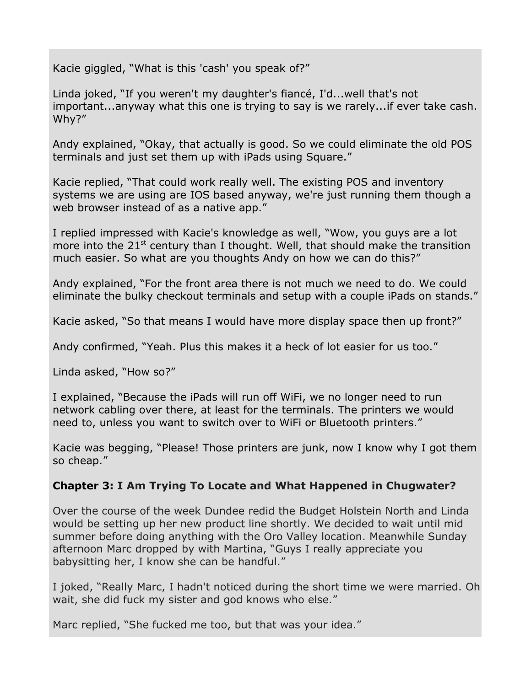Kacie giggled, "What is this 'cash' you speak of?"

Linda joked, "If you weren't my daughter's fiancé, I'd...well that's not important...anyway what this one is trying to say is we rarely...if ever take cash. Why?"

Andy explained, "Okay, that actually is good. So we could eliminate the old POS terminals and just set them up with iPads using Square."

Kacie replied, "That could work really well. The existing POS and inventory systems we are using are IOS based anyway, we're just running them though a web browser instead of as a native app."

I replied impressed with Kacie's knowledge as well, "Wow, you guys are a lot more into the  $21<sup>st</sup>$  century than I thought. Well, that should make the transition much easier. So what are you thoughts Andy on how we can do this?"

Andy explained, "For the front area there is not much we need to do. We could eliminate the bulky checkout terminals and setup with a couple iPads on stands."

Kacie asked, "So that means I would have more display space then up front?"

Andy confirmed, "Yeah. Plus this makes it a heck of lot easier for us too."

Linda asked, "How so?"

I explained, "Because the iPads will run off WiFi, we no longer need to run network cabling over there, at least for the terminals. The printers we would need to, unless you want to switch over to WiFi or Bluetooth printers."

Kacie was begging, "Please! Those printers are junk, now I know why I got them so cheap."

## **Chapter 3: I Am Trying To Locate and What Happened in Chugwater?**

Over the course of the week Dundee redid the Budget Holstein North and Linda would be setting up her new product line shortly. We decided to wait until mid summer before doing anything with the Oro Valley location. Meanwhile Sunday afternoon Marc dropped by with Martina, "Guys I really appreciate you babysitting her, I know she can be handful."

I joked, "Really Marc, I hadn't noticed during the short time we were married. Oh wait, she did fuck my sister and god knows who else."

Marc replied, "She fucked me too, but that was your idea."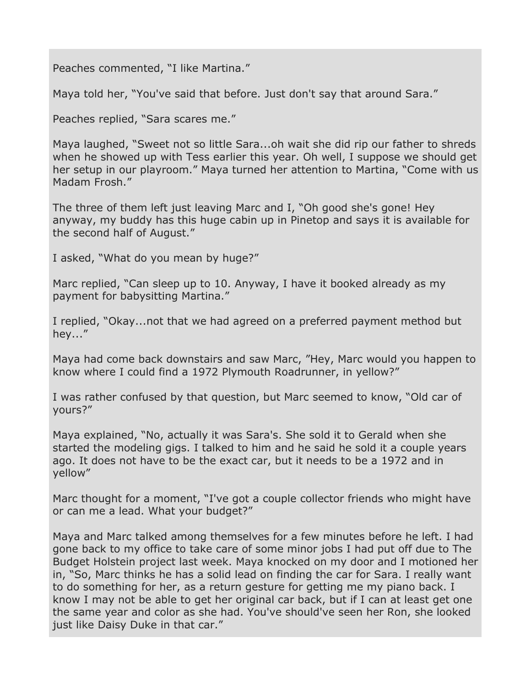Peaches commented, "I like Martina."

Maya told her, "You've said that before. Just don't say that around Sara."

Peaches replied, "Sara scares me."

Maya laughed, "Sweet not so little Sara...oh wait she did rip our father to shreds when he showed up with Tess earlier this year. Oh well, I suppose we should get her setup in our playroom." Maya turned her attention to Martina, "Come with us Madam Frosh."

The three of them left just leaving Marc and I, "Oh good she's gone! Hey anyway, my buddy has this huge cabin up in Pinetop and says it is available for the second half of August."

I asked, "What do you mean by huge?"

Marc replied, "Can sleep up to 10. Anyway, I have it booked already as my payment for babysitting Martina."

I replied, "Okay...not that we had agreed on a preferred payment method but hey..."

Maya had come back downstairs and saw Marc, "Hey, Marc would you happen to know where I could find a 1972 Plymouth Roadrunner, in yellow?"

I was rather confused by that question, but Marc seemed to know, "Old car of yours?"

Maya explained, "No, actually it was Sara's. She sold it to Gerald when she started the modeling gigs. I talked to him and he said he sold it a couple years ago. It does not have to be the exact car, but it needs to be a 1972 and in yellow"

Marc thought for a moment, "I've got a couple collector friends who might have or can me a lead. What your budget?"

Maya and Marc talked among themselves for a few minutes before he left. I had gone back to my office to take care of some minor jobs I had put off due to The Budget Holstein project last week. Maya knocked on my door and I motioned her in, "So, Marc thinks he has a solid lead on finding the car for Sara. I really want to do something for her, as a return gesture for getting me my piano back. I know I may not be able to get her original car back, but if I can at least get one the same year and color as she had. You've should've seen her Ron, she looked just like Daisy Duke in that car."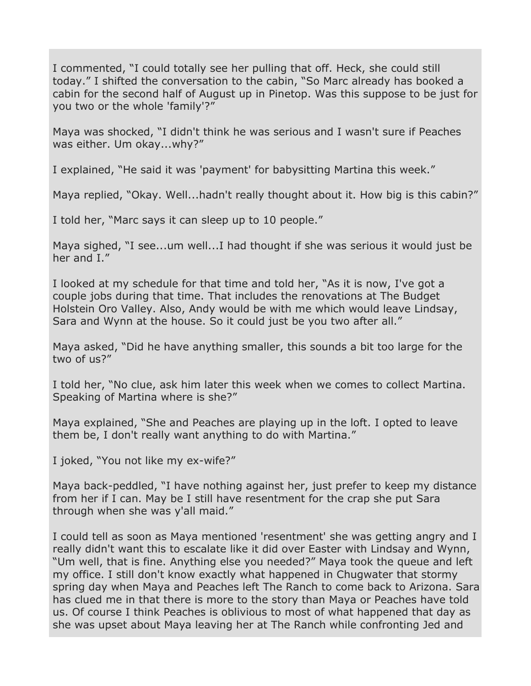I commented, "I could totally see her pulling that off. Heck, she could still today." I shifted the conversation to the cabin, "So Marc already has booked a cabin for the second half of August up in Pinetop. Was this suppose to be just for you two or the whole 'family'?"

Maya was shocked, "I didn't think he was serious and I wasn't sure if Peaches was either. Um okay...why?"

I explained, "He said it was 'payment' for babysitting Martina this week."

Maya replied, "Okay. Well...hadn't really thought about it. How big is this cabin?"

I told her, "Marc says it can sleep up to 10 people."

Maya sighed, "I see...um well...I had thought if she was serious it would just be her and I."

I looked at my schedule for that time and told her, "As it is now, I've got a couple jobs during that time. That includes the renovations at The Budget Holstein Oro Valley. Also, Andy would be with me which would leave Lindsay, Sara and Wynn at the house. So it could just be you two after all."

Maya asked, "Did he have anything smaller, this sounds a bit too large for the two of us?"

I told her, "No clue, ask him later this week when we comes to collect Martina. Speaking of Martina where is she?"

Maya explained, "She and Peaches are playing up in the loft. I opted to leave them be, I don't really want anything to do with Martina."

I joked, "You not like my ex-wife?"

Maya back-peddled, "I have nothing against her, just prefer to keep my distance from her if I can. May be I still have resentment for the crap she put Sara through when she was y'all maid."

I could tell as soon as Maya mentioned 'resentment' she was getting angry and I really didn't want this to escalate like it did over Easter with Lindsay and Wynn, "Um well, that is fine. Anything else you needed?" Maya took the queue and left my office. I still don't know exactly what happened in Chugwater that stormy spring day when Maya and Peaches left The Ranch to come back to Arizona. Sara has clued me in that there is more to the story than Maya or Peaches have told us. Of course I think Peaches is oblivious to most of what happened that day as she was upset about Maya leaving her at The Ranch while confronting Jed and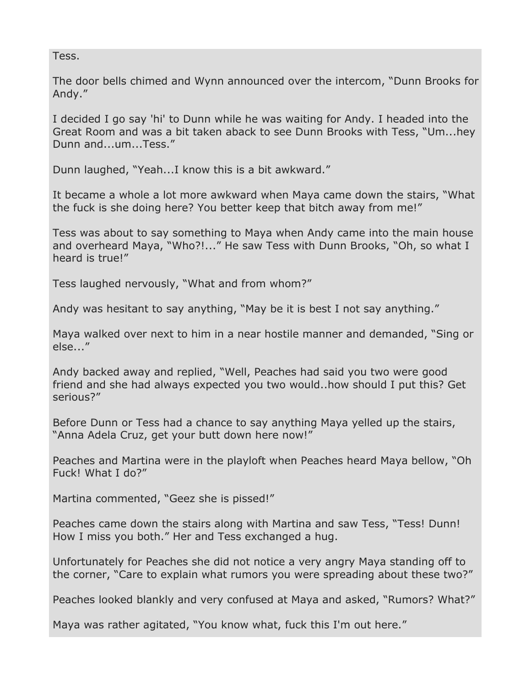#### Tess.

The door bells chimed and Wynn announced over the intercom, "Dunn Brooks for Andy."

I decided I go say 'hi' to Dunn while he was waiting for Andy. I headed into the Great Room and was a bit taken aback to see Dunn Brooks with Tess, "Um...hey Dunn and...um...Tess."

Dunn laughed, "Yeah...I know this is a bit awkward."

It became a whole a lot more awkward when Maya came down the stairs, "What the fuck is she doing here? You better keep that bitch away from me!"

Tess was about to say something to Maya when Andy came into the main house and overheard Maya, "Who?!..." He saw Tess with Dunn Brooks, "Oh, so what I heard is true!"

Tess laughed nervously, "What and from whom?"

Andy was hesitant to say anything, "May be it is best I not say anything."

Maya walked over next to him in a near hostile manner and demanded, "Sing or else..."

Andy backed away and replied, "Well, Peaches had said you two were good friend and she had always expected you two would..how should I put this? Get serious?"

Before Dunn or Tess had a chance to say anything Maya yelled up the stairs, "Anna Adela Cruz, get your butt down here now!"

Peaches and Martina were in the playloft when Peaches heard Maya bellow, "Oh Fuck! What I do?"

Martina commented, "Geez she is pissed!"

Peaches came down the stairs along with Martina and saw Tess, "Tess! Dunn! How I miss you both." Her and Tess exchanged a hug.

Unfortunately for Peaches she did not notice a very angry Maya standing off to the corner, "Care to explain what rumors you were spreading about these two?"

Peaches looked blankly and very confused at Maya and asked, "Rumors? What?"

Maya was rather agitated, "You know what, fuck this I'm out here."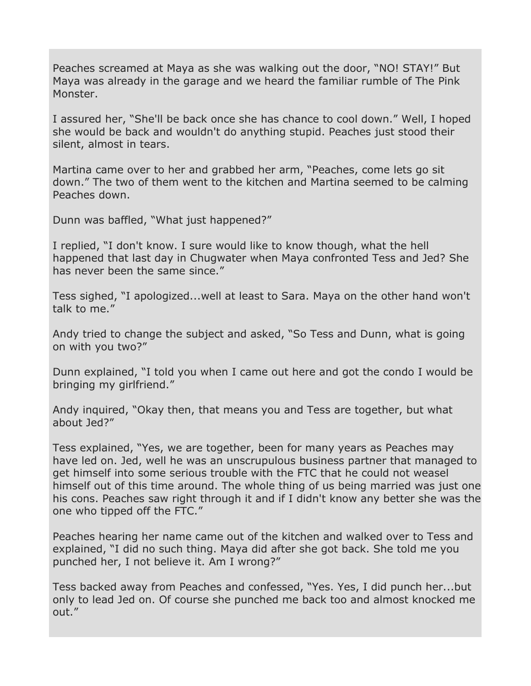Peaches screamed at Maya as she was walking out the door, "NO! STAY!" But Maya was already in the garage and we heard the familiar rumble of The Pink Monster.

I assured her, "She'll be back once she has chance to cool down." Well, I hoped she would be back and wouldn't do anything stupid. Peaches just stood their silent, almost in tears.

Martina came over to her and grabbed her arm, "Peaches, come lets go sit down." The two of them went to the kitchen and Martina seemed to be calming Peaches down.

Dunn was baffled, "What just happened?"

I replied, "I don't know. I sure would like to know though, what the hell happened that last day in Chugwater when Maya confronted Tess and Jed? She has never been the same since."

Tess sighed, "I apologized...well at least to Sara. Maya on the other hand won't talk to me."

Andy tried to change the subject and asked, "So Tess and Dunn, what is going on with you two?"

Dunn explained, "I told you when I came out here and got the condo I would be bringing my girlfriend."

Andy inquired, "Okay then, that means you and Tess are together, but what about Jed?"

Tess explained, "Yes, we are together, been for many years as Peaches may have led on. Jed, well he was an unscrupulous business partner that managed to get himself into some serious trouble with the FTC that he could not weasel himself out of this time around. The whole thing of us being married was just one his cons. Peaches saw right through it and if I didn't know any better she was the one who tipped off the FTC."

Peaches hearing her name came out of the kitchen and walked over to Tess and explained, "I did no such thing. Maya did after she got back. She told me you punched her, I not believe it. Am I wrong?"

Tess backed away from Peaches and confessed, "Yes. Yes, I did punch her...but only to lead Jed on. Of course she punched me back too and almost knocked me out."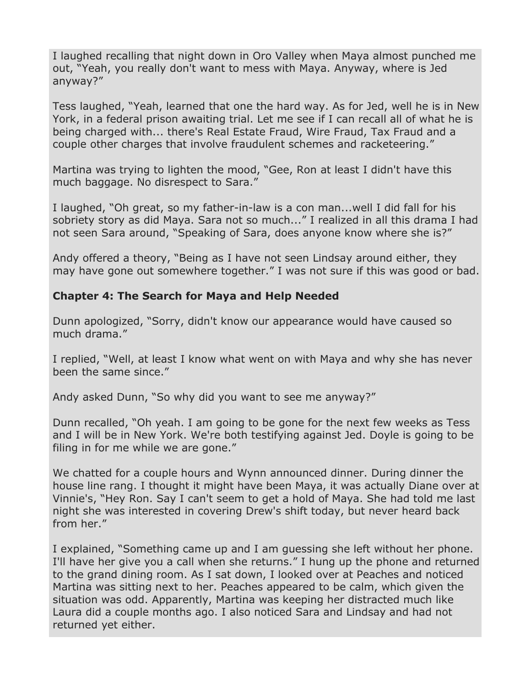I laughed recalling that night down in Oro Valley when Maya almost punched me out, "Yeah, you really don't want to mess with Maya. Anyway, where is Jed anyway?"

Tess laughed, "Yeah, learned that one the hard way. As for Jed, well he is in New York, in a federal prison awaiting trial. Let me see if I can recall all of what he is being charged with... there's Real Estate Fraud, Wire Fraud, Tax Fraud and a couple other charges that involve fraudulent schemes and racketeering."

Martina was trying to lighten the mood, "Gee, Ron at least I didn't have this much baggage. No disrespect to Sara."

I laughed, "Oh great, so my father-in-law is a con man...well I did fall for his sobriety story as did Maya. Sara not so much..." I realized in all this drama I had not seen Sara around, "Speaking of Sara, does anyone know where she is?"

Andy offered a theory, "Being as I have not seen Lindsay around either, they may have gone out somewhere together." I was not sure if this was good or bad.

## **Chapter 4: The Search for Maya and Help Needed**

Dunn apologized, "Sorry, didn't know our appearance would have caused so much drama."

I replied, "Well, at least I know what went on with Maya and why she has never been the same since."

Andy asked Dunn, "So why did you want to see me anyway?"

Dunn recalled, "Oh yeah. I am going to be gone for the next few weeks as Tess and I will be in New York. We're both testifying against Jed. Doyle is going to be filing in for me while we are gone."

We chatted for a couple hours and Wynn announced dinner. During dinner the house line rang. I thought it might have been Maya, it was actually Diane over at Vinnie's, "Hey Ron. Say I can't seem to get a hold of Maya. She had told me last night she was interested in covering Drew's shift today, but never heard back from her."

I explained, "Something came up and I am guessing she left without her phone. I'll have her give you a call when she returns." I hung up the phone and returned to the grand dining room. As I sat down, I looked over at Peaches and noticed Martina was sitting next to her. Peaches appeared to be calm, which given the situation was odd. Apparently, Martina was keeping her distracted much like Laura did a couple months ago. I also noticed Sara and Lindsay and had not returned yet either.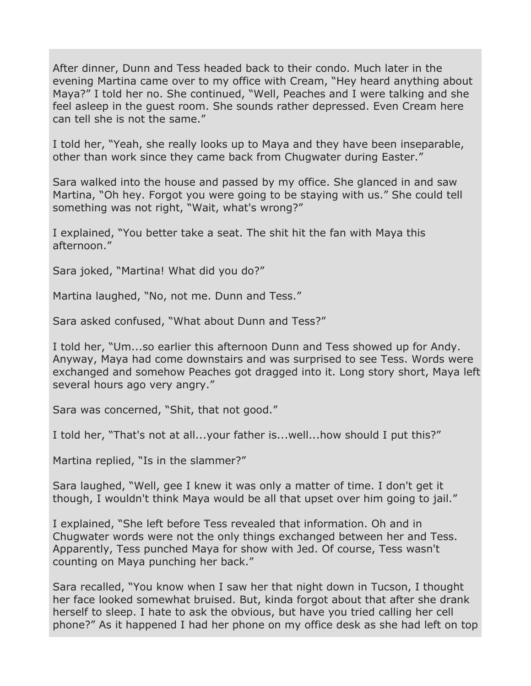After dinner, Dunn and Tess headed back to their condo. Much later in the evening Martina came over to my office with Cream, "Hey heard anything about Maya?" I told her no. She continued, "Well, Peaches and I were talking and she feel asleep in the guest room. She sounds rather depressed. Even Cream here can tell she is not the same."

I told her, "Yeah, she really looks up to Maya and they have been inseparable, other than work since they came back from Chugwater during Easter."

Sara walked into the house and passed by my office. She glanced in and saw Martina, "Oh hey. Forgot you were going to be staying with us." She could tell something was not right, "Wait, what's wrong?"

I explained, "You better take a seat. The shit hit the fan with Maya this afternoon."

Sara joked, "Martina! What did you do?"

Martina laughed, "No, not me. Dunn and Tess."

Sara asked confused, "What about Dunn and Tess?"

I told her, "Um...so earlier this afternoon Dunn and Tess showed up for Andy. Anyway, Maya had come downstairs and was surprised to see Tess. Words were exchanged and somehow Peaches got dragged into it. Long story short, Maya left several hours ago very angry."

Sara was concerned, "Shit, that not good."

I told her, "That's not at all...your father is...well...how should I put this?"

Martina replied, "Is in the slammer?"

Sara laughed, "Well, gee I knew it was only a matter of time. I don't get it though, I wouldn't think Maya would be all that upset over him going to jail."

I explained, "She left before Tess revealed that information. Oh and in Chugwater words were not the only things exchanged between her and Tess. Apparently, Tess punched Maya for show with Jed. Of course, Tess wasn't counting on Maya punching her back."

Sara recalled, "You know when I saw her that night down in Tucson, I thought her face looked somewhat bruised. But, kinda forgot about that after she drank herself to sleep. I hate to ask the obvious, but have you tried calling her cell phone?" As it happened I had her phone on my office desk as she had left on top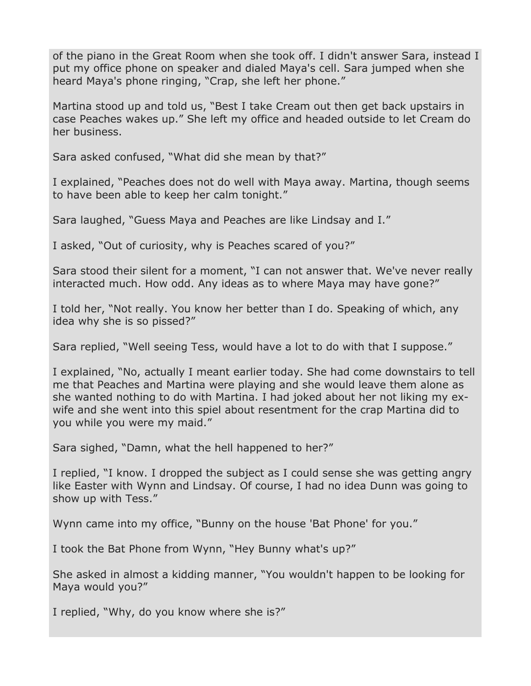of the piano in the Great Room when she took off. I didn't answer Sara, instead I put my office phone on speaker and dialed Maya's cell. Sara jumped when she heard Maya's phone ringing, "Crap, she left her phone."

Martina stood up and told us, "Best I take Cream out then get back upstairs in case Peaches wakes up." She left my office and headed outside to let Cream do her business.

Sara asked confused, "What did she mean by that?"

I explained, "Peaches does not do well with Maya away. Martina, though seems to have been able to keep her calm tonight."

Sara laughed, "Guess Maya and Peaches are like Lindsay and I."

I asked, "Out of curiosity, why is Peaches scared of you?"

Sara stood their silent for a moment, "I can not answer that. We've never really interacted much. How odd. Any ideas as to where Maya may have gone?"

I told her, "Not really. You know her better than I do. Speaking of which, any idea why she is so pissed?"

Sara replied, "Well seeing Tess, would have a lot to do with that I suppose."

I explained, "No, actually I meant earlier today. She had come downstairs to tell me that Peaches and Martina were playing and she would leave them alone as she wanted nothing to do with Martina. I had joked about her not liking my exwife and she went into this spiel about resentment for the crap Martina did to you while you were my maid."

Sara sighed, "Damn, what the hell happened to her?"

I replied, "I know. I dropped the subject as I could sense she was getting angry like Easter with Wynn and Lindsay. Of course, I had no idea Dunn was going to show up with Tess."

Wynn came into my office, "Bunny on the house 'Bat Phone' for you."

I took the Bat Phone from Wynn, "Hey Bunny what's up?"

She asked in almost a kidding manner, "You wouldn't happen to be looking for Maya would you?"

I replied, "Why, do you know where she is?"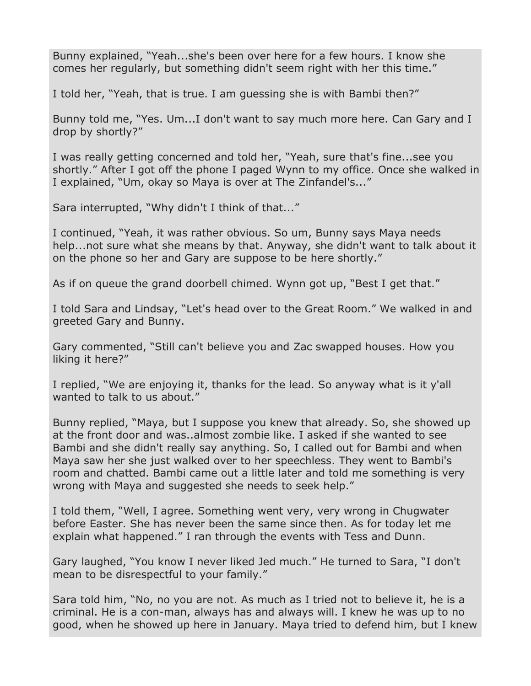Bunny explained, "Yeah...she's been over here for a few hours. I know she comes her regularly, but something didn't seem right with her this time."

I told her, "Yeah, that is true. I am guessing she is with Bambi then?"

Bunny told me, "Yes. Um...I don't want to say much more here. Can Gary and I drop by shortly?"

I was really getting concerned and told her, "Yeah, sure that's fine...see you shortly." After I got off the phone I paged Wynn to my office. Once she walked in I explained, "Um, okay so Maya is over at The Zinfandel's..."

Sara interrupted, "Why didn't I think of that..."

I continued, "Yeah, it was rather obvious. So um, Bunny says Maya needs help...not sure what she means by that. Anyway, she didn't want to talk about it on the phone so her and Gary are suppose to be here shortly."

As if on queue the grand doorbell chimed. Wynn got up, "Best I get that."

I told Sara and Lindsay, "Let's head over to the Great Room." We walked in and greeted Gary and Bunny.

Gary commented, "Still can't believe you and Zac swapped houses. How you liking it here?"

I replied, "We are enjoying it, thanks for the lead. So anyway what is it y'all wanted to talk to us about."

Bunny replied, "Maya, but I suppose you knew that already. So, she showed up at the front door and was..almost zombie like. I asked if she wanted to see Bambi and she didn't really say anything. So, I called out for Bambi and when Maya saw her she just walked over to her speechless. They went to Bambi's room and chatted. Bambi came out a little later and told me something is very wrong with Maya and suggested she needs to seek help."

I told them, "Well, I agree. Something went very, very wrong in Chugwater before Easter. She has never been the same since then. As for today let me explain what happened." I ran through the events with Tess and Dunn.

Gary laughed, "You know I never liked Jed much." He turned to Sara, "I don't mean to be disrespectful to your family."

Sara told him, "No, no you are not. As much as I tried not to believe it, he is a criminal. He is a con-man, always has and always will. I knew he was up to no good, when he showed up here in January. Maya tried to defend him, but I knew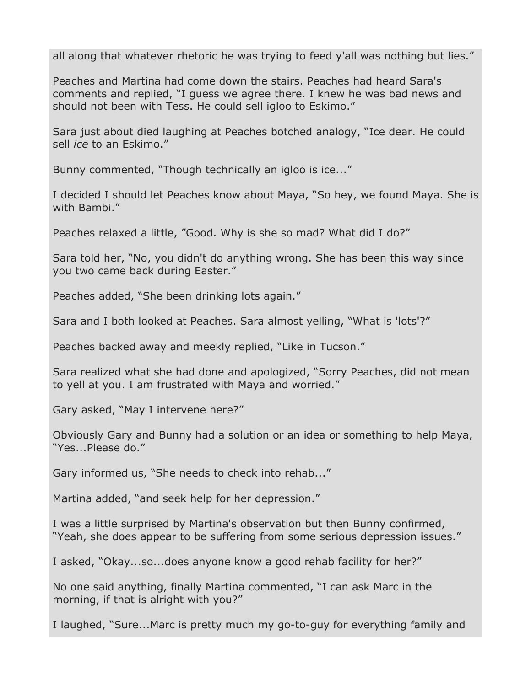all along that whatever rhetoric he was trying to feed y'all was nothing but lies."

Peaches and Martina had come down the stairs. Peaches had heard Sara's comments and replied, "I guess we agree there. I knew he was bad news and should not been with Tess. He could sell igloo to Eskimo."

Sara just about died laughing at Peaches botched analogy, "Ice dear. He could sell *ice* to an Eskimo."

Bunny commented, "Though technically an igloo is ice..."

I decided I should let Peaches know about Maya, "So hey, we found Maya. She is with Bambi."

Peaches relaxed a little, "Good. Why is she so mad? What did I do?"

Sara told her, "No, you didn't do anything wrong. She has been this way since you two came back during Easter."

Peaches added, "She been drinking lots again."

Sara and I both looked at Peaches. Sara almost yelling, "What is 'lots'?"

Peaches backed away and meekly replied, "Like in Tucson."

Sara realized what she had done and apologized, "Sorry Peaches, did not mean to yell at you. I am frustrated with Maya and worried."

Gary asked, "May I intervene here?"

Obviously Gary and Bunny had a solution or an idea or something to help Maya, "Yes...Please do."

Gary informed us, "She needs to check into rehab..."

Martina added, "and seek help for her depression."

I was a little surprised by Martina's observation but then Bunny confirmed, "Yeah, she does appear to be suffering from some serious depression issues."

I asked, "Okay...so...does anyone know a good rehab facility for her?"

No one said anything, finally Martina commented, "I can ask Marc in the morning, if that is alright with you?"

I laughed, "Sure...Marc is pretty much my go-to-guy for everything family and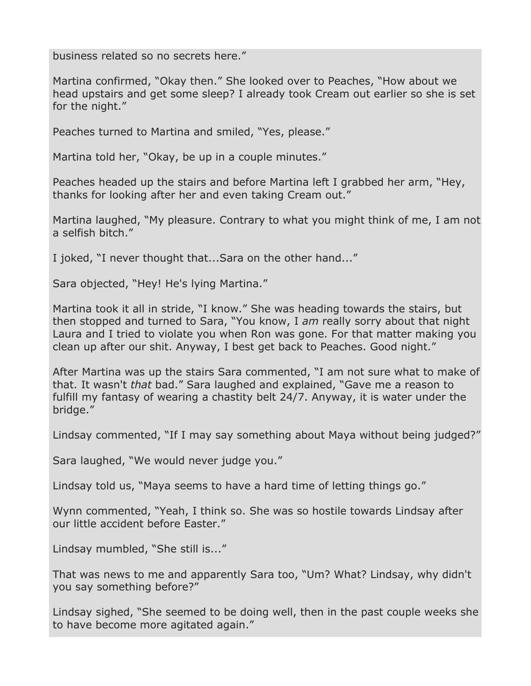business related so no secrets here."

Martina confirmed, "Okay then." She looked over to Peaches, "How about we head upstairs and get some sleep? I already took Cream out earlier so she is set for the night."

Peaches turned to Martina and smiled, "Yes, please."

Martina told her, "Okay, be up in a couple minutes."

Peaches headed up the stairs and before Martina left I grabbed her arm, "Hey, thanks for looking after her and even taking Cream out."

Martina laughed, "My pleasure. Contrary to what you might think of me, I am not a selfish bitch."

I joked, "I never thought that...Sara on the other hand..."

Sara objected, "Hey! He's lying Martina."

Martina took it all in stride, "I know." She was heading towards the stairs, but then stopped and turned to Sara, "You know, I *am* really sorry about that night Laura and I tried to violate you when Ron was gone. For that matter making you clean up after our shit. Anyway, I best get back to Peaches. Good night."

After Martina was up the stairs Sara commented, "I am not sure what to make of that. It wasn't *that* bad." Sara laughed and explained, "Gave me a reason to fulfill my fantasy of wearing a chastity belt 24/7. Anyway, it is water under the bridge."

Lindsay commented, "If I may say something about Maya without being judged?"

Sara laughed, "We would never judge you."

Lindsay told us, "Maya seems to have a hard time of letting things go."

Wynn commented, "Yeah, I think so. She was so hostile towards Lindsay after our little accident before Easter."

Lindsay mumbled, "She still is..."

That was news to me and apparently Sara too, "Um? What? Lindsay, why didn't you say something before?"

Lindsay sighed, "She seemed to be doing well, then in the past couple weeks she to have become more agitated again."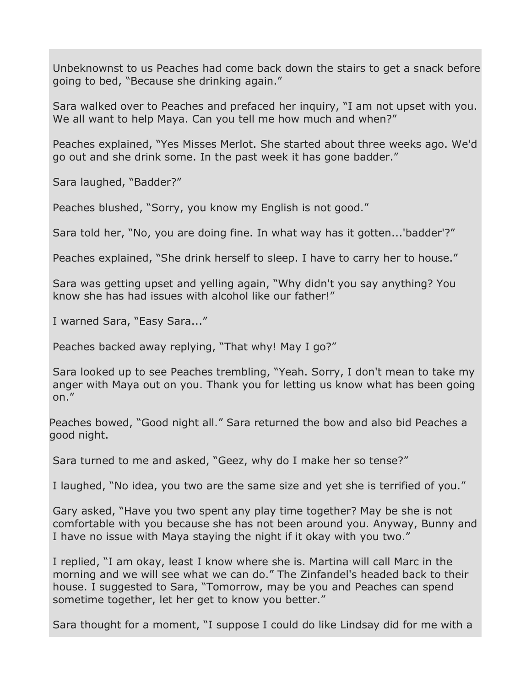Unbeknownst to us Peaches had come back down the stairs to get a snack before going to bed, "Because she drinking again."

Sara walked over to Peaches and prefaced her inquiry, "I am not upset with you. We all want to help Maya. Can you tell me how much and when?"

Peaches explained, "Yes Misses Merlot. She started about three weeks ago. We'd go out and she drink some. In the past week it has gone badder."

Sara laughed, "Badder?"

Peaches blushed, "Sorry, you know my English is not good."

Sara told her, "No, you are doing fine. In what way has it gotten...'badder'?"

Peaches explained, "She drink herself to sleep. I have to carry her to house."

Sara was getting upset and yelling again, "Why didn't you say anything? You know she has had issues with alcohol like our father!"

I warned Sara, "Easy Sara..."

Peaches backed away replying, "That why! May I go?"

Sara looked up to see Peaches trembling, "Yeah. Sorry, I don't mean to take my anger with Maya out on you. Thank you for letting us know what has been going on."

Peaches bowed, "Good night all." Sara returned the bow and also bid Peaches a good night.

Sara turned to me and asked, "Geez, why do I make her so tense?"

I laughed, "No idea, you two are the same size and yet she is terrified of you."

Gary asked, "Have you two spent any play time together? May be she is not comfortable with you because she has not been around you. Anyway, Bunny and I have no issue with Maya staying the night if it okay with you two."

I replied, "I am okay, least I know where she is. Martina will call Marc in the morning and we will see what we can do." The Zinfandel's headed back to their house. I suggested to Sara, "Tomorrow, may be you and Peaches can spend sometime together, let her get to know you better."

Sara thought for a moment, "I suppose I could do like Lindsay did for me with a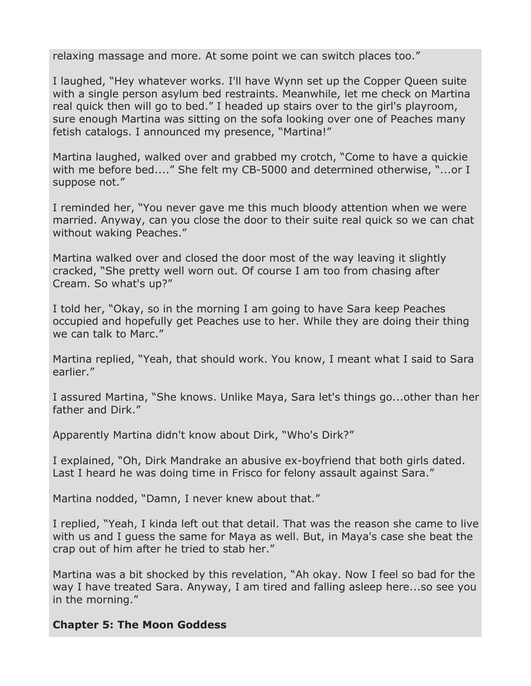relaxing massage and more. At some point we can switch places too."

I laughed, "Hey whatever works. I'll have Wynn set up the Copper Queen suite with a single person asylum bed restraints. Meanwhile, let me check on Martina real quick then will go to bed." I headed up stairs over to the girl's playroom, sure enough Martina was sitting on the sofa looking over one of Peaches many fetish catalogs. I announced my presence, "Martina!"

Martina laughed, walked over and grabbed my crotch, "Come to have a quickie with me before bed...." She felt my CB-5000 and determined otherwise, "...or I suppose not."

I reminded her, "You never gave me this much bloody attention when we were married. Anyway, can you close the door to their suite real quick so we can chat without waking Peaches."

Martina walked over and closed the door most of the way leaving it slightly cracked, "She pretty well worn out. Of course I am too from chasing after Cream. So what's up?"

I told her, "Okay, so in the morning I am going to have Sara keep Peaches occupied and hopefully get Peaches use to her. While they are doing their thing we can talk to Marc."

Martina replied, "Yeah, that should work. You know, I meant what I said to Sara earlier."

I assured Martina, "She knows. Unlike Maya, Sara let's things go...other than her father and Dirk."

Apparently Martina didn't know about Dirk, "Who's Dirk?"

I explained, "Oh, Dirk Mandrake an abusive ex-boyfriend that both girls dated. Last I heard he was doing time in Frisco for felony assault against Sara."

Martina nodded, "Damn, I never knew about that."

I replied, "Yeah, I kinda left out that detail. That was the reason she came to live with us and I guess the same for Maya as well. But, in Maya's case she beat the crap out of him after he tried to stab her."

Martina was a bit shocked by this revelation, "Ah okay. Now I feel so bad for the way I have treated Sara. Anyway, I am tired and falling asleep here...so see you in the morning."

## **Chapter 5: The Moon Goddess**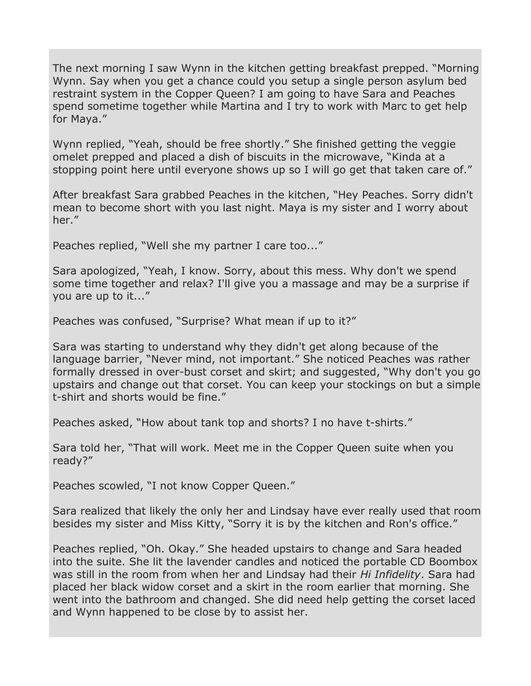The next morning I saw Wynn in the kitchen getting breakfast prepped. "Morning Wynn. Say when you get a chance could you setup a single person asylum bed restraint system in the Copper Queen? I am going to have Sara and Peaches spend sometime together while Martina and I try to work with Marc to get help for Maya."

Wynn replied, "Yeah, should be free shortly." She finished getting the veggie omelet prepped and placed a dish of biscuits in the microwave, "Kinda at a stopping point here until everyone shows up so I will go get that taken care of."

After breakfast Sara grabbed Peaches in the kitchen, "Hey Peaches. Sorry didn't mean to become short with you last night. Maya is my sister and I worry about her."

Peaches replied, "Well she my partner I care too..."

Sara apologized, "Yeah, I know. Sorry, about this mess. Why don't we spend some time together and relax? I'll give you a massage and may be a surprise if you are up to it..."

Peaches was confused, "Surprise? What mean if up to it?"

Sara was starting to understand why they didn't get along because of the language barrier, "Never mind, not important." She noticed Peaches was rather formally dressed in over-bust corset and skirt; and suggested, "Why don't you go upstairs and change out that corset. You can keep your stockings on but a simple t-shirt and shorts would be fine."

Peaches asked, "How about tank top and shorts? I no have t-shirts."

Sara told her, "That will work. Meet me in the Copper Queen suite when you ready?"

Peaches scowled, "I not know Copper Queen."

Sara realized that likely the only her and Lindsay have ever really used that room besides my sister and Miss Kitty, "Sorry it is by the kitchen and Ron's office."

Peaches replied, "Oh. Okay." She headed upstairs to change and Sara headed into the suite. She lit the lavender candles and noticed the portable CD Boombox was still in the room from when her and Lindsay had their *Hi Infidelity*. Sara had placed her black widow corset and a skirt in the room earlier that morning. She went into the bathroom and changed. She did need help getting the corset laced and Wynn happened to be close by to assist her.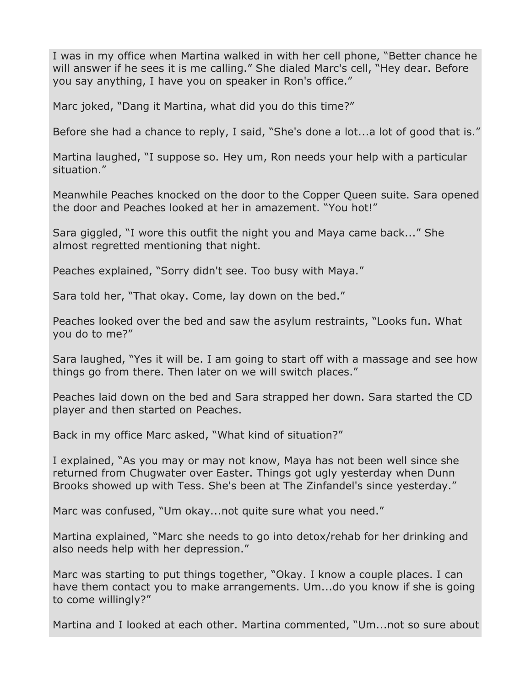I was in my office when Martina walked in with her cell phone, "Better chance he will answer if he sees it is me calling." She dialed Marc's cell, "Hey dear. Before you say anything, I have you on speaker in Ron's office."

Marc joked, "Dang it Martina, what did you do this time?"

Before she had a chance to reply, I said, "She's done a lot...a lot of good that is."

Martina laughed, "I suppose so. Hey um, Ron needs your help with a particular situation."

Meanwhile Peaches knocked on the door to the Copper Queen suite. Sara opened the door and Peaches looked at her in amazement. "You hot!"

Sara giggled, "I wore this outfit the night you and Maya came back..." She almost regretted mentioning that night.

Peaches explained, "Sorry didn't see. Too busy with Maya."

Sara told her, "That okay. Come, lay down on the bed."

Peaches looked over the bed and saw the asylum restraints, "Looks fun. What you do to me?"

Sara laughed, "Yes it will be. I am going to start off with a massage and see how things go from there. Then later on we will switch places."

Peaches laid down on the bed and Sara strapped her down. Sara started the CD player and then started on Peaches.

Back in my office Marc asked, "What kind of situation?"

I explained, "As you may or may not know, Maya has not been well since she returned from Chugwater over Easter. Things got ugly yesterday when Dunn Brooks showed up with Tess. She's been at The Zinfandel's since yesterday."

Marc was confused, "Um okay...not quite sure what you need."

Martina explained, "Marc she needs to go into detox/rehab for her drinking and also needs help with her depression."

Marc was starting to put things together, "Okay. I know a couple places. I can have them contact you to make arrangements. Um...do you know if she is going to come willingly?"

Martina and I looked at each other. Martina commented, "Um...not so sure about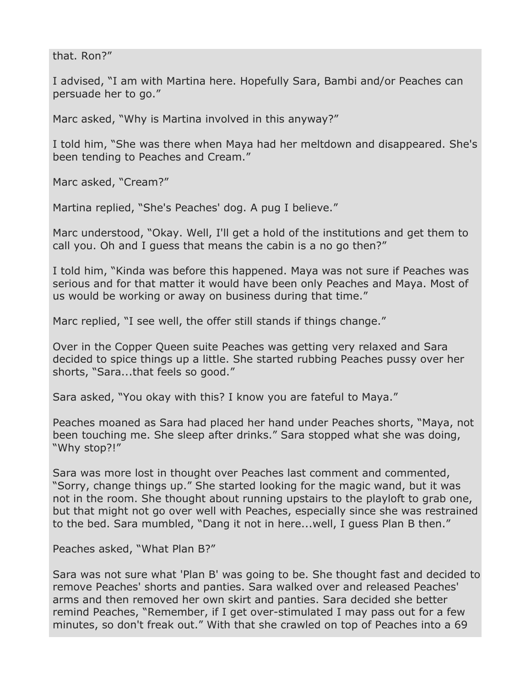that. Ron?"

I advised, "I am with Martina here. Hopefully Sara, Bambi and/or Peaches can persuade her to go."

Marc asked, "Why is Martina involved in this anyway?"

I told him, "She was there when Maya had her meltdown and disappeared. She's been tending to Peaches and Cream."

Marc asked, "Cream?"

Martina replied, "She's Peaches' dog. A pug I believe."

Marc understood, "Okay. Well, I'll get a hold of the institutions and get them to call you. Oh and I guess that means the cabin is a no go then?"

I told him, "Kinda was before this happened. Maya was not sure if Peaches was serious and for that matter it would have been only Peaches and Maya. Most of us would be working or away on business during that time."

Marc replied, "I see well, the offer still stands if things change."

Over in the Copper Queen suite Peaches was getting very relaxed and Sara decided to spice things up a little. She started rubbing Peaches pussy over her shorts, "Sara...that feels so good."

Sara asked, "You okay with this? I know you are fateful to Maya."

Peaches moaned as Sara had placed her hand under Peaches shorts, "Maya, not been touching me. She sleep after drinks." Sara stopped what she was doing, "Why stop?!"

Sara was more lost in thought over Peaches last comment and commented, "Sorry, change things up." She started looking for the magic wand, but it was not in the room. She thought about running upstairs to the playloft to grab one, but that might not go over well with Peaches, especially since she was restrained to the bed. Sara mumbled, "Dang it not in here...well, I guess Plan B then."

Peaches asked, "What Plan B?"

Sara was not sure what 'Plan B' was going to be. She thought fast and decided to remove Peaches' shorts and panties. Sara walked over and released Peaches' arms and then removed her own skirt and panties. Sara decided she better remind Peaches, "Remember, if I get over-stimulated I may pass out for a few minutes, so don't freak out." With that she crawled on top of Peaches into a 69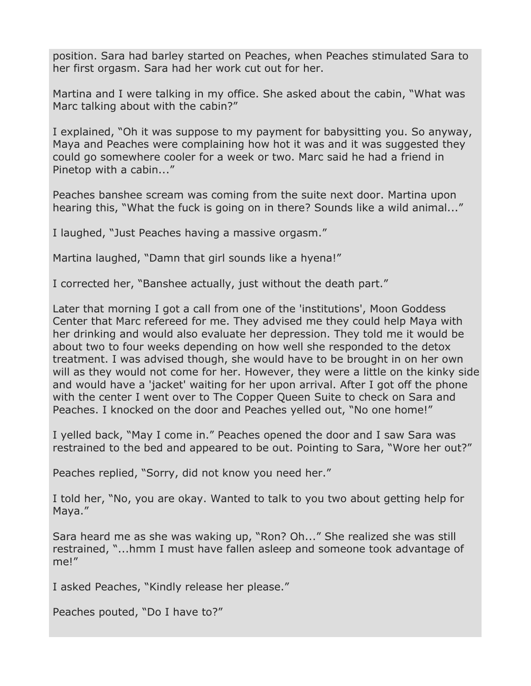position. Sara had barley started on Peaches, when Peaches stimulated Sara to her first orgasm. Sara had her work cut out for her.

Martina and I were talking in my office. She asked about the cabin, "What was Marc talking about with the cabin?"

I explained, "Oh it was suppose to my payment for babysitting you. So anyway, Maya and Peaches were complaining how hot it was and it was suggested they could go somewhere cooler for a week or two. Marc said he had a friend in Pinetop with a cabin..."

Peaches banshee scream was coming from the suite next door. Martina upon hearing this, "What the fuck is going on in there? Sounds like a wild animal..."

I laughed, "Just Peaches having a massive orgasm."

Martina laughed, "Damn that girl sounds like a hyena!"

I corrected her, "Banshee actually, just without the death part."

Later that morning I got a call from one of the 'institutions', Moon Goddess Center that Marc refereed for me. They advised me they could help Maya with her drinking and would also evaluate her depression. They told me it would be about two to four weeks depending on how well she responded to the detox treatment. I was advised though, she would have to be brought in on her own will as they would not come for her. However, they were a little on the kinky side and would have a 'jacket' waiting for her upon arrival. After I got off the phone with the center I went over to The Copper Queen Suite to check on Sara and Peaches. I knocked on the door and Peaches yelled out, "No one home!"

I yelled back, "May I come in." Peaches opened the door and I saw Sara was restrained to the bed and appeared to be out. Pointing to Sara, "Wore her out?"

Peaches replied, "Sorry, did not know you need her."

I told her, "No, you are okay. Wanted to talk to you two about getting help for Maya."

Sara heard me as she was waking up, "Ron? Oh..." She realized she was still restrained, "...hmm I must have fallen asleep and someone took advantage of me!"

I asked Peaches, "Kindly release her please."

Peaches pouted, "Do I have to?"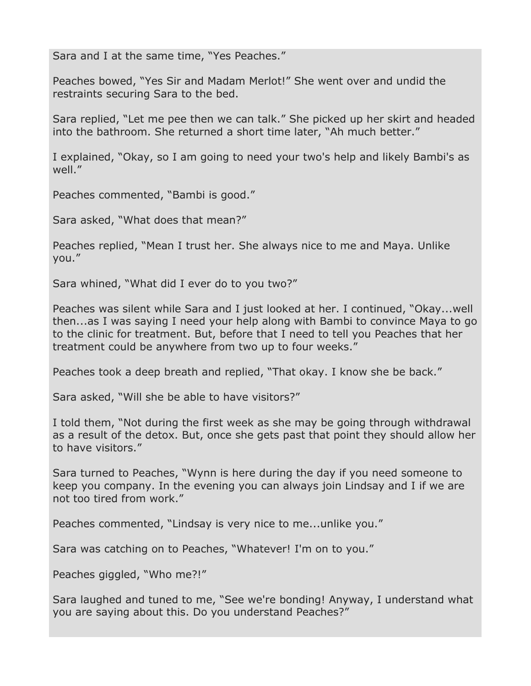Sara and I at the same time, "Yes Peaches."

Peaches bowed, "Yes Sir and Madam Merlot!" She went over and undid the restraints securing Sara to the bed.

Sara replied, "Let me pee then we can talk." She picked up her skirt and headed into the bathroom. She returned a short time later, "Ah much better."

I explained, "Okay, so I am going to need your two's help and likely Bambi's as well."

Peaches commented, "Bambi is good."

Sara asked, "What does that mean?"

Peaches replied, "Mean I trust her. She always nice to me and Maya. Unlike you."

Sara whined, "What did I ever do to you two?"

Peaches was silent while Sara and I just looked at her. I continued, "Okay...well then...as I was saying I need your help along with Bambi to convince Maya to go to the clinic for treatment. But, before that I need to tell you Peaches that her treatment could be anywhere from two up to four weeks."

Peaches took a deep breath and replied, "That okay. I know she be back."

Sara asked, "Will she be able to have visitors?"

I told them, "Not during the first week as she may be going through withdrawal as a result of the detox. But, once she gets past that point they should allow her to have visitors."

Sara turned to Peaches, "Wynn is here during the day if you need someone to keep you company. In the evening you can always join Lindsay and I if we are not too tired from work."

Peaches commented, "Lindsay is very nice to me...unlike you."

Sara was catching on to Peaches, "Whatever! I'm on to you."

Peaches giggled, "Who me?!"

Sara laughed and tuned to me, "See we're bonding! Anyway, I understand what you are saying about this. Do you understand Peaches?"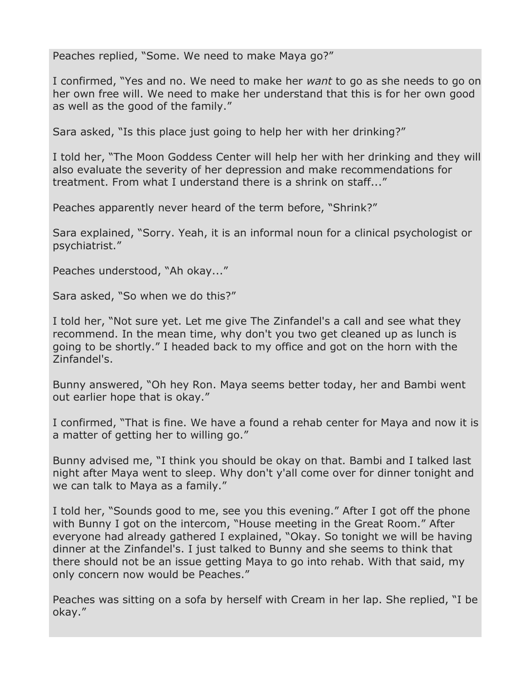Peaches replied, "Some. We need to make Maya go?"

I confirmed, "Yes and no. We need to make her *want* to go as she needs to go on her own free will. We need to make her understand that this is for her own good as well as the good of the family."

Sara asked, "Is this place just going to help her with her drinking?"

I told her, "The Moon Goddess Center will help her with her drinking and they will also evaluate the severity of her depression and make recommendations for treatment. From what I understand there is a shrink on staff..."

Peaches apparently never heard of the term before, "Shrink?"

Sara explained, "Sorry. Yeah, it is an informal noun for a clinical psychologist or psychiatrist."

Peaches understood, "Ah okay..."

Sara asked, "So when we do this?"

I told her, "Not sure yet. Let me give The Zinfandel's a call and see what they recommend. In the mean time, why don't you two get cleaned up as lunch is going to be shortly." I headed back to my office and got on the horn with the Zinfandel's.

Bunny answered, "Oh hey Ron. Maya seems better today, her and Bambi went out earlier hope that is okay."

I confirmed, "That is fine. We have a found a rehab center for Maya and now it is a matter of getting her to willing go."

Bunny advised me, "I think you should be okay on that. Bambi and I talked last night after Maya went to sleep. Why don't y'all come over for dinner tonight and we can talk to Maya as a family."

I told her, "Sounds good to me, see you this evening." After I got off the phone with Bunny I got on the intercom, "House meeting in the Great Room." After everyone had already gathered I explained, "Okay. So tonight we will be having dinner at the Zinfandel's. I just talked to Bunny and she seems to think that there should not be an issue getting Maya to go into rehab. With that said, my only concern now would be Peaches."

Peaches was sitting on a sofa by herself with Cream in her lap. She replied, "I be okay."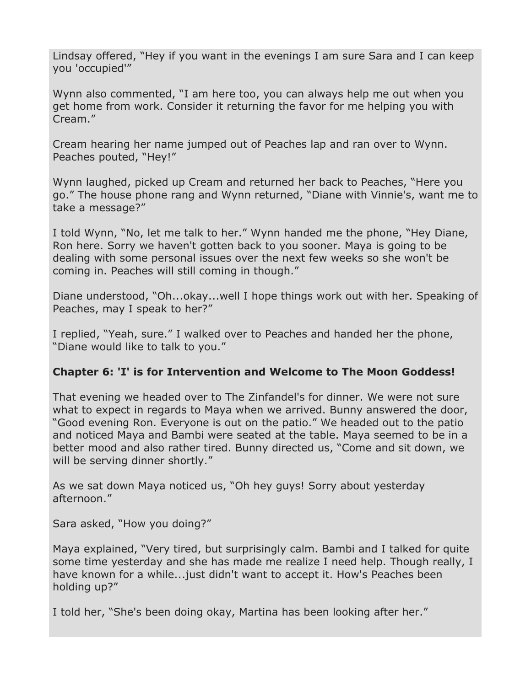Lindsay offered, "Hey if you want in the evenings I am sure Sara and I can keep you 'occupied'"

Wynn also commented, "I am here too, you can always help me out when you get home from work. Consider it returning the favor for me helping you with Cream."

Cream hearing her name jumped out of Peaches lap and ran over to Wynn. Peaches pouted, "Hey!"

Wynn laughed, picked up Cream and returned her back to Peaches, "Here you go." The house phone rang and Wynn returned, "Diane with Vinnie's, want me to take a message?"

I told Wynn, "No, let me talk to her." Wynn handed me the phone, "Hey Diane, Ron here. Sorry we haven't gotten back to you sooner. Maya is going to be dealing with some personal issues over the next few weeks so she won't be coming in. Peaches will still coming in though."

Diane understood, "Oh...okay...well I hope things work out with her. Speaking of Peaches, may I speak to her?"

I replied, "Yeah, sure." I walked over to Peaches and handed her the phone, "Diane would like to talk to you."

#### **Chapter 6: 'I' is for Intervention and Welcome to The Moon Goddess!**

That evening we headed over to The Zinfandel's for dinner. We were not sure what to expect in regards to Maya when we arrived. Bunny answered the door, "Good evening Ron. Everyone is out on the patio." We headed out to the patio and noticed Maya and Bambi were seated at the table. Maya seemed to be in a better mood and also rather tired. Bunny directed us, "Come and sit down, we will be serving dinner shortly."

As we sat down Maya noticed us, "Oh hey guys! Sorry about yesterday afternoon."

Sara asked, "How you doing?"

Maya explained, "Very tired, but surprisingly calm. Bambi and I talked for quite some time yesterday and she has made me realize I need help. Though really, I have known for a while...just didn't want to accept it. How's Peaches been holding up?"

I told her, "She's been doing okay, Martina has been looking after her."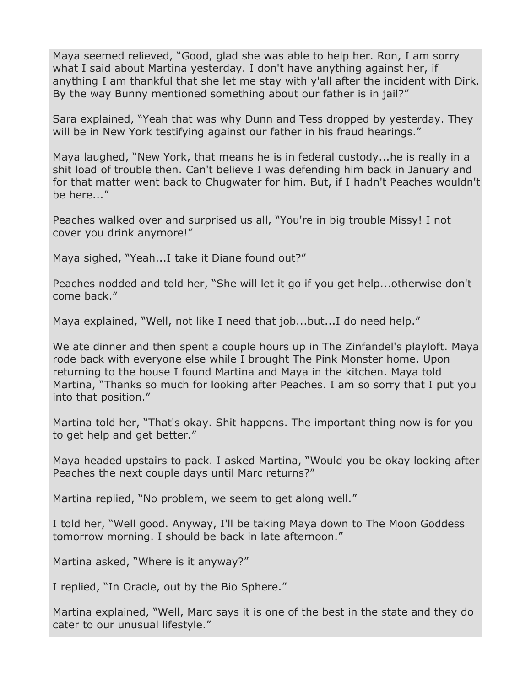Maya seemed relieved, "Good, glad she was able to help her. Ron, I am sorry what I said about Martina yesterday. I don't have anything against her, if anything I am thankful that she let me stay with y'all after the incident with Dirk. By the way Bunny mentioned something about our father is in jail?"

Sara explained, "Yeah that was why Dunn and Tess dropped by yesterday. They will be in New York testifying against our father in his fraud hearings."

Maya laughed, "New York, that means he is in federal custody...he is really in a shit load of trouble then. Can't believe I was defending him back in January and for that matter went back to Chugwater for him. But, if I hadn't Peaches wouldn't be here..."

Peaches walked over and surprised us all, "You're in big trouble Missy! I not cover you drink anymore!"

Maya sighed, "Yeah...I take it Diane found out?"

Peaches nodded and told her, "She will let it go if you get help...otherwise don't come back."

Maya explained, "Well, not like I need that job...but...I do need help."

We ate dinner and then spent a couple hours up in The Zinfandel's playloft. Maya rode back with everyone else while I brought The Pink Monster home. Upon returning to the house I found Martina and Maya in the kitchen. Maya told Martina, "Thanks so much for looking after Peaches. I am so sorry that I put you into that position."

Martina told her, "That's okay. Shit happens. The important thing now is for you to get help and get better."

Maya headed upstairs to pack. I asked Martina, "Would you be okay looking after Peaches the next couple days until Marc returns?"

Martina replied, "No problem, we seem to get along well."

I told her, "Well good. Anyway, I'll be taking Maya down to The Moon Goddess tomorrow morning. I should be back in late afternoon."

Martina asked, "Where is it anyway?"

I replied, "In Oracle, out by the Bio Sphere."

Martina explained, "Well, Marc says it is one of the best in the state and they do cater to our unusual lifestyle."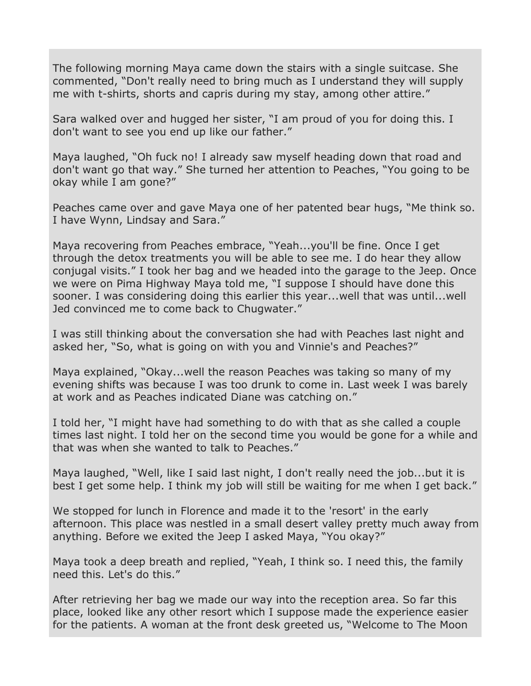The following morning Maya came down the stairs with a single suitcase. She commented, "Don't really need to bring much as I understand they will supply me with t-shirts, shorts and capris during my stay, among other attire."

Sara walked over and hugged her sister, "I am proud of you for doing this. I don't want to see you end up like our father."

Maya laughed, "Oh fuck no! I already saw myself heading down that road and don't want go that way." She turned her attention to Peaches, "You going to be okay while I am gone?"

Peaches came over and gave Maya one of her patented bear hugs, "Me think so. I have Wynn, Lindsay and Sara."

Maya recovering from Peaches embrace, "Yeah...you'll be fine. Once I get through the detox treatments you will be able to see me. I do hear they allow conjugal visits." I took her bag and we headed into the garage to the Jeep. Once we were on Pima Highway Maya told me, "I suppose I should have done this sooner. I was considering doing this earlier this year...well that was until...well Jed convinced me to come back to Chugwater."

I was still thinking about the conversation she had with Peaches last night and asked her, "So, what is going on with you and Vinnie's and Peaches?"

Maya explained, "Okay...well the reason Peaches was taking so many of my evening shifts was because I was too drunk to come in. Last week I was barely at work and as Peaches indicated Diane was catching on."

I told her, "I might have had something to do with that as she called a couple times last night. I told her on the second time you would be gone for a while and that was when she wanted to talk to Peaches."

Maya laughed, "Well, like I said last night, I don't really need the job...but it is best I get some help. I think my job will still be waiting for me when I get back."

We stopped for lunch in Florence and made it to the 'resort' in the early afternoon. This place was nestled in a small desert valley pretty much away from anything. Before we exited the Jeep I asked Maya, "You okay?"

Maya took a deep breath and replied, "Yeah, I think so. I need this, the family need this. Let's do this."

After retrieving her bag we made our way into the reception area. So far this place, looked like any other resort which I suppose made the experience easier for the patients. A woman at the front desk greeted us, "Welcome to The Moon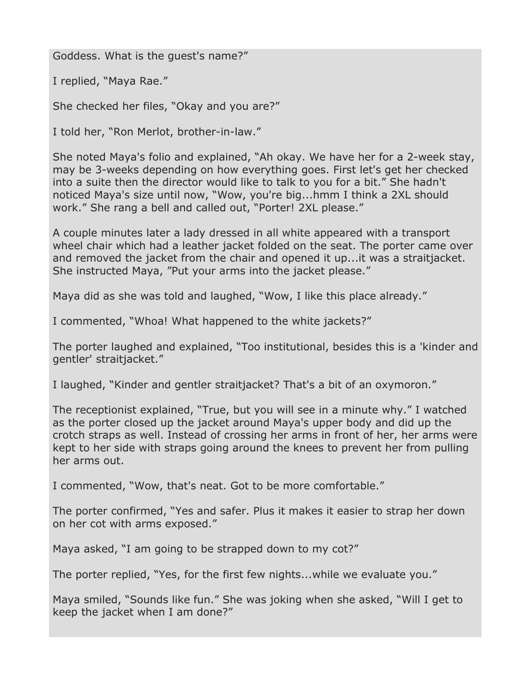Goddess. What is the guest's name?"

I replied, "Maya Rae."

She checked her files, "Okay and you are?"

I told her, "Ron Merlot, brother-in-law."

She noted Maya's folio and explained, "Ah okay. We have her for a 2-week stay, may be 3-weeks depending on how everything goes. First let's get her checked into a suite then the director would like to talk to you for a bit." She hadn't noticed Maya's size until now, "Wow, you're big...hmm I think a 2XL should work." She rang a bell and called out, "Porter! 2XL please."

A couple minutes later a lady dressed in all white appeared with a transport wheel chair which had a leather jacket folded on the seat. The porter came over and removed the jacket from the chair and opened it up...it was a straitjacket. She instructed Maya, "Put your arms into the jacket please."

Maya did as she was told and laughed, "Wow, I like this place already."

I commented, "Whoa! What happened to the white jackets?"

The porter laughed and explained, "Too institutional, besides this is a 'kinder and gentler' straitjacket."

I laughed, "Kinder and gentler straitjacket? That's a bit of an oxymoron."

The receptionist explained, "True, but you will see in a minute why." I watched as the porter closed up the jacket around Maya's upper body and did up the crotch straps as well. Instead of crossing her arms in front of her, her arms were kept to her side with straps going around the knees to prevent her from pulling her arms out.

I commented, "Wow, that's neat. Got to be more comfortable."

The porter confirmed, "Yes and safer. Plus it makes it easier to strap her down on her cot with arms exposed."

Maya asked, "I am going to be strapped down to my cot?"

The porter replied, "Yes, for the first few nights...while we evaluate you."

Maya smiled, "Sounds like fun." She was joking when she asked, "Will I get to keep the jacket when I am done?"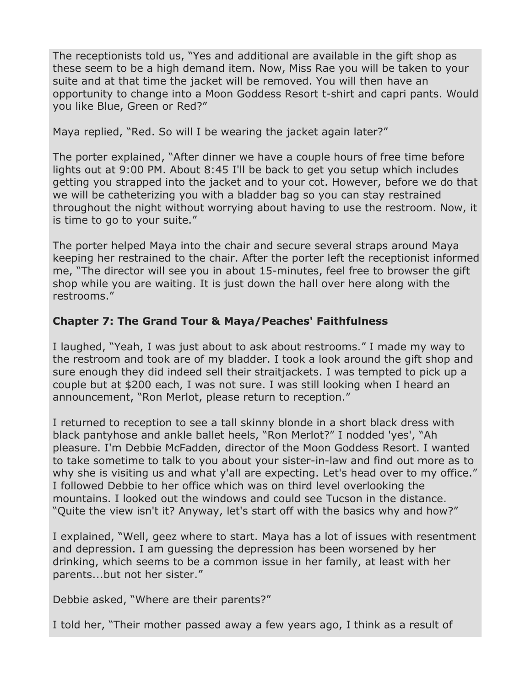The receptionists told us, "Yes and additional are available in the gift shop as these seem to be a high demand item. Now, Miss Rae you will be taken to your suite and at that time the jacket will be removed. You will then have an opportunity to change into a Moon Goddess Resort t-shirt and capri pants. Would you like Blue, Green or Red?"

Maya replied, "Red. So will I be wearing the jacket again later?"

The porter explained, "After dinner we have a couple hours of free time before lights out at 9:00 PM. About 8:45 I'll be back to get you setup which includes getting you strapped into the jacket and to your cot. However, before we do that we will be catheterizing you with a bladder bag so you can stay restrained throughout the night without worrying about having to use the restroom. Now, it is time to go to your suite."

The porter helped Maya into the chair and secure several straps around Maya keeping her restrained to the chair. After the porter left the receptionist informed me, "The director will see you in about 15-minutes, feel free to browser the gift shop while you are waiting. It is just down the hall over here along with the restrooms."

#### **Chapter 7: The Grand Tour & Maya/Peaches' Faithfulness**

I laughed, "Yeah, I was just about to ask about restrooms." I made my way to the restroom and took are of my bladder. I took a look around the gift shop and sure enough they did indeed sell their straitjackets. I was tempted to pick up a couple but at \$200 each, I was not sure. I was still looking when I heard an announcement, "Ron Merlot, please return to reception."

I returned to reception to see a tall skinny blonde in a short black dress with black pantyhose and ankle ballet heels, "Ron Merlot?" I nodded 'yes', "Ah pleasure. I'm Debbie McFadden, director of the Moon Goddess Resort. I wanted to take sometime to talk to you about your sister-in-law and find out more as to why she is visiting us and what y'all are expecting. Let's head over to my office." I followed Debbie to her office which was on third level overlooking the mountains. I looked out the windows and could see Tucson in the distance. "Quite the view isn't it? Anyway, let's start off with the basics why and how?"

I explained, "Well, geez where to start. Maya has a lot of issues with resentment and depression. I am guessing the depression has been worsened by her drinking, which seems to be a common issue in her family, at least with her parents...but not her sister."

Debbie asked, "Where are their parents?"

I told her, "Their mother passed away a few years ago, I think as a result of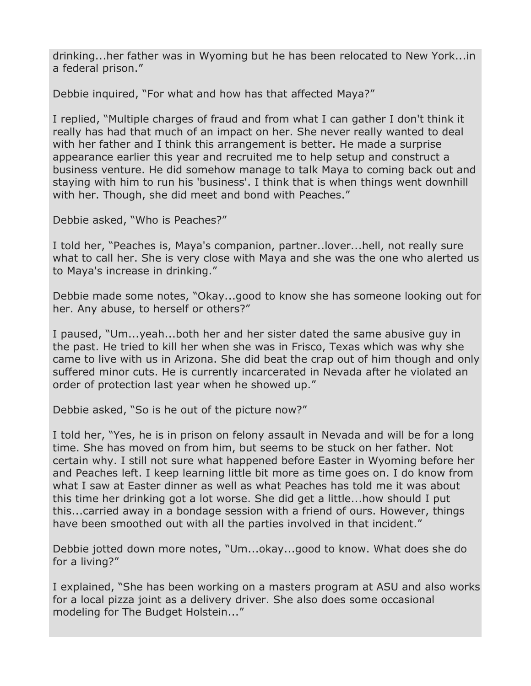drinking...her father was in Wyoming but he has been relocated to New York...in a federal prison."

Debbie inquired, "For what and how has that affected Maya?"

I replied, "Multiple charges of fraud and from what I can gather I don't think it really has had that much of an impact on her. She never really wanted to deal with her father and I think this arrangement is better. He made a surprise appearance earlier this year and recruited me to help setup and construct a business venture. He did somehow manage to talk Maya to coming back out and staying with him to run his 'business'. I think that is when things went downhill with her. Though, she did meet and bond with Peaches."

Debbie asked, "Who is Peaches?"

I told her, "Peaches is, Maya's companion, partner..lover...hell, not really sure what to call her. She is very close with Maya and she was the one who alerted us to Maya's increase in drinking."

Debbie made some notes, "Okay...good to know she has someone looking out for her. Any abuse, to herself or others?"

I paused, "Um...yeah...both her and her sister dated the same abusive guy in the past. He tried to kill her when she was in Frisco, Texas which was why she came to live with us in Arizona. She did beat the crap out of him though and only suffered minor cuts. He is currently incarcerated in Nevada after he violated an order of protection last year when he showed up."

Debbie asked, "So is he out of the picture now?"

I told her, "Yes, he is in prison on felony assault in Nevada and will be for a long time. She has moved on from him, but seems to be stuck on her father. Not certain why. I still not sure what happened before Easter in Wyoming before her and Peaches left. I keep learning little bit more as time goes on. I do know from what I saw at Easter dinner as well as what Peaches has told me it was about this time her drinking got a lot worse. She did get a little...how should I put this...carried away in a bondage session with a friend of ours. However, things have been smoothed out with all the parties involved in that incident."

Debbie jotted down more notes, "Um...okay...good to know. What does she do for a living?"

I explained, "She has been working on a masters program at ASU and also works for a local pizza joint as a delivery driver. She also does some occasional modeling for The Budget Holstein..."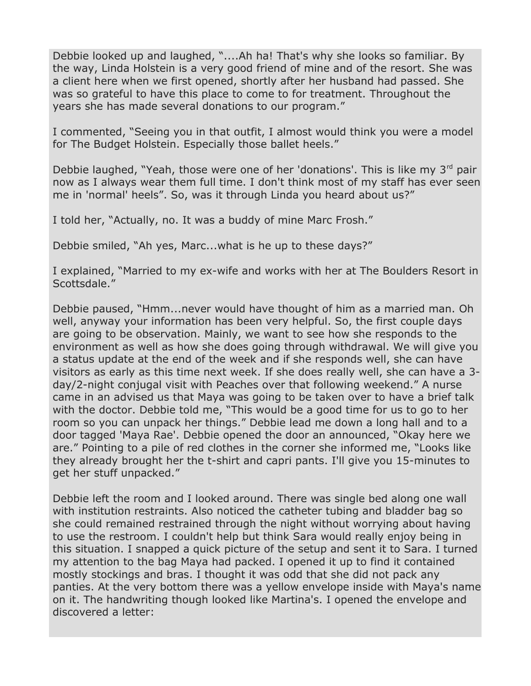Debbie looked up and laughed, "....Ah ha! That's why she looks so familiar. By the way, Linda Holstein is a very good friend of mine and of the resort. She was a client here when we first opened, shortly after her husband had passed. She was so grateful to have this place to come to for treatment. Throughout the years she has made several donations to our program."

I commented, "Seeing you in that outfit, I almost would think you were a model for The Budget Holstein. Especially those ballet heels."

Debbie laughed, "Yeah, those were one of her 'donations'. This is like my  $3^{rd}$  pair now as I always wear them full time. I don't think most of my staff has ever seen me in 'normal' heels". So, was it through Linda you heard about us?"

I told her, "Actually, no. It was a buddy of mine Marc Frosh."

Debbie smiled, "Ah yes, Marc...what is he up to these days?"

I explained, "Married to my ex-wife and works with her at The Boulders Resort in Scottsdale."

Debbie paused, "Hmm...never would have thought of him as a married man. Oh well, anyway your information has been very helpful. So, the first couple days are going to be observation. Mainly, we want to see how she responds to the environment as well as how she does going through withdrawal. We will give you a status update at the end of the week and if she responds well, she can have visitors as early as this time next week. If she does really well, she can have a 3 day/2-night conjugal visit with Peaches over that following weekend." A nurse came in an advised us that Maya was going to be taken over to have a brief talk with the doctor. Debbie told me, "This would be a good time for us to go to her room so you can unpack her things." Debbie lead me down a long hall and to a door tagged 'Maya Rae'. Debbie opened the door an announced, "Okay here we are." Pointing to a pile of red clothes in the corner she informed me, "Looks like they already brought her the t-shirt and capri pants. I'll give you 15-minutes to get her stuff unpacked."

Debbie left the room and I looked around. There was single bed along one wall with institution restraints. Also noticed the catheter tubing and bladder bag so she could remained restrained through the night without worrying about having to use the restroom. I couldn't help but think Sara would really enjoy being in this situation. I snapped a quick picture of the setup and sent it to Sara. I turned my attention to the bag Maya had packed. I opened it up to find it contained mostly stockings and bras. I thought it was odd that she did not pack any panties. At the very bottom there was a yellow envelope inside with Maya's name on it. The handwriting though looked like Martina's. I opened the envelope and discovered a letter: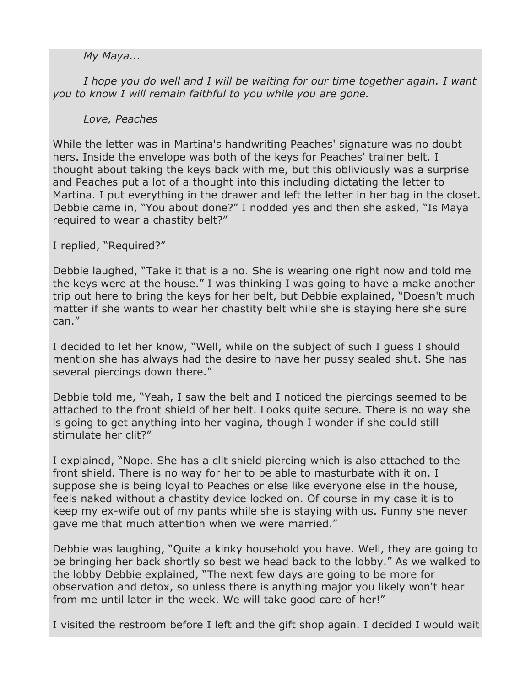#### *My Maya...*

I hope you do well and I will be waiting for our time together again. I want *you to know I will remain faithful to you while you are gone.*

#### *Love, Peaches*

While the letter was in Martina's handwriting Peaches' signature was no doubt hers. Inside the envelope was both of the keys for Peaches' trainer belt. I thought about taking the keys back with me, but this obliviously was a surprise and Peaches put a lot of a thought into this including dictating the letter to Martina. I put everything in the drawer and left the letter in her bag in the closet. Debbie came in, "You about done?" I nodded yes and then she asked, "Is Maya required to wear a chastity belt?"

I replied, "Required?"

Debbie laughed, "Take it that is a no. She is wearing one right now and told me the keys were at the house." I was thinking I was going to have a make another trip out here to bring the keys for her belt, but Debbie explained, "Doesn't much matter if she wants to wear her chastity belt while she is staying here she sure can."

I decided to let her know, "Well, while on the subject of such I guess I should mention she has always had the desire to have her pussy sealed shut. She has several piercings down there."

Debbie told me, "Yeah, I saw the belt and I noticed the piercings seemed to be attached to the front shield of her belt. Looks quite secure. There is no way she is going to get anything into her vagina, though I wonder if she could still stimulate her clit?"

I explained, "Nope. She has a clit shield piercing which is also attached to the front shield. There is no way for her to be able to masturbate with it on. I suppose she is being loyal to Peaches or else like everyone else in the house, feels naked without a chastity device locked on. Of course in my case it is to keep my ex-wife out of my pants while she is staying with us. Funny she never gave me that much attention when we were married."

Debbie was laughing, "Quite a kinky household you have. Well, they are going to be bringing her back shortly so best we head back to the lobby." As we walked to the lobby Debbie explained, "The next few days are going to be more for observation and detox, so unless there is anything major you likely won't hear from me until later in the week. We will take good care of her!"

I visited the restroom before I left and the gift shop again. I decided I would wait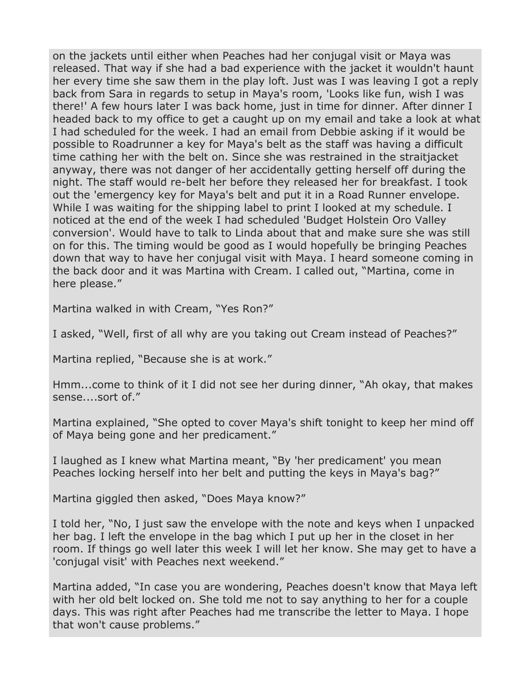on the jackets until either when Peaches had her conjugal visit or Maya was released. That way if she had a bad experience with the jacket it wouldn't haunt her every time she saw them in the play loft. Just was I was leaving I got a reply back from Sara in regards to setup in Maya's room, 'Looks like fun, wish I was there!' A few hours later I was back home, just in time for dinner. After dinner I headed back to my office to get a caught up on my email and take a look at what I had scheduled for the week. I had an email from Debbie asking if it would be possible to Roadrunner a key for Maya's belt as the staff was having a difficult time cathing her with the belt on. Since she was restrained in the straitjacket anyway, there was not danger of her accidentally getting herself off during the night. The staff would re-belt her before they released her for breakfast. I took out the 'emergency key for Maya's belt and put it in a Road Runner envelope. While I was waiting for the shipping label to print I looked at my schedule. I noticed at the end of the week I had scheduled 'Budget Holstein Oro Valley conversion'. Would have to talk to Linda about that and make sure she was still on for this. The timing would be good as I would hopefully be bringing Peaches down that way to have her conjugal visit with Maya. I heard someone coming in the back door and it was Martina with Cream. I called out, "Martina, come in here please."

Martina walked in with Cream, "Yes Ron?"

I asked, "Well, first of all why are you taking out Cream instead of Peaches?"

Martina replied, "Because she is at work."

Hmm...come to think of it I did not see her during dinner, "Ah okay, that makes sense....sort of."

Martina explained, "She opted to cover Maya's shift tonight to keep her mind off of Maya being gone and her predicament."

I laughed as I knew what Martina meant, "By 'her predicament' you mean Peaches locking herself into her belt and putting the keys in Maya's bag?"

Martina giggled then asked, "Does Maya know?"

I told her, "No, I just saw the envelope with the note and keys when I unpacked her bag. I left the envelope in the bag which I put up her in the closet in her room. If things go well later this week I will let her know. She may get to have a 'conjugal visit' with Peaches next weekend."

Martina added, "In case you are wondering, Peaches doesn't know that Maya left with her old belt locked on. She told me not to say anything to her for a couple days. This was right after Peaches had me transcribe the letter to Maya. I hope that won't cause problems."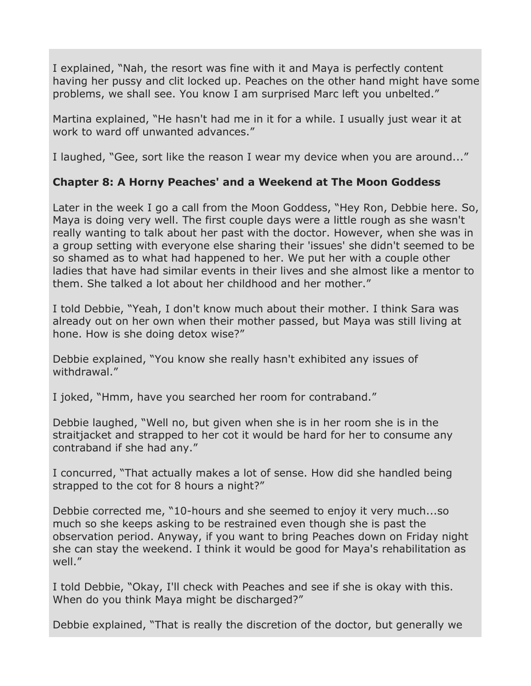I explained, "Nah, the resort was fine with it and Maya is perfectly content having her pussy and clit locked up. Peaches on the other hand might have some problems, we shall see. You know I am surprised Marc left you unbelted."

Martina explained, "He hasn't had me in it for a while. I usually just wear it at work to ward off unwanted advances."

I laughed, "Gee, sort like the reason I wear my device when you are around..."

#### **Chapter 8: A Horny Peaches' and a Weekend at The Moon Goddess**

Later in the week I go a call from the Moon Goddess, "Hey Ron, Debbie here. So, Maya is doing very well. The first couple days were a little rough as she wasn't really wanting to talk about her past with the doctor. However, when she was in a group setting with everyone else sharing their 'issues' she didn't seemed to be so shamed as to what had happened to her. We put her with a couple other ladies that have had similar events in their lives and she almost like a mentor to them. She talked a lot about her childhood and her mother."

I told Debbie, "Yeah, I don't know much about their mother. I think Sara was already out on her own when their mother passed, but Maya was still living at hone. How is she doing detox wise?"

Debbie explained, "You know she really hasn't exhibited any issues of withdrawal."

I joked, "Hmm, have you searched her room for contraband."

Debbie laughed, "Well no, but given when she is in her room she is in the straitjacket and strapped to her cot it would be hard for her to consume any contraband if she had any."

I concurred, "That actually makes a lot of sense. How did she handled being strapped to the cot for 8 hours a night?"

Debbie corrected me, "10-hours and she seemed to enjoy it very much...so much so she keeps asking to be restrained even though she is past the observation period. Anyway, if you want to bring Peaches down on Friday night she can stay the weekend. I think it would be good for Maya's rehabilitation as well."

I told Debbie, "Okay, I'll check with Peaches and see if she is okay with this. When do you think Maya might be discharged?"

Debbie explained, "That is really the discretion of the doctor, but generally we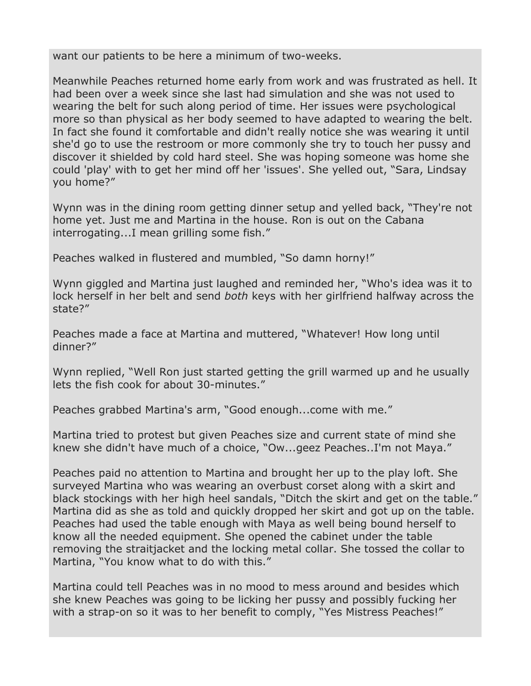want our patients to be here a minimum of two-weeks.

Meanwhile Peaches returned home early from work and was frustrated as hell. It had been over a week since she last had simulation and she was not used to wearing the belt for such along period of time. Her issues were psychological more so than physical as her body seemed to have adapted to wearing the belt. In fact she found it comfortable and didn't really notice she was wearing it until she'd go to use the restroom or more commonly she try to touch her pussy and discover it shielded by cold hard steel. She was hoping someone was home she could 'play' with to get her mind off her 'issues'. She yelled out, "Sara, Lindsay you home?"

Wynn was in the dining room getting dinner setup and yelled back, "They're not home yet. Just me and Martina in the house. Ron is out on the Cabana interrogating...I mean grilling some fish."

Peaches walked in flustered and mumbled, "So damn horny!"

Wynn giggled and Martina just laughed and reminded her, "Who's idea was it to lock herself in her belt and send *both* keys with her girlfriend halfway across the state?"

Peaches made a face at Martina and muttered, "Whatever! How long until dinner?"

Wynn replied, "Well Ron just started getting the grill warmed up and he usually lets the fish cook for about 30-minutes."

Peaches grabbed Martina's arm, "Good enough...come with me."

Martina tried to protest but given Peaches size and current state of mind she knew she didn't have much of a choice, "Ow...geez Peaches..I'm not Maya."

Peaches paid no attention to Martina and brought her up to the play loft. She surveyed Martina who was wearing an overbust corset along with a skirt and black stockings with her high heel sandals, "Ditch the skirt and get on the table." Martina did as she as told and quickly dropped her skirt and got up on the table. Peaches had used the table enough with Maya as well being bound herself to know all the needed equipment. She opened the cabinet under the table removing the straitjacket and the locking metal collar. She tossed the collar to Martina, "You know what to do with this."

Martina could tell Peaches was in no mood to mess around and besides which she knew Peaches was going to be licking her pussy and possibly fucking her with a strap-on so it was to her benefit to comply, "Yes Mistress Peaches!"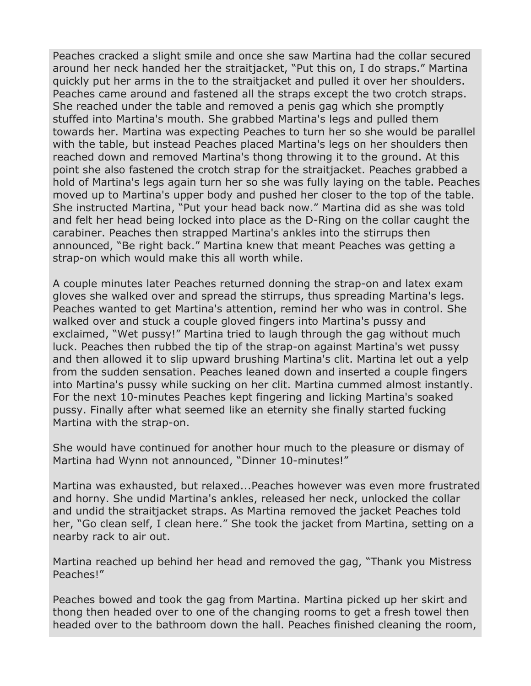Peaches cracked a slight smile and once she saw Martina had the collar secured around her neck handed her the straitjacket, "Put this on, I do straps." Martina quickly put her arms in the to the straitjacket and pulled it over her shoulders. Peaches came around and fastened all the straps except the two crotch straps. She reached under the table and removed a penis gag which she promptly stuffed into Martina's mouth. She grabbed Martina's legs and pulled them towards her. Martina was expecting Peaches to turn her so she would be parallel with the table, but instead Peaches placed Martina's legs on her shoulders then reached down and removed Martina's thong throwing it to the ground. At this point she also fastened the crotch strap for the straitjacket. Peaches grabbed a hold of Martina's legs again turn her so she was fully laying on the table. Peaches moved up to Martina's upper body and pushed her closer to the top of the table. She instructed Martina, "Put your head back now." Martina did as she was told and felt her head being locked into place as the D-Ring on the collar caught the carabiner. Peaches then strapped Martina's ankles into the stirrups then announced, "Be right back." Martina knew that meant Peaches was getting a strap-on which would make this all worth while.

A couple minutes later Peaches returned donning the strap-on and latex exam gloves she walked over and spread the stirrups, thus spreading Martina's legs. Peaches wanted to get Martina's attention, remind her who was in control. She walked over and stuck a couple gloved fingers into Martina's pussy and exclaimed, "Wet pussy!" Martina tried to laugh through the gag without much luck. Peaches then rubbed the tip of the strap-on against Martina's wet pussy and then allowed it to slip upward brushing Martina's clit. Martina let out a yelp from the sudden sensation. Peaches leaned down and inserted a couple fingers into Martina's pussy while sucking on her clit. Martina cummed almost instantly. For the next 10-minutes Peaches kept fingering and licking Martina's soaked pussy. Finally after what seemed like an eternity she finally started fucking Martina with the strap-on.

She would have continued for another hour much to the pleasure or dismay of Martina had Wynn not announced, "Dinner 10-minutes!"

Martina was exhausted, but relaxed...Peaches however was even more frustrated and horny. She undid Martina's ankles, released her neck, unlocked the collar and undid the straitjacket straps. As Martina removed the jacket Peaches told her, "Go clean self, I clean here." She took the jacket from Martina, setting on a nearby rack to air out.

Martina reached up behind her head and removed the gag, "Thank you Mistress Peaches!"

Peaches bowed and took the gag from Martina. Martina picked up her skirt and thong then headed over to one of the changing rooms to get a fresh towel then headed over to the bathroom down the hall. Peaches finished cleaning the room,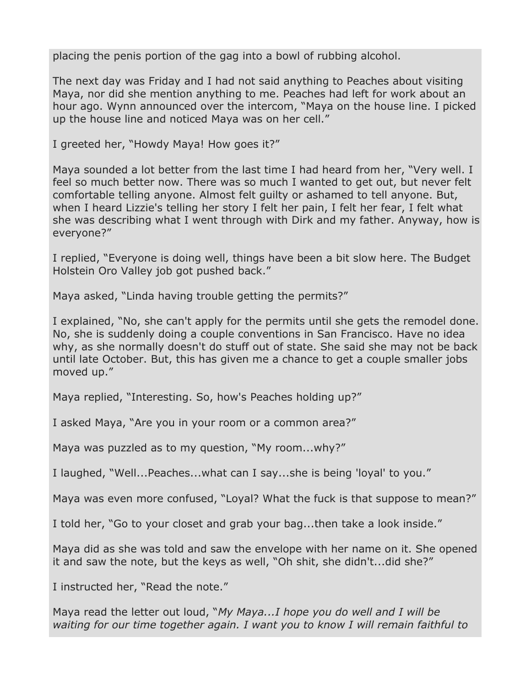placing the penis portion of the gag into a bowl of rubbing alcohol.

The next day was Friday and I had not said anything to Peaches about visiting Maya, nor did she mention anything to me. Peaches had left for work about an hour ago. Wynn announced over the intercom, "Maya on the house line. I picked up the house line and noticed Maya was on her cell."

I greeted her, "Howdy Maya! How goes it?"

Maya sounded a lot better from the last time I had heard from her, "Very well. I feel so much better now. There was so much I wanted to get out, but never felt comfortable telling anyone. Almost felt guilty or ashamed to tell anyone. But, when I heard Lizzie's telling her story I felt her pain, I felt her fear, I felt what she was describing what I went through with Dirk and my father. Anyway, how is everyone?"

I replied, "Everyone is doing well, things have been a bit slow here. The Budget Holstein Oro Valley job got pushed back."

Maya asked, "Linda having trouble getting the permits?"

I explained, "No, she can't apply for the permits until she gets the remodel done. No, she is suddenly doing a couple conventions in San Francisco. Have no idea why, as she normally doesn't do stuff out of state. She said she may not be back until late October. But, this has given me a chance to get a couple smaller jobs moved up."

Maya replied, "Interesting. So, how's Peaches holding up?"

I asked Maya, "Are you in your room or a common area?"

Maya was puzzled as to my question, "My room...why?"

I laughed, "Well...Peaches...what can I say...she is being 'loyal' to you."

Maya was even more confused, "Loyal? What the fuck is that suppose to mean?"

I told her, "Go to your closet and grab your bag...then take a look inside."

Maya did as she was told and saw the envelope with her name on it. She opened it and saw the note, but the keys as well, "Oh shit, she didn't...did she?"

I instructed her, "Read the note."

Maya read the letter out loud, "*My Maya...I hope you do well and I will be waiting for our time together again. I want you to know I will remain faithful to*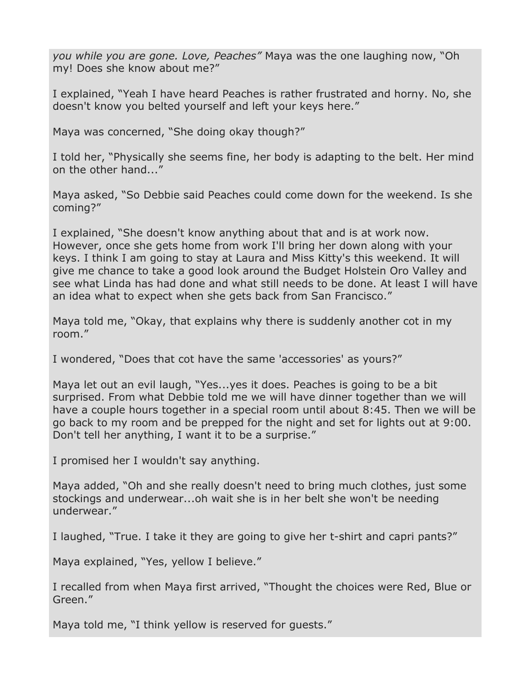*you while you are gone. Love, Peaches"* Maya was the one laughing now, "Oh my! Does she know about me?"

I explained, "Yeah I have heard Peaches is rather frustrated and horny. No, she doesn't know you belted yourself and left your keys here."

Maya was concerned, "She doing okay though?"

I told her, "Physically she seems fine, her body is adapting to the belt. Her mind on the other hand..."

Maya asked, "So Debbie said Peaches could come down for the weekend. Is she coming?"

I explained, "She doesn't know anything about that and is at work now. However, once she gets home from work I'll bring her down along with your keys. I think I am going to stay at Laura and Miss Kitty's this weekend. It will give me chance to take a good look around the Budget Holstein Oro Valley and see what Linda has had done and what still needs to be done. At least I will have an idea what to expect when she gets back from San Francisco."

Maya told me, "Okay, that explains why there is suddenly another cot in my room."

I wondered, "Does that cot have the same 'accessories' as yours?"

Maya let out an evil laugh, "Yes...yes it does. Peaches is going to be a bit surprised. From what Debbie told me we will have dinner together than we will have a couple hours together in a special room until about 8:45. Then we will be go back to my room and be prepped for the night and set for lights out at 9:00. Don't tell her anything, I want it to be a surprise."

I promised her I wouldn't say anything.

Maya added, "Oh and she really doesn't need to bring much clothes, just some stockings and underwear...oh wait she is in her belt she won't be needing underwear."

I laughed, "True. I take it they are going to give her t-shirt and capri pants?"

Maya explained, "Yes, yellow I believe."

I recalled from when Maya first arrived, "Thought the choices were Red, Blue or Green."

Maya told me, "I think yellow is reserved for guests."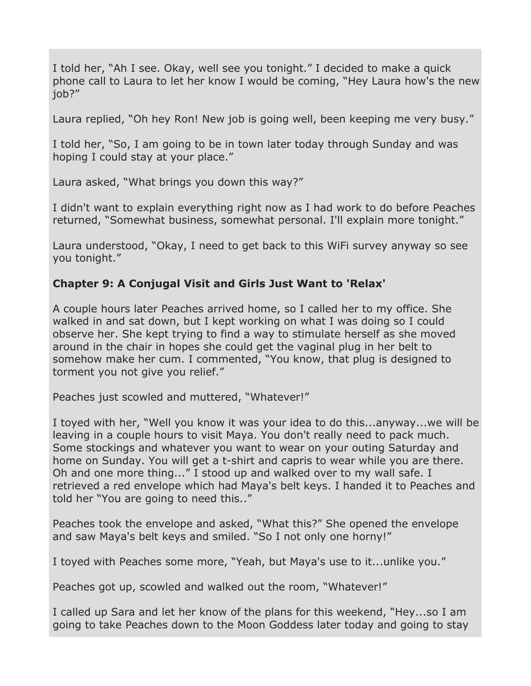I told her, "Ah I see. Okay, well see you tonight." I decided to make a quick phone call to Laura to let her know I would be coming, "Hey Laura how's the new job?"

Laura replied, "Oh hey Ron! New job is going well, been keeping me very busy."

I told her, "So, I am going to be in town later today through Sunday and was hoping I could stay at your place."

Laura asked, "What brings you down this way?"

I didn't want to explain everything right now as I had work to do before Peaches returned, "Somewhat business, somewhat personal. I'll explain more tonight."

Laura understood, "Okay, I need to get back to this WiFi survey anyway so see you tonight."

# **Chapter 9: A Conjugal Visit and Girls Just Want to 'Relax'**

A couple hours later Peaches arrived home, so I called her to my office. She walked in and sat down, but I kept working on what I was doing so I could observe her. She kept trying to find a way to stimulate herself as she moved around in the chair in hopes she could get the vaginal plug in her belt to somehow make her cum. I commented, "You know, that plug is designed to torment you not give you relief."

Peaches just scowled and muttered, "Whatever!"

I toyed with her, "Well you know it was your idea to do this...anyway...we will be leaving in a couple hours to visit Maya. You don't really need to pack much. Some stockings and whatever you want to wear on your outing Saturday and home on Sunday. You will get a t-shirt and capris to wear while you are there. Oh and one more thing..." I stood up and walked over to my wall safe. I retrieved a red envelope which had Maya's belt keys. I handed it to Peaches and told her "You are going to need this.."

Peaches took the envelope and asked, "What this?" She opened the envelope and saw Maya's belt keys and smiled. "So I not only one horny!"

I toyed with Peaches some more, "Yeah, but Maya's use to it...unlike you."

Peaches got up, scowled and walked out the room, "Whatever!"

I called up Sara and let her know of the plans for this weekend, "Hey...so I am going to take Peaches down to the Moon Goddess later today and going to stay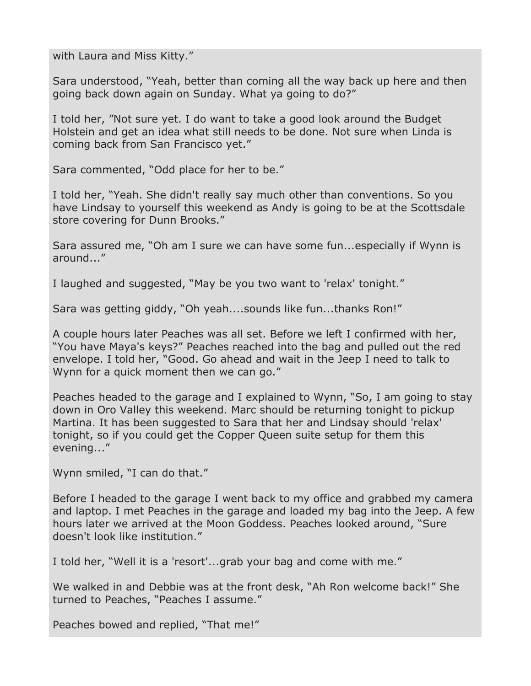with Laura and Miss Kitty."

Sara understood, "Yeah, better than coming all the way back up here and then going back down again on Sunday. What ya going to do?"

I told her, "Not sure yet. I do want to take a good look around the Budget Holstein and get an idea what still needs to be done. Not sure when Linda is coming back from San Francisco yet."

Sara commented, "Odd place for her to be."

I told her, "Yeah. She didn't really say much other than conventions. So you have Lindsay to yourself this weekend as Andy is going to be at the Scottsdale store covering for Dunn Brooks."

Sara assured me, "Oh am I sure we can have some fun...especially if Wynn is around..."

I laughed and suggested, "May be you two want to 'relax' tonight."

Sara was getting giddy, "Oh yeah....sounds like fun...thanks Ron!"

A couple hours later Peaches was all set. Before we left I confirmed with her, "You have Maya's keys?" Peaches reached into the bag and pulled out the red envelope. I told her, "Good. Go ahead and wait in the Jeep I need to talk to Wynn for a quick moment then we can go."

Peaches headed to the garage and I explained to Wynn, "So, I am going to stay down in Oro Valley this weekend. Marc should be returning tonight to pickup Martina. It has been suggested to Sara that her and Lindsay should 'relax' tonight, so if you could get the Copper Queen suite setup for them this evening..."

Wynn smiled, "I can do that."

Before I headed to the garage I went back to my office and grabbed my camera and laptop. I met Peaches in the garage and loaded my bag into the Jeep. A few hours later we arrived at the Moon Goddess. Peaches looked around, "Sure doesn't look like institution."

I told her, "Well it is a 'resort'...grab your bag and come with me."

We walked in and Debbie was at the front desk, "Ah Ron welcome back!" She turned to Peaches, "Peaches I assume."

Peaches bowed and replied, "That me!"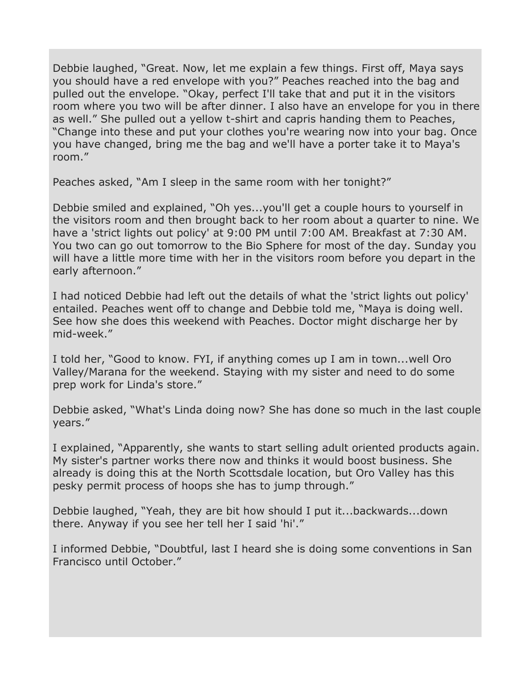Debbie laughed, "Great. Now, let me explain a few things. First off, Maya says you should have a red envelope with you?" Peaches reached into the bag and pulled out the envelope. "Okay, perfect I'll take that and put it in the visitors room where you two will be after dinner. I also have an envelope for you in there as well." She pulled out a yellow t-shirt and capris handing them to Peaches, "Change into these and put your clothes you're wearing now into your bag. Once you have changed, bring me the bag and we'll have a porter take it to Maya's room."

Peaches asked, "Am I sleep in the same room with her tonight?"

Debbie smiled and explained, "Oh yes...you'll get a couple hours to yourself in the visitors room and then brought back to her room about a quarter to nine. We have a 'strict lights out policy' at 9:00 PM until 7:00 AM. Breakfast at 7:30 AM. You two can go out tomorrow to the Bio Sphere for most of the day. Sunday you will have a little more time with her in the visitors room before you depart in the early afternoon."

I had noticed Debbie had left out the details of what the 'strict lights out policy' entailed. Peaches went off to change and Debbie told me, "Maya is doing well. See how she does this weekend with Peaches. Doctor might discharge her by mid-week."

I told her, "Good to know. FYI, if anything comes up I am in town...well Oro Valley/Marana for the weekend. Staying with my sister and need to do some prep work for Linda's store."

Debbie asked, "What's Linda doing now? She has done so much in the last couple years."

I explained, "Apparently, she wants to start selling adult oriented products again. My sister's partner works there now and thinks it would boost business. She already is doing this at the North Scottsdale location, but Oro Valley has this pesky permit process of hoops she has to jump through."

Debbie laughed, "Yeah, they are bit how should I put it...backwards...down there. Anyway if you see her tell her I said 'hi'."

I informed Debbie, "Doubtful, last I heard she is doing some conventions in San Francisco until October."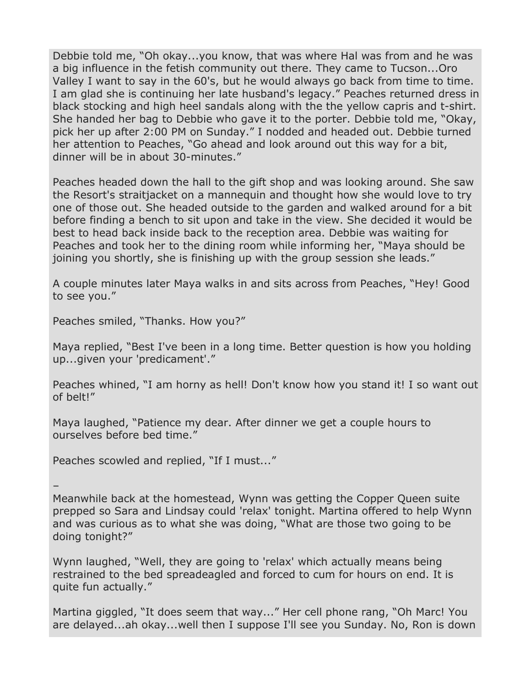Debbie told me, "Oh okay...you know, that was where Hal was from and he was a big influence in the fetish community out there. They came to Tucson...Oro Valley I want to say in the 60's, but he would always go back from time to time. I am glad she is continuing her late husband's legacy." Peaches returned dress in black stocking and high heel sandals along with the the yellow capris and t-shirt. She handed her bag to Debbie who gave it to the porter. Debbie told me, "Okay, pick her up after 2:00 PM on Sunday." I nodded and headed out. Debbie turned her attention to Peaches, "Go ahead and look around out this way for a bit, dinner will be in about 30-minutes."

Peaches headed down the hall to the gift shop and was looking around. She saw the Resort's straitjacket on a mannequin and thought how she would love to try one of those out. She headed outside to the garden and walked around for a bit before finding a bench to sit upon and take in the view. She decided it would be best to head back inside back to the reception area. Debbie was waiting for Peaches and took her to the dining room while informing her, "Maya should be joining you shortly, she is finishing up with the group session she leads."

A couple minutes later Maya walks in and sits across from Peaches, "Hey! Good to see you."

Peaches smiled, "Thanks. How you?"

Maya replied, "Best I've been in a long time. Better question is how you holding up...given your 'predicament'."

Peaches whined, "I am horny as hell! Don't know how you stand it! I so want out of belt!"

Maya laughed, "Patience my dear. After dinner we get a couple hours to ourselves before bed time."

Peaches scowled and replied, "If I must..."

– Meanwhile back at the homestead, Wynn was getting the Copper Queen suite prepped so Sara and Lindsay could 'relax' tonight. Martina offered to help Wynn and was curious as to what she was doing, "What are those two going to be doing tonight?"

Wynn laughed, "Well, they are going to 'relax' which actually means being restrained to the bed spreadeagled and forced to cum for hours on end. It is quite fun actually."

Martina giggled, "It does seem that way..." Her cell phone rang, "Oh Marc! You are delayed...ah okay...well then I suppose I'll see you Sunday. No, Ron is down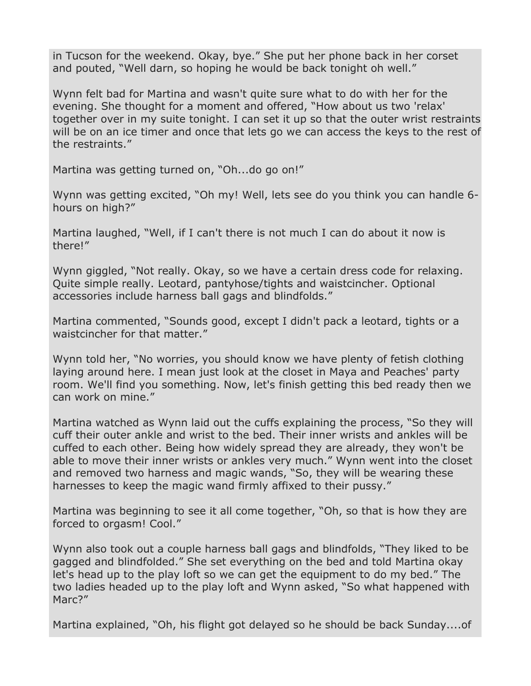in Tucson for the weekend. Okay, bye." She put her phone back in her corset and pouted, "Well darn, so hoping he would be back tonight oh well."

Wynn felt bad for Martina and wasn't quite sure what to do with her for the evening. She thought for a moment and offered, "How about us two 'relax' together over in my suite tonight. I can set it up so that the outer wrist restraints will be on an ice timer and once that lets go we can access the keys to the rest of the restraints."

Martina was getting turned on, "Oh...do go on!"

Wynn was getting excited, "Oh my! Well, lets see do you think you can handle 6 hours on high?"

Martina laughed, "Well, if I can't there is not much I can do about it now is there!"

Wynn giggled, "Not really. Okay, so we have a certain dress code for relaxing. Quite simple really. Leotard, pantyhose/tights and waistcincher. Optional accessories include harness ball gags and blindfolds."

Martina commented, "Sounds good, except I didn't pack a leotard, tights or a waistcincher for that matter."

Wynn told her, "No worries, you should know we have plenty of fetish clothing laying around here. I mean just look at the closet in Maya and Peaches' party room. We'll find you something. Now, let's finish getting this bed ready then we can work on mine."

Martina watched as Wynn laid out the cuffs explaining the process, "So they will cuff their outer ankle and wrist to the bed. Their inner wrists and ankles will be cuffed to each other. Being how widely spread they are already, they won't be able to move their inner wrists or ankles very much." Wynn went into the closet and removed two harness and magic wands, "So, they will be wearing these harnesses to keep the magic wand firmly affixed to their pussy."

Martina was beginning to see it all come together, "Oh, so that is how they are forced to orgasm! Cool."

Wynn also took out a couple harness ball gags and blindfolds, "They liked to be gagged and blindfolded." She set everything on the bed and told Martina okay let's head up to the play loft so we can get the equipment to do my bed." The two ladies headed up to the play loft and Wynn asked, "So what happened with Marc<sup>2"</sup>

Martina explained, "Oh, his flight got delayed so he should be back Sunday....of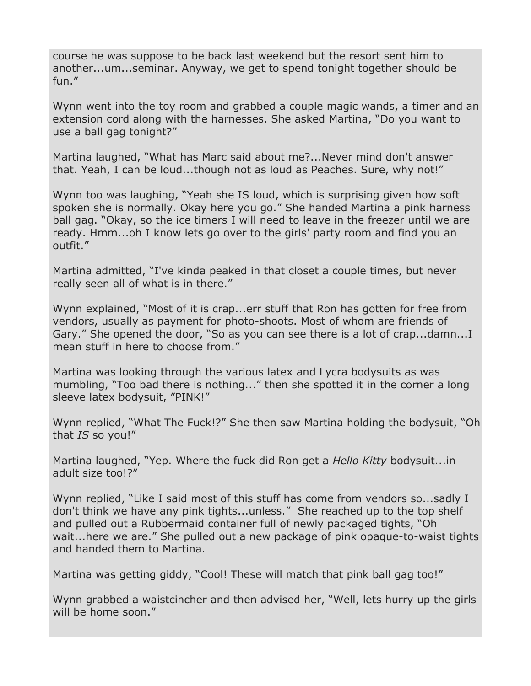course he was suppose to be back last weekend but the resort sent him to another...um...seminar. Anyway, we get to spend tonight together should be fun."

Wynn went into the toy room and grabbed a couple magic wands, a timer and an extension cord along with the harnesses. She asked Martina, "Do you want to use a ball gag tonight?"

Martina laughed, "What has Marc said about me?...Never mind don't answer that. Yeah, I can be loud...though not as loud as Peaches. Sure, why not!"

Wynn too was laughing, "Yeah she IS loud, which is surprising given how soft spoken she is normally. Okay here you go." She handed Martina a pink harness ball gag. "Okay, so the ice timers I will need to leave in the freezer until we are ready. Hmm...oh I know lets go over to the girls' party room and find you an outfit."

Martina admitted, "I've kinda peaked in that closet a couple times, but never really seen all of what is in there."

Wynn explained, "Most of it is crap...err stuff that Ron has gotten for free from vendors, usually as payment for photo-shoots. Most of whom are friends of Gary." She opened the door, "So as you can see there is a lot of crap...damn...I mean stuff in here to choose from."

Martina was looking through the various latex and Lycra bodysuits as was mumbling, "Too bad there is nothing..." then she spotted it in the corner a long sleeve latex bodysuit, "PINK!"

Wynn replied, "What The Fuck!?" She then saw Martina holding the bodysuit, "Oh that *IS* so you!"

Martina laughed, "Yep. Where the fuck did Ron get a *Hello Kitty* bodysuit...in adult size too!?"

Wynn replied, "Like I said most of this stuff has come from vendors so...sadly I don't think we have any pink tights...unless." She reached up to the top shelf and pulled out a Rubbermaid container full of newly packaged tights, "Oh wait...here we are." She pulled out a new package of pink opaque-to-waist tights and handed them to Martina.

Martina was getting giddy, "Cool! These will match that pink ball gag too!"

Wynn grabbed a waistcincher and then advised her, "Well, lets hurry up the girls will be home soon."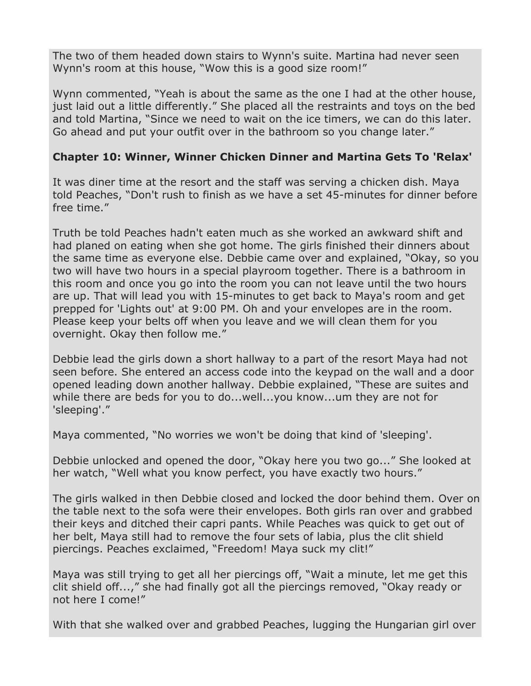The two of them headed down stairs to Wynn's suite. Martina had never seen Wynn's room at this house, "Wow this is a good size room!"

Wynn commented, "Yeah is about the same as the one I had at the other house, just laid out a little differently." She placed all the restraints and toys on the bed and told Martina, "Since we need to wait on the ice timers, we can do this later. Go ahead and put your outfit over in the bathroom so you change later."

### **Chapter 10: Winner, Winner Chicken Dinner and Martina Gets To 'Relax'**

It was diner time at the resort and the staff was serving a chicken dish. Maya told Peaches, "Don't rush to finish as we have a set 45-minutes for dinner before free time."

Truth be told Peaches hadn't eaten much as she worked an awkward shift and had planed on eating when she got home. The girls finished their dinners about the same time as everyone else. Debbie came over and explained, "Okay, so you two will have two hours in a special playroom together. There is a bathroom in this room and once you go into the room you can not leave until the two hours are up. That will lead you with 15-minutes to get back to Maya's room and get prepped for 'Lights out' at 9:00 PM. Oh and your envelopes are in the room. Please keep your belts off when you leave and we will clean them for you overnight. Okay then follow me."

Debbie lead the girls down a short hallway to a part of the resort Maya had not seen before. She entered an access code into the keypad on the wall and a door opened leading down another hallway. Debbie explained, "These are suites and while there are beds for you to do...well...you know...um they are not for 'sleeping'."

Maya commented, "No worries we won't be doing that kind of 'sleeping'.

Debbie unlocked and opened the door, "Okay here you two go..." She looked at her watch, "Well what you know perfect, you have exactly two hours."

The girls walked in then Debbie closed and locked the door behind them. Over on the table next to the sofa were their envelopes. Both girls ran over and grabbed their keys and ditched their capri pants. While Peaches was quick to get out of her belt, Maya still had to remove the four sets of labia, plus the clit shield piercings. Peaches exclaimed, "Freedom! Maya suck my clit!"

Maya was still trying to get all her piercings off, "Wait a minute, let me get this clit shield off...," she had finally got all the piercings removed, "Okay ready or not here I come!"

With that she walked over and grabbed Peaches, lugging the Hungarian girl over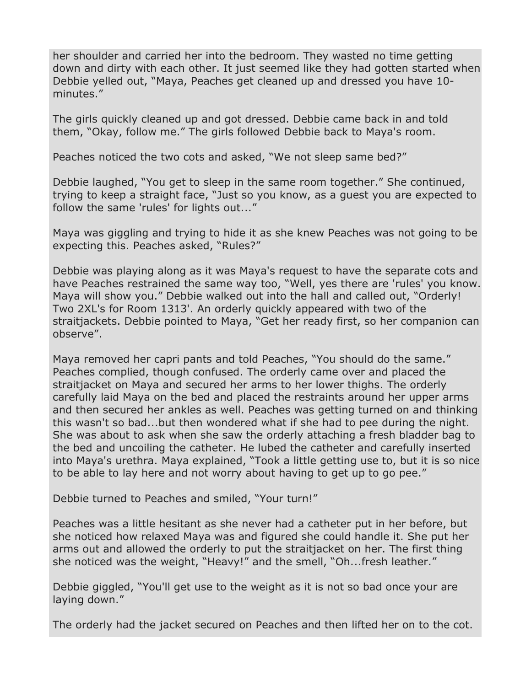her shoulder and carried her into the bedroom. They wasted no time getting down and dirty with each other. It just seemed like they had gotten started when Debbie yelled out, "Maya, Peaches get cleaned up and dressed you have 10 minutes."

The girls quickly cleaned up and got dressed. Debbie came back in and told them, "Okay, follow me." The girls followed Debbie back to Maya's room.

Peaches noticed the two cots and asked, "We not sleep same bed?"

Debbie laughed, "You get to sleep in the same room together." She continued, trying to keep a straight face, "Just so you know, as a guest you are expected to follow the same 'rules' for lights out..."

Maya was giggling and trying to hide it as she knew Peaches was not going to be expecting this. Peaches asked, "Rules?"

Debbie was playing along as it was Maya's request to have the separate cots and have Peaches restrained the same way too, "Well, yes there are 'rules' you know. Maya will show you." Debbie walked out into the hall and called out, "Orderly! Two 2XL's for Room 1313'. An orderly quickly appeared with two of the straitjackets. Debbie pointed to Maya, "Get her ready first, so her companion can observe".

Maya removed her capri pants and told Peaches, "You should do the same." Peaches complied, though confused. The orderly came over and placed the straitjacket on Maya and secured her arms to her lower thighs. The orderly carefully laid Maya on the bed and placed the restraints around her upper arms and then secured her ankles as well. Peaches was getting turned on and thinking this wasn't so bad...but then wondered what if she had to pee during the night. She was about to ask when she saw the orderly attaching a fresh bladder bag to the bed and uncoiling the catheter. He lubed the catheter and carefully inserted into Maya's urethra. Maya explained, "Took a little getting use to, but it is so nice to be able to lay here and not worry about having to get up to go pee."

Debbie turned to Peaches and smiled, "Your turn!"

Peaches was a little hesitant as she never had a catheter put in her before, but she noticed how relaxed Maya was and figured she could handle it. She put her arms out and allowed the orderly to put the straitjacket on her. The first thing she noticed was the weight, "Heavy!" and the smell, "Oh...fresh leather."

Debbie giggled, "You'll get use to the weight as it is not so bad once your are laying down."

The orderly had the jacket secured on Peaches and then lifted her on to the cot.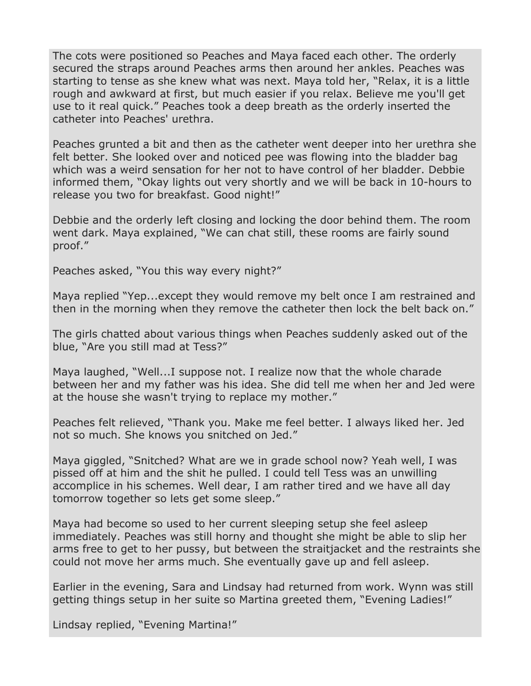The cots were positioned so Peaches and Maya faced each other. The orderly secured the straps around Peaches arms then around her ankles. Peaches was starting to tense as she knew what was next. Maya told her, "Relax, it is a little rough and awkward at first, but much easier if you relax. Believe me you'll get use to it real quick." Peaches took a deep breath as the orderly inserted the catheter into Peaches' urethra.

Peaches grunted a bit and then as the catheter went deeper into her urethra she felt better. She looked over and noticed pee was flowing into the bladder bag which was a weird sensation for her not to have control of her bladder. Debbie informed them, "Okay lights out very shortly and we will be back in 10-hours to release you two for breakfast. Good night!"

Debbie and the orderly left closing and locking the door behind them. The room went dark. Maya explained, "We can chat still, these rooms are fairly sound proof."

Peaches asked, "You this way every night?"

Maya replied "Yep...except they would remove my belt once I am restrained and then in the morning when they remove the catheter then lock the belt back on."

The girls chatted about various things when Peaches suddenly asked out of the blue, "Are you still mad at Tess?"

Maya laughed, "Well...I suppose not. I realize now that the whole charade between her and my father was his idea. She did tell me when her and Jed were at the house she wasn't trying to replace my mother."

Peaches felt relieved, "Thank you. Make me feel better. I always liked her. Jed not so much. She knows you snitched on Jed."

Maya giggled, "Snitched? What are we in grade school now? Yeah well, I was pissed off at him and the shit he pulled. I could tell Tess was an unwilling accomplice in his schemes. Well dear, I am rather tired and we have all day tomorrow together so lets get some sleep."

Maya had become so used to her current sleeping setup she feel asleep immediately. Peaches was still horny and thought she might be able to slip her arms free to get to her pussy, but between the straitjacket and the restraints she could not move her arms much. She eventually gave up and fell asleep.

Earlier in the evening, Sara and Lindsay had returned from work. Wynn was still getting things setup in her suite so Martina greeted them, "Evening Ladies!"

Lindsay replied, "Evening Martina!"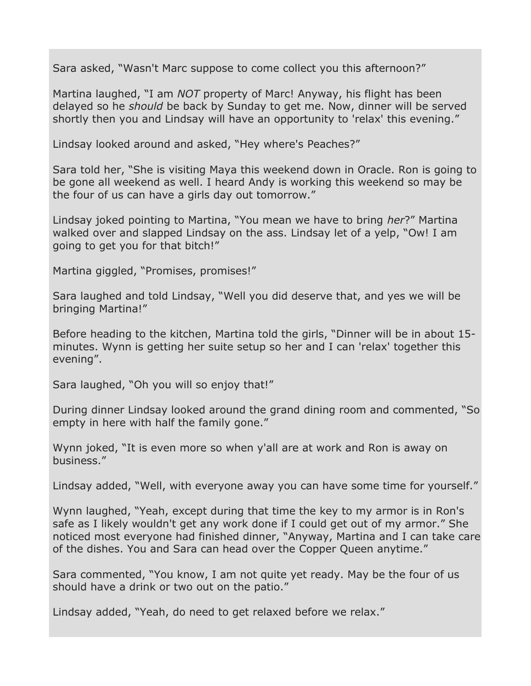Sara asked, "Wasn't Marc suppose to come collect you this afternoon?"

Martina laughed, "I am *NOT* property of Marc! Anyway, his flight has been delayed so he *should* be back by Sunday to get me. Now, dinner will be served shortly then you and Lindsay will have an opportunity to 'relax' this evening."

Lindsay looked around and asked, "Hey where's Peaches?"

Sara told her, "She is visiting Maya this weekend down in Oracle. Ron is going to be gone all weekend as well. I heard Andy is working this weekend so may be the four of us can have a girls day out tomorrow."

Lindsay joked pointing to Martina, "You mean we have to bring *her*?" Martina walked over and slapped Lindsay on the ass. Lindsay let of a yelp, "Ow! I am going to get you for that bitch!"

Martina giggled, "Promises, promises!"

Sara laughed and told Lindsay, "Well you did deserve that, and yes we will be bringing Martina!"

Before heading to the kitchen, Martina told the girls, "Dinner will be in about 15 minutes. Wynn is getting her suite setup so her and I can 'relax' together this evening".

Sara laughed, "Oh you will so enjoy that!"

During dinner Lindsay looked around the grand dining room and commented, "So empty in here with half the family gone."

Wynn joked, "It is even more so when y'all are at work and Ron is away on business."

Lindsay added, "Well, with everyone away you can have some time for yourself."

Wynn laughed, "Yeah, except during that time the key to my armor is in Ron's safe as I likely wouldn't get any work done if I could get out of my armor." She noticed most everyone had finished dinner, "Anyway, Martina and I can take care of the dishes. You and Sara can head over the Copper Queen anytime."

Sara commented, "You know, I am not quite yet ready. May be the four of us should have a drink or two out on the patio."

Lindsay added, "Yeah, do need to get relaxed before we relax."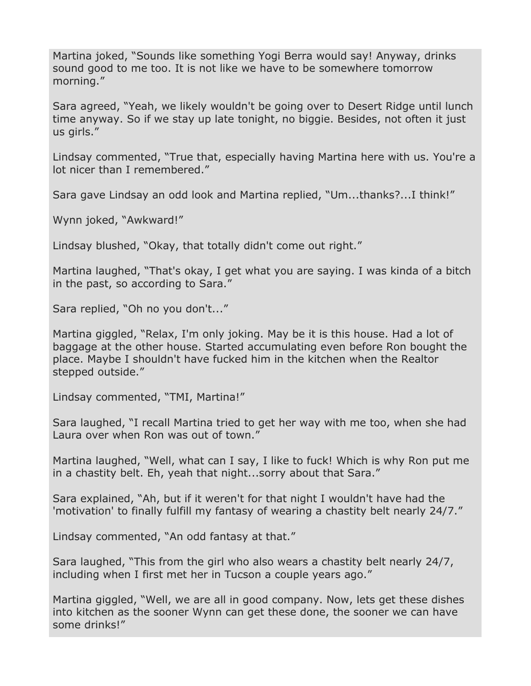Martina joked, "Sounds like something Yogi Berra would say! Anyway, drinks sound good to me too. It is not like we have to be somewhere tomorrow morning."

Sara agreed, "Yeah, we likely wouldn't be going over to Desert Ridge until lunch time anyway. So if we stay up late tonight, no biggie. Besides, not often it just us girls."

Lindsay commented, "True that, especially having Martina here with us. You're a lot nicer than I remembered."

Sara gave Lindsay an odd look and Martina replied, "Um...thanks?...I think!"

Wynn joked, "Awkward!"

Lindsay blushed, "Okay, that totally didn't come out right."

Martina laughed, "That's okay, I get what you are saying. I was kinda of a bitch in the past, so according to Sara."

Sara replied, "Oh no you don't..."

Martina giggled, "Relax, I'm only joking. May be it is this house. Had a lot of baggage at the other house. Started accumulating even before Ron bought the place. Maybe I shouldn't have fucked him in the kitchen when the Realtor stepped outside."

Lindsay commented, "TMI, Martina!"

Sara laughed, "I recall Martina tried to get her way with me too, when she had Laura over when Ron was out of town."

Martina laughed, "Well, what can I say, I like to fuck! Which is why Ron put me in a chastity belt. Eh, yeah that night...sorry about that Sara."

Sara explained, "Ah, but if it weren't for that night I wouldn't have had the 'motivation' to finally fulfill my fantasy of wearing a chastity belt nearly 24/7."

Lindsay commented, "An odd fantasy at that."

Sara laughed, "This from the girl who also wears a chastity belt nearly 24/7, including when I first met her in Tucson a couple years ago."

Martina giggled, "Well, we are all in good company. Now, lets get these dishes into kitchen as the sooner Wynn can get these done, the sooner we can have some drinks!"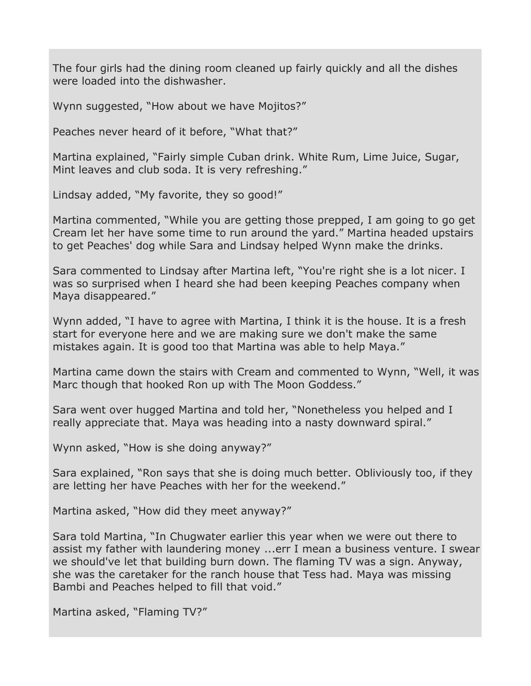The four girls had the dining room cleaned up fairly quickly and all the dishes were loaded into the dishwasher.

Wynn suggested, "How about we have Mojitos?"

Peaches never heard of it before, "What that?"

Martina explained, "Fairly simple Cuban drink. White Rum, Lime Juice, Sugar, Mint leaves and club soda. It is very refreshing."

Lindsay added, "My favorite, they so good!"

Martina commented, "While you are getting those prepped, I am going to go get Cream let her have some time to run around the yard." Martina headed upstairs to get Peaches' dog while Sara and Lindsay helped Wynn make the drinks.

Sara commented to Lindsay after Martina left, "You're right she is a lot nicer. I was so surprised when I heard she had been keeping Peaches company when Maya disappeared."

Wynn added, "I have to agree with Martina, I think it is the house. It is a fresh start for everyone here and we are making sure we don't make the same mistakes again. It is good too that Martina was able to help Maya."

Martina came down the stairs with Cream and commented to Wynn, "Well, it was Marc though that hooked Ron up with The Moon Goddess."

Sara went over hugged Martina and told her, "Nonetheless you helped and I really appreciate that. Maya was heading into a nasty downward spiral."

Wynn asked, "How is she doing anyway?"

Sara explained, "Ron says that she is doing much better. Obliviously too, if they are letting her have Peaches with her for the weekend."

Martina asked, "How did they meet anyway?"

Sara told Martina, "In Chugwater earlier this year when we were out there to assist my father with laundering money ...err I mean a business venture. I swear we should've let that building burn down. The flaming TV was a sign. Anyway, she was the caretaker for the ranch house that Tess had. Maya was missing Bambi and Peaches helped to fill that void."

Martina asked, "Flaming TV?"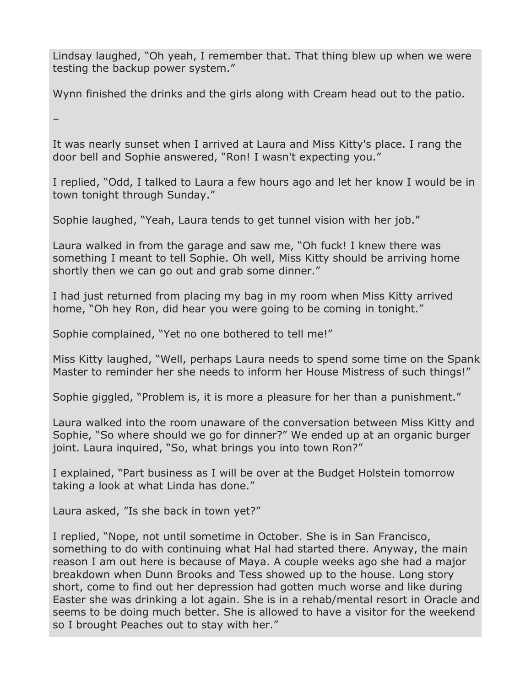Lindsay laughed, "Oh yeah, I remember that. That thing blew up when we were testing the backup power system."

Wynn finished the drinks and the girls along with Cream head out to the patio.

–

It was nearly sunset when I arrived at Laura and Miss Kitty's place. I rang the door bell and Sophie answered, "Ron! I wasn't expecting you."

I replied, "Odd, I talked to Laura a few hours ago and let her know I would be in town tonight through Sunday."

Sophie laughed, "Yeah, Laura tends to get tunnel vision with her job."

Laura walked in from the garage and saw me, "Oh fuck! I knew there was something I meant to tell Sophie. Oh well, Miss Kitty should be arriving home shortly then we can go out and grab some dinner."

I had just returned from placing my bag in my room when Miss Kitty arrived home, "Oh hey Ron, did hear you were going to be coming in tonight."

Sophie complained, "Yet no one bothered to tell me!"

Miss Kitty laughed, "Well, perhaps Laura needs to spend some time on the Spank Master to reminder her she needs to inform her House Mistress of such things!"

Sophie giggled, "Problem is, it is more a pleasure for her than a punishment."

Laura walked into the room unaware of the conversation between Miss Kitty and Sophie, "So where should we go for dinner?" We ended up at an organic burger joint. Laura inquired, "So, what brings you into town Ron?"

I explained, "Part business as I will be over at the Budget Holstein tomorrow taking a look at what Linda has done."

Laura asked, "Is she back in town yet?"

I replied, "Nope, not until sometime in October. She is in San Francisco, something to do with continuing what Hal had started there. Anyway, the main reason I am out here is because of Maya. A couple weeks ago she had a major breakdown when Dunn Brooks and Tess showed up to the house. Long story short, come to find out her depression had gotten much worse and like during Easter she was drinking a lot again. She is in a rehab/mental resort in Oracle and seems to be doing much better. She is allowed to have a visitor for the weekend so I brought Peaches out to stay with her."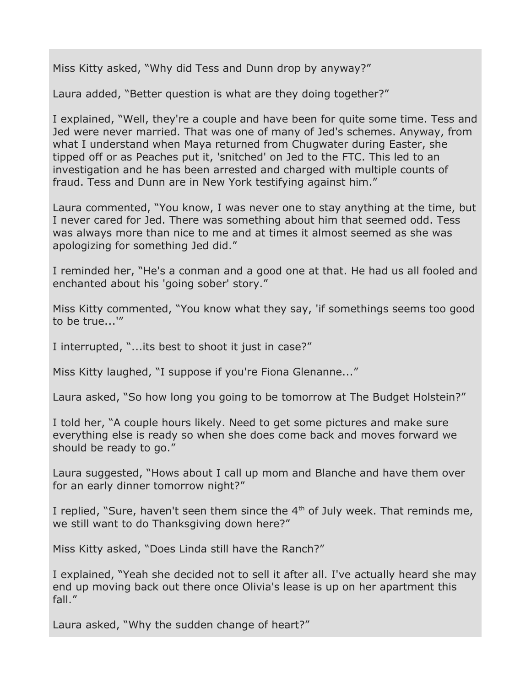Miss Kitty asked, "Why did Tess and Dunn drop by anyway?"

Laura added, "Better question is what are they doing together?"

I explained, "Well, they're a couple and have been for quite some time. Tess and Jed were never married. That was one of many of Jed's schemes. Anyway, from what I understand when Maya returned from Chugwater during Easter, she tipped off or as Peaches put it, 'snitched' on Jed to the FTC. This led to an investigation and he has been arrested and charged with multiple counts of fraud. Tess and Dunn are in New York testifying against him."

Laura commented, "You know, I was never one to stay anything at the time, but I never cared for Jed. There was something about him that seemed odd. Tess was always more than nice to me and at times it almost seemed as she was apologizing for something Jed did."

I reminded her, "He's a conman and a good one at that. He had us all fooled and enchanted about his 'going sober' story."

Miss Kitty commented, "You know what they say, 'if somethings seems too good to be true...'"

I interrupted, "...its best to shoot it just in case?"

Miss Kitty laughed, "I suppose if you're Fiona Glenanne..."

Laura asked, "So how long you going to be tomorrow at The Budget Holstein?"

I told her, "A couple hours likely. Need to get some pictures and make sure everything else is ready so when she does come back and moves forward we should be ready to go."

Laura suggested, "Hows about I call up mom and Blanche and have them over for an early dinner tomorrow night?"

I replied, "Sure, haven't seen them since the  $4<sup>th</sup>$  of July week. That reminds me, we still want to do Thanksgiving down here?"

Miss Kitty asked, "Does Linda still have the Ranch?"

I explained, "Yeah she decided not to sell it after all. I've actually heard she may end up moving back out there once Olivia's lease is up on her apartment this fall."

Laura asked, "Why the sudden change of heart?"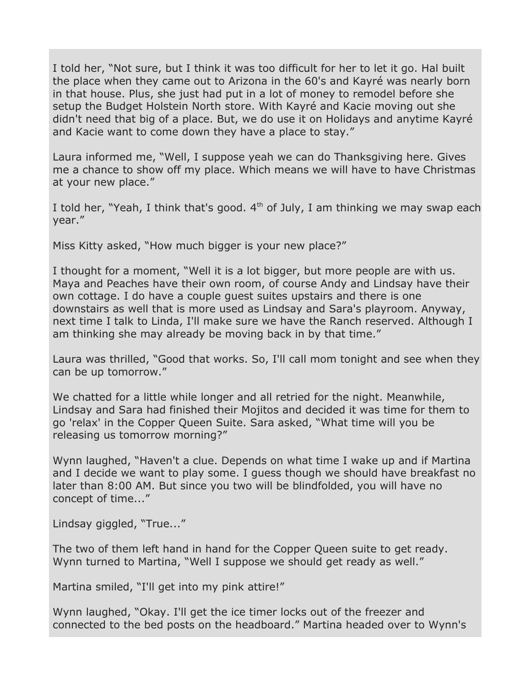I told her, "Not sure, but I think it was too difficult for her to let it go. Hal built the place when they came out to Arizona in the 60's and Kayré was nearly born in that house. Plus, she just had put in a lot of money to remodel before she setup the Budget Holstein North store. With Kayré and Kacie moving out she didn't need that big of a place. But, we do use it on Holidays and anytime Kayré and Kacie want to come down they have a place to stay."

Laura informed me, "Well, I suppose yeah we can do Thanksgiving here. Gives me a chance to show off my place. Which means we will have to have Christmas at your new place."

I told her, "Yeah, I think that's good.  $4<sup>th</sup>$  of July, I am thinking we may swap each year."

Miss Kitty asked, "How much bigger is your new place?"

I thought for a moment, "Well it is a lot bigger, but more people are with us. Maya and Peaches have their own room, of course Andy and Lindsay have their own cottage. I do have a couple guest suites upstairs and there is one downstairs as well that is more used as Lindsay and Sara's playroom. Anyway, next time I talk to Linda, I'll make sure we have the Ranch reserved. Although I am thinking she may already be moving back in by that time."

Laura was thrilled, "Good that works. So, I'll call mom tonight and see when they can be up tomorrow."

We chatted for a little while longer and all retried for the night. Meanwhile, Lindsay and Sara had finished their Mojitos and decided it was time for them to go 'relax' in the Copper Queen Suite. Sara asked, "What time will you be releasing us tomorrow morning?"

Wynn laughed, "Haven't a clue. Depends on what time I wake up and if Martina and I decide we want to play some. I guess though we should have breakfast no later than 8:00 AM. But since you two will be blindfolded, you will have no concept of time..."

Lindsay giggled, "True..."

The two of them left hand in hand for the Copper Queen suite to get ready. Wynn turned to Martina, "Well I suppose we should get ready as well."

Martina smiled, "I'll get into my pink attire!"

Wynn laughed, "Okay. I'll get the ice timer locks out of the freezer and connected to the bed posts on the headboard." Martina headed over to Wynn's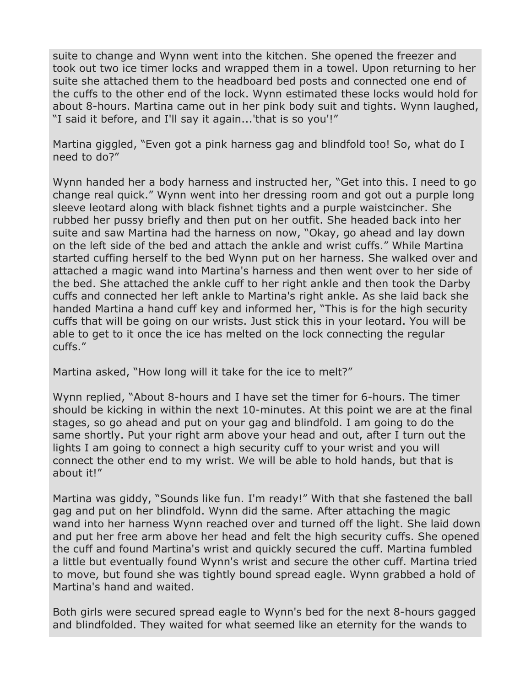suite to change and Wynn went into the kitchen. She opened the freezer and took out two ice timer locks and wrapped them in a towel. Upon returning to her suite she attached them to the headboard bed posts and connected one end of the cuffs to the other end of the lock. Wynn estimated these locks would hold for about 8-hours. Martina came out in her pink body suit and tights. Wynn laughed, "I said it before, and I'll say it again...'that is so you'!"

Martina giggled, "Even got a pink harness gag and blindfold too! So, what do I need to do?"

Wynn handed her a body harness and instructed her, "Get into this. I need to go change real quick." Wynn went into her dressing room and got out a purple long sleeve leotard along with black fishnet tights and a purple waistcincher. She rubbed her pussy briefly and then put on her outfit. She headed back into her suite and saw Martina had the harness on now, "Okay, go ahead and lay down on the left side of the bed and attach the ankle and wrist cuffs." While Martina started cuffing herself to the bed Wynn put on her harness. She walked over and attached a magic wand into Martina's harness and then went over to her side of the bed. She attached the ankle cuff to her right ankle and then took the Darby cuffs and connected her left ankle to Martina's right ankle. As she laid back she handed Martina a hand cuff key and informed her, "This is for the high security cuffs that will be going on our wrists. Just stick this in your leotard. You will be able to get to it once the ice has melted on the lock connecting the regular cuffs."

Martina asked, "How long will it take for the ice to melt?"

Wynn replied, "About 8-hours and I have set the timer for 6-hours. The timer should be kicking in within the next 10-minutes. At this point we are at the final stages, so go ahead and put on your gag and blindfold. I am going to do the same shortly. Put your right arm above your head and out, after I turn out the lights I am going to connect a high security cuff to your wrist and you will connect the other end to my wrist. We will be able to hold hands, but that is about it!"

Martina was giddy, "Sounds like fun. I'm ready!" With that she fastened the ball gag and put on her blindfold. Wynn did the same. After attaching the magic wand into her harness Wynn reached over and turned off the light. She laid down and put her free arm above her head and felt the high security cuffs. She opened the cuff and found Martina's wrist and quickly secured the cuff. Martina fumbled a little but eventually found Wynn's wrist and secure the other cuff. Martina tried to move, but found she was tightly bound spread eagle. Wynn grabbed a hold of Martina's hand and waited.

Both girls were secured spread eagle to Wynn's bed for the next 8-hours gagged and blindfolded. They waited for what seemed like an eternity for the wands to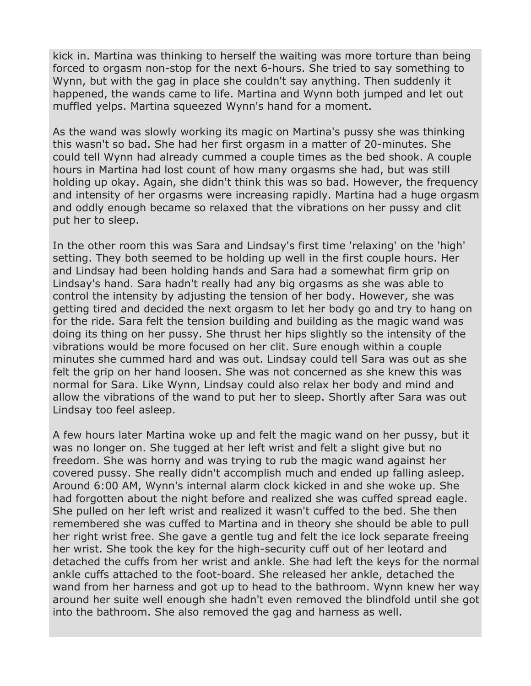kick in. Martina was thinking to herself the waiting was more torture than being forced to orgasm non-stop for the next 6-hours. She tried to say something to Wynn, but with the gag in place she couldn't say anything. Then suddenly it happened, the wands came to life. Martina and Wynn both jumped and let out muffled yelps. Martina squeezed Wynn's hand for a moment.

As the wand was slowly working its magic on Martina's pussy she was thinking this wasn't so bad. She had her first orgasm in a matter of 20-minutes. She could tell Wynn had already cummed a couple times as the bed shook. A couple hours in Martina had lost count of how many orgasms she had, but was still holding up okay. Again, she didn't think this was so bad. However, the frequency and intensity of her orgasms were increasing rapidly. Martina had a huge orgasm and oddly enough became so relaxed that the vibrations on her pussy and clit put her to sleep.

In the other room this was Sara and Lindsay's first time 'relaxing' on the 'high' setting. They both seemed to be holding up well in the first couple hours. Her and Lindsay had been holding hands and Sara had a somewhat firm grip on Lindsay's hand. Sara hadn't really had any big orgasms as she was able to control the intensity by adjusting the tension of her body. However, she was getting tired and decided the next orgasm to let her body go and try to hang on for the ride. Sara felt the tension building and building as the magic wand was doing its thing on her pussy. She thrust her hips slightly so the intensity of the vibrations would be more focused on her clit. Sure enough within a couple minutes she cummed hard and was out. Lindsay could tell Sara was out as she felt the grip on her hand loosen. She was not concerned as she knew this was normal for Sara. Like Wynn, Lindsay could also relax her body and mind and allow the vibrations of the wand to put her to sleep. Shortly after Sara was out Lindsay too feel asleep.

A few hours later Martina woke up and felt the magic wand on her pussy, but it was no longer on. She tugged at her left wrist and felt a slight give but no freedom. She was horny and was trying to rub the magic wand against her covered pussy. She really didn't accomplish much and ended up falling asleep. Around 6:00 AM, Wynn's internal alarm clock kicked in and she woke up. She had forgotten about the night before and realized she was cuffed spread eagle. She pulled on her left wrist and realized it wasn't cuffed to the bed. She then remembered she was cuffed to Martina and in theory she should be able to pull her right wrist free. She gave a gentle tug and felt the ice lock separate freeing her wrist. She took the key for the high-security cuff out of her leotard and detached the cuffs from her wrist and ankle. She had left the keys for the normal ankle cuffs attached to the foot-board. She released her ankle, detached the wand from her harness and got up to head to the bathroom. Wynn knew her way around her suite well enough she hadn't even removed the blindfold until she got into the bathroom. She also removed the gag and harness as well.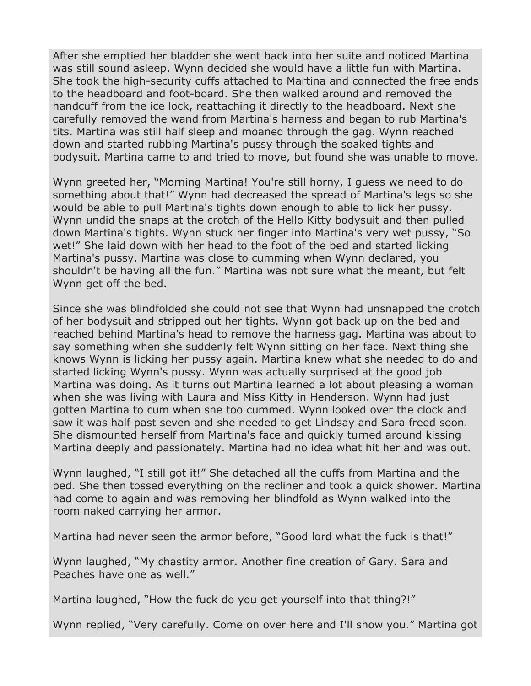After she emptied her bladder she went back into her suite and noticed Martina was still sound asleep. Wynn decided she would have a little fun with Martina. She took the high-security cuffs attached to Martina and connected the free ends to the headboard and foot-board. She then walked around and removed the handcuff from the ice lock, reattaching it directly to the headboard. Next she carefully removed the wand from Martina's harness and began to rub Martina's tits. Martina was still half sleep and moaned through the gag. Wynn reached down and started rubbing Martina's pussy through the soaked tights and bodysuit. Martina came to and tried to move, but found she was unable to move.

Wynn greeted her, "Morning Martina! You're still horny, I guess we need to do something about that!" Wynn had decreased the spread of Martina's legs so she would be able to pull Martina's tights down enough to able to lick her pussy. Wynn undid the snaps at the crotch of the Hello Kitty bodysuit and then pulled down Martina's tights. Wynn stuck her finger into Martina's very wet pussy, "So wet!" She laid down with her head to the foot of the bed and started licking Martina's pussy. Martina was close to cumming when Wynn declared, you shouldn't be having all the fun." Martina was not sure what the meant, but felt Wynn get off the bed.

Since she was blindfolded she could not see that Wynn had unsnapped the crotch of her bodysuit and stripped out her tights. Wynn got back up on the bed and reached behind Martina's head to remove the harness gag. Martina was about to say something when she suddenly felt Wynn sitting on her face. Next thing she knows Wynn is licking her pussy again. Martina knew what she needed to do and started licking Wynn's pussy. Wynn was actually surprised at the good job Martina was doing. As it turns out Martina learned a lot about pleasing a woman when she was living with Laura and Miss Kitty in Henderson. Wynn had just gotten Martina to cum when she too cummed. Wynn looked over the clock and saw it was half past seven and she needed to get Lindsay and Sara freed soon. She dismounted herself from Martina's face and quickly turned around kissing Martina deeply and passionately. Martina had no idea what hit her and was out.

Wynn laughed, "I still got it!" She detached all the cuffs from Martina and the bed. She then tossed everything on the recliner and took a quick shower. Martina had come to again and was removing her blindfold as Wynn walked into the room naked carrying her armor.

Martina had never seen the armor before, "Good lord what the fuck is that!"

Wynn laughed, "My chastity armor. Another fine creation of Gary. Sara and Peaches have one as well."

Martina laughed, "How the fuck do you get yourself into that thing?!"

Wynn replied, "Very carefully. Come on over here and I'll show you." Martina got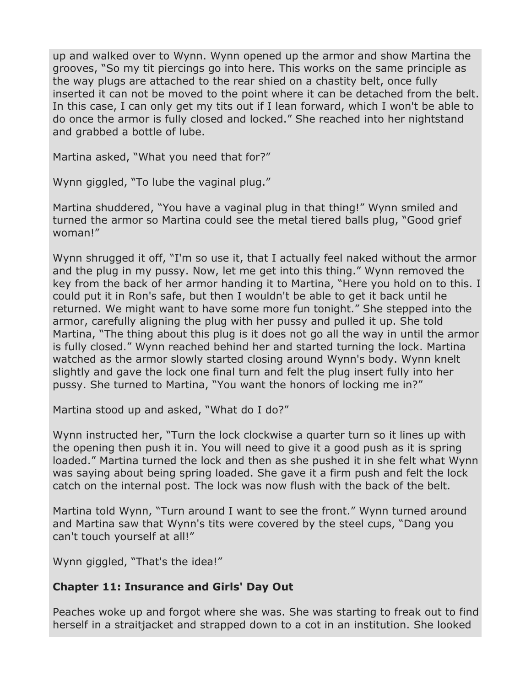up and walked over to Wynn. Wynn opened up the armor and show Martina the grooves, "So my tit piercings go into here. This works on the same principle as the way plugs are attached to the rear shied on a chastity belt, once fully inserted it can not be moved to the point where it can be detached from the belt. In this case, I can only get my tits out if I lean forward, which I won't be able to do once the armor is fully closed and locked." She reached into her nightstand and grabbed a bottle of lube.

Martina asked, "What you need that for?"

Wynn giggled, "To lube the vaginal plug."

Martina shuddered, "You have a vaginal plug in that thing!" Wynn smiled and turned the armor so Martina could see the metal tiered balls plug, "Good grief woman!"

Wynn shrugged it off, "I'm so use it, that I actually feel naked without the armor and the plug in my pussy. Now, let me get into this thing." Wynn removed the key from the back of her armor handing it to Martina, "Here you hold on to this. I could put it in Ron's safe, but then I wouldn't be able to get it back until he returned. We might want to have some more fun tonight." She stepped into the armor, carefully aligning the plug with her pussy and pulled it up. She told Martina, "The thing about this plug is it does not go all the way in until the armor is fully closed." Wynn reached behind her and started turning the lock. Martina watched as the armor slowly started closing around Wynn's body. Wynn knelt slightly and gave the lock one final turn and felt the plug insert fully into her pussy. She turned to Martina, "You want the honors of locking me in?"

Martina stood up and asked, "What do I do?"

Wynn instructed her, "Turn the lock clockwise a quarter turn so it lines up with the opening then push it in. You will need to give it a good push as it is spring loaded." Martina turned the lock and then as she pushed it in she felt what Wynn was saying about being spring loaded. She gave it a firm push and felt the lock catch on the internal post. The lock was now flush with the back of the belt.

Martina told Wynn, "Turn around I want to see the front." Wynn turned around and Martina saw that Wynn's tits were covered by the steel cups, "Dang you can't touch yourself at all!"

Wynn giggled, "That's the idea!"

## **Chapter 11: Insurance and Girls' Day Out**

Peaches woke up and forgot where she was. She was starting to freak out to find herself in a straitjacket and strapped down to a cot in an institution. She looked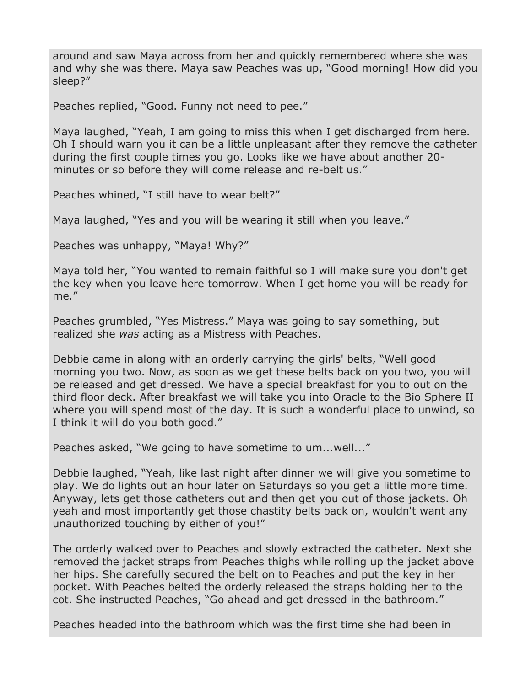around and saw Maya across from her and quickly remembered where she was and why she was there. Maya saw Peaches was up, "Good morning! How did you sleep?"

Peaches replied, "Good. Funny not need to pee."

Maya laughed, "Yeah, I am going to miss this when I get discharged from here. Oh I should warn you it can be a little unpleasant after they remove the catheter during the first couple times you go. Looks like we have about another 20 minutes or so before they will come release and re-belt us."

Peaches whined, "I still have to wear belt?"

Maya laughed, "Yes and you will be wearing it still when you leave."

Peaches was unhappy, "Maya! Why?"

Maya told her, "You wanted to remain faithful so I will make sure you don't get the key when you leave here tomorrow. When I get home you will be ready for me."

Peaches grumbled, "Yes Mistress." Maya was going to say something, but realized she *was* acting as a Mistress with Peaches.

Debbie came in along with an orderly carrying the girls' belts, "Well good morning you two. Now, as soon as we get these belts back on you two, you will be released and get dressed. We have a special breakfast for you to out on the third floor deck. After breakfast we will take you into Oracle to the Bio Sphere II where you will spend most of the day. It is such a wonderful place to unwind, so I think it will do you both good."

Peaches asked, "We going to have sometime to um...well..."

Debbie laughed, "Yeah, like last night after dinner we will give you sometime to play. We do lights out an hour later on Saturdays so you get a little more time. Anyway, lets get those catheters out and then get you out of those jackets. Oh yeah and most importantly get those chastity belts back on, wouldn't want any unauthorized touching by either of you!"

The orderly walked over to Peaches and slowly extracted the catheter. Next she removed the jacket straps from Peaches thighs while rolling up the jacket above her hips. She carefully secured the belt on to Peaches and put the key in her pocket. With Peaches belted the orderly released the straps holding her to the cot. She instructed Peaches, "Go ahead and get dressed in the bathroom."

Peaches headed into the bathroom which was the first time she had been in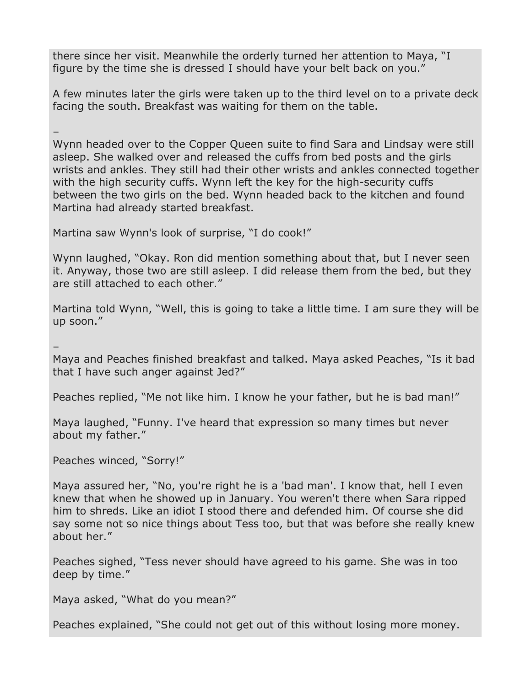there since her visit. Meanwhile the orderly turned her attention to Maya, "I figure by the time she is dressed I should have your belt back on you."

A few minutes later the girls were taken up to the third level on to a private deck facing the south. Breakfast was waiting for them on the table.

–

Wynn headed over to the Copper Queen suite to find Sara and Lindsay were still asleep. She walked over and released the cuffs from bed posts and the girls wrists and ankles. They still had their other wrists and ankles connected together with the high security cuffs. Wynn left the key for the high-security cuffs between the two girls on the bed. Wynn headed back to the kitchen and found Martina had already started breakfast.

Martina saw Wynn's look of surprise, "I do cook!"

Wynn laughed, "Okay. Ron did mention something about that, but I never seen it. Anyway, those two are still asleep. I did release them from the bed, but they are still attached to each other."

Martina told Wynn, "Well, this is going to take a little time. I am sure they will be up soon."

–

Maya and Peaches finished breakfast and talked. Maya asked Peaches, "Is it bad that I have such anger against Jed?"

Peaches replied, "Me not like him. I know he your father, but he is bad man!"

Maya laughed, "Funny. I've heard that expression so many times but never about my father."

Peaches winced, "Sorry!"

Maya assured her, "No, you're right he is a 'bad man'. I know that, hell I even knew that when he showed up in January. You weren't there when Sara ripped him to shreds. Like an idiot I stood there and defended him. Of course she did say some not so nice things about Tess too, but that was before she really knew about her."

Peaches sighed, "Tess never should have agreed to his game. She was in too deep by time."

Maya asked, "What do you mean?"

Peaches explained, "She could not get out of this without losing more money.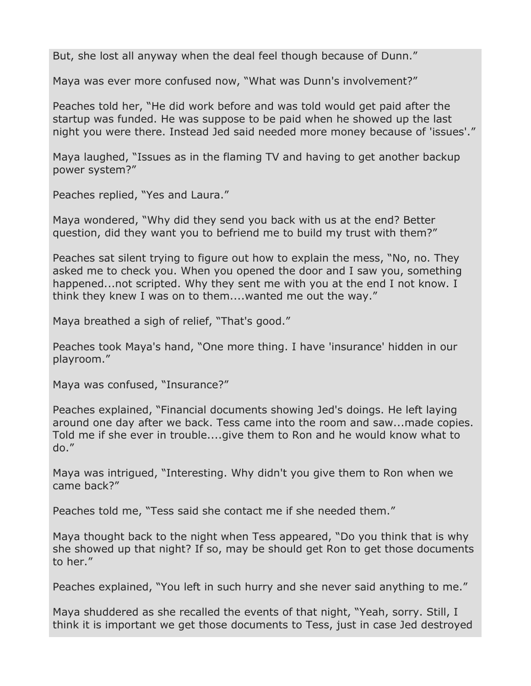But, she lost all anyway when the deal feel though because of Dunn."

Maya was ever more confused now, "What was Dunn's involvement?"

Peaches told her, "He did work before and was told would get paid after the startup was funded. He was suppose to be paid when he showed up the last night you were there. Instead Jed said needed more money because of 'issues'."

Maya laughed, "Issues as in the flaming TV and having to get another backup power system?"

Peaches replied, "Yes and Laura."

Maya wondered, "Why did they send you back with us at the end? Better question, did they want you to befriend me to build my trust with them?"

Peaches sat silent trying to figure out how to explain the mess, "No, no. They asked me to check you. When you opened the door and I saw you, something happened...not scripted. Why they sent me with you at the end I not know. I think they knew I was on to them....wanted me out the way."

Maya breathed a sigh of relief, "That's good."

Peaches took Maya's hand, "One more thing. I have 'insurance' hidden in our playroom."

Maya was confused, "Insurance?"

Peaches explained, "Financial documents showing Jed's doings. He left laying around one day after we back. Tess came into the room and saw...made copies. Told me if she ever in trouble....give them to Ron and he would know what to do."

Maya was intrigued, "Interesting. Why didn't you give them to Ron when we came back?"

Peaches told me, "Tess said she contact me if she needed them."

Maya thought back to the night when Tess appeared, "Do you think that is why she showed up that night? If so, may be should get Ron to get those documents to her."

Peaches explained, "You left in such hurry and she never said anything to me."

Maya shuddered as she recalled the events of that night, "Yeah, sorry. Still, I think it is important we get those documents to Tess, just in case Jed destroyed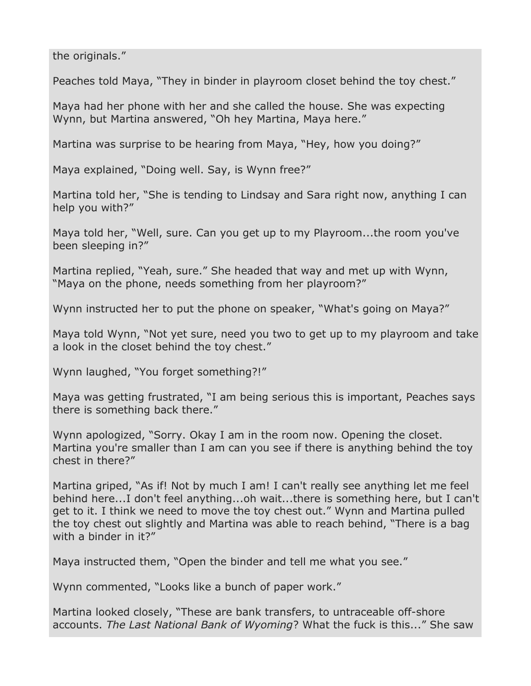the originals."

Peaches told Maya, "They in binder in playroom closet behind the toy chest."

Maya had her phone with her and she called the house. She was expecting Wynn, but Martina answered, "Oh hey Martina, Maya here."

Martina was surprise to be hearing from Maya, "Hey, how you doing?"

Maya explained, "Doing well. Say, is Wynn free?"

Martina told her, "She is tending to Lindsay and Sara right now, anything I can help you with?"

Maya told her, "Well, sure. Can you get up to my Playroom...the room you've been sleeping in?"

Martina replied, "Yeah, sure." She headed that way and met up with Wynn, "Maya on the phone, needs something from her playroom?"

Wynn instructed her to put the phone on speaker, "What's going on Maya?"

Maya told Wynn, "Not yet sure, need you two to get up to my playroom and take a look in the closet behind the toy chest."

Wynn laughed, "You forget something?!"

Maya was getting frustrated, "I am being serious this is important, Peaches says there is something back there."

Wynn apologized, "Sorry. Okay I am in the room now. Opening the closet. Martina you're smaller than I am can you see if there is anything behind the toy chest in there?"

Martina griped, "As if! Not by much I am! I can't really see anything let me feel behind here...I don't feel anything...oh wait...there is something here, but I can't get to it. I think we need to move the toy chest out." Wynn and Martina pulled the toy chest out slightly and Martina was able to reach behind, "There is a bag with a binder in it?"

Maya instructed them, "Open the binder and tell me what you see."

Wynn commented, "Looks like a bunch of paper work."

Martina looked closely, "These are bank transfers, to untraceable off-shore accounts. *The Last National Bank of Wyoming*? What the fuck is this..." She saw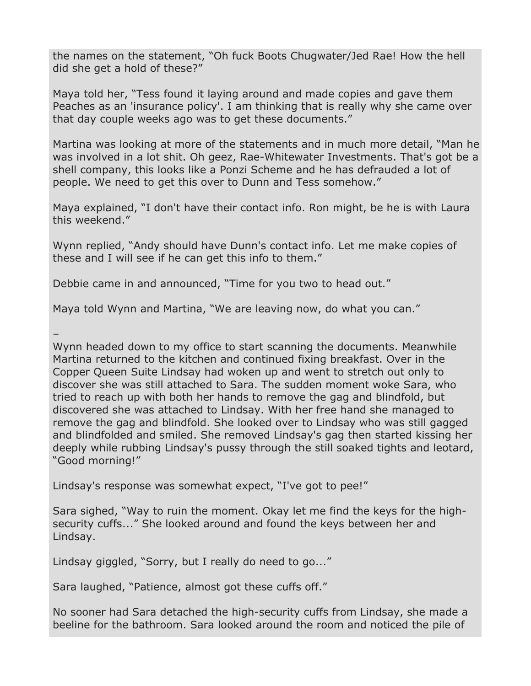the names on the statement, "Oh fuck Boots Chugwater/Jed Rae! How the hell did she get a hold of these?"

Maya told her, "Tess found it laying around and made copies and gave them Peaches as an 'insurance policy'. I am thinking that is really why she came over that day couple weeks ago was to get these documents."

Martina was looking at more of the statements and in much more detail, "Man he was involved in a lot shit. Oh geez, Rae-Whitewater Investments. That's got be a shell company, this looks like a Ponzi Scheme and he has defrauded a lot of people. We need to get this over to Dunn and Tess somehow."

Maya explained, "I don't have their contact info. Ron might, be he is with Laura this weekend."

Wynn replied, "Andy should have Dunn's contact info. Let me make copies of these and I will see if he can get this info to them."

Debbie came in and announced, "Time for you two to head out."

Maya told Wynn and Martina, "We are leaving now, do what you can."

– Wynn headed down to my office to start scanning the documents. Meanwhile Martina returned to the kitchen and continued fixing breakfast. Over in the Copper Queen Suite Lindsay had woken up and went to stretch out only to discover she was still attached to Sara. The sudden moment woke Sara, who tried to reach up with both her hands to remove the gag and blindfold, but discovered she was attached to Lindsay. With her free hand she managed to remove the gag and blindfold. She looked over to Lindsay who was still gagged and blindfolded and smiled. She removed Lindsay's gag then started kissing her deeply while rubbing Lindsay's pussy through the still soaked tights and leotard, "Good morning!"

Lindsay's response was somewhat expect, "I've got to pee!"

Sara sighed, "Way to ruin the moment. Okay let me find the keys for the highsecurity cuffs..." She looked around and found the keys between her and Lindsay.

Lindsay giggled, "Sorry, but I really do need to go..."

Sara laughed, "Patience, almost got these cuffs off."

No sooner had Sara detached the high-security cuffs from Lindsay, she made a beeline for the bathroom. Sara looked around the room and noticed the pile of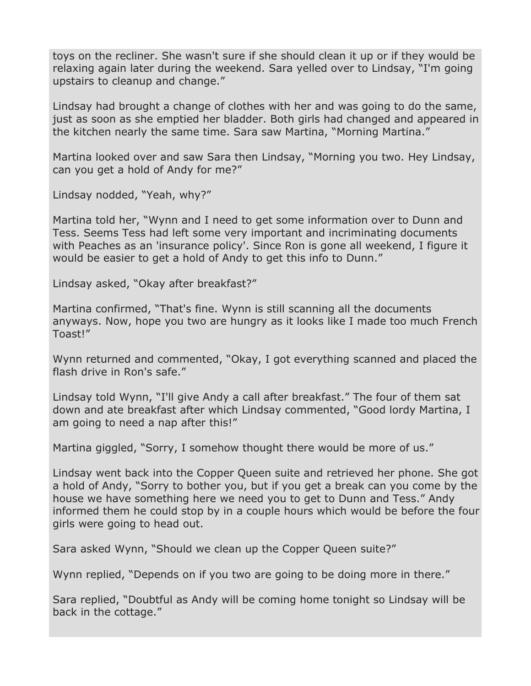toys on the recliner. She wasn't sure if she should clean it up or if they would be relaxing again later during the weekend. Sara yelled over to Lindsay, "I'm going upstairs to cleanup and change."

Lindsay had brought a change of clothes with her and was going to do the same, just as soon as she emptied her bladder. Both girls had changed and appeared in the kitchen nearly the same time. Sara saw Martina, "Morning Martina."

Martina looked over and saw Sara then Lindsay, "Morning you two. Hey Lindsay, can you get a hold of Andy for me?"

Lindsay nodded, "Yeah, why?"

Martina told her, "Wynn and I need to get some information over to Dunn and Tess. Seems Tess had left some very important and incriminating documents with Peaches as an 'insurance policy'. Since Ron is gone all weekend, I figure it would be easier to get a hold of Andy to get this info to Dunn."

Lindsay asked, "Okay after breakfast?"

Martina confirmed, "That's fine. Wynn is still scanning all the documents anyways. Now, hope you two are hungry as it looks like I made too much French Toast!"

Wynn returned and commented, "Okay, I got everything scanned and placed the flash drive in Ron's safe."

Lindsay told Wynn, "I'll give Andy a call after breakfast." The four of them sat down and ate breakfast after which Lindsay commented, "Good lordy Martina, I am going to need a nap after this!"

Martina giggled, "Sorry, I somehow thought there would be more of us."

Lindsay went back into the Copper Queen suite and retrieved her phone. She got a hold of Andy, "Sorry to bother you, but if you get a break can you come by the house we have something here we need you to get to Dunn and Tess." Andy informed them he could stop by in a couple hours which would be before the four girls were going to head out.

Sara asked Wynn, "Should we clean up the Copper Queen suite?"

Wynn replied, "Depends on if you two are going to be doing more in there."

Sara replied, "Doubtful as Andy will be coming home tonight so Lindsay will be back in the cottage."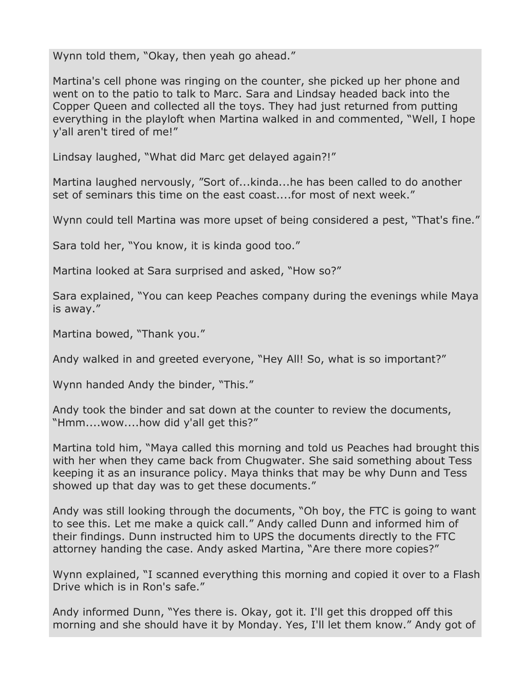Wynn told them, "Okay, then yeah go ahead."

Martina's cell phone was ringing on the counter, she picked up her phone and went on to the patio to talk to Marc. Sara and Lindsay headed back into the Copper Queen and collected all the toys. They had just returned from putting everything in the playloft when Martina walked in and commented, "Well, I hope y'all aren't tired of me!"

Lindsay laughed, "What did Marc get delayed again?!"

Martina laughed nervously, "Sort of...kinda...he has been called to do another set of seminars this time on the east coast....for most of next week."

Wynn could tell Martina was more upset of being considered a pest, "That's fine."

Sara told her, "You know, it is kinda good too."

Martina looked at Sara surprised and asked, "How so?"

Sara explained, "You can keep Peaches company during the evenings while Maya is away."

Martina bowed, "Thank you."

Andy walked in and greeted everyone, "Hey All! So, what is so important?"

Wynn handed Andy the binder, "This."

Andy took the binder and sat down at the counter to review the documents, "Hmm....wow....how did y'all get this?"

Martina told him, "Maya called this morning and told us Peaches had brought this with her when they came back from Chugwater. She said something about Tess keeping it as an insurance policy. Maya thinks that may be why Dunn and Tess showed up that day was to get these documents."

Andy was still looking through the documents, "Oh boy, the FTC is going to want to see this. Let me make a quick call." Andy called Dunn and informed him of their findings. Dunn instructed him to UPS the documents directly to the FTC attorney handing the case. Andy asked Martina, "Are there more copies?"

Wynn explained, "I scanned everything this morning and copied it over to a Flash Drive which is in Ron's safe."

Andy informed Dunn, "Yes there is. Okay, got it. I'll get this dropped off this morning and she should have it by Monday. Yes, I'll let them know." Andy got of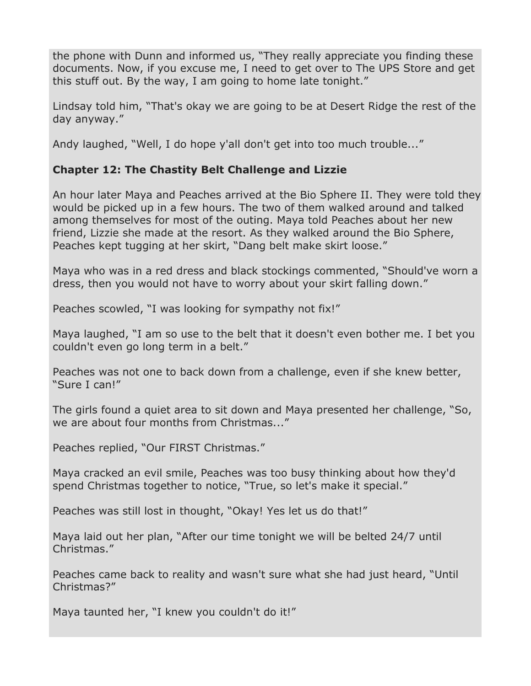the phone with Dunn and informed us, "They really appreciate you finding these documents. Now, if you excuse me, I need to get over to The UPS Store and get this stuff out. By the way, I am going to home late tonight."

Lindsay told him, "That's okay we are going to be at Desert Ridge the rest of the day anyway."

Andy laughed, "Well, I do hope y'all don't get into too much trouble..."

# **Chapter 12: The Chastity Belt Challenge and Lizzie**

An hour later Maya and Peaches arrived at the Bio Sphere II. They were told they would be picked up in a few hours. The two of them walked around and talked among themselves for most of the outing. Maya told Peaches about her new friend, Lizzie she made at the resort. As they walked around the Bio Sphere, Peaches kept tugging at her skirt, "Dang belt make skirt loose."

Maya who was in a red dress and black stockings commented, "Should've worn a dress, then you would not have to worry about your skirt falling down."

Peaches scowled, "I was looking for sympathy not fix!"

Maya laughed, "I am so use to the belt that it doesn't even bother me. I bet you couldn't even go long term in a belt."

Peaches was not one to back down from a challenge, even if she knew better, "Sure I can!"

The girls found a quiet area to sit down and Maya presented her challenge, "So, we are about four months from Christmas..."

Peaches replied, "Our FIRST Christmas."

Maya cracked an evil smile, Peaches was too busy thinking about how they'd spend Christmas together to notice, "True, so let's make it special."

Peaches was still lost in thought, "Okay! Yes let us do that!"

Maya laid out her plan, "After our time tonight we will be belted 24/7 until Christmas."

Peaches came back to reality and wasn't sure what she had just heard, "Until Christmas?"

Maya taunted her, "I knew you couldn't do it!"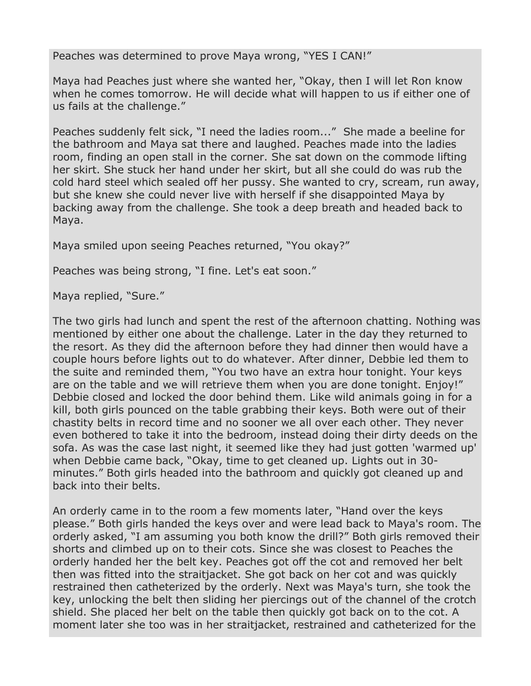Peaches was determined to prove Maya wrong, "YES I CAN!"

Maya had Peaches just where she wanted her, "Okay, then I will let Ron know when he comes tomorrow. He will decide what will happen to us if either one of us fails at the challenge."

Peaches suddenly felt sick, "I need the ladies room..." She made a beeline for the bathroom and Maya sat there and laughed. Peaches made into the ladies room, finding an open stall in the corner. She sat down on the commode lifting her skirt. She stuck her hand under her skirt, but all she could do was rub the cold hard steel which sealed off her pussy. She wanted to cry, scream, run away, but she knew she could never live with herself if she disappointed Maya by backing away from the challenge. She took a deep breath and headed back to Maya.

Maya smiled upon seeing Peaches returned, "You okay?"

Peaches was being strong, "I fine. Let's eat soon."

Maya replied, "Sure."

The two girls had lunch and spent the rest of the afternoon chatting. Nothing was mentioned by either one about the challenge. Later in the day they returned to the resort. As they did the afternoon before they had dinner then would have a couple hours before lights out to do whatever. After dinner, Debbie led them to the suite and reminded them, "You two have an extra hour tonight. Your keys are on the table and we will retrieve them when you are done tonight. Enjoy!" Debbie closed and locked the door behind them. Like wild animals going in for a kill, both girls pounced on the table grabbing their keys. Both were out of their chastity belts in record time and no sooner we all over each other. They never even bothered to take it into the bedroom, instead doing their dirty deeds on the sofa. As was the case last night, it seemed like they had just gotten 'warmed up' when Debbie came back, "Okay, time to get cleaned up. Lights out in 30 minutes." Both girls headed into the bathroom and quickly got cleaned up and back into their belts.

An orderly came in to the room a few moments later, "Hand over the keys please." Both girls handed the keys over and were lead back to Maya's room. The orderly asked, "I am assuming you both know the drill?" Both girls removed their shorts and climbed up on to their cots. Since she was closest to Peaches the orderly handed her the belt key. Peaches got off the cot and removed her belt then was fitted into the straitjacket. She got back on her cot and was quickly restrained then catheterized by the orderly. Next was Maya's turn, she took the key, unlocking the belt then sliding her piercings out of the channel of the crotch shield. She placed her belt on the table then quickly got back on to the cot. A moment later she too was in her straitjacket, restrained and catheterized for the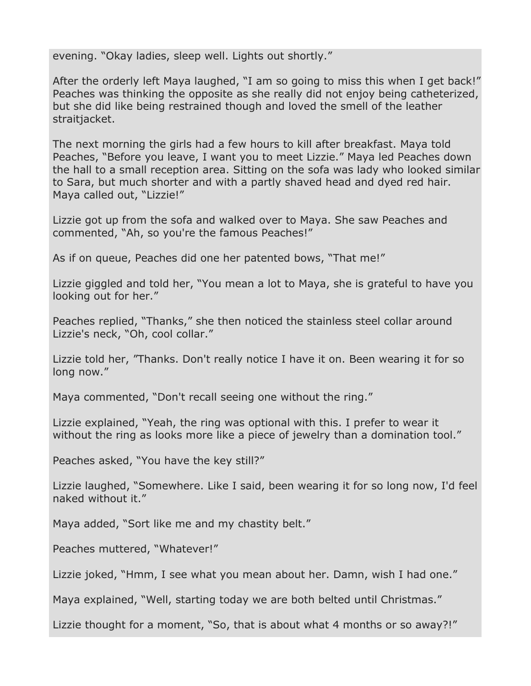evening. "Okay ladies, sleep well. Lights out shortly."

After the orderly left Maya laughed, "I am so going to miss this when I get back!" Peaches was thinking the opposite as she really did not enjoy being catheterized, but she did like being restrained though and loved the smell of the leather straitjacket.

The next morning the girls had a few hours to kill after breakfast. Maya told Peaches, "Before you leave, I want you to meet Lizzie." Maya led Peaches down the hall to a small reception area. Sitting on the sofa was lady who looked similar to Sara, but much shorter and with a partly shaved head and dyed red hair. Maya called out, "Lizzie!"

Lizzie got up from the sofa and walked over to Maya. She saw Peaches and commented, "Ah, so you're the famous Peaches!"

As if on queue, Peaches did one her patented bows, "That me!"

Lizzie giggled and told her, "You mean a lot to Maya, she is grateful to have you looking out for her."

Peaches replied, "Thanks," she then noticed the stainless steel collar around Lizzie's neck, "Oh, cool collar."

Lizzie told her, "Thanks. Don't really notice I have it on. Been wearing it for so long now."

Maya commented, "Don't recall seeing one without the ring."

Lizzie explained, "Yeah, the ring was optional with this. I prefer to wear it without the ring as looks more like a piece of jewelry than a domination tool."

Peaches asked, "You have the key still?"

Lizzie laughed, "Somewhere. Like I said, been wearing it for so long now, I'd feel naked without it."

Maya added, "Sort like me and my chastity belt."

Peaches muttered, "Whatever!"

Lizzie joked, "Hmm, I see what you mean about her. Damn, wish I had one."

Maya explained, "Well, starting today we are both belted until Christmas."

Lizzie thought for a moment, "So, that is about what 4 months or so away?!"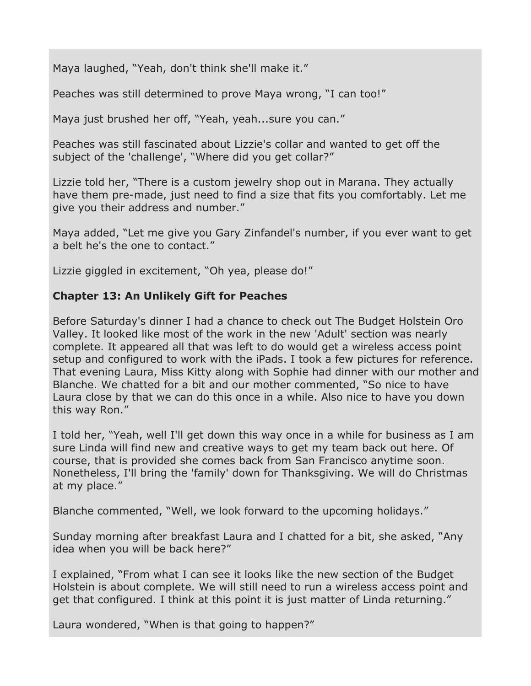Maya laughed, "Yeah, don't think she'll make it."

Peaches was still determined to prove Maya wrong, "I can too!"

Maya just brushed her off, "Yeah, yeah...sure you can."

Peaches was still fascinated about Lizzie's collar and wanted to get off the subject of the 'challenge', "Where did you get collar?"

Lizzie told her, "There is a custom jewelry shop out in Marana. They actually have them pre-made, just need to find a size that fits you comfortably. Let me give you their address and number."

Maya added, "Let me give you Gary Zinfandel's number, if you ever want to get a belt he's the one to contact."

Lizzie giggled in excitement, "Oh yea, please do!"

# **Chapter 13: An Unlikely Gift for Peaches**

Before Saturday's dinner I had a chance to check out The Budget Holstein Oro Valley. It looked like most of the work in the new 'Adult' section was nearly complete. It appeared all that was left to do would get a wireless access point setup and configured to work with the iPads. I took a few pictures for reference. That evening Laura, Miss Kitty along with Sophie had dinner with our mother and Blanche. We chatted for a bit and our mother commented, "So nice to have Laura close by that we can do this once in a while. Also nice to have you down this way Ron."

I told her, "Yeah, well I'll get down this way once in a while for business as I am sure Linda will find new and creative ways to get my team back out here. Of course, that is provided she comes back from San Francisco anytime soon. Nonetheless, I'll bring the 'family' down for Thanksgiving. We will do Christmas at my place."

Blanche commented, "Well, we look forward to the upcoming holidays."

Sunday morning after breakfast Laura and I chatted for a bit, she asked, "Any idea when you will be back here?"

I explained, "From what I can see it looks like the new section of the Budget Holstein is about complete. We will still need to run a wireless access point and get that configured. I think at this point it is just matter of Linda returning."

Laura wondered, "When is that going to happen?"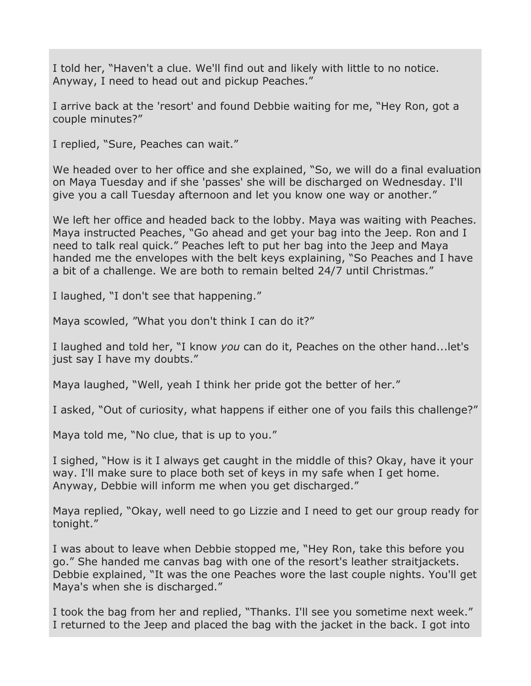I told her, "Haven't a clue. We'll find out and likely with little to no notice. Anyway, I need to head out and pickup Peaches."

I arrive back at the 'resort' and found Debbie waiting for me, "Hey Ron, got a couple minutes?"

I replied, "Sure, Peaches can wait."

We headed over to her office and she explained, "So, we will do a final evaluation on Maya Tuesday and if she 'passes' she will be discharged on Wednesday. I'll give you a call Tuesday afternoon and let you know one way or another."

We left her office and headed back to the lobby. Maya was waiting with Peaches. Maya instructed Peaches, "Go ahead and get your bag into the Jeep. Ron and I need to talk real quick." Peaches left to put her bag into the Jeep and Maya handed me the envelopes with the belt keys explaining, "So Peaches and I have a bit of a challenge. We are both to remain belted 24/7 until Christmas."

I laughed, "I don't see that happening."

Maya scowled, "What you don't think I can do it?"

I laughed and told her, "I know *you* can do it, Peaches on the other hand...let's just say I have my doubts."

Maya laughed, "Well, yeah I think her pride got the better of her."

I asked, "Out of curiosity, what happens if either one of you fails this challenge?"

Maya told me, "No clue, that is up to you."

I sighed, "How is it I always get caught in the middle of this? Okay, have it your way. I'll make sure to place both set of keys in my safe when I get home. Anyway, Debbie will inform me when you get discharged."

Maya replied, "Okay, well need to go Lizzie and I need to get our group ready for tonight."

I was about to leave when Debbie stopped me, "Hey Ron, take this before you go." She handed me canvas bag with one of the resort's leather straitjackets. Debbie explained, "It was the one Peaches wore the last couple nights. You'll get Maya's when she is discharged."

I took the bag from her and replied, "Thanks. I'll see you sometime next week." I returned to the Jeep and placed the bag with the jacket in the back. I got into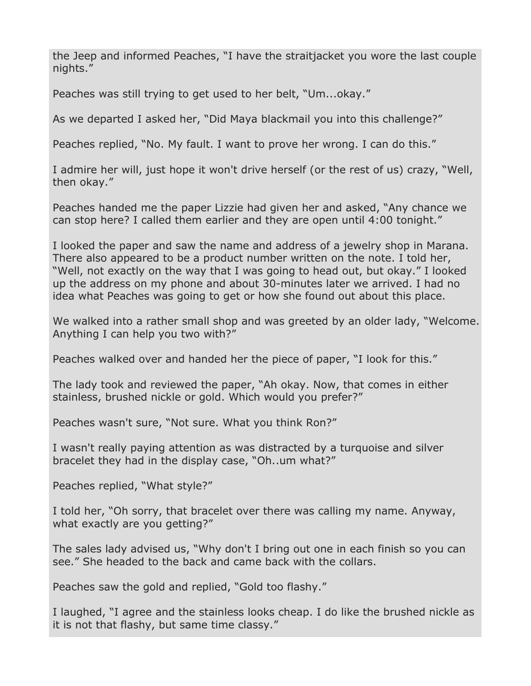the Jeep and informed Peaches, "I have the straitjacket you wore the last couple nights."

Peaches was still trying to get used to her belt, "Um...okay."

As we departed I asked her, "Did Maya blackmail you into this challenge?"

Peaches replied, "No. My fault. I want to prove her wrong. I can do this."

I admire her will, just hope it won't drive herself (or the rest of us) crazy, "Well, then okay."

Peaches handed me the paper Lizzie had given her and asked, "Any chance we can stop here? I called them earlier and they are open until 4:00 tonight."

I looked the paper and saw the name and address of a jewelry shop in Marana. There also appeared to be a product number written on the note. I told her, "Well, not exactly on the way that I was going to head out, but okay." I looked up the address on my phone and about 30-minutes later we arrived. I had no idea what Peaches was going to get or how she found out about this place.

We walked into a rather small shop and was greeted by an older lady, "Welcome. Anything I can help you two with?"

Peaches walked over and handed her the piece of paper, "I look for this."

The lady took and reviewed the paper, "Ah okay. Now, that comes in either stainless, brushed nickle or gold. Which would you prefer?"

Peaches wasn't sure, "Not sure. What you think Ron?"

I wasn't really paying attention as was distracted by a turquoise and silver bracelet they had in the display case, "Oh..um what?"

Peaches replied, "What style?"

I told her, "Oh sorry, that bracelet over there was calling my name. Anyway, what exactly are you getting?"

The sales lady advised us, "Why don't I bring out one in each finish so you can see." She headed to the back and came back with the collars.

Peaches saw the gold and replied, "Gold too flashy."

I laughed, "I agree and the stainless looks cheap. I do like the brushed nickle as it is not that flashy, but same time classy."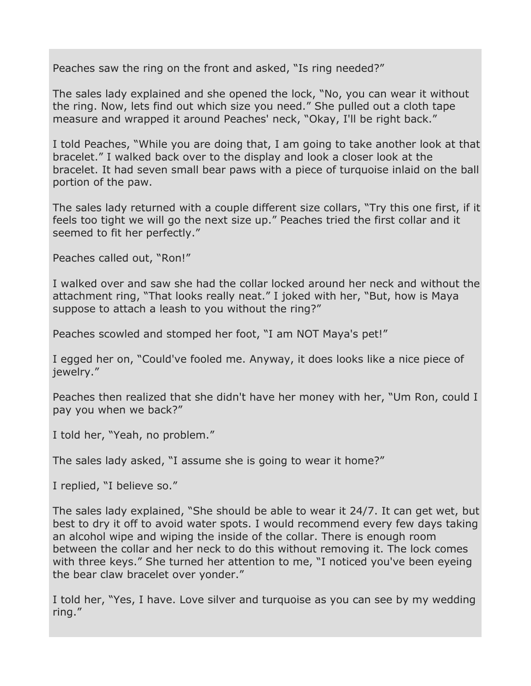Peaches saw the ring on the front and asked, "Is ring needed?"

The sales lady explained and she opened the lock, "No, you can wear it without the ring. Now, lets find out which size you need." She pulled out a cloth tape measure and wrapped it around Peaches' neck, "Okay, I'll be right back."

I told Peaches, "While you are doing that, I am going to take another look at that bracelet." I walked back over to the display and look a closer look at the bracelet. It had seven small bear paws with a piece of turquoise inlaid on the ball portion of the paw.

The sales lady returned with a couple different size collars, "Try this one first, if it feels too tight we will go the next size up." Peaches tried the first collar and it seemed to fit her perfectly."

Peaches called out, "Ron!"

I walked over and saw she had the collar locked around her neck and without the attachment ring, "That looks really neat." I joked with her, "But, how is Maya suppose to attach a leash to you without the ring?"

Peaches scowled and stomped her foot, "I am NOT Maya's pet!"

I egged her on, "Could've fooled me. Anyway, it does looks like a nice piece of iewelry."

Peaches then realized that she didn't have her money with her, "Um Ron, could I pay you when we back?"

I told her, "Yeah, no problem."

The sales lady asked, "I assume she is going to wear it home?"

I replied, "I believe so."

The sales lady explained, "She should be able to wear it 24/7. It can get wet, but best to dry it off to avoid water spots. I would recommend every few days taking an alcohol wipe and wiping the inside of the collar. There is enough room between the collar and her neck to do this without removing it. The lock comes with three keys." She turned her attention to me, "I noticed you've been eyeing the bear claw bracelet over yonder."

I told her, "Yes, I have. Love silver and turquoise as you can see by my wedding ring."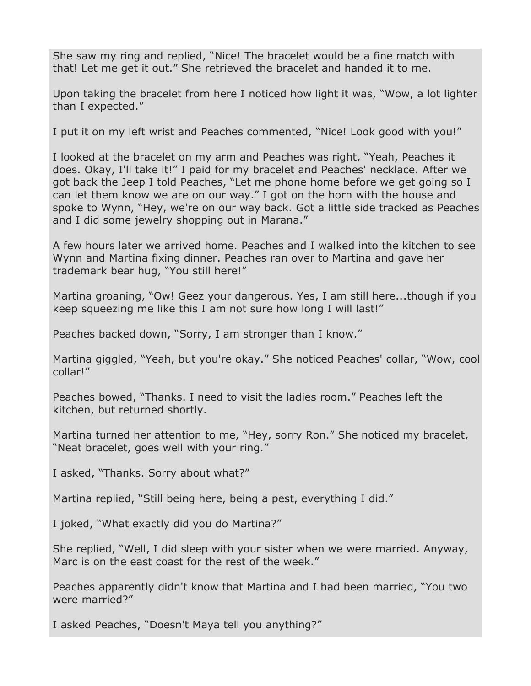She saw my ring and replied, "Nice! The bracelet would be a fine match with that! Let me get it out." She retrieved the bracelet and handed it to me.

Upon taking the bracelet from here I noticed how light it was, "Wow, a lot lighter than I expected."

I put it on my left wrist and Peaches commented, "Nice! Look good with you!"

I looked at the bracelet on my arm and Peaches was right, "Yeah, Peaches it does. Okay, I'll take it!" I paid for my bracelet and Peaches' necklace. After we got back the Jeep I told Peaches, "Let me phone home before we get going so I can let them know we are on our way." I got on the horn with the house and spoke to Wynn, "Hey, we're on our way back. Got a little side tracked as Peaches and I did some jewelry shopping out in Marana."

A few hours later we arrived home. Peaches and I walked into the kitchen to see Wynn and Martina fixing dinner. Peaches ran over to Martina and gave her trademark bear hug, "You still here!"

Martina groaning, "Ow! Geez your dangerous. Yes, I am still here...though if you keep squeezing me like this I am not sure how long I will last!"

Peaches backed down, "Sorry, I am stronger than I know."

Martina giggled, "Yeah, but you're okay." She noticed Peaches' collar, "Wow, cool collar!"

Peaches bowed, "Thanks. I need to visit the ladies room." Peaches left the kitchen, but returned shortly.

Martina turned her attention to me, "Hey, sorry Ron." She noticed my bracelet, "Neat bracelet, goes well with your ring."

I asked, "Thanks. Sorry about what?"

Martina replied, "Still being here, being a pest, everything I did."

I joked, "What exactly did you do Martina?"

She replied, "Well, I did sleep with your sister when we were married. Anyway, Marc is on the east coast for the rest of the week."

Peaches apparently didn't know that Martina and I had been married, "You two were married?"

I asked Peaches, "Doesn't Maya tell you anything?"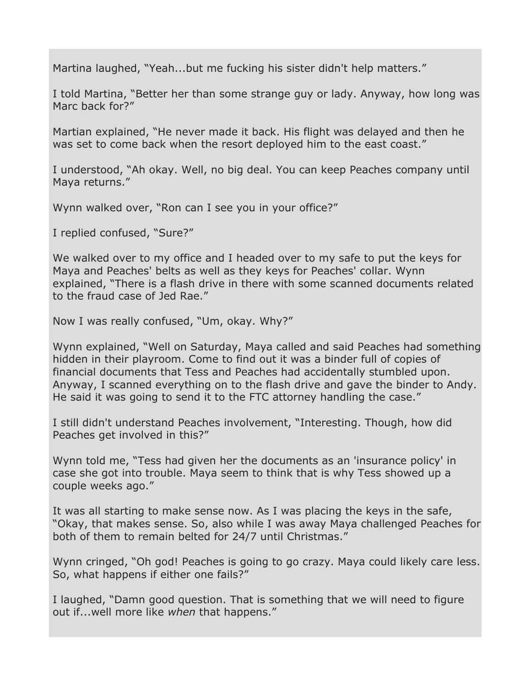Martina laughed, "Yeah...but me fucking his sister didn't help matters."

I told Martina, "Better her than some strange guy or lady. Anyway, how long was Marc back for?"

Martian explained, "He never made it back. His flight was delayed and then he was set to come back when the resort deployed him to the east coast."

I understood, "Ah okay. Well, no big deal. You can keep Peaches company until Maya returns."

Wynn walked over, "Ron can I see you in your office?"

I replied confused, "Sure?"

We walked over to my office and I headed over to my safe to put the keys for Maya and Peaches' belts as well as they keys for Peaches' collar. Wynn explained, "There is a flash drive in there with some scanned documents related to the fraud case of Jed Rae."

Now I was really confused, "Um, okay. Why?"

Wynn explained, "Well on Saturday, Maya called and said Peaches had something hidden in their playroom. Come to find out it was a binder full of copies of financial documents that Tess and Peaches had accidentally stumbled upon. Anyway, I scanned everything on to the flash drive and gave the binder to Andy. He said it was going to send it to the FTC attorney handling the case."

I still didn't understand Peaches involvement, "Interesting. Though, how did Peaches get involved in this?"

Wynn told me, "Tess had given her the documents as an 'insurance policy' in case she got into trouble. Maya seem to think that is why Tess showed up a couple weeks ago."

It was all starting to make sense now. As I was placing the keys in the safe, "Okay, that makes sense. So, also while I was away Maya challenged Peaches for both of them to remain belted for 24/7 until Christmas."

Wynn cringed, "Oh god! Peaches is going to go crazy. Maya could likely care less. So, what happens if either one fails?"

I laughed, "Damn good question. That is something that we will need to figure out if...well more like *when* that happens."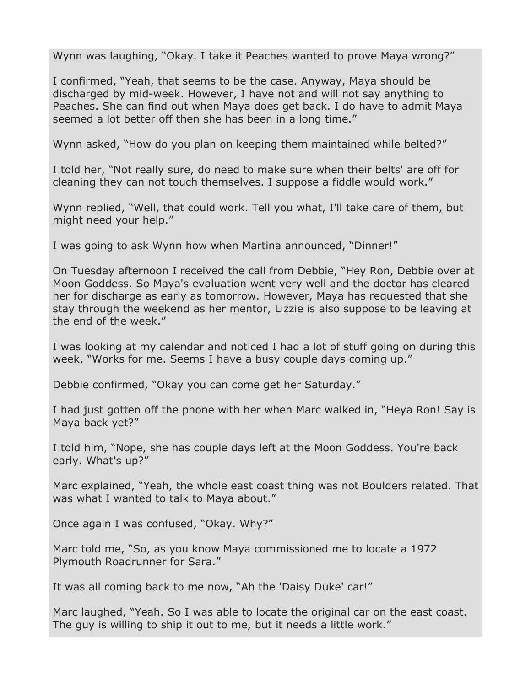Wynn was laughing, "Okay. I take it Peaches wanted to prove Maya wrong?"

I confirmed, "Yeah, that seems to be the case. Anyway, Maya should be discharged by mid-week. However, I have not and will not say anything to Peaches. She can find out when Maya does get back. I do have to admit Maya seemed a lot better off then she has been in a long time."

Wynn asked, "How do you plan on keeping them maintained while belted?"

I told her, "Not really sure, do need to make sure when their belts' are off for cleaning they can not touch themselves. I suppose a fiddle would work."

Wynn replied, "Well, that could work. Tell you what, I'll take care of them, but might need your help."

I was going to ask Wynn how when Martina announced, "Dinner!"

On Tuesday afternoon I received the call from Debbie, "Hey Ron, Debbie over at Moon Goddess. So Maya's evaluation went very well and the doctor has cleared her for discharge as early as tomorrow. However, Maya has requested that she stay through the weekend as her mentor, Lizzie is also suppose to be leaving at the end of the week."

I was looking at my calendar and noticed I had a lot of stuff going on during this week, "Works for me. Seems I have a busy couple days coming up."

Debbie confirmed, "Okay you can come get her Saturday."

I had just gotten off the phone with her when Marc walked in, "Heya Ron! Say is Maya back yet?"

I told him, "Nope, she has couple days left at the Moon Goddess. You're back early. What's up?"

Marc explained, "Yeah, the whole east coast thing was not Boulders related. That was what I wanted to talk to Maya about."

Once again I was confused, "Okay. Why?"

Marc told me, "So, as you know Maya commissioned me to locate a 1972 Plymouth Roadrunner for Sara."

It was all coming back to me now, "Ah the 'Daisy Duke' car!"

Marc laughed, "Yeah. So I was able to locate the original car on the east coast. The guy is willing to ship it out to me, but it needs a little work."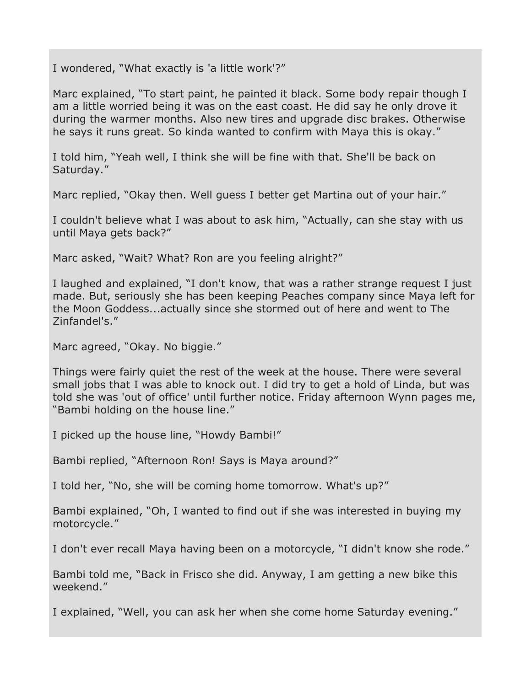I wondered, "What exactly is 'a little work'?"

Marc explained, "To start paint, he painted it black. Some body repair though I am a little worried being it was on the east coast. He did say he only drove it during the warmer months. Also new tires and upgrade disc brakes. Otherwise he says it runs great. So kinda wanted to confirm with Maya this is okay."

I told him, "Yeah well, I think she will be fine with that. She'll be back on Saturday."

Marc replied, "Okay then. Well guess I better get Martina out of your hair."

I couldn't believe what I was about to ask him, "Actually, can she stay with us until Maya gets back?"

Marc asked, "Wait? What? Ron are you feeling alright?"

I laughed and explained, "I don't know, that was a rather strange request I just made. But, seriously she has been keeping Peaches company since Maya left for the Moon Goddess...actually since she stormed out of here and went to The Zinfandel's."

Marc agreed, "Okay. No biggie."

Things were fairly quiet the rest of the week at the house. There were several small jobs that I was able to knock out. I did try to get a hold of Linda, but was told she was 'out of office' until further notice. Friday afternoon Wynn pages me, "Bambi holding on the house line."

I picked up the house line, "Howdy Bambi!"

Bambi replied, "Afternoon Ron! Says is Maya around?"

I told her, "No, she will be coming home tomorrow. What's up?"

Bambi explained, "Oh, I wanted to find out if she was interested in buying my motorcycle."

I don't ever recall Maya having been on a motorcycle, "I didn't know she rode."

Bambi told me, "Back in Frisco she did. Anyway, I am getting a new bike this weekend."

I explained, "Well, you can ask her when she come home Saturday evening."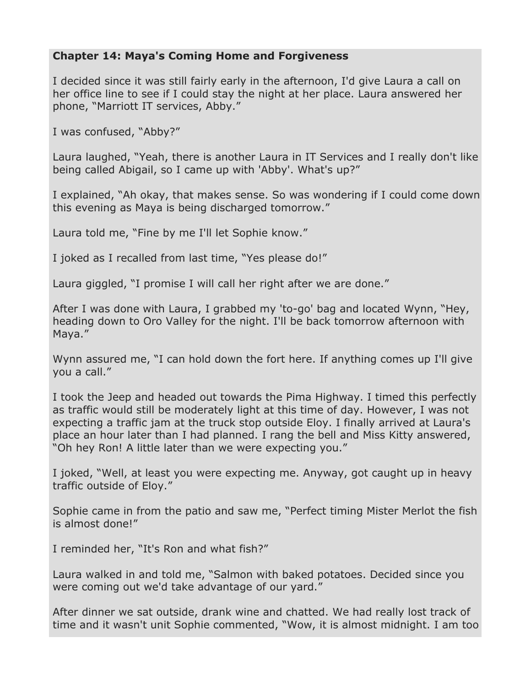#### **Chapter 14: Maya's Coming Home and Forgiveness**

I decided since it was still fairly early in the afternoon, I'd give Laura a call on her office line to see if I could stay the night at her place. Laura answered her phone, "Marriott IT services, Abby."

I was confused, "Abby?"

Laura laughed, "Yeah, there is another Laura in IT Services and I really don't like being called Abigail, so I came up with 'Abby'. What's up?"

I explained, "Ah okay, that makes sense. So was wondering if I could come down this evening as Maya is being discharged tomorrow."

Laura told me, "Fine by me I'll let Sophie know."

I joked as I recalled from last time, "Yes please do!"

Laura giggled, "I promise I will call her right after we are done."

After I was done with Laura, I grabbed my 'to-go' bag and located Wynn, "Hey, heading down to Oro Valley for the night. I'll be back tomorrow afternoon with Maya."

Wynn assured me, "I can hold down the fort here. If anything comes up I'll give you a call."

I took the Jeep and headed out towards the Pima Highway. I timed this perfectly as traffic would still be moderately light at this time of day. However, I was not expecting a traffic jam at the truck stop outside Eloy. I finally arrived at Laura's place an hour later than I had planned. I rang the bell and Miss Kitty answered, "Oh hey Ron! A little later than we were expecting you."

I joked, "Well, at least you were expecting me. Anyway, got caught up in heavy traffic outside of Eloy."

Sophie came in from the patio and saw me, "Perfect timing Mister Merlot the fish is almost done!"

I reminded her, "It's Ron and what fish?"

Laura walked in and told me, "Salmon with baked potatoes. Decided since you were coming out we'd take advantage of our yard."

After dinner we sat outside, drank wine and chatted. We had really lost track of time and it wasn't unit Sophie commented, "Wow, it is almost midnight. I am too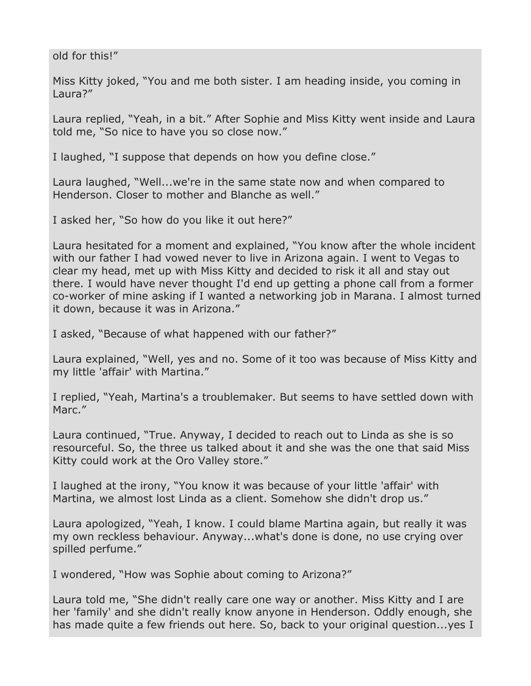old for this!"

Miss Kitty joked, "You and me both sister. I am heading inside, you coming in Laura?"

Laura replied, "Yeah, in a bit." After Sophie and Miss Kitty went inside and Laura told me, "So nice to have you so close now."

I laughed, "I suppose that depends on how you define close."

Laura laughed, "Well...we're in the same state now and when compared to Henderson. Closer to mother and Blanche as well."

I asked her, "So how do you like it out here?"

Laura hesitated for a moment and explained, "You know after the whole incident with our father I had vowed never to live in Arizona again. I went to Vegas to clear my head, met up with Miss Kitty and decided to risk it all and stay out there. I would have never thought I'd end up getting a phone call from a former co-worker of mine asking if I wanted a networking job in Marana. I almost turned it down, because it was in Arizona."

I asked, "Because of what happened with our father?"

Laura explained, "Well, yes and no. Some of it too was because of Miss Kitty and my little 'affair' with Martina."

I replied, "Yeah, Martina's a troublemaker. But seems to have settled down with Marc."

Laura continued, "True. Anyway, I decided to reach out to Linda as she is so resourceful. So, the three us talked about it and she was the one that said Miss Kitty could work at the Oro Valley store."

I laughed at the irony, "You know it was because of your little 'affair' with Martina, we almost lost Linda as a client. Somehow she didn't drop us."

Laura apologized, "Yeah, I know. I could blame Martina again, but really it was my own reckless behaviour. Anyway...what's done is done, no use crying over spilled perfume."

I wondered, "How was Sophie about coming to Arizona?"

Laura told me, "She didn't really care one way or another. Miss Kitty and I are her 'family' and she didn't really know anyone in Henderson. Oddly enough, she has made quite a few friends out here. So, back to your original question...yes I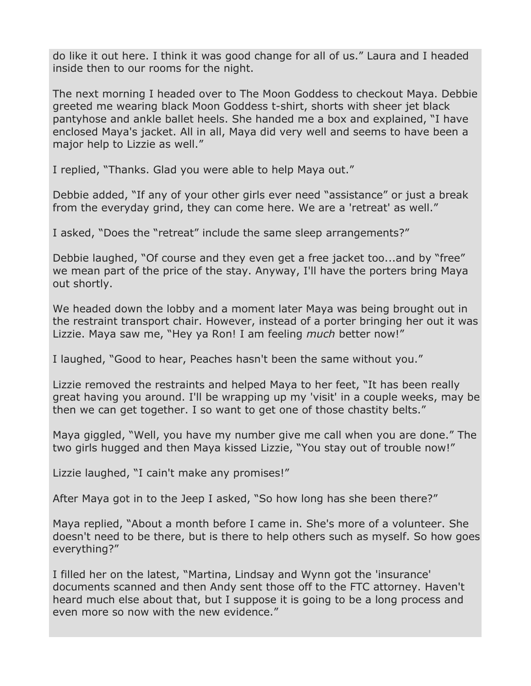do like it out here. I think it was good change for all of us." Laura and I headed inside then to our rooms for the night.

The next morning I headed over to The Moon Goddess to checkout Maya. Debbie greeted me wearing black Moon Goddess t-shirt, shorts with sheer jet black pantyhose and ankle ballet heels. She handed me a box and explained, "I have enclosed Maya's jacket. All in all, Maya did very well and seems to have been a major help to Lizzie as well."

I replied, "Thanks. Glad you were able to help Maya out."

Debbie added, "If any of your other girls ever need "assistance" or just a break from the everyday grind, they can come here. We are a 'retreat' as well."

I asked, "Does the "retreat" include the same sleep arrangements?"

Debbie laughed, "Of course and they even get a free jacket too...and by "free" we mean part of the price of the stay. Anyway, I'll have the porters bring Maya out shortly.

We headed down the lobby and a moment later Maya was being brought out in the restraint transport chair. However, instead of a porter bringing her out it was Lizzie. Maya saw me, "Hey ya Ron! I am feeling *much* better now!"

I laughed, "Good to hear, Peaches hasn't been the same without you."

Lizzie removed the restraints and helped Maya to her feet, "It has been really great having you around. I'll be wrapping up my 'visit' in a couple weeks, may be then we can get together. I so want to get one of those chastity belts."

Maya giggled, "Well, you have my number give me call when you are done." The two girls hugged and then Maya kissed Lizzie, "You stay out of trouble now!"

Lizzie laughed, "I cain't make any promises!"

After Maya got in to the Jeep I asked, "So how long has she been there?"

Maya replied, "About a month before I came in. She's more of a volunteer. She doesn't need to be there, but is there to help others such as myself. So how goes everything?"

I filled her on the latest, "Martina, Lindsay and Wynn got the 'insurance' documents scanned and then Andy sent those off to the FTC attorney. Haven't heard much else about that, but I suppose it is going to be a long process and even more so now with the new evidence."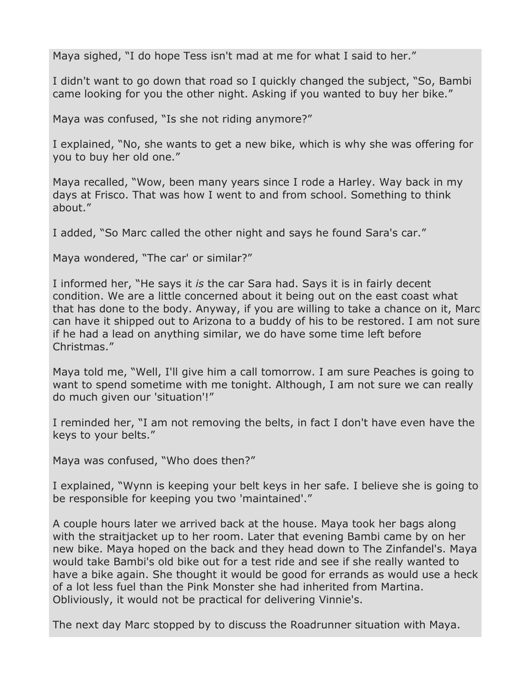Maya sighed, "I do hope Tess isn't mad at me for what I said to her."

I didn't want to go down that road so I quickly changed the subject, "So, Bambi came looking for you the other night. Asking if you wanted to buy her bike."

Maya was confused, "Is she not riding anymore?"

I explained, "No, she wants to get a new bike, which is why she was offering for you to buy her old one."

Maya recalled, "Wow, been many years since I rode a Harley. Way back in my days at Frisco. That was how I went to and from school. Something to think about."

I added, "So Marc called the other night and says he found Sara's car."

Maya wondered, "The car' or similar?"

I informed her, "He says it *is* the car Sara had. Says it is in fairly decent condition. We are a little concerned about it being out on the east coast what that has done to the body. Anyway, if you are willing to take a chance on it, Marc can have it shipped out to Arizona to a buddy of his to be restored. I am not sure if he had a lead on anything similar, we do have some time left before Christmas."

Maya told me, "Well, I'll give him a call tomorrow. I am sure Peaches is going to want to spend sometime with me tonight. Although, I am not sure we can really do much given our 'situation'!"

I reminded her, "I am not removing the belts, in fact I don't have even have the keys to your belts."

Maya was confused, "Who does then?"

I explained, "Wynn is keeping your belt keys in her safe. I believe she is going to be responsible for keeping you two 'maintained'."

A couple hours later we arrived back at the house. Maya took her bags along with the straitjacket up to her room. Later that evening Bambi came by on her new bike. Maya hoped on the back and they head down to The Zinfandel's. Maya would take Bambi's old bike out for a test ride and see if she really wanted to have a bike again. She thought it would be good for errands as would use a heck of a lot less fuel than the Pink Monster she had inherited from Martina. Obliviously, it would not be practical for delivering Vinnie's.

The next day Marc stopped by to discuss the Roadrunner situation with Maya.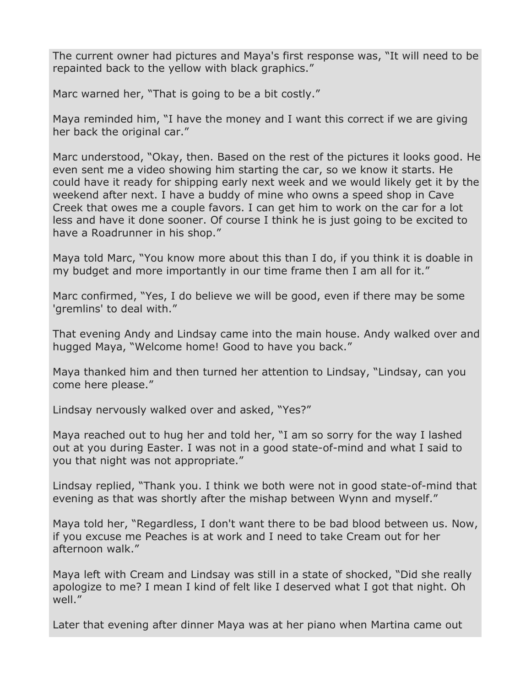The current owner had pictures and Maya's first response was, "It will need to be repainted back to the yellow with black graphics."

Marc warned her, "That is going to be a bit costly."

Maya reminded him, "I have the money and I want this correct if we are giving her back the original car."

Marc understood, "Okay, then. Based on the rest of the pictures it looks good. He even sent me a video showing him starting the car, so we know it starts. He could have it ready for shipping early next week and we would likely get it by the weekend after next. I have a buddy of mine who owns a speed shop in Cave Creek that owes me a couple favors. I can get him to work on the car for a lot less and have it done sooner. Of course I think he is just going to be excited to have a Roadrunner in his shop."

Maya told Marc, "You know more about this than I do, if you think it is doable in my budget and more importantly in our time frame then I am all for it."

Marc confirmed, "Yes, I do believe we will be good, even if there may be some 'gremlins' to deal with."

That evening Andy and Lindsay came into the main house. Andy walked over and hugged Maya, "Welcome home! Good to have you back."

Maya thanked him and then turned her attention to Lindsay, "Lindsay, can you come here please."

Lindsay nervously walked over and asked, "Yes?"

Maya reached out to hug her and told her, "I am so sorry for the way I lashed out at you during Easter. I was not in a good state-of-mind and what I said to you that night was not appropriate."

Lindsay replied, "Thank you. I think we both were not in good state-of-mind that evening as that was shortly after the mishap between Wynn and myself."

Maya told her, "Regardless, I don't want there to be bad blood between us. Now, if you excuse me Peaches is at work and I need to take Cream out for her afternoon walk."

Maya left with Cream and Lindsay was still in a state of shocked, "Did she really apologize to me? I mean I kind of felt like I deserved what I got that night. Oh well."

Later that evening after dinner Maya was at her piano when Martina came out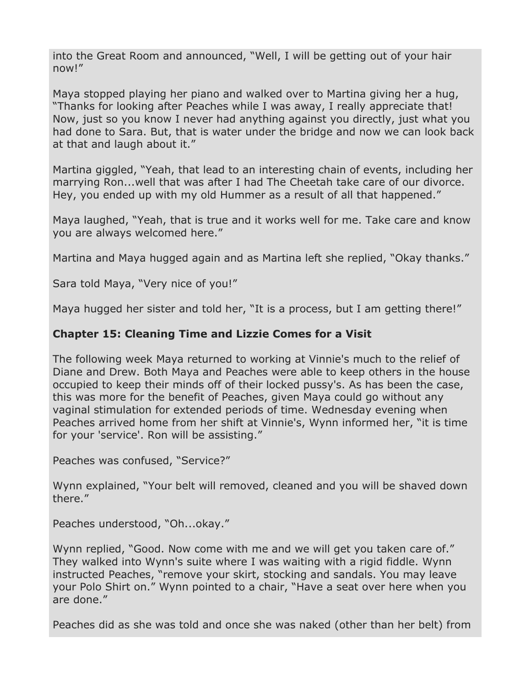into the Great Room and announced, "Well, I will be getting out of your hair now!"

Maya stopped playing her piano and walked over to Martina giving her a hug, "Thanks for looking after Peaches while I was away, I really appreciate that! Now, just so you know I never had anything against you directly, just what you had done to Sara. But, that is water under the bridge and now we can look back at that and laugh about it."

Martina giggled, "Yeah, that lead to an interesting chain of events, including her marrying Ron...well that was after I had The Cheetah take care of our divorce. Hey, you ended up with my old Hummer as a result of all that happened."

Maya laughed, "Yeah, that is true and it works well for me. Take care and know you are always welcomed here."

Martina and Maya hugged again and as Martina left she replied, "Okay thanks."

Sara told Maya, "Very nice of you!"

Maya hugged her sister and told her, "It is a process, but I am getting there!"

### **Chapter 15: Cleaning Time and Lizzie Comes for a Visit**

The following week Maya returned to working at Vinnie's much to the relief of Diane and Drew. Both Maya and Peaches were able to keep others in the house occupied to keep their minds off of their locked pussy's. As has been the case, this was more for the benefit of Peaches, given Maya could go without any vaginal stimulation for extended periods of time. Wednesday evening when Peaches arrived home from her shift at Vinnie's, Wynn informed her, "it is time for your 'service'. Ron will be assisting."

Peaches was confused, "Service?"

Wynn explained, "Your belt will removed, cleaned and you will be shaved down there."

Peaches understood, "Oh...okay."

Wynn replied, "Good. Now come with me and we will get you taken care of." They walked into Wynn's suite where I was waiting with a rigid fiddle. Wynn instructed Peaches, "remove your skirt, stocking and sandals. You may leave your Polo Shirt on." Wynn pointed to a chair, "Have a seat over here when you are done."

Peaches did as she was told and once she was naked (other than her belt) from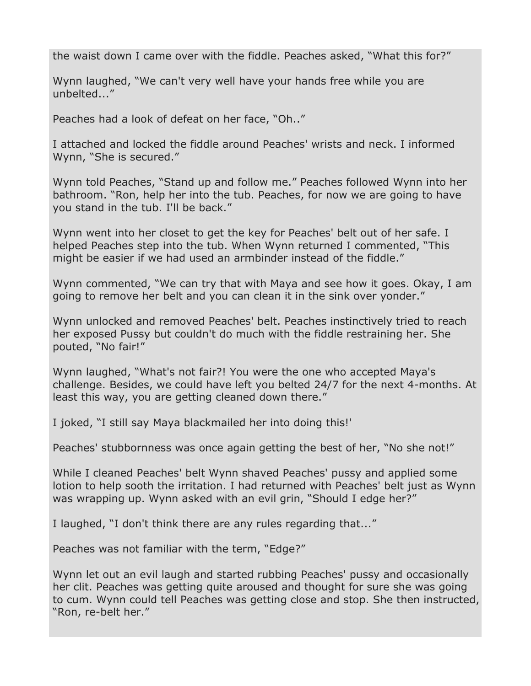the waist down I came over with the fiddle. Peaches asked, "What this for?"

Wynn laughed, "We can't very well have your hands free while you are unbelted..."

Peaches had a look of defeat on her face, "Oh.."

I attached and locked the fiddle around Peaches' wrists and neck. I informed Wynn, "She is secured."

Wynn told Peaches, "Stand up and follow me." Peaches followed Wynn into her bathroom. "Ron, help her into the tub. Peaches, for now we are going to have you stand in the tub. I'll be back."

Wynn went into her closet to get the key for Peaches' belt out of her safe. I helped Peaches step into the tub. When Wynn returned I commented, "This might be easier if we had used an armbinder instead of the fiddle."

Wynn commented, "We can try that with Maya and see how it goes. Okay, I am going to remove her belt and you can clean it in the sink over yonder."

Wynn unlocked and removed Peaches' belt. Peaches instinctively tried to reach her exposed Pussy but couldn't do much with the fiddle restraining her. She pouted, "No fair!"

Wynn laughed, "What's not fair?! You were the one who accepted Maya's challenge. Besides, we could have left you belted 24/7 for the next 4-months. At least this way, you are getting cleaned down there."

I joked, "I still say Maya blackmailed her into doing this!'

Peaches' stubbornness was once again getting the best of her, "No she not!"

While I cleaned Peaches' belt Wynn shaved Peaches' pussy and applied some lotion to help sooth the irritation. I had returned with Peaches' belt just as Wynn was wrapping up. Wynn asked with an evil grin, "Should I edge her?"

I laughed, "I don't think there are any rules regarding that..."

Peaches was not familiar with the term, "Edge?"

Wynn let out an evil laugh and started rubbing Peaches' pussy and occasionally her clit. Peaches was getting quite aroused and thought for sure she was going to cum. Wynn could tell Peaches was getting close and stop. She then instructed, "Ron, re-belt her."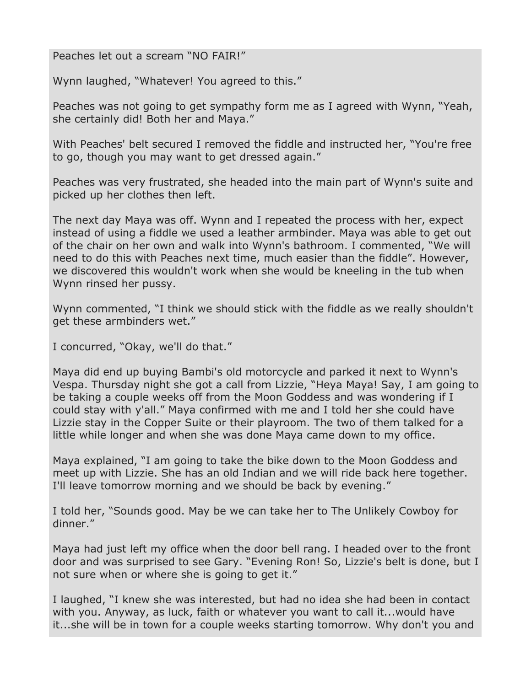Peaches let out a scream "NO FAIR!"

Wynn laughed, "Whatever! You agreed to this."

Peaches was not going to get sympathy form me as I agreed with Wynn, "Yeah, she certainly did! Both her and Maya."

With Peaches' belt secured I removed the fiddle and instructed her, "You're free to go, though you may want to get dressed again."

Peaches was very frustrated, she headed into the main part of Wynn's suite and picked up her clothes then left.

The next day Maya was off. Wynn and I repeated the process with her, expect instead of using a fiddle we used a leather armbinder. Maya was able to get out of the chair on her own and walk into Wynn's bathroom. I commented, "We will need to do this with Peaches next time, much easier than the fiddle". However, we discovered this wouldn't work when she would be kneeling in the tub when Wynn rinsed her pussy.

Wynn commented, "I think we should stick with the fiddle as we really shouldn't get these armbinders wet."

I concurred, "Okay, we'll do that."

Maya did end up buying Bambi's old motorcycle and parked it next to Wynn's Vespa. Thursday night she got a call from Lizzie, "Heya Maya! Say, I am going to be taking a couple weeks off from the Moon Goddess and was wondering if I could stay with y'all." Maya confirmed with me and I told her she could have Lizzie stay in the Copper Suite or their playroom. The two of them talked for a little while longer and when she was done Maya came down to my office.

Maya explained, "I am going to take the bike down to the Moon Goddess and meet up with Lizzie. She has an old Indian and we will ride back here together. I'll leave tomorrow morning and we should be back by evening."

I told her, "Sounds good. May be we can take her to The Unlikely Cowboy for dinner."

Maya had just left my office when the door bell rang. I headed over to the front door and was surprised to see Gary. "Evening Ron! So, Lizzie's belt is done, but I not sure when or where she is going to get it."

I laughed, "I knew she was interested, but had no idea she had been in contact with you. Anyway, as luck, faith or whatever you want to call it...would have it...she will be in town for a couple weeks starting tomorrow. Why don't you and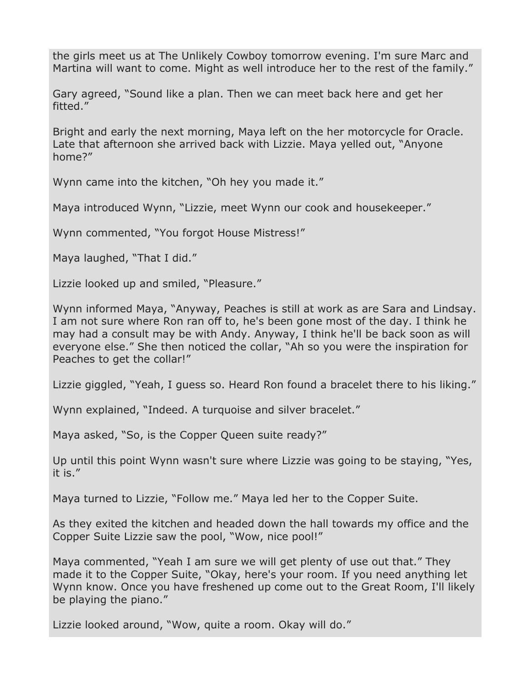the girls meet us at The Unlikely Cowboy tomorrow evening. I'm sure Marc and Martina will want to come. Might as well introduce her to the rest of the family."

Gary agreed, "Sound like a plan. Then we can meet back here and get her fitted."

Bright and early the next morning, Maya left on the her motorcycle for Oracle. Late that afternoon she arrived back with Lizzie. Maya yelled out, "Anyone home?"

Wynn came into the kitchen, "Oh hey you made it."

Maya introduced Wynn, "Lizzie, meet Wynn our cook and housekeeper."

Wynn commented, "You forgot House Mistress!"

Maya laughed, "That I did."

Lizzie looked up and smiled, "Pleasure."

Wynn informed Maya, "Anyway, Peaches is still at work as are Sara and Lindsay. I am not sure where Ron ran off to, he's been gone most of the day. I think he may had a consult may be with Andy. Anyway, I think he'll be back soon as will everyone else." She then noticed the collar, "Ah so you were the inspiration for Peaches to get the collar!"

Lizzie giggled, "Yeah, I guess so. Heard Ron found a bracelet there to his liking."

Wynn explained, "Indeed. A turquoise and silver bracelet."

Maya asked, "So, is the Copper Queen suite ready?"

Up until this point Wynn wasn't sure where Lizzie was going to be staying, "Yes, it is."

Maya turned to Lizzie, "Follow me." Maya led her to the Copper Suite.

As they exited the kitchen and headed down the hall towards my office and the Copper Suite Lizzie saw the pool, "Wow, nice pool!"

Maya commented, "Yeah I am sure we will get plenty of use out that." They made it to the Copper Suite, "Okay, here's your room. If you need anything let Wynn know. Once you have freshened up come out to the Great Room, I'll likely be playing the piano."

Lizzie looked around, "Wow, quite a room. Okay will do."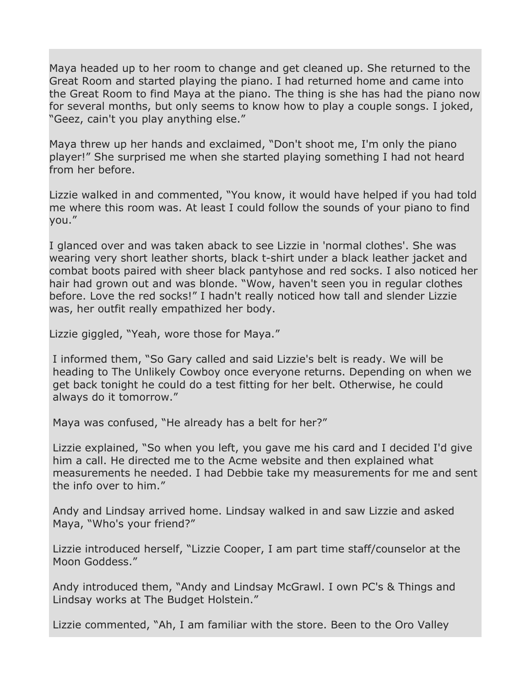Maya headed up to her room to change and get cleaned up. She returned to the Great Room and started playing the piano. I had returned home and came into the Great Room to find Maya at the piano. The thing is she has had the piano now for several months, but only seems to know how to play a couple songs. I joked, "Geez, cain't you play anything else."

Maya threw up her hands and exclaimed, "Don't shoot me, I'm only the piano player!" She surprised me when she started playing something I had not heard from her before.

Lizzie walked in and commented, "You know, it would have helped if you had told me where this room was. At least I could follow the sounds of your piano to find you."

I glanced over and was taken aback to see Lizzie in 'normal clothes'. She was wearing very short leather shorts, black t-shirt under a black leather jacket and combat boots paired with sheer black pantyhose and red socks. I also noticed her hair had grown out and was blonde. "Wow, haven't seen you in regular clothes before. Love the red socks!" I hadn't really noticed how tall and slender Lizzie was, her outfit really empathized her body.

Lizzie giggled, "Yeah, wore those for Maya."

I informed them, "So Gary called and said Lizzie's belt is ready. We will be heading to The Unlikely Cowboy once everyone returns. Depending on when we get back tonight he could do a test fitting for her belt. Otherwise, he could always do it tomorrow."

Maya was confused, "He already has a belt for her?"

Lizzie explained, "So when you left, you gave me his card and I decided I'd give him a call. He directed me to the Acme website and then explained what measurements he needed. I had Debbie take my measurements for me and sent the info over to him."

Andy and Lindsay arrived home. Lindsay walked in and saw Lizzie and asked Maya, "Who's your friend?"

Lizzie introduced herself, "Lizzie Cooper, I am part time staff/counselor at the Moon Goddess."

Andy introduced them, "Andy and Lindsay McGrawl. I own PC's & Things and Lindsay works at The Budget Holstein."

Lizzie commented, "Ah, I am familiar with the store. Been to the Oro Valley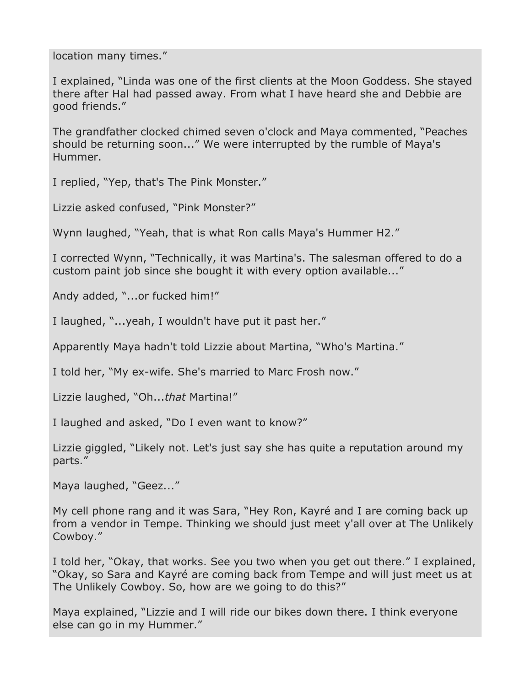location many times."

I explained, "Linda was one of the first clients at the Moon Goddess. She stayed there after Hal had passed away. From what I have heard she and Debbie are good friends."

The grandfather clocked chimed seven o'clock and Maya commented, "Peaches should be returning soon..." We were interrupted by the rumble of Maya's Hummer.

I replied, "Yep, that's The Pink Monster."

Lizzie asked confused, "Pink Monster?"

Wynn laughed, "Yeah, that is what Ron calls Maya's Hummer H2."

I corrected Wynn, "Technically, it was Martina's. The salesman offered to do a custom paint job since she bought it with every option available..."

Andy added, "...or fucked him!"

I laughed, "...yeah, I wouldn't have put it past her."

Apparently Maya hadn't told Lizzie about Martina, "Who's Martina."

I told her, "My ex-wife. She's married to Marc Frosh now."

Lizzie laughed, "Oh...*that* Martina!"

I laughed and asked, "Do I even want to know?"

Lizzie giggled, "Likely not. Let's just say she has quite a reputation around my parts."

Maya laughed, "Geez..."

My cell phone rang and it was Sara, "Hey Ron, Kayré and I are coming back up from a vendor in Tempe. Thinking we should just meet y'all over at The Unlikely Cowboy."

I told her, "Okay, that works. See you two when you get out there." I explained, "Okay, so Sara and Kayré are coming back from Tempe and will just meet us at The Unlikely Cowboy. So, how are we going to do this?"

Maya explained, "Lizzie and I will ride our bikes down there. I think everyone else can go in my Hummer."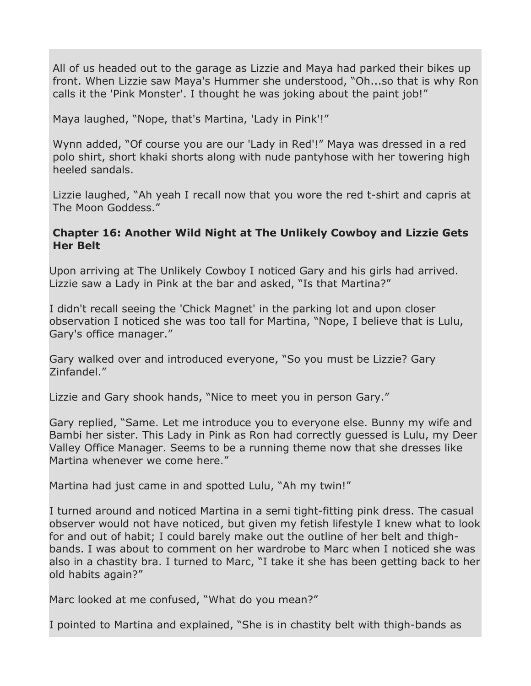All of us headed out to the garage as Lizzie and Maya had parked their bikes up front. When Lizzie saw Maya's Hummer she understood, "Oh...so that is why Ron calls it the 'Pink Monster'. I thought he was joking about the paint job!"

Maya laughed, "Nope, that's Martina, 'Lady in Pink'!"

Wynn added, "Of course you are our 'Lady in Red'!" Maya was dressed in a red polo shirt, short khaki shorts along with nude pantyhose with her towering high heeled sandals.

Lizzie laughed, "Ah yeah I recall now that you wore the red t-shirt and capris at The Moon Goddess."

### **Chapter 16: Another Wild Night at The Unlikely Cowboy and Lizzie Gets Her Belt**

Upon arriving at The Unlikely Cowboy I noticed Gary and his girls had arrived. Lizzie saw a Lady in Pink at the bar and asked, "Is that Martina?"

I didn't recall seeing the 'Chick Magnet' in the parking lot and upon closer observation I noticed she was too tall for Martina, "Nope, I believe that is Lulu, Gary's office manager."

Gary walked over and introduced everyone, "So you must be Lizzie? Gary Zinfandel."

Lizzie and Gary shook hands, "Nice to meet you in person Gary."

Gary replied, "Same. Let me introduce you to everyone else. Bunny my wife and Bambi her sister. This Lady in Pink as Ron had correctly guessed is Lulu, my Deer Valley Office Manager. Seems to be a running theme now that she dresses like Martina whenever we come here."

Martina had just came in and spotted Lulu, "Ah my twin!"

I turned around and noticed Martina in a semi tight-fitting pink dress. The casual observer would not have noticed, but given my fetish lifestyle I knew what to look for and out of habit; I could barely make out the outline of her belt and thighbands. I was about to comment on her wardrobe to Marc when I noticed she was also in a chastity bra. I turned to Marc, "I take it she has been getting back to her old habits again?"

Marc looked at me confused, "What do you mean?"

I pointed to Martina and explained, "She is in chastity belt with thigh-bands as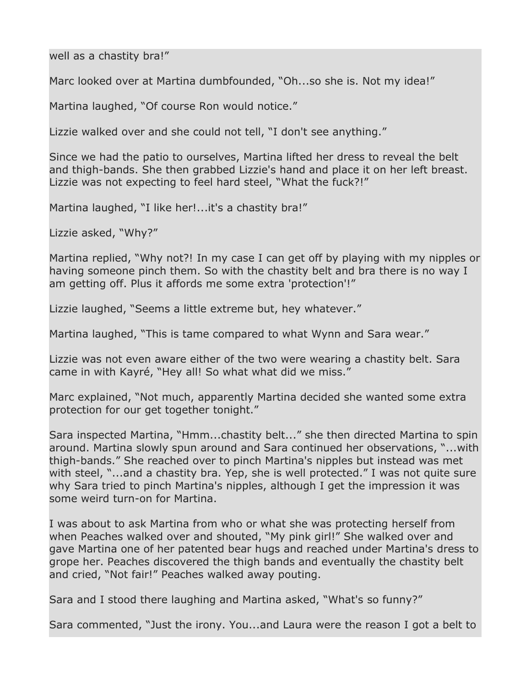well as a chastity bra!"

Marc looked over at Martina dumbfounded, "Oh...so she is. Not my idea!"

Martina laughed, "Of course Ron would notice."

Lizzie walked over and she could not tell, "I don't see anything."

Since we had the patio to ourselves, Martina lifted her dress to reveal the belt and thigh-bands. She then grabbed Lizzie's hand and place it on her left breast. Lizzie was not expecting to feel hard steel, "What the fuck?!"

Martina laughed, "I like her!...it's a chastity bra!"

Lizzie asked, "Why?"

Martina replied, "Why not?! In my case I can get off by playing with my nipples or having someone pinch them. So with the chastity belt and bra there is no way I am getting off. Plus it affords me some extra 'protection'!"

Lizzie laughed, "Seems a little extreme but, hey whatever."

Martina laughed, "This is tame compared to what Wynn and Sara wear."

Lizzie was not even aware either of the two were wearing a chastity belt. Sara came in with Kayré, "Hey all! So what what did we miss."

Marc explained, "Not much, apparently Martina decided she wanted some extra protection for our get together tonight."

Sara inspected Martina, "Hmm...chastity belt..." she then directed Martina to spin around. Martina slowly spun around and Sara continued her observations, "...with thigh-bands." She reached over to pinch Martina's nipples but instead was met with steel, "...and a chastity bra. Yep, she is well protected." I was not quite sure why Sara tried to pinch Martina's nipples, although I get the impression it was some weird turn-on for Martina.

I was about to ask Martina from who or what she was protecting herself from when Peaches walked over and shouted, "My pink girl!" She walked over and gave Martina one of her patented bear hugs and reached under Martina's dress to grope her. Peaches discovered the thigh bands and eventually the chastity belt and cried, "Not fair!" Peaches walked away pouting.

Sara and I stood there laughing and Martina asked, "What's so funny?"

Sara commented, "Just the irony. You...and Laura were the reason I got a belt to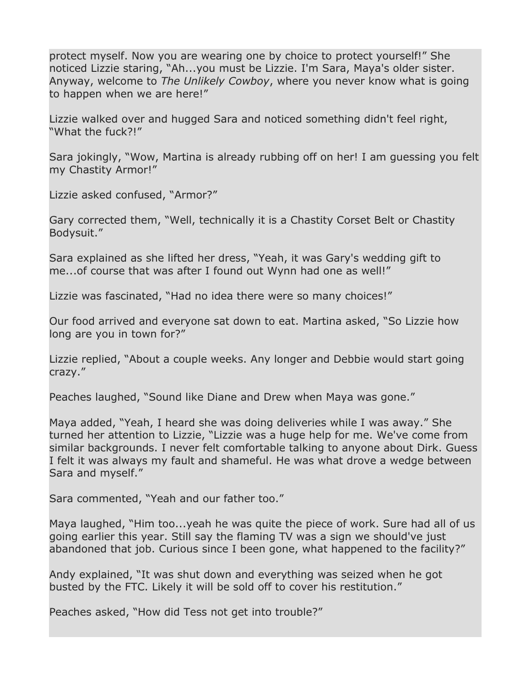protect myself. Now you are wearing one by choice to protect yourself!" She noticed Lizzie staring, "Ah...you must be Lizzie. I'm Sara, Maya's older sister. Anyway, welcome to *The Unlikely Cowboy*, where you never know what is going to happen when we are here!"

Lizzie walked over and hugged Sara and noticed something didn't feel right, "What the fuck?!"

Sara jokingly, "Wow, Martina is already rubbing off on her! I am guessing you felt my Chastity Armor!"

Lizzie asked confused, "Armor?"

Gary corrected them, "Well, technically it is a Chastity Corset Belt or Chastity Bodysuit."

Sara explained as she lifted her dress, "Yeah, it was Gary's wedding gift to me...of course that was after I found out Wynn had one as well!"

Lizzie was fascinated, "Had no idea there were so many choices!"

Our food arrived and everyone sat down to eat. Martina asked, "So Lizzie how long are you in town for?"

Lizzie replied, "About a couple weeks. Any longer and Debbie would start going crazy."

Peaches laughed, "Sound like Diane and Drew when Maya was gone."

Maya added, "Yeah, I heard she was doing deliveries while I was away." She turned her attention to Lizzie, "Lizzie was a huge help for me. We've come from similar backgrounds. I never felt comfortable talking to anyone about Dirk. Guess I felt it was always my fault and shameful. He was what drove a wedge between Sara and myself."

Sara commented, "Yeah and our father too."

Maya laughed, "Him too...yeah he was quite the piece of work. Sure had all of us going earlier this year. Still say the flaming TV was a sign we should've just abandoned that job. Curious since I been gone, what happened to the facility?"

Andy explained, "It was shut down and everything was seized when he got busted by the FTC. Likely it will be sold off to cover his restitution."

Peaches asked, "How did Tess not get into trouble?"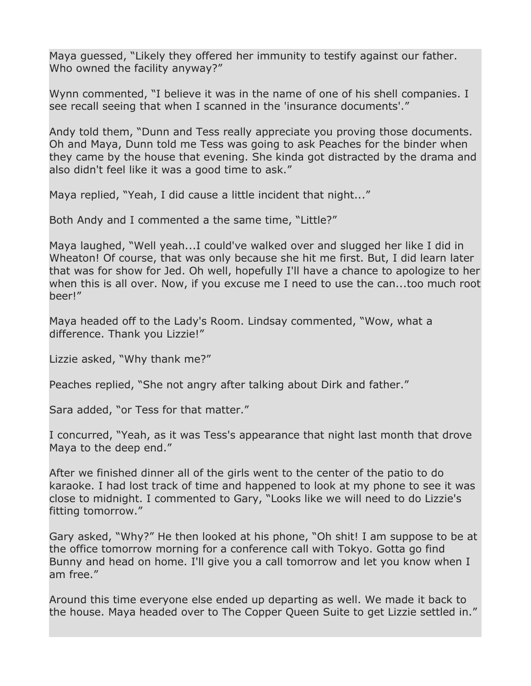Maya guessed, "Likely they offered her immunity to testify against our father. Who owned the facility anyway?"

Wynn commented, "I believe it was in the name of one of his shell companies. I see recall seeing that when I scanned in the 'insurance documents'."

Andy told them, "Dunn and Tess really appreciate you proving those documents. Oh and Maya, Dunn told me Tess was going to ask Peaches for the binder when they came by the house that evening. She kinda got distracted by the drama and also didn't feel like it was a good time to ask."

Maya replied, "Yeah, I did cause a little incident that night..."

Both Andy and I commented a the same time, "Little?"

Maya laughed, "Well yeah...I could've walked over and slugged her like I did in Wheaton! Of course, that was only because she hit me first. But, I did learn later that was for show for Jed. Oh well, hopefully I'll have a chance to apologize to her when this is all over. Now, if you excuse me I need to use the can...too much root beer!"

Maya headed off to the Lady's Room. Lindsay commented, "Wow, what a difference. Thank you Lizzie!"

Lizzie asked, "Why thank me?"

Peaches replied, "She not angry after talking about Dirk and father."

Sara added, "or Tess for that matter."

I concurred, "Yeah, as it was Tess's appearance that night last month that drove Maya to the deep end."

After we finished dinner all of the girls went to the center of the patio to do karaoke. I had lost track of time and happened to look at my phone to see it was close to midnight. I commented to Gary, "Looks like we will need to do Lizzie's fitting tomorrow."

Gary asked, "Why?" He then looked at his phone, "Oh shit! I am suppose to be at the office tomorrow morning for a conference call with Tokyo. Gotta go find Bunny and head on home. I'll give you a call tomorrow and let you know when I am free."

Around this time everyone else ended up departing as well. We made it back to the house. Maya headed over to The Copper Queen Suite to get Lizzie settled in."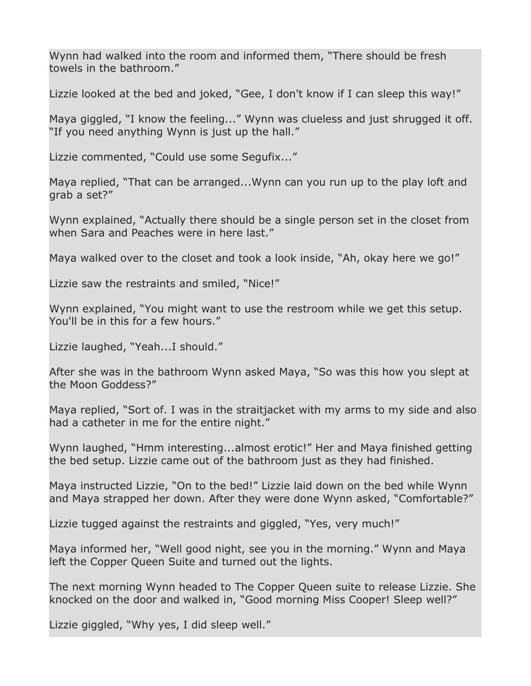Wynn had walked into the room and informed them, "There should be fresh towels in the bathroom."

Lizzie looked at the bed and joked, "Gee, I don't know if I can sleep this way!"

Maya giggled, "I know the feeling..." Wynn was clueless and just shrugged it off. "If you need anything Wynn is just up the hall."

Lizzie commented, "Could use some Segufix..."

Maya replied, "That can be arranged...Wynn can you run up to the play loft and grab a set?"

Wynn explained, "Actually there should be a single person set in the closet from when Sara and Peaches were in here last."

Maya walked over to the closet and took a look inside, "Ah, okay here we go!"

Lizzie saw the restraints and smiled, "Nice!"

Wynn explained, "You might want to use the restroom while we get this setup. You'll be in this for a few hours."

Lizzie laughed, "Yeah...I should."

After she was in the bathroom Wynn asked Maya, "So was this how you slept at the Moon Goddess?"

Maya replied, "Sort of. I was in the straitjacket with my arms to my side and also had a catheter in me for the entire night."

Wynn laughed, "Hmm interesting...almost erotic!" Her and Maya finished getting the bed setup. Lizzie came out of the bathroom just as they had finished.

Maya instructed Lizzie, "On to the bed!" Lizzie laid down on the bed while Wynn and Maya strapped her down. After they were done Wynn asked, "Comfortable?"

Lizzie tugged against the restraints and giggled, "Yes, very much!"

Maya informed her, "Well good night, see you in the morning." Wynn and Maya left the Copper Queen Suite and turned out the lights.

The next morning Wynn headed to The Copper Queen suite to release Lizzie. She knocked on the door and walked in, "Good morning Miss Cooper! Sleep well?"

Lizzie giggled, "Why yes, I did sleep well."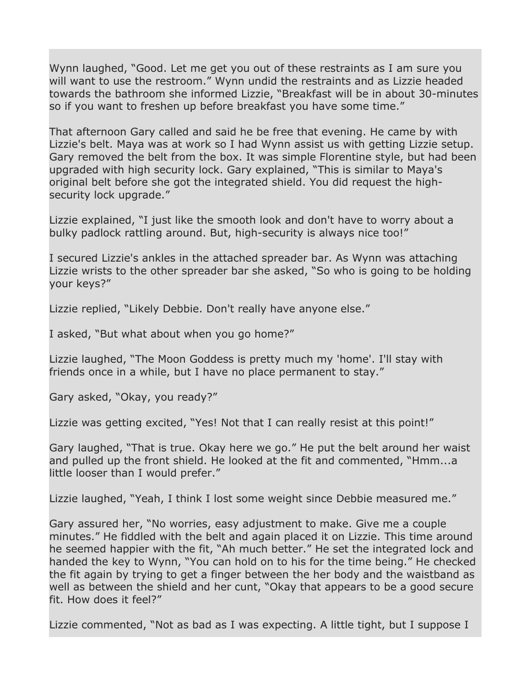Wynn laughed, "Good. Let me get you out of these restraints as I am sure you will want to use the restroom." Wynn undid the restraints and as Lizzie headed towards the bathroom she informed Lizzie, "Breakfast will be in about 30-minutes so if you want to freshen up before breakfast you have some time."

That afternoon Gary called and said he be free that evening. He came by with Lizzie's belt. Maya was at work so I had Wynn assist us with getting Lizzie setup. Gary removed the belt from the box. It was simple Florentine style, but had been upgraded with high security lock. Gary explained, "This is similar to Maya's original belt before she got the integrated shield. You did request the highsecurity lock upgrade."

Lizzie explained, "I just like the smooth look and don't have to worry about a bulky padlock rattling around. But, high-security is always nice too!"

I secured Lizzie's ankles in the attached spreader bar. As Wynn was attaching Lizzie wrists to the other spreader bar she asked, "So who is going to be holding your keys?"

Lizzie replied, "Likely Debbie. Don't really have anyone else."

I asked, "But what about when you go home?"

Lizzie laughed, "The Moon Goddess is pretty much my 'home'. I'll stay with friends once in a while, but I have no place permanent to stay."

Gary asked, "Okay, you ready?"

Lizzie was getting excited, "Yes! Not that I can really resist at this point!"

Gary laughed, "That is true. Okay here we go." He put the belt around her waist and pulled up the front shield. He looked at the fit and commented, "Hmm...a little looser than I would prefer."

Lizzie laughed, "Yeah, I think I lost some weight since Debbie measured me."

Gary assured her, "No worries, easy adjustment to make. Give me a couple minutes." He fiddled with the belt and again placed it on Lizzie. This time around he seemed happier with the fit, "Ah much better." He set the integrated lock and handed the key to Wynn, "You can hold on to his for the time being." He checked the fit again by trying to get a finger between the her body and the waistband as well as between the shield and her cunt, "Okay that appears to be a good secure fit. How does it feel?"

Lizzie commented, "Not as bad as I was expecting. A little tight, but I suppose I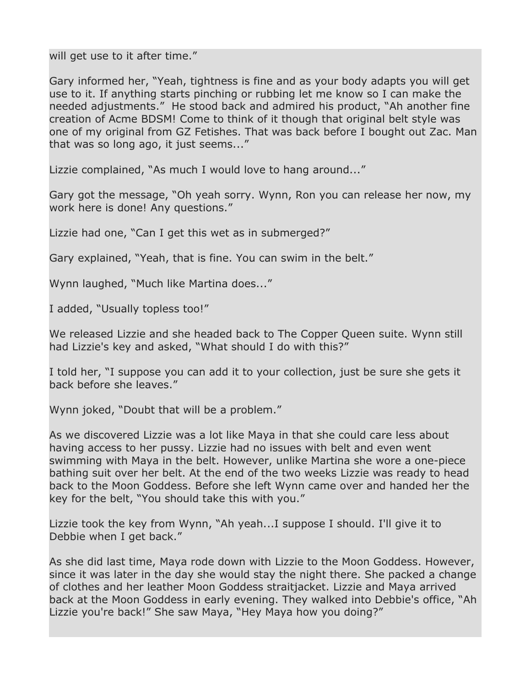will get use to it after time."

Gary informed her, "Yeah, tightness is fine and as your body adapts you will get use to it. If anything starts pinching or rubbing let me know so I can make the needed adjustments." He stood back and admired his product, "Ah another fine creation of Acme BDSM! Come to think of it though that original belt style was one of my original from GZ Fetishes. That was back before I bought out Zac. Man that was so long ago, it just seems..."

Lizzie complained, "As much I would love to hang around..."

Gary got the message, "Oh yeah sorry. Wynn, Ron you can release her now, my work here is done! Any questions."

Lizzie had one, "Can I get this wet as in submerged?"

Gary explained, "Yeah, that is fine. You can swim in the belt."

Wynn laughed, "Much like Martina does..."

I added, "Usually topless too!"

We released Lizzie and she headed back to The Copper Queen suite. Wynn still had Lizzie's key and asked, "What should I do with this?"

I told her, "I suppose you can add it to your collection, just be sure she gets it back before she leaves."

Wynn joked, "Doubt that will be a problem."

As we discovered Lizzie was a lot like Maya in that she could care less about having access to her pussy. Lizzie had no issues with belt and even went swimming with Maya in the belt. However, unlike Martina she wore a one-piece bathing suit over her belt. At the end of the two weeks Lizzie was ready to head back to the Moon Goddess. Before she left Wynn came over and handed her the key for the belt, "You should take this with you."

Lizzie took the key from Wynn, "Ah yeah...I suppose I should. I'll give it to Debbie when I get back."

As she did last time, Maya rode down with Lizzie to the Moon Goddess. However, since it was later in the day she would stay the night there. She packed a change of clothes and her leather Moon Goddess straitjacket. Lizzie and Maya arrived back at the Moon Goddess in early evening. They walked into Debbie's office, "Ah Lizzie you're back!" She saw Maya, "Hey Maya how you doing?"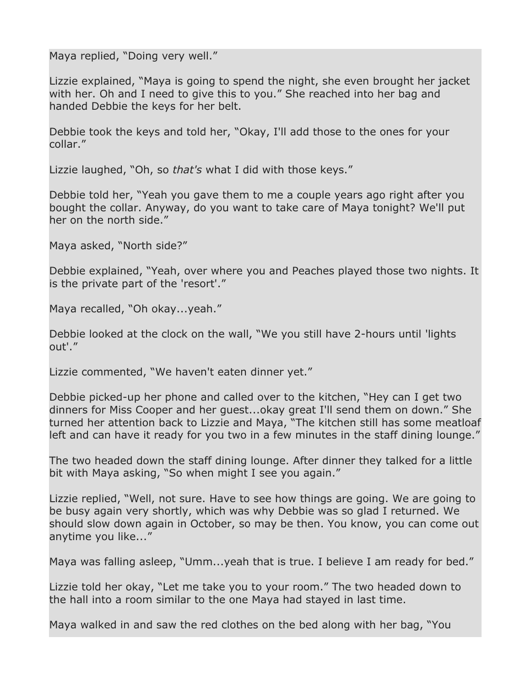Maya replied, "Doing very well."

Lizzie explained, "Maya is going to spend the night, she even brought her jacket with her. Oh and I need to give this to you." She reached into her bag and handed Debbie the keys for her belt.

Debbie took the keys and told her, "Okay, I'll add those to the ones for your collar."

Lizzie laughed, "Oh, so *that's* what I did with those keys."

Debbie told her, "Yeah you gave them to me a couple years ago right after you bought the collar. Anyway, do you want to take care of Maya tonight? We'll put her on the north side."

Maya asked, "North side?"

Debbie explained, "Yeah, over where you and Peaches played those two nights. It is the private part of the 'resort'."

Maya recalled, "Oh okay...yeah."

Debbie looked at the clock on the wall, "We you still have 2-hours until 'lights out'."

Lizzie commented, "We haven't eaten dinner yet."

Debbie picked-up her phone and called over to the kitchen, "Hey can I get two dinners for Miss Cooper and her guest...okay great I'll send them on down." She turned her attention back to Lizzie and Maya, "The kitchen still has some meatloaf left and can have it ready for you two in a few minutes in the staff dining lounge."

The two headed down the staff dining lounge. After dinner they talked for a little bit with Maya asking, "So when might I see you again."

Lizzie replied, "Well, not sure. Have to see how things are going. We are going to be busy again very shortly, which was why Debbie was so glad I returned. We should slow down again in October, so may be then. You know, you can come out anytime you like..."

Maya was falling asleep, "Umm...yeah that is true. I believe I am ready for bed."

Lizzie told her okay, "Let me take you to your room." The two headed down to the hall into a room similar to the one Maya had stayed in last time.

Maya walked in and saw the red clothes on the bed along with her bag, "You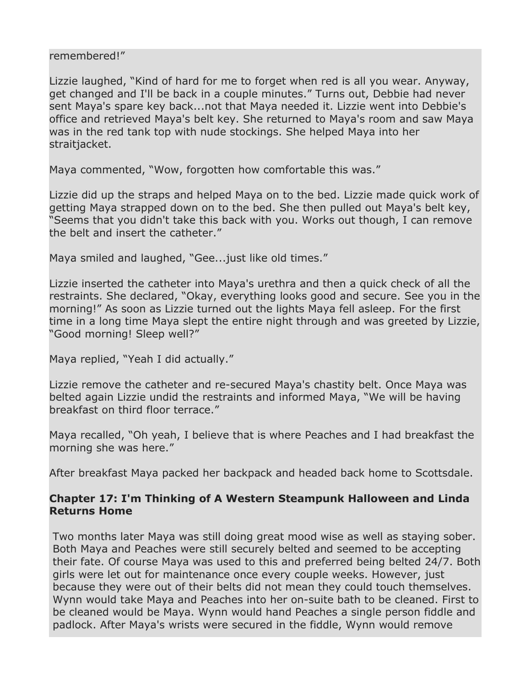#### remembered!"

Lizzie laughed, "Kind of hard for me to forget when red is all you wear. Anyway, get changed and I'll be back in a couple minutes." Turns out, Debbie had never sent Maya's spare key back...not that Maya needed it. Lizzie went into Debbie's office and retrieved Maya's belt key. She returned to Maya's room and saw Maya was in the red tank top with nude stockings. She helped Maya into her straitjacket.

Maya commented, "Wow, forgotten how comfortable this was."

Lizzie did up the straps and helped Maya on to the bed. Lizzie made quick work of getting Maya strapped down on to the bed. She then pulled out Maya's belt key, "Seems that you didn't take this back with you. Works out though, I can remove the belt and insert the catheter."

Maya smiled and laughed, "Gee...just like old times."

Lizzie inserted the catheter into Maya's urethra and then a quick check of all the restraints. She declared, "Okay, everything looks good and secure. See you in the morning!" As soon as Lizzie turned out the lights Maya fell asleep. For the first time in a long time Maya slept the entire night through and was greeted by Lizzie, "Good morning! Sleep well?"

Maya replied, "Yeah I did actually."

Lizzie remove the catheter and re-secured Maya's chastity belt. Once Maya was belted again Lizzie undid the restraints and informed Maya, "We will be having breakfast on third floor terrace."

Maya recalled, "Oh yeah, I believe that is where Peaches and I had breakfast the morning she was here."

After breakfast Maya packed her backpack and headed back home to Scottsdale.

### **Chapter 17: I'm Thinking of A Western Steampunk Halloween and Linda Returns Home**

Two months later Maya was still doing great mood wise as well as staying sober. Both Maya and Peaches were still securely belted and seemed to be accepting their fate. Of course Maya was used to this and preferred being belted 24/7. Both girls were let out for maintenance once every couple weeks. However, just because they were out of their belts did not mean they could touch themselves. Wynn would take Maya and Peaches into her on-suite bath to be cleaned. First to be cleaned would be Maya. Wynn would hand Peaches a single person fiddle and padlock. After Maya's wrists were secured in the fiddle, Wynn would remove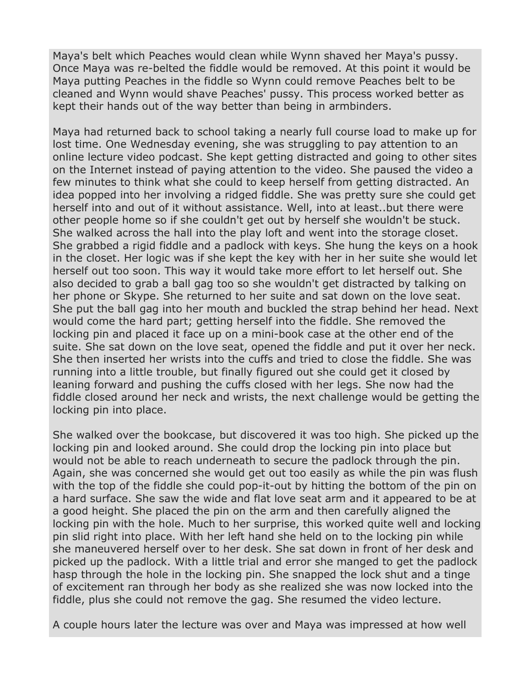Maya's belt which Peaches would clean while Wynn shaved her Maya's pussy. Once Maya was re-belted the fiddle would be removed. At this point it would be Maya putting Peaches in the fiddle so Wynn could remove Peaches belt to be cleaned and Wynn would shave Peaches' pussy. This process worked better as kept their hands out of the way better than being in armbinders.

Maya had returned back to school taking a nearly full course load to make up for lost time. One Wednesday evening, she was struggling to pay attention to an online lecture video podcast. She kept getting distracted and going to other sites on the Internet instead of paying attention to the video. She paused the video a few minutes to think what she could to keep herself from getting distracted. An idea popped into her involving a ridged fiddle. She was pretty sure she could get herself into and out of it without assistance. Well, into at least..but there were other people home so if she couldn't get out by herself she wouldn't be stuck. She walked across the hall into the play loft and went into the storage closet. She grabbed a rigid fiddle and a padlock with keys. She hung the keys on a hook in the closet. Her logic was if she kept the key with her in her suite she would let herself out too soon. This way it would take more effort to let herself out. She also decided to grab a ball gag too so she wouldn't get distracted by talking on her phone or Skype. She returned to her suite and sat down on the love seat. She put the ball gag into her mouth and buckled the strap behind her head. Next would come the hard part; getting herself into the fiddle. She removed the locking pin and placed it face up on a mini-book case at the other end of the suite. She sat down on the love seat, opened the fiddle and put it over her neck. She then inserted her wrists into the cuffs and tried to close the fiddle. She was running into a little trouble, but finally figured out she could get it closed by leaning forward and pushing the cuffs closed with her legs. She now had the fiddle closed around her neck and wrists, the next challenge would be getting the locking pin into place.

She walked over the bookcase, but discovered it was too high. She picked up the locking pin and looked around. She could drop the locking pin into place but would not be able to reach underneath to secure the padlock through the pin. Again, she was concerned she would get out too easily as while the pin was flush with the top of the fiddle she could pop-it-out by hitting the bottom of the pin on a hard surface. She saw the wide and flat love seat arm and it appeared to be at a good height. She placed the pin on the arm and then carefully aligned the locking pin with the hole. Much to her surprise, this worked quite well and locking pin slid right into place. With her left hand she held on to the locking pin while she maneuvered herself over to her desk. She sat down in front of her desk and picked up the padlock. With a little trial and error she manged to get the padlock hasp through the hole in the locking pin. She snapped the lock shut and a tinge of excitement ran through her body as she realized she was now locked into the fiddle, plus she could not remove the gag. She resumed the video lecture.

A couple hours later the lecture was over and Maya was impressed at how well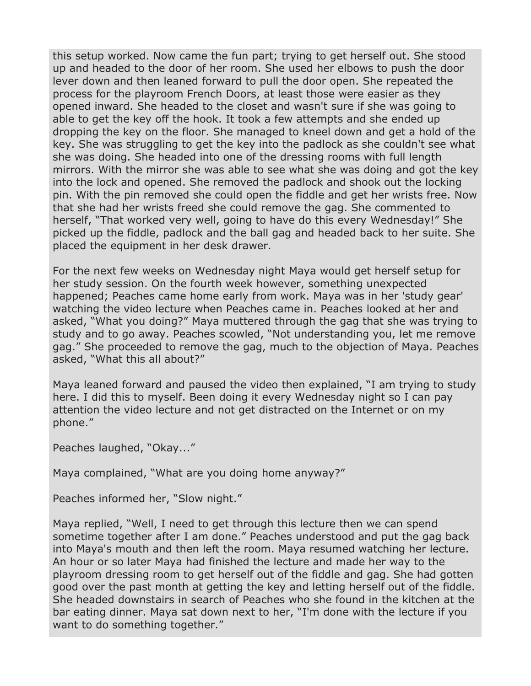this setup worked. Now came the fun part; trying to get herself out. She stood up and headed to the door of her room. She used her elbows to push the door lever down and then leaned forward to pull the door open. She repeated the process for the playroom French Doors, at least those were easier as they opened inward. She headed to the closet and wasn't sure if she was going to able to get the key off the hook. It took a few attempts and she ended up dropping the key on the floor. She managed to kneel down and get a hold of the key. She was struggling to get the key into the padlock as she couldn't see what she was doing. She headed into one of the dressing rooms with full length mirrors. With the mirror she was able to see what she was doing and got the key into the lock and opened. She removed the padlock and shook out the locking pin. With the pin removed she could open the fiddle and get her wrists free. Now that she had her wrists freed she could remove the gag. She commented to herself, "That worked very well, going to have do this every Wednesday!" She picked up the fiddle, padlock and the ball gag and headed back to her suite. She placed the equipment in her desk drawer.

For the next few weeks on Wednesday night Maya would get herself setup for her study session. On the fourth week however, something unexpected happened; Peaches came home early from work. Maya was in her 'study gear' watching the video lecture when Peaches came in. Peaches looked at her and asked, "What you doing?" Maya muttered through the gag that she was trying to study and to go away. Peaches scowled, "Not understanding you, let me remove gag." She proceeded to remove the gag, much to the objection of Maya. Peaches asked, "What this all about?"

Maya leaned forward and paused the video then explained, "I am trying to study here. I did this to myself. Been doing it every Wednesday night so I can pay attention the video lecture and not get distracted on the Internet or on my phone."

Peaches laughed, "Okay..."

Maya complained, "What are you doing home anyway?"

Peaches informed her, "Slow night."

Maya replied, "Well, I need to get through this lecture then we can spend sometime together after I am done." Peaches understood and put the gag back into Maya's mouth and then left the room. Maya resumed watching her lecture. An hour or so later Maya had finished the lecture and made her way to the playroom dressing room to get herself out of the fiddle and gag. She had gotten good over the past month at getting the key and letting herself out of the fiddle. She headed downstairs in search of Peaches who she found in the kitchen at the bar eating dinner. Maya sat down next to her, "I'm done with the lecture if you want to do something together."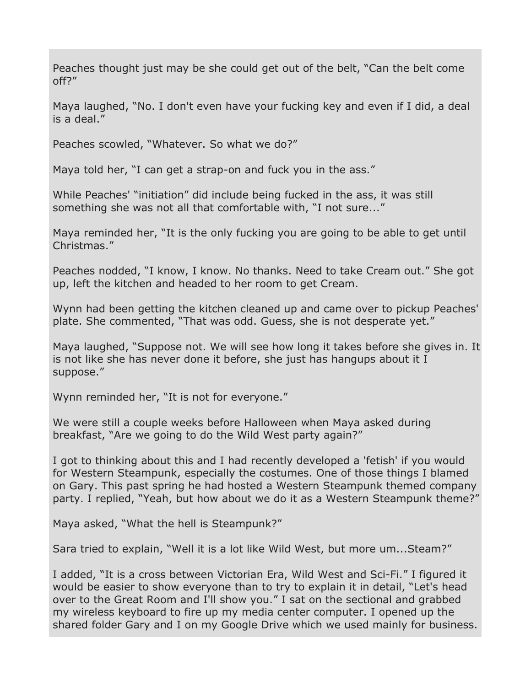Peaches thought just may be she could get out of the belt, "Can the belt come off?"

Maya laughed, "No. I don't even have your fucking key and even if I did, a deal is a deal."

Peaches scowled, "Whatever. So what we do?"

Maya told her, "I can get a strap-on and fuck you in the ass."

While Peaches' "initiation" did include being fucked in the ass, it was still something she was not all that comfortable with, "I not sure..."

Maya reminded her, "It is the only fucking you are going to be able to get until Christmas."

Peaches nodded, "I know, I know. No thanks. Need to take Cream out." She got up, left the kitchen and headed to her room to get Cream.

Wynn had been getting the kitchen cleaned up and came over to pickup Peaches' plate. She commented, "That was odd. Guess, she is not desperate yet."

Maya laughed, "Suppose not. We will see how long it takes before she gives in. It is not like she has never done it before, she just has hangups about it I suppose."

Wynn reminded her, "It is not for everyone."

We were still a couple weeks before Halloween when Maya asked during breakfast, "Are we going to do the Wild West party again?"

I got to thinking about this and I had recently developed a 'fetish' if you would for Western Steampunk, especially the costumes. One of those things I blamed on Gary. This past spring he had hosted a Western Steampunk themed company party. I replied, "Yeah, but how about we do it as a Western Steampunk theme?"

Maya asked, "What the hell is Steampunk?"

Sara tried to explain, "Well it is a lot like Wild West, but more um...Steam?"

I added, "It is a cross between Victorian Era, Wild West and Sci-Fi." I figured it would be easier to show everyone than to try to explain it in detail, "Let's head over to the Great Room and I'll show you." I sat on the sectional and grabbed my wireless keyboard to fire up my media center computer. I opened up the shared folder Gary and I on my Google Drive which we used mainly for business.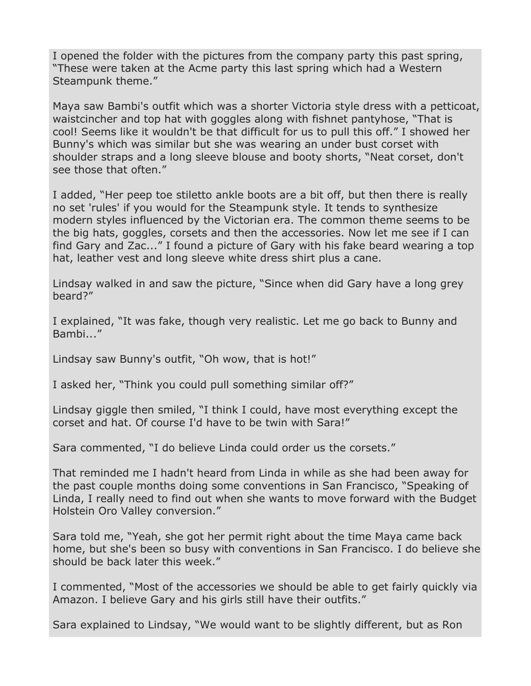I opened the folder with the pictures from the company party this past spring, "These were taken at the Acme party this last spring which had a Western Steampunk theme."

Maya saw Bambi's outfit which was a shorter Victoria style dress with a petticoat, waistcincher and top hat with goggles along with fishnet pantyhose, "That is cool! Seems like it wouldn't be that difficult for us to pull this off." I showed her Bunny's which was similar but she was wearing an under bust corset with shoulder straps and a long sleeve blouse and booty shorts, "Neat corset, don't see those that often."

I added, "Her peep toe stiletto ankle boots are a bit off, but then there is really no set 'rules' if you would for the Steampunk style. It tends to synthesize modern styles influenced by the Victorian era. The common theme seems to be the big hats, goggles, corsets and then the accessories. Now let me see if I can find Gary and Zac..." I found a picture of Gary with his fake beard wearing a top hat, leather vest and long sleeve white dress shirt plus a cane.

Lindsay walked in and saw the picture, "Since when did Gary have a long grey beard?"

I explained, "It was fake, though very realistic. Let me go back to Bunny and Bambi..."

Lindsay saw Bunny's outfit, "Oh wow, that is hot!"

I asked her, "Think you could pull something similar off?"

Lindsay giggle then smiled, "I think I could, have most everything except the corset and hat. Of course I'd have to be twin with Sara!"

Sara commented, "I do believe Linda could order us the corsets."

That reminded me I hadn't heard from Linda in while as she had been away for the past couple months doing some conventions in San Francisco, "Speaking of Linda, I really need to find out when she wants to move forward with the Budget Holstein Oro Valley conversion."

Sara told me, "Yeah, she got her permit right about the time Maya came back home, but she's been so busy with conventions in San Francisco. I do believe she should be back later this week."

I commented, "Most of the accessories we should be able to get fairly quickly via Amazon. I believe Gary and his girls still have their outfits."

Sara explained to Lindsay, "We would want to be slightly different, but as Ron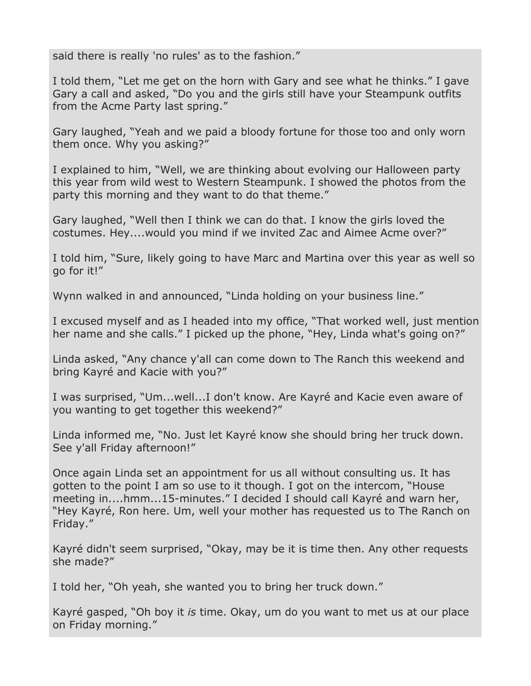said there is really 'no rules' as to the fashion."

I told them, "Let me get on the horn with Gary and see what he thinks." I gave Gary a call and asked, "Do you and the girls still have your Steampunk outfits from the Acme Party last spring."

Gary laughed, "Yeah and we paid a bloody fortune for those too and only worn them once. Why you asking?"

I explained to him, "Well, we are thinking about evolving our Halloween party this year from wild west to Western Steampunk. I showed the photos from the party this morning and they want to do that theme."

Gary laughed, "Well then I think we can do that. I know the girls loved the costumes. Hey....would you mind if we invited Zac and Aimee Acme over?"

I told him, "Sure, likely going to have Marc and Martina over this year as well so go for it!"

Wynn walked in and announced, "Linda holding on your business line."

I excused myself and as I headed into my office, "That worked well, just mention her name and she calls." I picked up the phone, "Hey, Linda what's going on?"

Linda asked, "Any chance y'all can come down to The Ranch this weekend and bring Kayré and Kacie with you?"

I was surprised, "Um...well...I don't know. Are Kayré and Kacie even aware of you wanting to get together this weekend?"

Linda informed me, "No. Just let Kayré know she should bring her truck down. See y'all Friday afternoon!"

Once again Linda set an appointment for us all without consulting us. It has gotten to the point I am so use to it though. I got on the intercom, "House meeting in....hmm...15-minutes." I decided I should call Kayré and warn her, "Hey Kayré, Ron here. Um, well your mother has requested us to The Ranch on Friday."

Kayré didn't seem surprised, "Okay, may be it is time then. Any other requests she made?"

I told her, "Oh yeah, she wanted you to bring her truck down."

Kayré gasped, "Oh boy it *is* time. Okay, um do you want to met us at our place on Friday morning."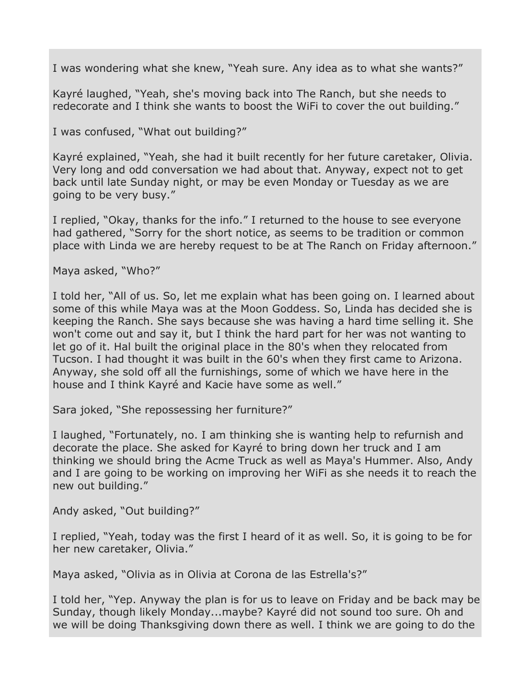I was wondering what she knew, "Yeah sure. Any idea as to what she wants?"

Kayré laughed, "Yeah, she's moving back into The Ranch, but she needs to redecorate and I think she wants to boost the WiFi to cover the out building."

I was confused, "What out building?"

Kayré explained, "Yeah, she had it built recently for her future caretaker, Olivia. Very long and odd conversation we had about that. Anyway, expect not to get back until late Sunday night, or may be even Monday or Tuesday as we are going to be very busy."

I replied, "Okay, thanks for the info." I returned to the house to see everyone had gathered, "Sorry for the short notice, as seems to be tradition or common place with Linda we are hereby request to be at The Ranch on Friday afternoon."

Maya asked, "Who?"

I told her, "All of us. So, let me explain what has been going on. I learned about some of this while Maya was at the Moon Goddess. So, Linda has decided she is keeping the Ranch. She says because she was having a hard time selling it. She won't come out and say it, but I think the hard part for her was not wanting to let go of it. Hal built the original place in the 80's when they relocated from Tucson. I had thought it was built in the 60's when they first came to Arizona. Anyway, she sold off all the furnishings, some of which we have here in the house and I think Kayré and Kacie have some as well."

Sara joked, "She repossessing her furniture?"

I laughed, "Fortunately, no. I am thinking she is wanting help to refurnish and decorate the place. She asked for Kayré to bring down her truck and I am thinking we should bring the Acme Truck as well as Maya's Hummer. Also, Andy and I are going to be working on improving her WiFi as she needs it to reach the new out building."

Andy asked, "Out building?"

I replied, "Yeah, today was the first I heard of it as well. So, it is going to be for her new caretaker, Olivia."

Maya asked, "Olivia as in Olivia at Corona de las Estrella's?"

I told her, "Yep. Anyway the plan is for us to leave on Friday and be back may be Sunday, though likely Monday...maybe? Kayré did not sound too sure. Oh and we will be doing Thanksgiving down there as well. I think we are going to do the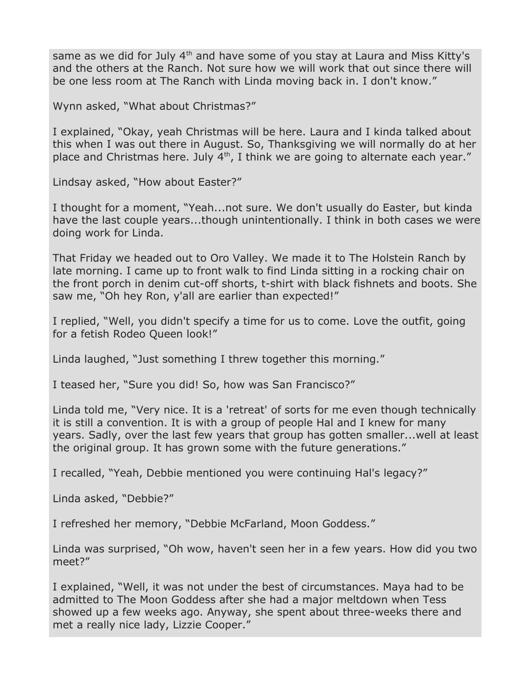same as we did for July 4<sup>th</sup> and have some of you stay at Laura and Miss Kitty's and the others at the Ranch. Not sure how we will work that out since there will be one less room at The Ranch with Linda moving back in. I don't know."

Wynn asked, "What about Christmas?"

I explained, "Okay, yeah Christmas will be here. Laura and I kinda talked about this when I was out there in August. So, Thanksgiving we will normally do at her place and Christmas here. July  $4<sup>th</sup>$ , I think we are going to alternate each year."

Lindsay asked, "How about Easter?"

I thought for a moment, "Yeah...not sure. We don't usually do Easter, but kinda have the last couple years...though unintentionally. I think in both cases we were doing work for Linda.

That Friday we headed out to Oro Valley. We made it to The Holstein Ranch by late morning. I came up to front walk to find Linda sitting in a rocking chair on the front porch in denim cut-off shorts, t-shirt with black fishnets and boots. She saw me, "Oh hey Ron, y'all are earlier than expected!"

I replied, "Well, you didn't specify a time for us to come. Love the outfit, going for a fetish Rodeo Queen look!"

Linda laughed, "Just something I threw together this morning."

I teased her, "Sure you did! So, how was San Francisco?"

Linda told me, "Very nice. It is a 'retreat' of sorts for me even though technically it is still a convention. It is with a group of people Hal and I knew for many years. Sadly, over the last few years that group has gotten smaller...well at least the original group. It has grown some with the future generations."

I recalled, "Yeah, Debbie mentioned you were continuing Hal's legacy?"

Linda asked, "Debbie?"

I refreshed her memory, "Debbie McFarland, Moon Goddess."

Linda was surprised, "Oh wow, haven't seen her in a few years. How did you two meet?"

I explained, "Well, it was not under the best of circumstances. Maya had to be admitted to The Moon Goddess after she had a major meltdown when Tess showed up a few weeks ago. Anyway, she spent about three-weeks there and met a really nice lady, Lizzie Cooper."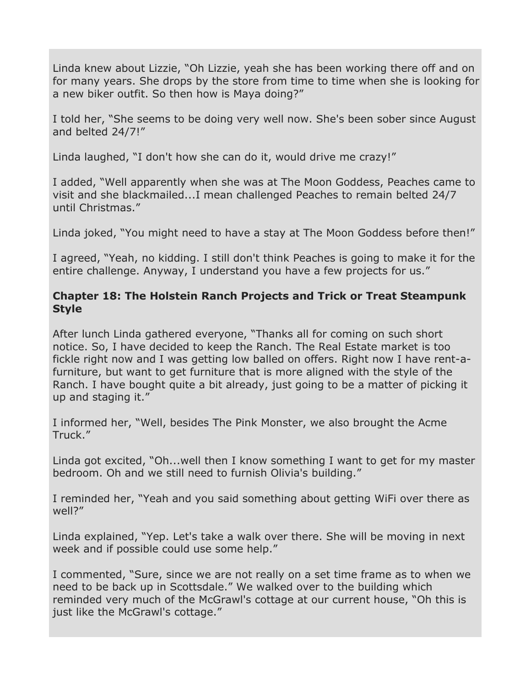Linda knew about Lizzie, "Oh Lizzie, yeah she has been working there off and on for many years. She drops by the store from time to time when she is looking for a new biker outfit. So then how is Maya doing?"

I told her, "She seems to be doing very well now. She's been sober since August and belted 24/7!"

Linda laughed, "I don't how she can do it, would drive me crazy!"

I added, "Well apparently when she was at The Moon Goddess, Peaches came to visit and she blackmailed...I mean challenged Peaches to remain belted 24/7 until Christmas."

Linda joked, "You might need to have a stay at The Moon Goddess before then!"

I agreed, "Yeah, no kidding. I still don't think Peaches is going to make it for the entire challenge. Anyway, I understand you have a few projects for us."

## **Chapter 18: The Holstein Ranch Projects and Trick or Treat Steampunk Style**

After lunch Linda gathered everyone, "Thanks all for coming on such short notice. So, I have decided to keep the Ranch. The Real Estate market is too fickle right now and I was getting low balled on offers. Right now I have rent-afurniture, but want to get furniture that is more aligned with the style of the Ranch. I have bought quite a bit already, just going to be a matter of picking it up and staging it."

I informed her, "Well, besides The Pink Monster, we also brought the Acme Truck."

Linda got excited, "Oh...well then I know something I want to get for my master bedroom. Oh and we still need to furnish Olivia's building."

I reminded her, "Yeah and you said something about getting WiFi over there as well?"

Linda explained, "Yep. Let's take a walk over there. She will be moving in next week and if possible could use some help."

I commented, "Sure, since we are not really on a set time frame as to when we need to be back up in Scottsdale." We walked over to the building which reminded very much of the McGrawl's cottage at our current house, "Oh this is just like the McGrawl's cottage."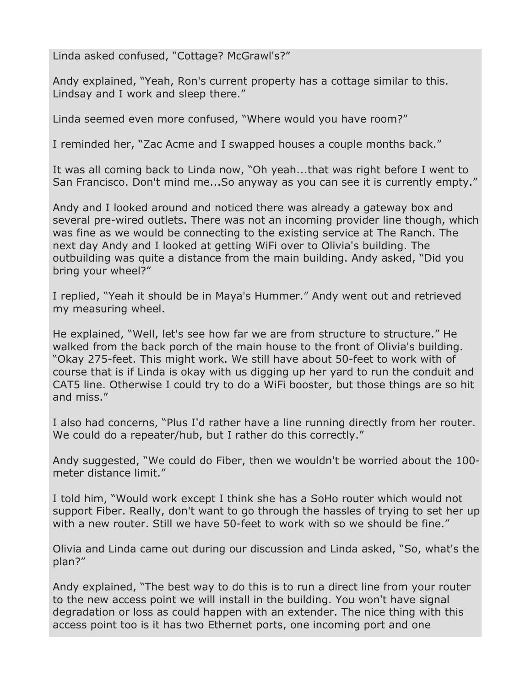Linda asked confused, "Cottage? McGrawl's?"

Andy explained, "Yeah, Ron's current property has a cottage similar to this. Lindsay and I work and sleep there."

Linda seemed even more confused, "Where would you have room?"

I reminded her, "Zac Acme and I swapped houses a couple months back."

It was all coming back to Linda now, "Oh yeah...that was right before I went to San Francisco. Don't mind me...So anyway as you can see it is currently empty."

Andy and I looked around and noticed there was already a gateway box and several pre-wired outlets. There was not an incoming provider line though, which was fine as we would be connecting to the existing service at The Ranch. The next day Andy and I looked at getting WiFi over to Olivia's building. The outbuilding was quite a distance from the main building. Andy asked, "Did you bring your wheel?"

I replied, "Yeah it should be in Maya's Hummer." Andy went out and retrieved my measuring wheel.

He explained, "Well, let's see how far we are from structure to structure." He walked from the back porch of the main house to the front of Olivia's building. "Okay 275-feet. This might work. We still have about 50-feet to work with of course that is if Linda is okay with us digging up her yard to run the conduit and CAT5 line. Otherwise I could try to do a WiFi booster, but those things are so hit and miss."

I also had concerns, "Plus I'd rather have a line running directly from her router. We could do a repeater/hub, but I rather do this correctly."

Andy suggested, "We could do Fiber, then we wouldn't be worried about the 100 meter distance limit."

I told him, "Would work except I think she has a SoHo router which would not support Fiber. Really, don't want to go through the hassles of trying to set her up with a new router. Still we have 50-feet to work with so we should be fine."

Olivia and Linda came out during our discussion and Linda asked, "So, what's the plan?"

Andy explained, "The best way to do this is to run a direct line from your router to the new access point we will install in the building. You won't have signal degradation or loss as could happen with an extender. The nice thing with this access point too is it has two Ethernet ports, one incoming port and one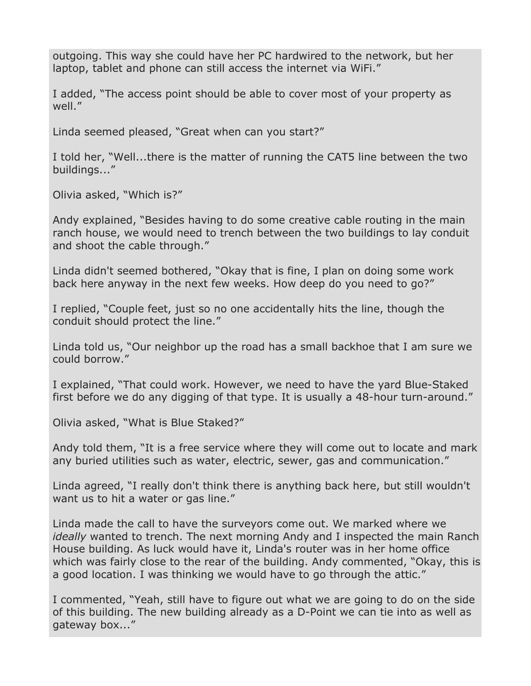outgoing. This way she could have her PC hardwired to the network, but her laptop, tablet and phone can still access the internet via WiFi."

I added, "The access point should be able to cover most of your property as well."

Linda seemed pleased, "Great when can you start?"

I told her, "Well...there is the matter of running the CAT5 line between the two buildings..."

Olivia asked, "Which is?"

Andy explained, "Besides having to do some creative cable routing in the main ranch house, we would need to trench between the two buildings to lay conduit and shoot the cable through."

Linda didn't seemed bothered, "Okay that is fine, I plan on doing some work back here anyway in the next few weeks. How deep do you need to go?"

I replied, "Couple feet, just so no one accidentally hits the line, though the conduit should protect the line."

Linda told us, "Our neighbor up the road has a small backhoe that I am sure we could borrow."

I explained, "That could work. However, we need to have the yard Blue-Staked first before we do any digging of that type. It is usually a 48-hour turn-around."

Olivia asked, "What is Blue Staked?"

Andy told them, "It is a free service where they will come out to locate and mark any buried utilities such as water, electric, sewer, gas and communication."

Linda agreed, "I really don't think there is anything back here, but still wouldn't want us to hit a water or gas line."

Linda made the call to have the surveyors come out. We marked where we *ideally* wanted to trench. The next morning Andy and I inspected the main Ranch House building. As luck would have it, Linda's router was in her home office which was fairly close to the rear of the building. Andy commented, "Okay, this is a good location. I was thinking we would have to go through the attic."

I commented, "Yeah, still have to figure out what we are going to do on the side of this building. The new building already as a D-Point we can tie into as well as gateway box..."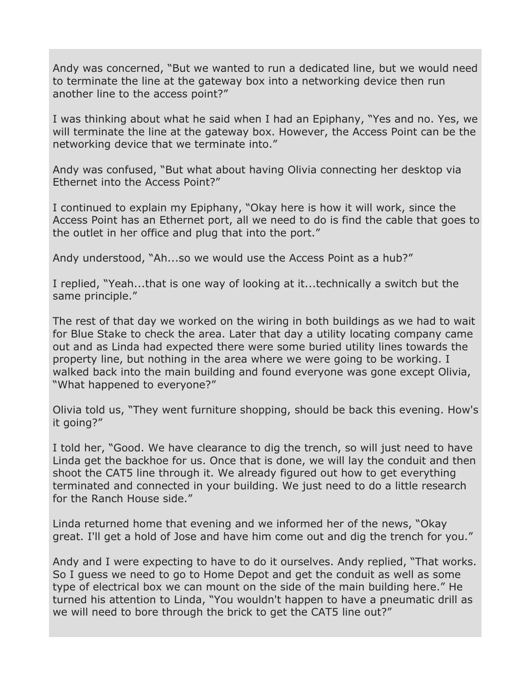Andy was concerned, "But we wanted to run a dedicated line, but we would need to terminate the line at the gateway box into a networking device then run another line to the access point?"

I was thinking about what he said when I had an Epiphany, "Yes and no. Yes, we will terminate the line at the gateway box. However, the Access Point can be the networking device that we terminate into."

Andy was confused, "But what about having Olivia connecting her desktop via Ethernet into the Access Point?"

I continued to explain my Epiphany, "Okay here is how it will work, since the Access Point has an Ethernet port, all we need to do is find the cable that goes to the outlet in her office and plug that into the port."

Andy understood, "Ah...so we would use the Access Point as a hub?"

I replied, "Yeah...that is one way of looking at it...technically a switch but the same principle."

The rest of that day we worked on the wiring in both buildings as we had to wait for Blue Stake to check the area. Later that day a utility locating company came out and as Linda had expected there were some buried utility lines towards the property line, but nothing in the area where we were going to be working. I walked back into the main building and found everyone was gone except Olivia, "What happened to everyone?"

Olivia told us, "They went furniture shopping, should be back this evening. How's it going?"

I told her, "Good. We have clearance to dig the trench, so will just need to have Linda get the backhoe for us. Once that is done, we will lay the conduit and then shoot the CAT5 line through it. We already figured out how to get everything terminated and connected in your building. We just need to do a little research for the Ranch House side."

Linda returned home that evening and we informed her of the news, "Okay great. I'll get a hold of Jose and have him come out and dig the trench for you."

Andy and I were expecting to have to do it ourselves. Andy replied, "That works. So I guess we need to go to Home Depot and get the conduit as well as some type of electrical box we can mount on the side of the main building here." He turned his attention to Linda, "You wouldn't happen to have a pneumatic drill as we will need to bore through the brick to get the CAT5 line out?"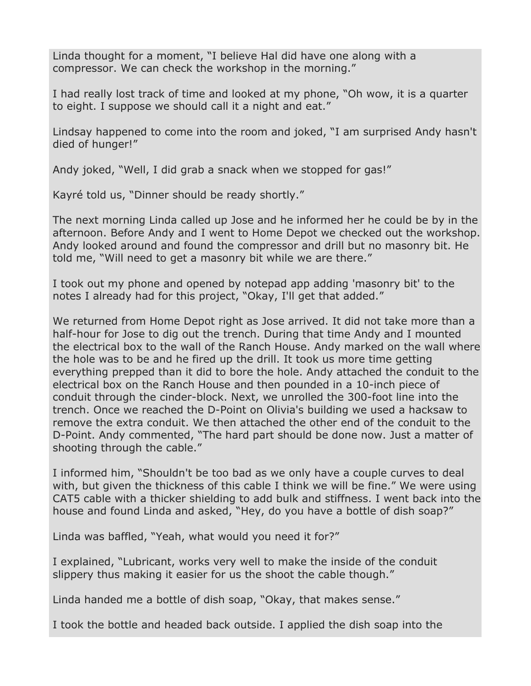Linda thought for a moment, "I believe Hal did have one along with a compressor. We can check the workshop in the morning."

I had really lost track of time and looked at my phone, "Oh wow, it is a quarter to eight. I suppose we should call it a night and eat."

Lindsay happened to come into the room and joked, "I am surprised Andy hasn't died of hunger!"

Andy joked, "Well, I did grab a snack when we stopped for gas!"

Kayré told us, "Dinner should be ready shortly."

The next morning Linda called up Jose and he informed her he could be by in the afternoon. Before Andy and I went to Home Depot we checked out the workshop. Andy looked around and found the compressor and drill but no masonry bit. He told me, "Will need to get a masonry bit while we are there."

I took out my phone and opened by notepad app adding 'masonry bit' to the notes I already had for this project, "Okay, I'll get that added."

We returned from Home Depot right as Jose arrived. It did not take more than a half-hour for Jose to dig out the trench. During that time Andy and I mounted the electrical box to the wall of the Ranch House. Andy marked on the wall where the hole was to be and he fired up the drill. It took us more time getting everything prepped than it did to bore the hole. Andy attached the conduit to the electrical box on the Ranch House and then pounded in a 10-inch piece of conduit through the cinder-block. Next, we unrolled the 300-foot line into the trench. Once we reached the D-Point on Olivia's building we used a hacksaw to remove the extra conduit. We then attached the other end of the conduit to the D-Point. Andy commented, "The hard part should be done now. Just a matter of shooting through the cable."

I informed him, "Shouldn't be too bad as we only have a couple curves to deal with, but given the thickness of this cable I think we will be fine." We were using CAT5 cable with a thicker shielding to add bulk and stiffness. I went back into the house and found Linda and asked, "Hey, do you have a bottle of dish soap?"

Linda was baffled, "Yeah, what would you need it for?"

I explained, "Lubricant, works very well to make the inside of the conduit slippery thus making it easier for us the shoot the cable though."

Linda handed me a bottle of dish soap, "Okay, that makes sense."

I took the bottle and headed back outside. I applied the dish soap into the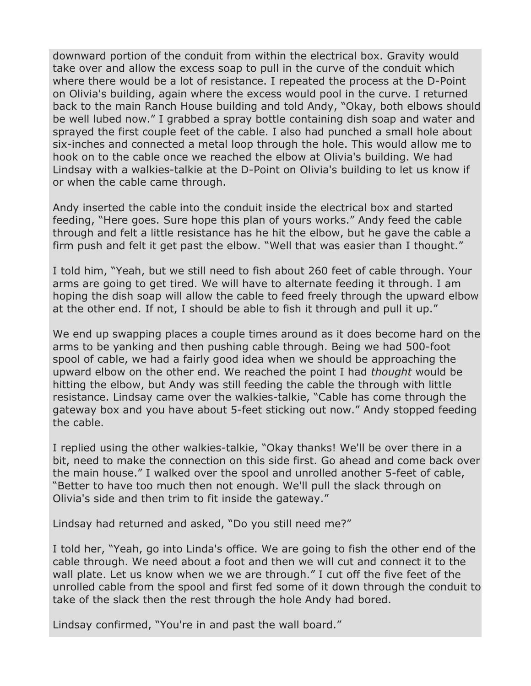downward portion of the conduit from within the electrical box. Gravity would take over and allow the excess soap to pull in the curve of the conduit which where there would be a lot of resistance. I repeated the process at the D-Point on Olivia's building, again where the excess would pool in the curve. I returned back to the main Ranch House building and told Andy, "Okay, both elbows should be well lubed now." I grabbed a spray bottle containing dish soap and water and sprayed the first couple feet of the cable. I also had punched a small hole about six-inches and connected a metal loop through the hole. This would allow me to hook on to the cable once we reached the elbow at Olivia's building. We had Lindsay with a walkies-talkie at the D-Point on Olivia's building to let us know if or when the cable came through.

Andy inserted the cable into the conduit inside the electrical box and started feeding, "Here goes. Sure hope this plan of yours works." Andy feed the cable through and felt a little resistance has he hit the elbow, but he gave the cable a firm push and felt it get past the elbow. "Well that was easier than I thought."

I told him, "Yeah, but we still need to fish about 260 feet of cable through. Your arms are going to get tired. We will have to alternate feeding it through. I am hoping the dish soap will allow the cable to feed freely through the upward elbow at the other end. If not, I should be able to fish it through and pull it up."

We end up swapping places a couple times around as it does become hard on the arms to be yanking and then pushing cable through. Being we had 500-foot spool of cable, we had a fairly good idea when we should be approaching the upward elbow on the other end. We reached the point I had *thought* would be hitting the elbow, but Andy was still feeding the cable the through with little resistance. Lindsay came over the walkies-talkie, "Cable has come through the gateway box and you have about 5-feet sticking out now." Andy stopped feeding the cable.

I replied using the other walkies-talkie, "Okay thanks! We'll be over there in a bit, need to make the connection on this side first. Go ahead and come back over the main house." I walked over the spool and unrolled another 5-feet of cable, "Better to have too much then not enough. We'll pull the slack through on Olivia's side and then trim to fit inside the gateway."

Lindsay had returned and asked, "Do you still need me?"

I told her, "Yeah, go into Linda's office. We are going to fish the other end of the cable through. We need about a foot and then we will cut and connect it to the wall plate. Let us know when we we are through." I cut off the five feet of the unrolled cable from the spool and first fed some of it down through the conduit to take of the slack then the rest through the hole Andy had bored.

Lindsay confirmed, "You're in and past the wall board."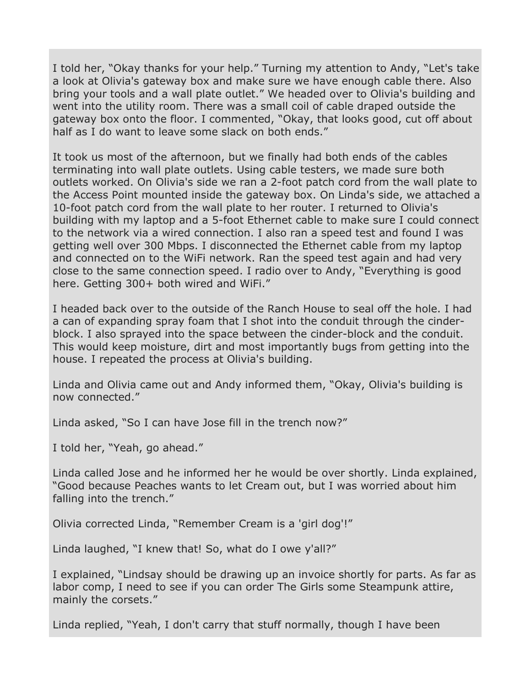I told her, "Okay thanks for your help." Turning my attention to Andy, "Let's take a look at Olivia's gateway box and make sure we have enough cable there. Also bring your tools and a wall plate outlet." We headed over to Olivia's building and went into the utility room. There was a small coil of cable draped outside the gateway box onto the floor. I commented, "Okay, that looks good, cut off about half as I do want to leave some slack on both ends."

It took us most of the afternoon, but we finally had both ends of the cables terminating into wall plate outlets. Using cable testers, we made sure both outlets worked. On Olivia's side we ran a 2-foot patch cord from the wall plate to the Access Point mounted inside the gateway box. On Linda's side, we attached a 10-foot patch cord from the wall plate to her router. I returned to Olivia's building with my laptop and a 5-foot Ethernet cable to make sure I could connect to the network via a wired connection. I also ran a speed test and found I was getting well over 300 Mbps. I disconnected the Ethernet cable from my laptop and connected on to the WiFi network. Ran the speed test again and had very close to the same connection speed. I radio over to Andy, "Everything is good here. Getting 300+ both wired and WiFi."

I headed back over to the outside of the Ranch House to seal off the hole. I had a can of expanding spray foam that I shot into the conduit through the cinderblock. I also sprayed into the space between the cinder-block and the conduit. This would keep moisture, dirt and most importantly bugs from getting into the house. I repeated the process at Olivia's building.

Linda and Olivia came out and Andy informed them, "Okay, Olivia's building is now connected."

Linda asked, "So I can have Jose fill in the trench now?"

I told her, "Yeah, go ahead."

Linda called Jose and he informed her he would be over shortly. Linda explained, "Good because Peaches wants to let Cream out, but I was worried about him falling into the trench."

Olivia corrected Linda, "Remember Cream is a 'girl dog'!"

Linda laughed, "I knew that! So, what do I owe y'all?"

I explained, "Lindsay should be drawing up an invoice shortly for parts. As far as labor comp, I need to see if you can order The Girls some Steampunk attire, mainly the corsets."

Linda replied, "Yeah, I don't carry that stuff normally, though I have been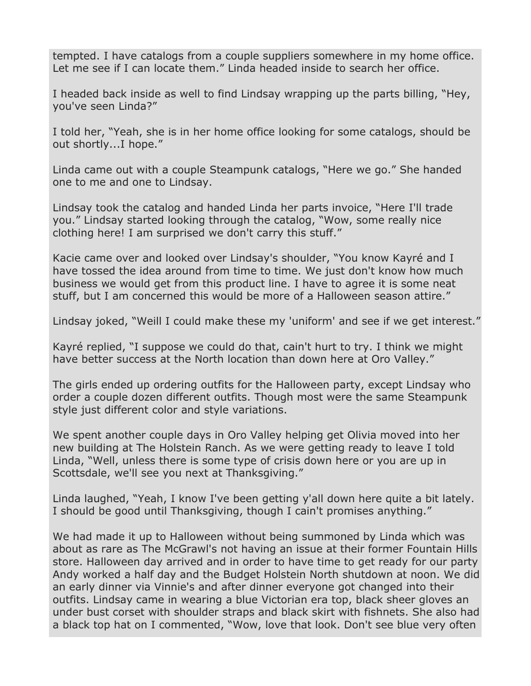tempted. I have catalogs from a couple suppliers somewhere in my home office. Let me see if I can locate them." Linda headed inside to search her office.

I headed back inside as well to find Lindsay wrapping up the parts billing, "Hey, you've seen Linda?"

I told her, "Yeah, she is in her home office looking for some catalogs, should be out shortly...I hope."

Linda came out with a couple Steampunk catalogs, "Here we go." She handed one to me and one to Lindsay.

Lindsay took the catalog and handed Linda her parts invoice, "Here I'll trade you." Lindsay started looking through the catalog, "Wow, some really nice clothing here! I am surprised we don't carry this stuff."

Kacie came over and looked over Lindsay's shoulder, "You know Kayré and I have tossed the idea around from time to time. We just don't know how much business we would get from this product line. I have to agree it is some neat stuff, but I am concerned this would be more of a Halloween season attire."

Lindsay joked, "Weill I could make these my 'uniform' and see if we get interest."

Kayré replied, "I suppose we could do that, cain't hurt to try. I think we might have better success at the North location than down here at Oro Valley."

The girls ended up ordering outfits for the Halloween party, except Lindsay who order a couple dozen different outfits. Though most were the same Steampunk style just different color and style variations.

We spent another couple days in Oro Valley helping get Olivia moved into her new building at The Holstein Ranch. As we were getting ready to leave I told Linda, "Well, unless there is some type of crisis down here or you are up in Scottsdale, we'll see you next at Thanksgiving."

Linda laughed, "Yeah, I know I've been getting y'all down here quite a bit lately. I should be good until Thanksgiving, though I cain't promises anything."

We had made it up to Halloween without being summoned by Linda which was about as rare as The McGrawl's not having an issue at their former Fountain Hills store. Halloween day arrived and in order to have time to get ready for our party Andy worked a half day and the Budget Holstein North shutdown at noon. We did an early dinner via Vinnie's and after dinner everyone got changed into their outfits. Lindsay came in wearing a blue Victorian era top, black sheer gloves an under bust corset with shoulder straps and black skirt with fishnets. She also had a black top hat on I commented, "Wow, love that look. Don't see blue very often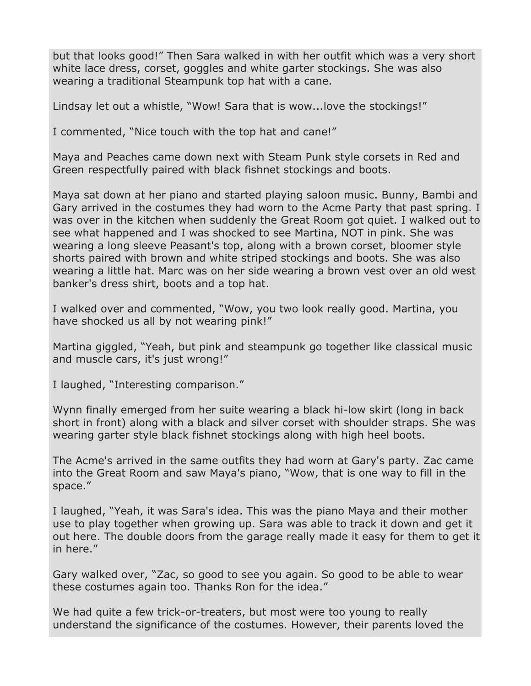but that looks good!" Then Sara walked in with her outfit which was a very short white lace dress, corset, goggles and white garter stockings. She was also wearing a traditional Steampunk top hat with a cane.

Lindsay let out a whistle, "Wow! Sara that is wow...love the stockings!"

I commented, "Nice touch with the top hat and cane!"

Maya and Peaches came down next with Steam Punk style corsets in Red and Green respectfully paired with black fishnet stockings and boots.

Maya sat down at her piano and started playing saloon music. Bunny, Bambi and Gary arrived in the costumes they had worn to the Acme Party that past spring. I was over in the kitchen when suddenly the Great Room got quiet. I walked out to see what happened and I was shocked to see Martina, NOT in pink. She was wearing a long sleeve Peasant's top, along with a brown corset, bloomer style shorts paired with brown and white striped stockings and boots. She was also wearing a little hat. Marc was on her side wearing a brown vest over an old west banker's dress shirt, boots and a top hat.

I walked over and commented, "Wow, you two look really good. Martina, you have shocked us all by not wearing pink!"

Martina giggled, "Yeah, but pink and steampunk go together like classical music and muscle cars, it's just wrong!"

I laughed, "Interesting comparison."

Wynn finally emerged from her suite wearing a black hi-low skirt (long in back short in front) along with a black and silver corset with shoulder straps. She was wearing garter style black fishnet stockings along with high heel boots.

The Acme's arrived in the same outfits they had worn at Gary's party. Zac came into the Great Room and saw Maya's piano, "Wow, that is one way to fill in the space."

I laughed, "Yeah, it was Sara's idea. This was the piano Maya and their mother use to play together when growing up. Sara was able to track it down and get it out here. The double doors from the garage really made it easy for them to get it in here."

Gary walked over, "Zac, so good to see you again. So good to be able to wear these costumes again too. Thanks Ron for the idea."

We had quite a few trick-or-treaters, but most were too young to really understand the significance of the costumes. However, their parents loved the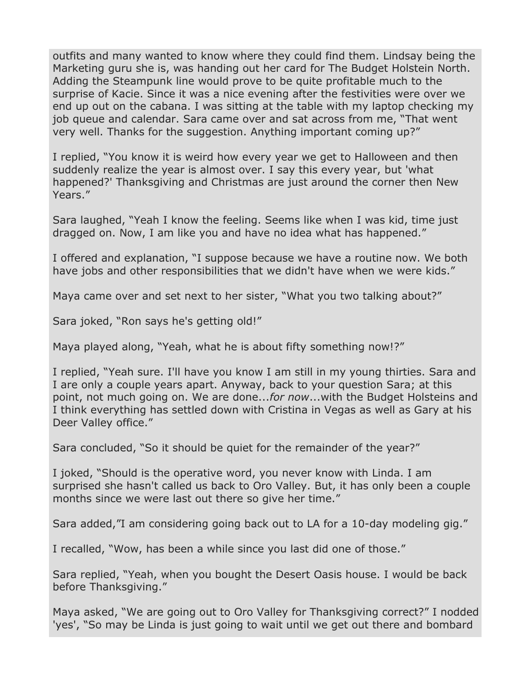outfits and many wanted to know where they could find them. Lindsay being the Marketing guru she is, was handing out her card for The Budget Holstein North. Adding the Steampunk line would prove to be quite profitable much to the surprise of Kacie. Since it was a nice evening after the festivities were over we end up out on the cabana. I was sitting at the table with my laptop checking my job queue and calendar. Sara came over and sat across from me, "That went very well. Thanks for the suggestion. Anything important coming up?"

I replied, "You know it is weird how every year we get to Halloween and then suddenly realize the year is almost over. I say this every year, but 'what happened?' Thanksgiving and Christmas are just around the corner then New Years."

Sara laughed, "Yeah I know the feeling. Seems like when I was kid, time just dragged on. Now, I am like you and have no idea what has happened."

I offered and explanation, "I suppose because we have a routine now. We both have jobs and other responsibilities that we didn't have when we were kids."

Maya came over and set next to her sister, "What you two talking about?"

Sara joked, "Ron says he's getting old!"

Maya played along, "Yeah, what he is about fifty something now!?"

I replied, "Yeah sure. I'll have you know I am still in my young thirties. Sara and I are only a couple years apart. Anyway, back to your question Sara; at this point, not much going on. We are done...*for now*...with the Budget Holsteins and I think everything has settled down with Cristina in Vegas as well as Gary at his Deer Valley office."

Sara concluded, "So it should be quiet for the remainder of the year?"

I joked, "Should is the operative word, you never know with Linda. I am surprised she hasn't called us back to Oro Valley. But, it has only been a couple months since we were last out there so give her time."

Sara added,"I am considering going back out to LA for a 10-day modeling gig."

I recalled, "Wow, has been a while since you last did one of those."

Sara replied, "Yeah, when you bought the Desert Oasis house. I would be back before Thanksgiving."

Maya asked, "We are going out to Oro Valley for Thanksgiving correct?" I nodded 'yes', "So may be Linda is just going to wait until we get out there and bombard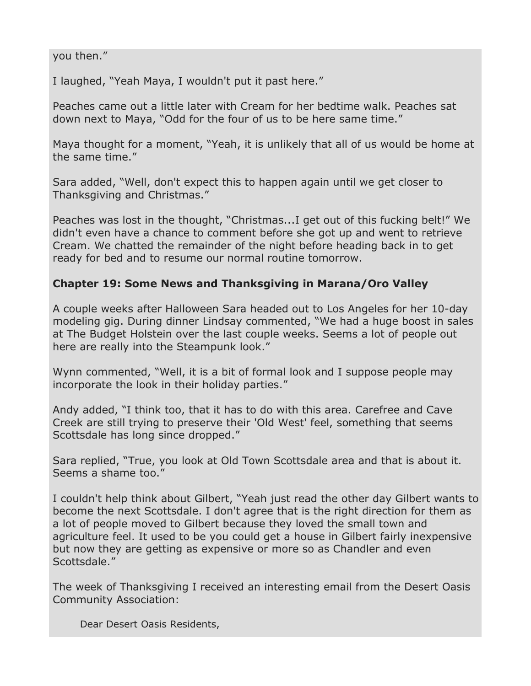#### you then."

I laughed, "Yeah Maya, I wouldn't put it past here."

Peaches came out a little later with Cream for her bedtime walk. Peaches sat down next to Maya, "Odd for the four of us to be here same time."

Maya thought for a moment, "Yeah, it is unlikely that all of us would be home at the same time."

Sara added, "Well, don't expect this to happen again until we get closer to Thanksgiving and Christmas."

Peaches was lost in the thought, "Christmas...I get out of this fucking belt!" We didn't even have a chance to comment before she got up and went to retrieve Cream. We chatted the remainder of the night before heading back in to get ready for bed and to resume our normal routine tomorrow.

### **Chapter 19: Some News and Thanksgiving in Marana/Oro Valley**

A couple weeks after Halloween Sara headed out to Los Angeles for her 10-day modeling gig. During dinner Lindsay commented, "We had a huge boost in sales at The Budget Holstein over the last couple weeks. Seems a lot of people out here are really into the Steampunk look."

Wynn commented, "Well, it is a bit of formal look and I suppose people may incorporate the look in their holiday parties."

Andy added, "I think too, that it has to do with this area. Carefree and Cave Creek are still trying to preserve their 'Old West' feel, something that seems Scottsdale has long since dropped."

Sara replied, "True, you look at Old Town Scottsdale area and that is about it. Seems a shame too."

I couldn't help think about Gilbert, "Yeah just read the other day Gilbert wants to become the next Scottsdale. I don't agree that is the right direction for them as a lot of people moved to Gilbert because they loved the small town and agriculture feel. It used to be you could get a house in Gilbert fairly inexpensive but now they are getting as expensive or more so as Chandler and even Scottsdale."

The week of Thanksgiving I received an interesting email from the Desert Oasis Community Association:

Dear Desert Oasis Residents,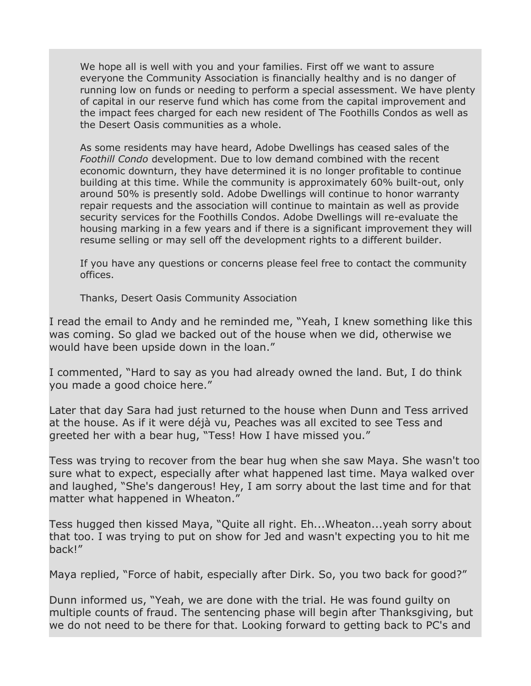We hope all is well with you and your families. First off we want to assure everyone the Community Association is financially healthy and is no danger of running low on funds or needing to perform a special assessment. We have plenty of capital in our reserve fund which has come from the capital improvement and the impact fees charged for each new resident of The Foothills Condos as well as the Desert Oasis communities as a whole.

As some residents may have heard, Adobe Dwellings has ceased sales of the *Foothill Condo* development. Due to low demand combined with the recent economic downturn, they have determined it is no longer profitable to continue building at this time. While the community is approximately 60% built-out, only around 50% is presently sold. Adobe Dwellings will continue to honor warranty repair requests and the association will continue to maintain as well as provide security services for the Foothills Condos. Adobe Dwellings will re-evaluate the housing marking in a few years and if there is a significant improvement they will resume selling or may sell off the development rights to a different builder.

If you have any questions or concerns please feel free to contact the community offices.

Thanks, Desert Oasis Community Association

I read the email to Andy and he reminded me, "Yeah, I knew something like this was coming. So glad we backed out of the house when we did, otherwise we would have been upside down in the loan."

I commented, "Hard to say as you had already owned the land. But, I do think you made a good choice here."

Later that day Sara had just returned to the house when Dunn and Tess arrived at the house. As if it were déjà vu, Peaches was all excited to see Tess and greeted her with a bear hug, "Tess! How I have missed you."

Tess was trying to recover from the bear hug when she saw Maya. She wasn't too sure what to expect, especially after what happened last time. Maya walked over and laughed, "She's dangerous! Hey, I am sorry about the last time and for that matter what happened in Wheaton."

Tess hugged then kissed Maya, "Quite all right. Eh...Wheaton...yeah sorry about that too. I was trying to put on show for Jed and wasn't expecting you to hit me back!"

Maya replied, "Force of habit, especially after Dirk. So, you two back for good?"

Dunn informed us, "Yeah, we are done with the trial. He was found guilty on multiple counts of fraud. The sentencing phase will begin after Thanksgiving, but we do not need to be there for that. Looking forward to getting back to PC's and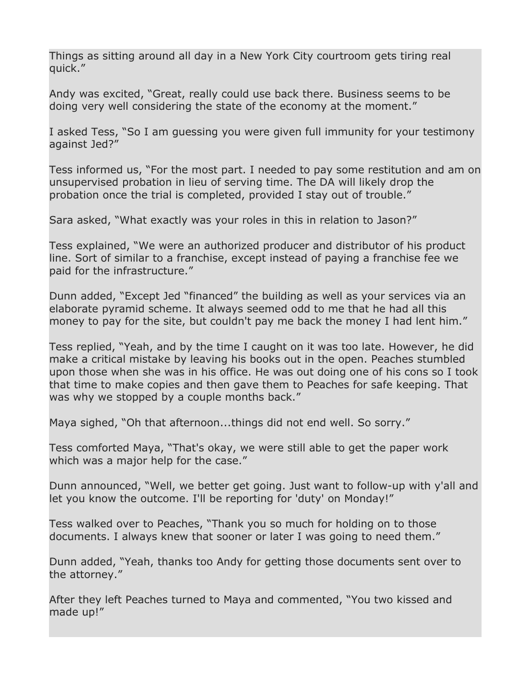Things as sitting around all day in a New York City courtroom gets tiring real quick."

Andy was excited, "Great, really could use back there. Business seems to be doing very well considering the state of the economy at the moment."

I asked Tess, "So I am guessing you were given full immunity for your testimony against Jed?"

Tess informed us, "For the most part. I needed to pay some restitution and am on unsupervised probation in lieu of serving time. The DA will likely drop the probation once the trial is completed, provided I stay out of trouble."

Sara asked, "What exactly was your roles in this in relation to Jason?"

Tess explained, "We were an authorized producer and distributor of his product line. Sort of similar to a franchise, except instead of paying a franchise fee we paid for the infrastructure."

Dunn added, "Except Jed "financed" the building as well as your services via an elaborate pyramid scheme. It always seemed odd to me that he had all this money to pay for the site, but couldn't pay me back the money I had lent him."

Tess replied, "Yeah, and by the time I caught on it was too late. However, he did make a critical mistake by leaving his books out in the open. Peaches stumbled upon those when she was in his office. He was out doing one of his cons so I took that time to make copies and then gave them to Peaches for safe keeping. That was why we stopped by a couple months back."

Maya sighed, "Oh that afternoon...things did not end well. So sorry."

Tess comforted Maya, "That's okay, we were still able to get the paper work which was a major help for the case."

Dunn announced, "Well, we better get going. Just want to follow-up with y'all and let you know the outcome. I'll be reporting for 'duty' on Monday!"

Tess walked over to Peaches, "Thank you so much for holding on to those documents. I always knew that sooner or later I was going to need them."

Dunn added, "Yeah, thanks too Andy for getting those documents sent over to the attorney."

After they left Peaches turned to Maya and commented, "You two kissed and made up!"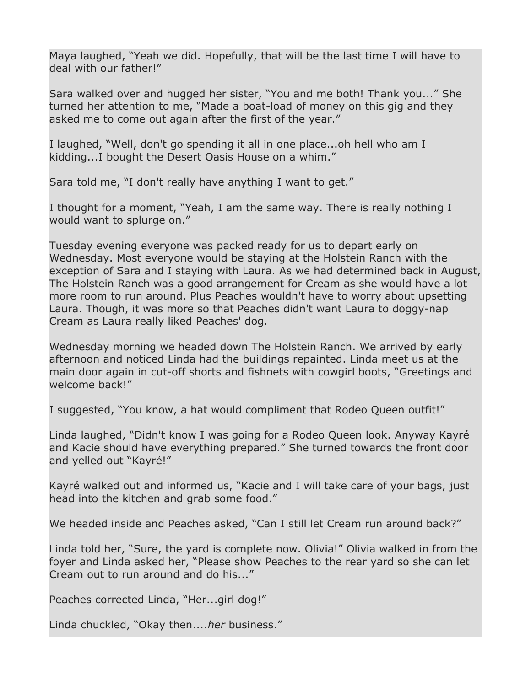Maya laughed, "Yeah we did. Hopefully, that will be the last time I will have to deal with our father!"

Sara walked over and hugged her sister, "You and me both! Thank you..." She turned her attention to me, "Made a boat-load of money on this gig and they asked me to come out again after the first of the year."

I laughed, "Well, don't go spending it all in one place...oh hell who am I kidding...I bought the Desert Oasis House on a whim."

Sara told me, "I don't really have anything I want to get."

I thought for a moment, "Yeah, I am the same way. There is really nothing I would want to splurge on."

Tuesday evening everyone was packed ready for us to depart early on Wednesday. Most everyone would be staying at the Holstein Ranch with the exception of Sara and I staying with Laura. As we had determined back in August, The Holstein Ranch was a good arrangement for Cream as she would have a lot more room to run around. Plus Peaches wouldn't have to worry about upsetting Laura. Though, it was more so that Peaches didn't want Laura to doggy-nap Cream as Laura really liked Peaches' dog.

Wednesday morning we headed down The Holstein Ranch. We arrived by early afternoon and noticed Linda had the buildings repainted. Linda meet us at the main door again in cut-off shorts and fishnets with cowgirl boots, "Greetings and welcome back!"

I suggested, "You know, a hat would compliment that Rodeo Queen outfit!"

Linda laughed, "Didn't know I was going for a Rodeo Queen look. Anyway Kayré and Kacie should have everything prepared." She turned towards the front door and yelled out "Kayré!"

Kayré walked out and informed us, "Kacie and I will take care of your bags, just head into the kitchen and grab some food."

We headed inside and Peaches asked, "Can I still let Cream run around back?"

Linda told her, "Sure, the yard is complete now. Olivia!" Olivia walked in from the foyer and Linda asked her, "Please show Peaches to the rear yard so she can let Cream out to run around and do his..."

Peaches corrected Linda, "Her...girl dog!"

Linda chuckled, "Okay then....*her* business."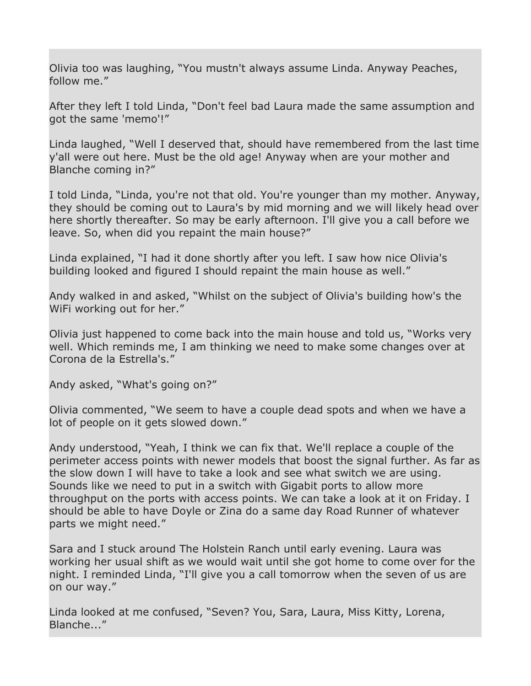Olivia too was laughing, "You mustn't always assume Linda. Anyway Peaches, follow me."

After they left I told Linda, "Don't feel bad Laura made the same assumption and got the same 'memo'!"

Linda laughed, "Well I deserved that, should have remembered from the last time y'all were out here. Must be the old age! Anyway when are your mother and Blanche coming in?"

I told Linda, "Linda, you're not that old. You're younger than my mother. Anyway, they should be coming out to Laura's by mid morning and we will likely head over here shortly thereafter. So may be early afternoon. I'll give you a call before we leave. So, when did you repaint the main house?"

Linda explained, "I had it done shortly after you left. I saw how nice Olivia's building looked and figured I should repaint the main house as well."

Andy walked in and asked, "Whilst on the subject of Olivia's building how's the WiFi working out for her."

Olivia just happened to come back into the main house and told us, "Works very well. Which reminds me, I am thinking we need to make some changes over at Corona de la Estrella's."

Andy asked, "What's going on?"

Olivia commented, "We seem to have a couple dead spots and when we have a lot of people on it gets slowed down."

Andy understood, "Yeah, I think we can fix that. We'll replace a couple of the perimeter access points with newer models that boost the signal further. As far as the slow down I will have to take a look and see what switch we are using. Sounds like we need to put in a switch with Gigabit ports to allow more throughput on the ports with access points. We can take a look at it on Friday. I should be able to have Doyle or Zina do a same day Road Runner of whatever parts we might need."

Sara and I stuck around The Holstein Ranch until early evening. Laura was working her usual shift as we would wait until she got home to come over for the night. I reminded Linda, "I'll give you a call tomorrow when the seven of us are on our way."

Linda looked at me confused, "Seven? You, Sara, Laura, Miss Kitty, Lorena, Blanche..."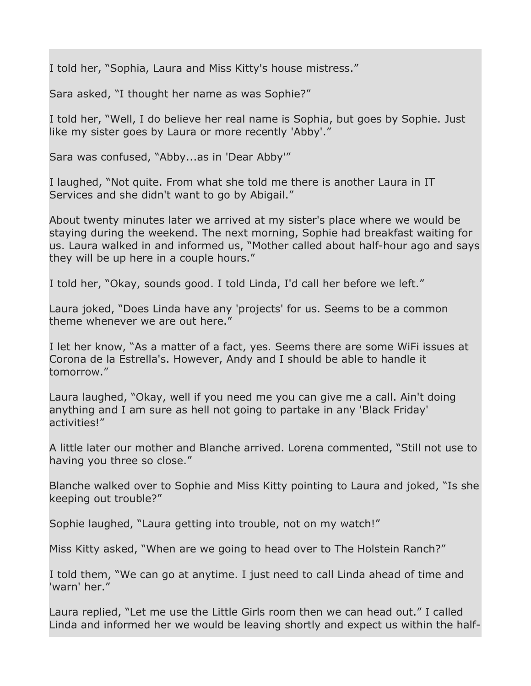I told her, "Sophia, Laura and Miss Kitty's house mistress."

Sara asked, "I thought her name as was Sophie?"

I told her, "Well, I do believe her real name is Sophia, but goes by Sophie. Just like my sister goes by Laura or more recently 'Abby'."

Sara was confused, "Abby...as in 'Dear Abby'"

I laughed, "Not quite. From what she told me there is another Laura in IT Services and she didn't want to go by Abigail."

About twenty minutes later we arrived at my sister's place where we would be staying during the weekend. The next morning, Sophie had breakfast waiting for us. Laura walked in and informed us, "Mother called about half-hour ago and says they will be up here in a couple hours."

I told her, "Okay, sounds good. I told Linda, I'd call her before we left."

Laura joked, "Does Linda have any 'projects' for us. Seems to be a common theme whenever we are out here."

I let her know, "As a matter of a fact, yes. Seems there are some WiFi issues at Corona de la Estrella's. However, Andy and I should be able to handle it tomorrow."

Laura laughed, "Okay, well if you need me you can give me a call. Ain't doing anything and I am sure as hell not going to partake in any 'Black Friday' activities!"

A little later our mother and Blanche arrived. Lorena commented, "Still not use to having you three so close."

Blanche walked over to Sophie and Miss Kitty pointing to Laura and joked, "Is she keeping out trouble?"

Sophie laughed, "Laura getting into trouble, not on my watch!"

Miss Kitty asked, "When are we going to head over to The Holstein Ranch?"

I told them, "We can go at anytime. I just need to call Linda ahead of time and 'warn' her."

Laura replied, "Let me use the Little Girls room then we can head out." I called Linda and informed her we would be leaving shortly and expect us within the half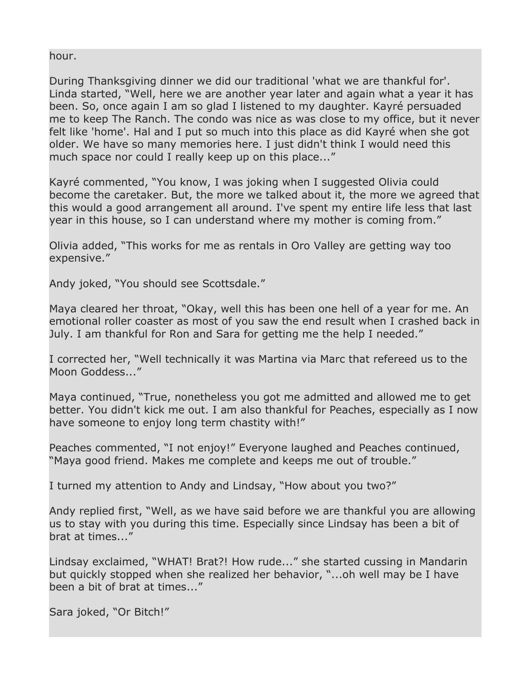hour.

During Thanksgiving dinner we did our traditional 'what we are thankful for'. Linda started, "Well, here we are another year later and again what a year it has been. So, once again I am so glad I listened to my daughter. Kayré persuaded me to keep The Ranch. The condo was nice as was close to my office, but it never felt like 'home'. Hal and I put so much into this place as did Kayré when she got older. We have so many memories here. I just didn't think I would need this much space nor could I really keep up on this place..."

Kayré commented, "You know, I was joking when I suggested Olivia could become the caretaker. But, the more we talked about it, the more we agreed that this would a good arrangement all around. I've spent my entire life less that last year in this house, so I can understand where my mother is coming from."

Olivia added, "This works for me as rentals in Oro Valley are getting way too expensive."

Andy joked, "You should see Scottsdale."

Maya cleared her throat, "Okay, well this has been one hell of a year for me. An emotional roller coaster as most of you saw the end result when I crashed back in July. I am thankful for Ron and Sara for getting me the help I needed."

I corrected her, "Well technically it was Martina via Marc that refereed us to the Moon Goddess..."

Maya continued, "True, nonetheless you got me admitted and allowed me to get better. You didn't kick me out. I am also thankful for Peaches, especially as I now have someone to enjoy long term chastity with!"

Peaches commented, "I not enjoy!" Everyone laughed and Peaches continued, "Maya good friend. Makes me complete and keeps me out of trouble."

I turned my attention to Andy and Lindsay, "How about you two?"

Andy replied first, "Well, as we have said before we are thankful you are allowing us to stay with you during this time. Especially since Lindsay has been a bit of brat at times..."

Lindsay exclaimed, "WHAT! Brat?! How rude..." she started cussing in Mandarin but quickly stopped when she realized her behavior, "...oh well may be I have been a bit of brat at times..."

Sara joked, "Or Bitch!"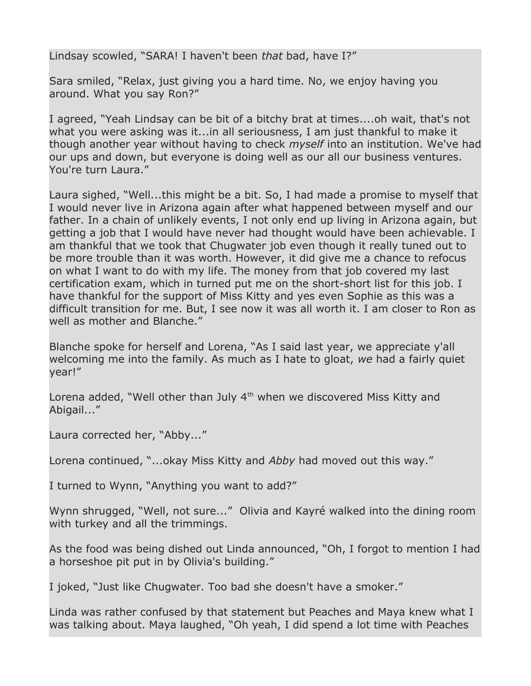Lindsay scowled, "SARA! I haven't been *that* bad, have I?"

Sara smiled, "Relax, just giving you a hard time. No, we enjoy having you around. What you say Ron?"

I agreed, "Yeah Lindsay can be bit of a bitchy brat at times....oh wait, that's not what you were asking was it...in all seriousness, I am just thankful to make it though another year without having to check *myself* into an institution. We've had our ups and down, but everyone is doing well as our all our business ventures. You're turn Laura."

Laura sighed, "Well...this might be a bit. So, I had made a promise to myself that I would never live in Arizona again after what happened between myself and our father. In a chain of unlikely events, I not only end up living in Arizona again, but getting a job that I would have never had thought would have been achievable. I am thankful that we took that Chugwater job even though it really tuned out to be more trouble than it was worth. However, it did give me a chance to refocus on what I want to do with my life. The money from that job covered my last certification exam, which in turned put me on the short-short list for this job. I have thankful for the support of Miss Kitty and yes even Sophie as this was a difficult transition for me. But, I see now it was all worth it. I am closer to Ron as well as mother and Blanche."

Blanche spoke for herself and Lorena, "As I said last year, we appreciate y'all welcoming me into the family. As much as I hate to gloat, *we* had a fairly quiet year!"

Lorena added, "Well other than July  $4<sup>th</sup>$  when we discovered Miss Kitty and Abigail..."

Laura corrected her, "Abby..."

Lorena continued, "...okay Miss Kitty and *Abby* had moved out this way."

I turned to Wynn, "Anything you want to add?"

Wynn shrugged, "Well, not sure..." Olivia and Kayré walked into the dining room with turkey and all the trimmings.

As the food was being dished out Linda announced, "Oh, I forgot to mention I had a horseshoe pit put in by Olivia's building."

I joked, "Just like Chugwater. Too bad she doesn't have a smoker."

Linda was rather confused by that statement but Peaches and Maya knew what I was talking about. Maya laughed, "Oh yeah, I did spend a lot time with Peaches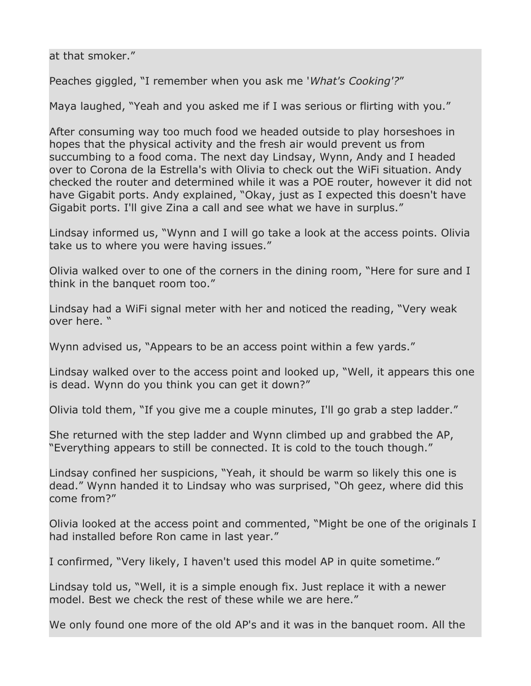at that smoker."

Peaches giggled, "I remember when you ask me '*What's Cooking'?*"

Maya laughed, "Yeah and you asked me if I was serious or flirting with you."

After consuming way too much food we headed outside to play horseshoes in hopes that the physical activity and the fresh air would prevent us from succumbing to a food coma. The next day Lindsay, Wynn, Andy and I headed over to Corona de la Estrella's with Olivia to check out the WiFi situation. Andy checked the router and determined while it was a POE router, however it did not have Gigabit ports. Andy explained, "Okay, just as I expected this doesn't have Gigabit ports. I'll give Zina a call and see what we have in surplus."

Lindsay informed us, "Wynn and I will go take a look at the access points. Olivia take us to where you were having issues."

Olivia walked over to one of the corners in the dining room, "Here for sure and I think in the banquet room too."

Lindsay had a WiFi signal meter with her and noticed the reading, "Very weak over here. "

Wynn advised us, "Appears to be an access point within a few yards."

Lindsay walked over to the access point and looked up, "Well, it appears this one is dead. Wynn do you think you can get it down?"

Olivia told them, "If you give me a couple minutes, I'll go grab a step ladder."

She returned with the step ladder and Wynn climbed up and grabbed the AP, "Everything appears to still be connected. It is cold to the touch though."

Lindsay confined her suspicions, "Yeah, it should be warm so likely this one is dead." Wynn handed it to Lindsay who was surprised, "Oh geez, where did this come from?"

Olivia looked at the access point and commented, "Might be one of the originals I had installed before Ron came in last year."

I confirmed, "Very likely, I haven't used this model AP in quite sometime."

Lindsay told us, "Well, it is a simple enough fix. Just replace it with a newer model. Best we check the rest of these while we are here."

We only found one more of the old AP's and it was in the banquet room. All the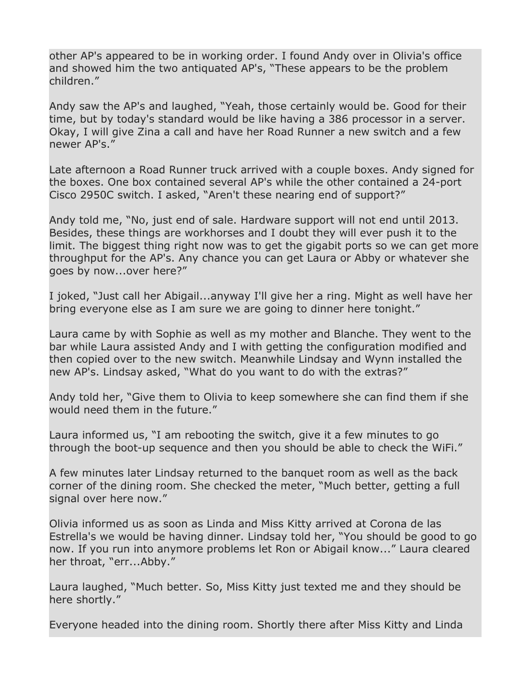other AP's appeared to be in working order. I found Andy over in Olivia's office and showed him the two antiquated AP's, "These appears to be the problem children."

Andy saw the AP's and laughed, "Yeah, those certainly would be. Good for their time, but by today's standard would be like having a 386 processor in a server. Okay, I will give Zina a call and have her Road Runner a new switch and a few newer AP's."

Late afternoon a Road Runner truck arrived with a couple boxes. Andy signed for the boxes. One box contained several AP's while the other contained a 24-port Cisco 2950C switch. I asked, "Aren't these nearing end of support?"

Andy told me, "No, just end of sale. Hardware support will not end until 2013. Besides, these things are workhorses and I doubt they will ever push it to the limit. The biggest thing right now was to get the gigabit ports so we can get more throughput for the AP's. Any chance you can get Laura or Abby or whatever she goes by now...over here?"

I joked, "Just call her Abigail...anyway I'll give her a ring. Might as well have her bring everyone else as I am sure we are going to dinner here tonight."

Laura came by with Sophie as well as my mother and Blanche. They went to the bar while Laura assisted Andy and I with getting the configuration modified and then copied over to the new switch. Meanwhile Lindsay and Wynn installed the new AP's. Lindsay asked, "What do you want to do with the extras?"

Andy told her, "Give them to Olivia to keep somewhere she can find them if she would need them in the future."

Laura informed us, "I am rebooting the switch, give it a few minutes to go through the boot-up sequence and then you should be able to check the WiFi."

A few minutes later Lindsay returned to the banquet room as well as the back corner of the dining room. She checked the meter, "Much better, getting a full signal over here now."

Olivia informed us as soon as Linda and Miss Kitty arrived at Corona de las Estrella's we would be having dinner. Lindsay told her, "You should be good to go now. If you run into anymore problems let Ron or Abigail know..." Laura cleared her throat, "err...Abby."

Laura laughed, "Much better. So, Miss Kitty just texted me and they should be here shortly."

Everyone headed into the dining room. Shortly there after Miss Kitty and Linda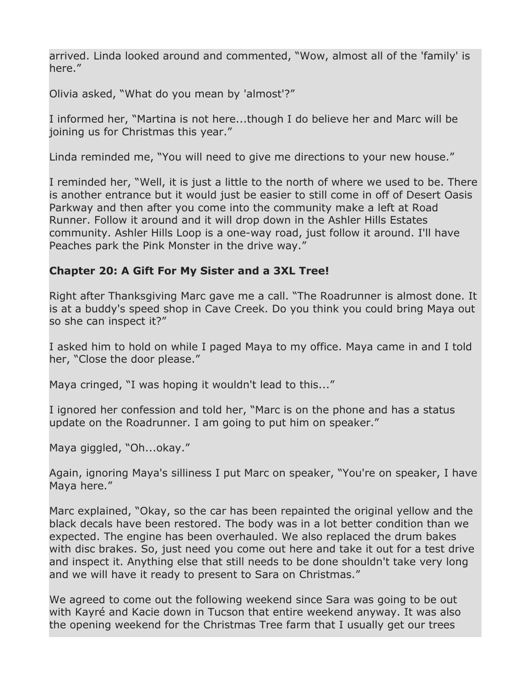arrived. Linda looked around and commented, "Wow, almost all of the 'family' is here."

Olivia asked, "What do you mean by 'almost'?"

I informed her, "Martina is not here...though I do believe her and Marc will be joining us for Christmas this year."

Linda reminded me, "You will need to give me directions to your new house."

I reminded her, "Well, it is just a little to the north of where we used to be. There is another entrance but it would just be easier to still come in off of Desert Oasis Parkway and then after you come into the community make a left at Road Runner. Follow it around and it will drop down in the Ashler Hills Estates community. Ashler Hills Loop is a one-way road, just follow it around. I'll have Peaches park the Pink Monster in the drive way."

# **Chapter 20: A Gift For My Sister and a 3XL Tree!**

Right after Thanksgiving Marc gave me a call. "The Roadrunner is almost done. It is at a buddy's speed shop in Cave Creek. Do you think you could bring Maya out so she can inspect it?"

I asked him to hold on while I paged Maya to my office. Maya came in and I told her, "Close the door please."

Maya cringed, "I was hoping it wouldn't lead to this..."

I ignored her confession and told her, "Marc is on the phone and has a status update on the Roadrunner. I am going to put him on speaker."

Maya giggled, "Oh...okay."

Again, ignoring Maya's silliness I put Marc on speaker, "You're on speaker, I have Maya here."

Marc explained, "Okay, so the car has been repainted the original yellow and the black decals have been restored. The body was in a lot better condition than we expected. The engine has been overhauled. We also replaced the drum bakes with disc brakes. So, just need you come out here and take it out for a test drive and inspect it. Anything else that still needs to be done shouldn't take very long and we will have it ready to present to Sara on Christmas."

We agreed to come out the following weekend since Sara was going to be out with Kayré and Kacie down in Tucson that entire weekend anyway. It was also the opening weekend for the Christmas Tree farm that I usually get our trees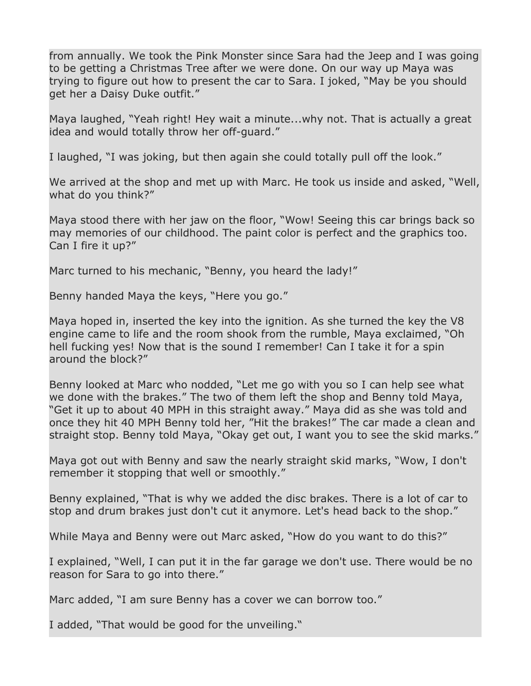from annually. We took the Pink Monster since Sara had the Jeep and I was going to be getting a Christmas Tree after we were done. On our way up Maya was trying to figure out how to present the car to Sara. I joked, "May be you should get her a Daisy Duke outfit."

Maya laughed, "Yeah right! Hey wait a minute...why not. That is actually a great idea and would totally throw her off-guard."

I laughed, "I was joking, but then again she could totally pull off the look."

We arrived at the shop and met up with Marc. He took us inside and asked, "Well, what do you think?"

Maya stood there with her jaw on the floor, "Wow! Seeing this car brings back so may memories of our childhood. The paint color is perfect and the graphics too. Can I fire it up?"

Marc turned to his mechanic, "Benny, you heard the lady!"

Benny handed Maya the keys, "Here you go."

Maya hoped in, inserted the key into the ignition. As she turned the key the V8 engine came to life and the room shook from the rumble, Maya exclaimed, "Oh hell fucking yes! Now that is the sound I remember! Can I take it for a spin around the block?"

Benny looked at Marc who nodded, "Let me go with you so I can help see what we done with the brakes." The two of them left the shop and Benny told Maya, "Get it up to about 40 MPH in this straight away." Maya did as she was told and once they hit 40 MPH Benny told her, "Hit the brakes!" The car made a clean and straight stop. Benny told Maya, "Okay get out, I want you to see the skid marks."

Maya got out with Benny and saw the nearly straight skid marks, "Wow, I don't remember it stopping that well or smoothly."

Benny explained, "That is why we added the disc brakes. There is a lot of car to stop and drum brakes just don't cut it anymore. Let's head back to the shop."

While Maya and Benny were out Marc asked, "How do you want to do this?"

I explained, "Well, I can put it in the far garage we don't use. There would be no reason for Sara to go into there."

Marc added, "I am sure Benny has a cover we can borrow too."

I added, "That would be good for the unveiling."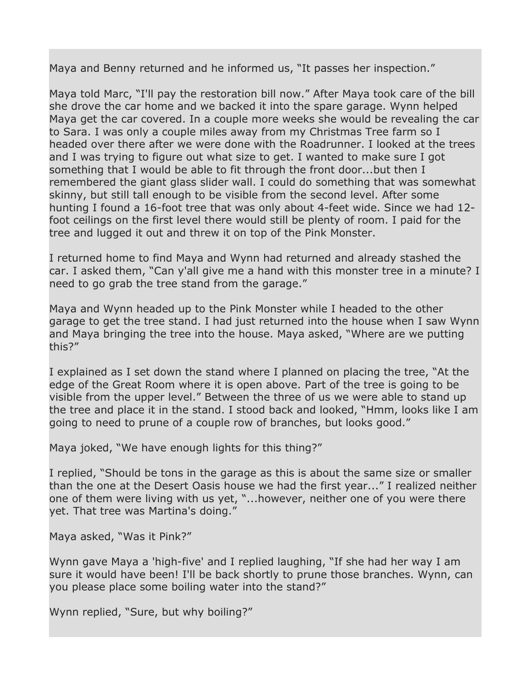Maya and Benny returned and he informed us, "It passes her inspection."

Maya told Marc, "I'll pay the restoration bill now." After Maya took care of the bill she drove the car home and we backed it into the spare garage. Wynn helped Maya get the car covered. In a couple more weeks she would be revealing the car to Sara. I was only a couple miles away from my Christmas Tree farm so I headed over there after we were done with the Roadrunner. I looked at the trees and I was trying to figure out what size to get. I wanted to make sure I got something that I would be able to fit through the front door...but then I remembered the giant glass slider wall. I could do something that was somewhat skinny, but still tall enough to be visible from the second level. After some hunting I found a 16-foot tree that was only about 4-feet wide. Since we had 12 foot ceilings on the first level there would still be plenty of room. I paid for the tree and lugged it out and threw it on top of the Pink Monster.

I returned home to find Maya and Wynn had returned and already stashed the car. I asked them, "Can y'all give me a hand with this monster tree in a minute? I need to go grab the tree stand from the garage."

Maya and Wynn headed up to the Pink Monster while I headed to the other garage to get the tree stand. I had just returned into the house when I saw Wynn and Maya bringing the tree into the house. Maya asked, "Where are we putting this?"

I explained as I set down the stand where I planned on placing the tree, "At the edge of the Great Room where it is open above. Part of the tree is going to be visible from the upper level." Between the three of us we were able to stand up the tree and place it in the stand. I stood back and looked, "Hmm, looks like I am going to need to prune of a couple row of branches, but looks good."

Maya joked, "We have enough lights for this thing?"

I replied, "Should be tons in the garage as this is about the same size or smaller than the one at the Desert Oasis house we had the first year..." I realized neither one of them were living with us yet, "...however, neither one of you were there yet. That tree was Martina's doing."

Maya asked, "Was it Pink?"

Wynn gave Maya a 'high-five' and I replied laughing, "If she had her way I am sure it would have been! I'll be back shortly to prune those branches. Wynn, can you please place some boiling water into the stand?"

Wynn replied, "Sure, but why boiling?"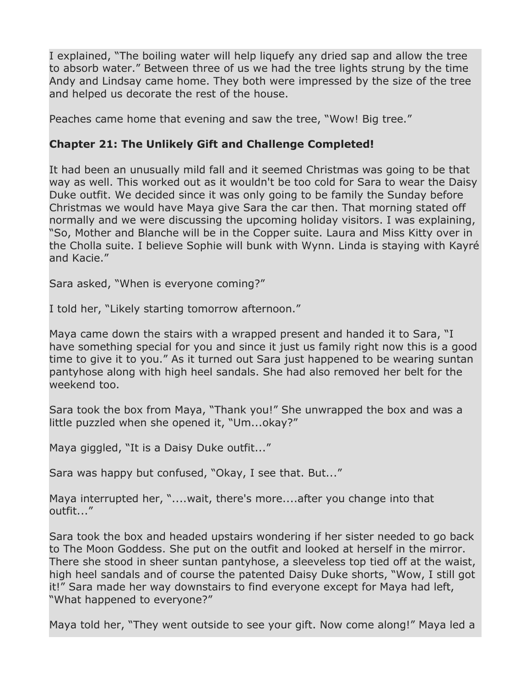I explained, "The boiling water will help liquefy any dried sap and allow the tree to absorb water." Between three of us we had the tree lights strung by the time Andy and Lindsay came home. They both were impressed by the size of the tree and helped us decorate the rest of the house.

Peaches came home that evening and saw the tree, "Wow! Big tree."

# **Chapter 21: The Unlikely Gift and Challenge Completed!**

It had been an unusually mild fall and it seemed Christmas was going to be that way as well. This worked out as it wouldn't be too cold for Sara to wear the Daisy Duke outfit. We decided since it was only going to be family the Sunday before Christmas we would have Maya give Sara the car then. That morning stated off normally and we were discussing the upcoming holiday visitors. I was explaining, "So, Mother and Blanche will be in the Copper suite. Laura and Miss Kitty over in the Cholla suite. I believe Sophie will bunk with Wynn. Linda is staying with Kayré and Kacie."

Sara asked, "When is everyone coming?"

I told her, "Likely starting tomorrow afternoon."

Maya came down the stairs with a wrapped present and handed it to Sara, "I have something special for you and since it just us family right now this is a good time to give it to you." As it turned out Sara just happened to be wearing suntan pantyhose along with high heel sandals. She had also removed her belt for the weekend too.

Sara took the box from Maya, "Thank you!" She unwrapped the box and was a little puzzled when she opened it, "Um...okay?"

Maya giggled, "It is a Daisy Duke outfit..."

Sara was happy but confused, "Okay, I see that. But..."

Maya interrupted her, "....wait, there's more....after you change into that outfit..."

Sara took the box and headed upstairs wondering if her sister needed to go back to The Moon Goddess. She put on the outfit and looked at herself in the mirror. There she stood in sheer suntan pantyhose, a sleeveless top tied off at the waist, high heel sandals and of course the patented Daisy Duke shorts, "Wow, I still got it!" Sara made her way downstairs to find everyone except for Maya had left, "What happened to everyone?"

Maya told her, "They went outside to see your gift. Now come along!" Maya led a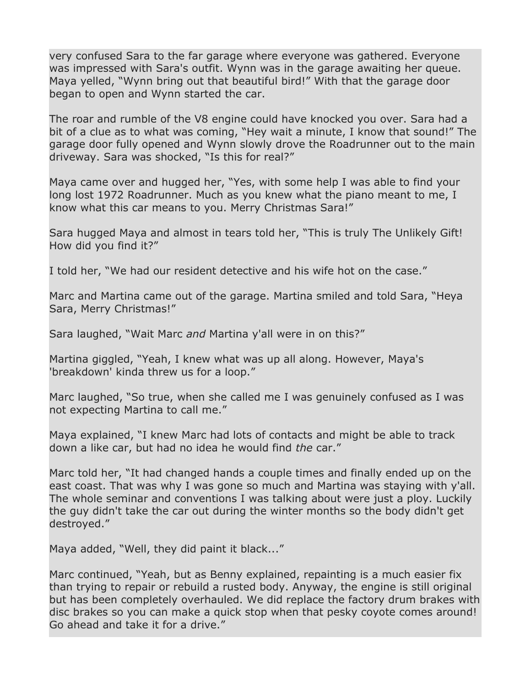very confused Sara to the far garage where everyone was gathered. Everyone was impressed with Sara's outfit. Wynn was in the garage awaiting her queue. Maya yelled, "Wynn bring out that beautiful bird!" With that the garage door began to open and Wynn started the car.

The roar and rumble of the V8 engine could have knocked you over. Sara had a bit of a clue as to what was coming, "Hey wait a minute, I know that sound!" The garage door fully opened and Wynn slowly drove the Roadrunner out to the main driveway. Sara was shocked, "Is this for real?"

Maya came over and hugged her, "Yes, with some help I was able to find your long lost 1972 Roadrunner. Much as you knew what the piano meant to me, I know what this car means to you. Merry Christmas Sara!"

Sara hugged Maya and almost in tears told her, "This is truly The Unlikely Gift! How did you find it?"

I told her, "We had our resident detective and his wife hot on the case."

Marc and Martina came out of the garage. Martina smiled and told Sara, "Heya Sara, Merry Christmas!"

Sara laughed, "Wait Marc *and* Martina y'all were in on this?"

Martina giggled, "Yeah, I knew what was up all along. However, Maya's 'breakdown' kinda threw us for a loop."

Marc laughed, "So true, when she called me I was genuinely confused as I was not expecting Martina to call me."

Maya explained, "I knew Marc had lots of contacts and might be able to track down a like car, but had no idea he would find *the* car."

Marc told her, "It had changed hands a couple times and finally ended up on the east coast. That was why I was gone so much and Martina was staying with y'all. The whole seminar and conventions I was talking about were just a ploy. Luckily the guy didn't take the car out during the winter months so the body didn't get destroyed."

Maya added, "Well, they did paint it black..."

Marc continued, "Yeah, but as Benny explained, repainting is a much easier fix than trying to repair or rebuild a rusted body. Anyway, the engine is still original but has been completely overhauled. We did replace the factory drum brakes with disc brakes so you can make a quick stop when that pesky coyote comes around! Go ahead and take it for a drive."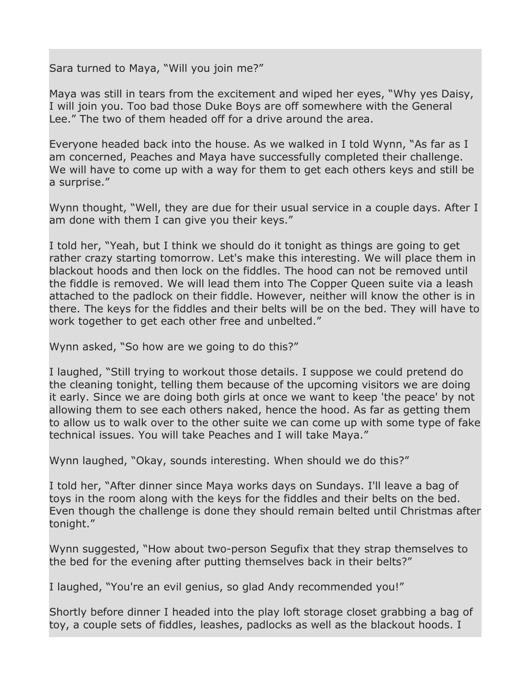Sara turned to Maya, "Will you join me?"

Maya was still in tears from the excitement and wiped her eyes, "Why yes Daisy, I will join you. Too bad those Duke Boys are off somewhere with the General Lee." The two of them headed off for a drive around the area.

Everyone headed back into the house. As we walked in I told Wynn, "As far as I am concerned, Peaches and Maya have successfully completed their challenge. We will have to come up with a way for them to get each others keys and still be a surprise."

Wynn thought, "Well, they are due for their usual service in a couple days. After I am done with them I can give you their keys."

I told her, "Yeah, but I think we should do it tonight as things are going to get rather crazy starting tomorrow. Let's make this interesting. We will place them in blackout hoods and then lock on the fiddles. The hood can not be removed until the fiddle is removed. We will lead them into The Copper Queen suite via a leash attached to the padlock on their fiddle. However, neither will know the other is in there. The keys for the fiddles and their belts will be on the bed. They will have to work together to get each other free and unbelted."

Wynn asked, "So how are we going to do this?"

I laughed, "Still trying to workout those details. I suppose we could pretend do the cleaning tonight, telling them because of the upcoming visitors we are doing it early. Since we are doing both girls at once we want to keep 'the peace' by not allowing them to see each others naked, hence the hood. As far as getting them to allow us to walk over to the other suite we can come up with some type of fake technical issues. You will take Peaches and I will take Maya."

Wynn laughed, "Okay, sounds interesting. When should we do this?"

I told her, "After dinner since Maya works days on Sundays. I'll leave a bag of toys in the room along with the keys for the fiddles and their belts on the bed. Even though the challenge is done they should remain belted until Christmas after tonight."

Wynn suggested, "How about two-person Segufix that they strap themselves to the bed for the evening after putting themselves back in their belts?"

I laughed, "You're an evil genius, so glad Andy recommended you!"

Shortly before dinner I headed into the play loft storage closet grabbing a bag of toy, a couple sets of fiddles, leashes, padlocks as well as the blackout hoods. I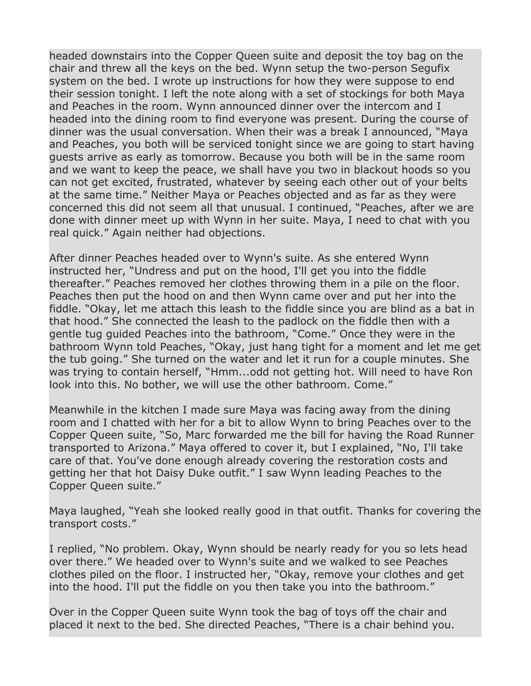headed downstairs into the Copper Queen suite and deposit the toy bag on the chair and threw all the keys on the bed. Wynn setup the two-person Segufix system on the bed. I wrote up instructions for how they were suppose to end their session tonight. I left the note along with a set of stockings for both Maya and Peaches in the room. Wynn announced dinner over the intercom and I headed into the dining room to find everyone was present. During the course of dinner was the usual conversation. When their was a break I announced, "Maya and Peaches, you both will be serviced tonight since we are going to start having guests arrive as early as tomorrow. Because you both will be in the same room and we want to keep the peace, we shall have you two in blackout hoods so you can not get excited, frustrated, whatever by seeing each other out of your belts at the same time." Neither Maya or Peaches objected and as far as they were concerned this did not seem all that unusual. I continued, "Peaches, after we are done with dinner meet up with Wynn in her suite. Maya, I need to chat with you real quick." Again neither had objections.

After dinner Peaches headed over to Wynn's suite. As she entered Wynn instructed her, "Undress and put on the hood, I'll get you into the fiddle thereafter." Peaches removed her clothes throwing them in a pile on the floor. Peaches then put the hood on and then Wynn came over and put her into the fiddle. "Okay, let me attach this leash to the fiddle since you are blind as a bat in that hood." She connected the leash to the padlock on the fiddle then with a gentle tug guided Peaches into the bathroom, "Come." Once they were in the bathroom Wynn told Peaches, "Okay, just hang tight for a moment and let me get the tub going." She turned on the water and let it run for a couple minutes. She was trying to contain herself, "Hmm...odd not getting hot. Will need to have Ron look into this. No bother, we will use the other bathroom. Come."

Meanwhile in the kitchen I made sure Maya was facing away from the dining room and I chatted with her for a bit to allow Wynn to bring Peaches over to the Copper Queen suite, "So, Marc forwarded me the bill for having the Road Runner transported to Arizona." Maya offered to cover it, but I explained, "No, I'll take care of that. You've done enough already covering the restoration costs and getting her that hot Daisy Duke outfit." I saw Wynn leading Peaches to the Copper Queen suite."

Maya laughed, "Yeah she looked really good in that outfit. Thanks for covering the transport costs."

I replied, "No problem. Okay, Wynn should be nearly ready for you so lets head over there." We headed over to Wynn's suite and we walked to see Peaches clothes piled on the floor. I instructed her, "Okay, remove your clothes and get into the hood. I'll put the fiddle on you then take you into the bathroom."

Over in the Copper Queen suite Wynn took the bag of toys off the chair and placed it next to the bed. She directed Peaches, "There is a chair behind you.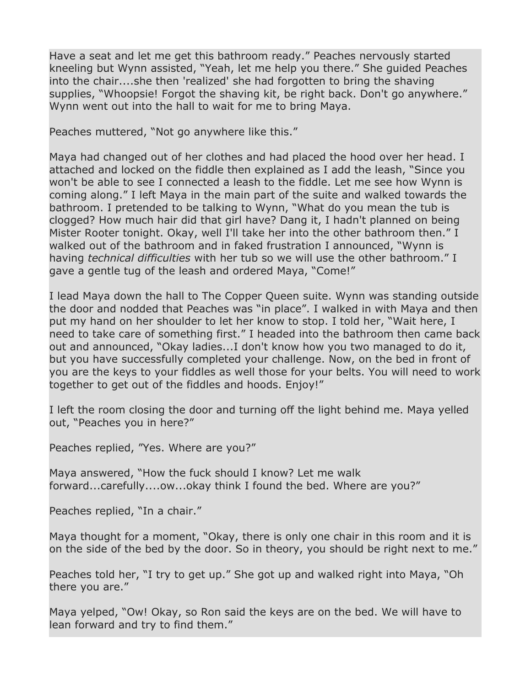Have a seat and let me get this bathroom ready." Peaches nervously started kneeling but Wynn assisted, "Yeah, let me help you there." She guided Peaches into the chair....she then 'realized' she had forgotten to bring the shaving supplies, "Whoopsie! Forgot the shaving kit, be right back. Don't go anywhere." Wynn went out into the hall to wait for me to bring Maya.

Peaches muttered, "Not go anywhere like this."

Maya had changed out of her clothes and had placed the hood over her head. I attached and locked on the fiddle then explained as I add the leash, "Since you won't be able to see I connected a leash to the fiddle. Let me see how Wynn is coming along." I left Maya in the main part of the suite and walked towards the bathroom. I pretended to be talking to Wynn, "What do you mean the tub is clogged? How much hair did that girl have? Dang it, I hadn't planned on being Mister Rooter tonight. Okay, well I'll take her into the other bathroom then." I walked out of the bathroom and in faked frustration I announced, "Wynn is having *technical difficulties* with her tub so we will use the other bathroom." I gave a gentle tug of the leash and ordered Maya, "Come!"

I lead Maya down the hall to The Copper Queen suite. Wynn was standing outside the door and nodded that Peaches was "in place". I walked in with Maya and then put my hand on her shoulder to let her know to stop. I told her, "Wait here, I need to take care of something first." I headed into the bathroom then came back out and announced, "Okay ladies...I don't know how you two managed to do it, but you have successfully completed your challenge. Now, on the bed in front of you are the keys to your fiddles as well those for your belts. You will need to work together to get out of the fiddles and hoods. Enjoy!"

I left the room closing the door and turning off the light behind me. Maya yelled out, "Peaches you in here?"

Peaches replied, "Yes. Where are you?"

Maya answered, "How the fuck should I know? Let me walk forward...carefully....ow...okay think I found the bed. Where are you?"

Peaches replied, "In a chair."

Maya thought for a moment, "Okay, there is only one chair in this room and it is on the side of the bed by the door. So in theory, you should be right next to me."

Peaches told her, "I try to get up." She got up and walked right into Maya, "Oh there you are."

Maya yelped, "Ow! Okay, so Ron said the keys are on the bed. We will have to lean forward and try to find them."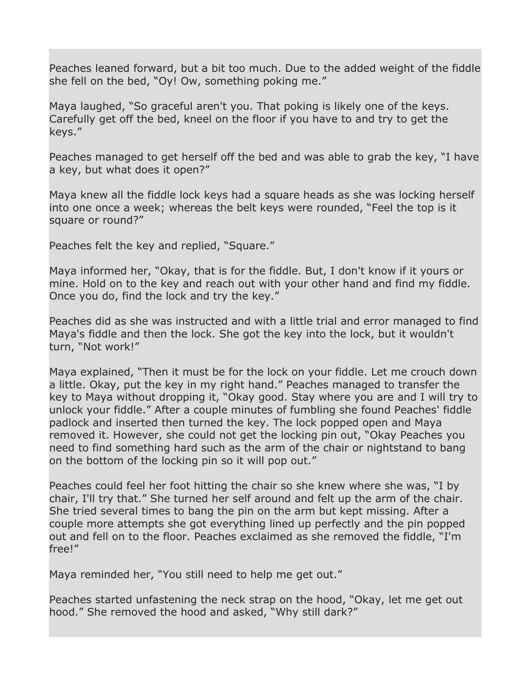Peaches leaned forward, but a bit too much. Due to the added weight of the fiddle she fell on the bed, "Oy! Ow, something poking me."

Maya laughed, "So graceful aren't you. That poking is likely one of the keys. Carefully get off the bed, kneel on the floor if you have to and try to get the keys."

Peaches managed to get herself off the bed and was able to grab the key, "I have a key, but what does it open?"

Maya knew all the fiddle lock keys had a square heads as she was locking herself into one once a week; whereas the belt keys were rounded, "Feel the top is it square or round?"

Peaches felt the key and replied, "Square."

Maya informed her, "Okay, that is for the fiddle. But, I don't know if it yours or mine. Hold on to the key and reach out with your other hand and find my fiddle. Once you do, find the lock and try the key."

Peaches did as she was instructed and with a little trial and error managed to find Maya's fiddle and then the lock. She got the key into the lock, but it wouldn't turn, "Not work!"

Maya explained, "Then it must be for the lock on your fiddle. Let me crouch down a little. Okay, put the key in my right hand." Peaches managed to transfer the key to Maya without dropping it, "Okay good. Stay where you are and I will try to unlock your fiddle." After a couple minutes of fumbling she found Peaches' fiddle padlock and inserted then turned the key. The lock popped open and Maya removed it. However, she could not get the locking pin out, "Okay Peaches you need to find something hard such as the arm of the chair or nightstand to bang on the bottom of the locking pin so it will pop out."

Peaches could feel her foot hitting the chair so she knew where she was, "I by chair, I'll try that." She turned her self around and felt up the arm of the chair. She tried several times to bang the pin on the arm but kept missing. After a couple more attempts she got everything lined up perfectly and the pin popped out and fell on to the floor. Peaches exclaimed as she removed the fiddle, "I'm free!"

Maya reminded her, "You still need to help me get out."

Peaches started unfastening the neck strap on the hood, "Okay, let me get out hood." She removed the hood and asked, "Why still dark?"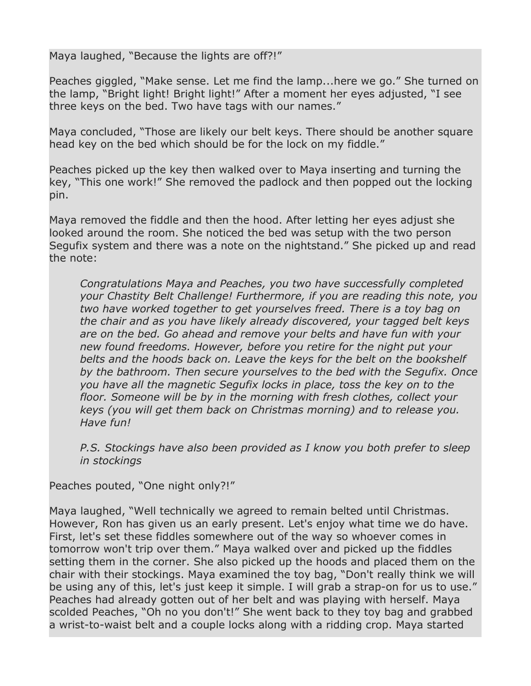Maya laughed, "Because the lights are off?!"

Peaches giggled, "Make sense. Let me find the lamp...here we go." She turned on the lamp, "Bright light! Bright light!" After a moment her eyes adjusted, "I see three keys on the bed. Two have tags with our names."

Maya concluded, "Those are likely our belt keys. There should be another square head key on the bed which should be for the lock on my fiddle."

Peaches picked up the key then walked over to Maya inserting and turning the key, "This one work!" She removed the padlock and then popped out the locking pin.

Maya removed the fiddle and then the hood. After letting her eyes adjust she looked around the room. She noticed the bed was setup with the two person Segufix system and there was a note on the nightstand." She picked up and read the note:

*Congratulations Maya and Peaches, you two have successfully completed your Chastity Belt Challenge! Furthermore, if you are reading this note, you two have worked together to get yourselves freed. There is a toy bag on the chair and as you have likely already discovered, your tagged belt keys are on the bed. Go ahead and remove your belts and have fun with your new found freedoms. However, before you retire for the night put your belts and the hoods back on. Leave the keys for the belt on the bookshelf by the bathroom. Then secure yourselves to the bed with the Segufix. Once you have all the magnetic Segufix locks in place, toss the key on to the floor. Someone will be by in the morning with fresh clothes, collect your keys (you will get them back on Christmas morning) and to release you. Have fun!*

*P.S. Stockings have also been provided as I know you both prefer to sleep in stockings*

Peaches pouted, "One night only?!"

Maya laughed, "Well technically we agreed to remain belted until Christmas. However, Ron has given us an early present. Let's enjoy what time we do have. First, let's set these fiddles somewhere out of the way so whoever comes in tomorrow won't trip over them." Maya walked over and picked up the fiddles setting them in the corner. She also picked up the hoods and placed them on the chair with their stockings. Maya examined the toy bag, "Don't really think we will be using any of this, let's just keep it simple. I will grab a strap-on for us to use." Peaches had already gotten out of her belt and was playing with herself. Maya scolded Peaches, "Oh no you don't!" She went back to they toy bag and grabbed a wrist-to-waist belt and a couple locks along with a ridding crop. Maya started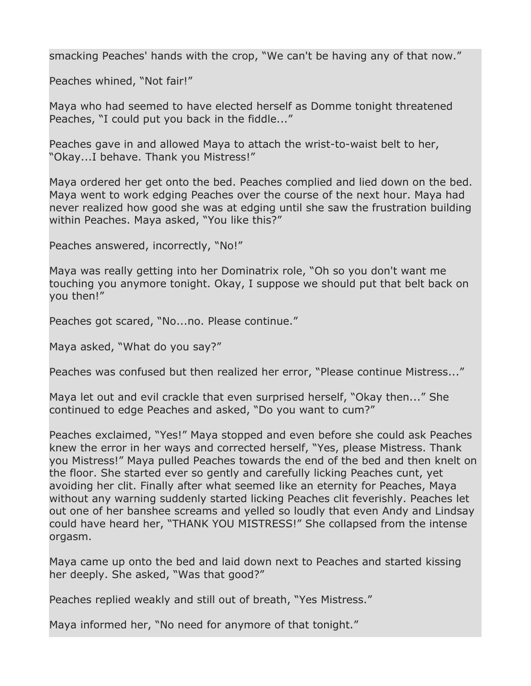smacking Peaches' hands with the crop, "We can't be having any of that now."

Peaches whined, "Not fair!"

Maya who had seemed to have elected herself as Domme tonight threatened Peaches, "I could put you back in the fiddle..."

Peaches gave in and allowed Maya to attach the wrist-to-waist belt to her, "Okay...I behave. Thank you Mistress!"

Maya ordered her get onto the bed. Peaches complied and lied down on the bed. Maya went to work edging Peaches over the course of the next hour. Maya had never realized how good she was at edging until she saw the frustration building within Peaches. Maya asked, "You like this?"

Peaches answered, incorrectly, "No!"

Maya was really getting into her Dominatrix role, "Oh so you don't want me touching you anymore tonight. Okay, I suppose we should put that belt back on you then!"

Peaches got scared, "No...no. Please continue."

Maya asked, "What do you say?"

Peaches was confused but then realized her error, "Please continue Mistress..."

Maya let out and evil crackle that even surprised herself, "Okay then..." She continued to edge Peaches and asked, "Do you want to cum?"

Peaches exclaimed, "Yes!" Maya stopped and even before she could ask Peaches knew the error in her ways and corrected herself, "Yes, please Mistress. Thank you Mistress!" Maya pulled Peaches towards the end of the bed and then knelt on the floor. She started ever so gently and carefully licking Peaches cunt, yet avoiding her clit. Finally after what seemed like an eternity for Peaches, Maya without any warning suddenly started licking Peaches clit feverishly. Peaches let out one of her banshee screams and yelled so loudly that even Andy and Lindsay could have heard her, "THANK YOU MISTRESS!" She collapsed from the intense orgasm.

Maya came up onto the bed and laid down next to Peaches and started kissing her deeply. She asked, "Was that good?"

Peaches replied weakly and still out of breath, "Yes Mistress."

Maya informed her, "No need for anymore of that tonight."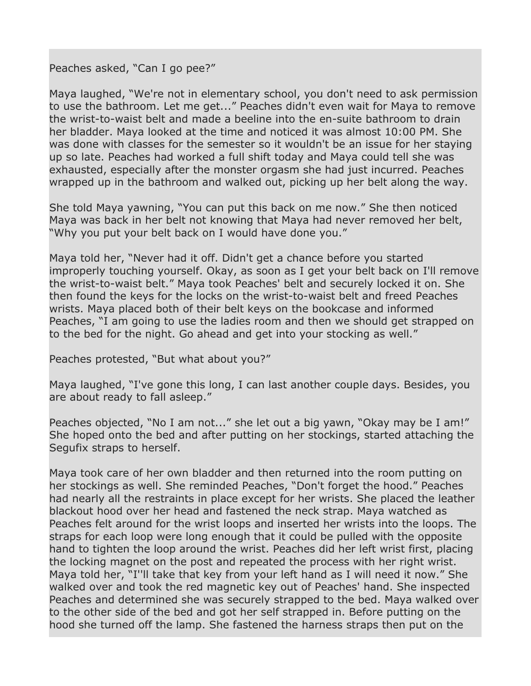Peaches asked, "Can I go pee?"

Maya laughed, "We're not in elementary school, you don't need to ask permission to use the bathroom. Let me get..." Peaches didn't even wait for Maya to remove the wrist-to-waist belt and made a beeline into the en-suite bathroom to drain her bladder. Maya looked at the time and noticed it was almost 10:00 PM. She was done with classes for the semester so it wouldn't be an issue for her staying up so late. Peaches had worked a full shift today and Maya could tell she was exhausted, especially after the monster orgasm she had just incurred. Peaches wrapped up in the bathroom and walked out, picking up her belt along the way.

She told Maya yawning, "You can put this back on me now." She then noticed Maya was back in her belt not knowing that Maya had never removed her belt, "Why you put your belt back on I would have done you."

Maya told her, "Never had it off. Didn't get a chance before you started improperly touching yourself. Okay, as soon as I get your belt back on I'll remove the wrist-to-waist belt." Maya took Peaches' belt and securely locked it on. She then found the keys for the locks on the wrist-to-waist belt and freed Peaches wrists. Maya placed both of their belt keys on the bookcase and informed Peaches, "I am going to use the ladies room and then we should get strapped on to the bed for the night. Go ahead and get into your stocking as well."

Peaches protested, "But what about you?"

Maya laughed, "I've gone this long, I can last another couple days. Besides, you are about ready to fall asleep."

Peaches objected, "No I am not..." she let out a big yawn, "Okay may be I am!" She hoped onto the bed and after putting on her stockings, started attaching the Segufix straps to herself.

Maya took care of her own bladder and then returned into the room putting on her stockings as well. She reminded Peaches, "Don't forget the hood." Peaches had nearly all the restraints in place except for her wrists. She placed the leather blackout hood over her head and fastened the neck strap. Maya watched as Peaches felt around for the wrist loops and inserted her wrists into the loops. The straps for each loop were long enough that it could be pulled with the opposite hand to tighten the loop around the wrist. Peaches did her left wrist first, placing the locking magnet on the post and repeated the process with her right wrist. Maya told her, "I''ll take that key from your left hand as I will need it now." She walked over and took the red magnetic key out of Peaches' hand. She inspected Peaches and determined she was securely strapped to the bed. Maya walked over to the other side of the bed and got her self strapped in. Before putting on the hood she turned off the lamp. She fastened the harness straps then put on the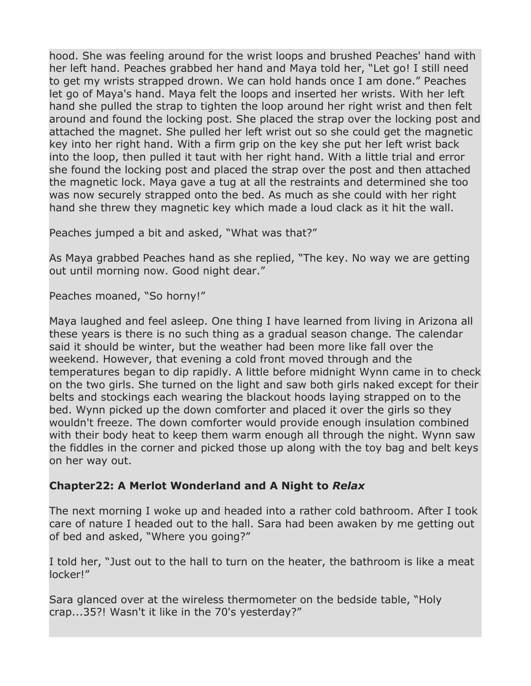hood. She was feeling around for the wrist loops and brushed Peaches' hand with her left hand. Peaches grabbed her hand and Maya told her, "Let go! I still need to get my wrists strapped drown. We can hold hands once I am done." Peaches let go of Maya's hand. Maya felt the loops and inserted her wrists. With her left hand she pulled the strap to tighten the loop around her right wrist and then felt around and found the locking post. She placed the strap over the locking post and attached the magnet. She pulled her left wrist out so she could get the magnetic key into her right hand. With a firm grip on the key she put her left wrist back into the loop, then pulled it taut with her right hand. With a little trial and error she found the locking post and placed the strap over the post and then attached the magnetic lock. Maya gave a tug at all the restraints and determined she too was now securely strapped onto the bed. As much as she could with her right hand she threw they magnetic key which made a loud clack as it hit the wall.

Peaches jumped a bit and asked, "What was that?"

As Maya grabbed Peaches hand as she replied, "The key. No way we are getting out until morning now. Good night dear."

Peaches moaned, "So horny!"

Maya laughed and feel asleep. One thing I have learned from living in Arizona all these years is there is no such thing as a gradual season change. The calendar said it should be winter, but the weather had been more like fall over the weekend. However, that evening a cold front moved through and the temperatures began to dip rapidly. A little before midnight Wynn came in to check on the two girls. She turned on the light and saw both girls naked except for their belts and stockings each wearing the blackout hoods laying strapped on to the bed. Wynn picked up the down comforter and placed it over the girls so they wouldn't freeze. The down comforter would provide enough insulation combined with their body heat to keep them warm enough all through the night. Wynn saw the fiddles in the corner and picked those up along with the toy bag and belt keys on her way out.

## **Chapter22: A Merlot Wonderland and A Night to** *Relax*

The next morning I woke up and headed into a rather cold bathroom. After I took care of nature I headed out to the hall. Sara had been awaken by me getting out of bed and asked, "Where you going?"

I told her, "Just out to the hall to turn on the heater, the bathroom is like a meat locker!"

Sara glanced over at the wireless thermometer on the bedside table, "Holy crap...35?! Wasn't it like in the 70's yesterday?"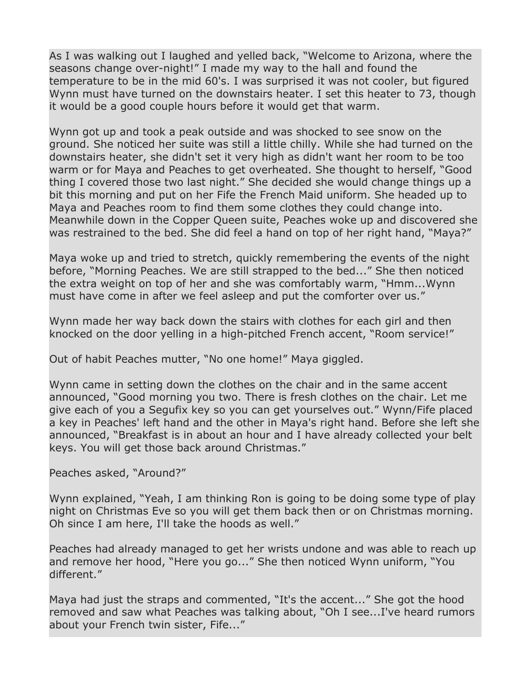As I was walking out I laughed and yelled back, "Welcome to Arizona, where the seasons change over-night!" I made my way to the hall and found the temperature to be in the mid 60's. I was surprised it was not cooler, but figured Wynn must have turned on the downstairs heater. I set this heater to 73, though it would be a good couple hours before it would get that warm.

Wynn got up and took a peak outside and was shocked to see snow on the ground. She noticed her suite was still a little chilly. While she had turned on the downstairs heater, she didn't set it very high as didn't want her room to be too warm or for Maya and Peaches to get overheated. She thought to herself, "Good thing I covered those two last night." She decided she would change things up a bit this morning and put on her Fife the French Maid uniform. She headed up to Maya and Peaches room to find them some clothes they could change into. Meanwhile down in the Copper Queen suite, Peaches woke up and discovered she was restrained to the bed. She did feel a hand on top of her right hand, "Maya?"

Maya woke up and tried to stretch, quickly remembering the events of the night before, "Morning Peaches. We are still strapped to the bed..." She then noticed the extra weight on top of her and she was comfortably warm, "Hmm...Wynn must have come in after we feel asleep and put the comforter over us."

Wynn made her way back down the stairs with clothes for each girl and then knocked on the door yelling in a high-pitched French accent, "Room service!"

Out of habit Peaches mutter, "No one home!" Maya giggled.

Wynn came in setting down the clothes on the chair and in the same accent announced, "Good morning you two. There is fresh clothes on the chair. Let me give each of you a Segufix key so you can get yourselves out." Wynn/Fife placed a key in Peaches' left hand and the other in Maya's right hand. Before she left she announced, "Breakfast is in about an hour and I have already collected your belt keys. You will get those back around Christmas."

Peaches asked, "Around?"

Wynn explained, "Yeah, I am thinking Ron is going to be doing some type of play night on Christmas Eve so you will get them back then or on Christmas morning. Oh since I am here, I'll take the hoods as well."

Peaches had already managed to get her wrists undone and was able to reach up and remove her hood, "Here you go..." She then noticed Wynn uniform, "You different."

Maya had just the straps and commented, "It's the accent..." She got the hood removed and saw what Peaches was talking about, "Oh I see...I've heard rumors about your French twin sister, Fife..."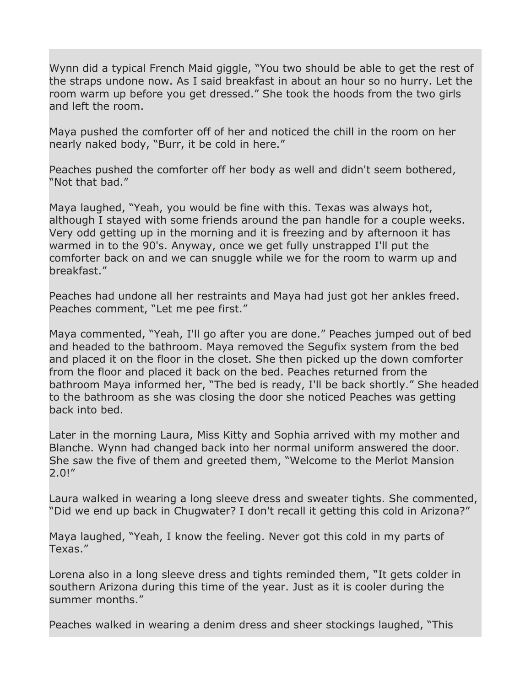Wynn did a typical French Maid giggle, "You two should be able to get the rest of the straps undone now. As I said breakfast in about an hour so no hurry. Let the room warm up before you get dressed." She took the hoods from the two girls and left the room.

Maya pushed the comforter off of her and noticed the chill in the room on her nearly naked body, "Burr, it be cold in here."

Peaches pushed the comforter off her body as well and didn't seem bothered, "Not that had."

Maya laughed, "Yeah, you would be fine with this. Texas was always hot, although I stayed with some friends around the pan handle for a couple weeks. Very odd getting up in the morning and it is freezing and by afternoon it has warmed in to the 90's. Anyway, once we get fully unstrapped I'll put the comforter back on and we can snuggle while we for the room to warm up and breakfast."

Peaches had undone all her restraints and Maya had just got her ankles freed. Peaches comment, "Let me pee first."

Maya commented, "Yeah, I'll go after you are done." Peaches jumped out of bed and headed to the bathroom. Maya removed the Segufix system from the bed and placed it on the floor in the closet. She then picked up the down comforter from the floor and placed it back on the bed. Peaches returned from the bathroom Maya informed her, "The bed is ready, I'll be back shortly." She headed to the bathroom as she was closing the door she noticed Peaches was getting back into bed.

Later in the morning Laura, Miss Kitty and Sophia arrived with my mother and Blanche. Wynn had changed back into her normal uniform answered the door. She saw the five of them and greeted them, "Welcome to the Merlot Mansion  $2.0!$ "

Laura walked in wearing a long sleeve dress and sweater tights. She commented, "Did we end up back in Chugwater? I don't recall it getting this cold in Arizona?"

Maya laughed, "Yeah, I know the feeling. Never got this cold in my parts of Texas."

Lorena also in a long sleeve dress and tights reminded them, "It gets colder in southern Arizona during this time of the year. Just as it is cooler during the summer months."

Peaches walked in wearing a denim dress and sheer stockings laughed, "This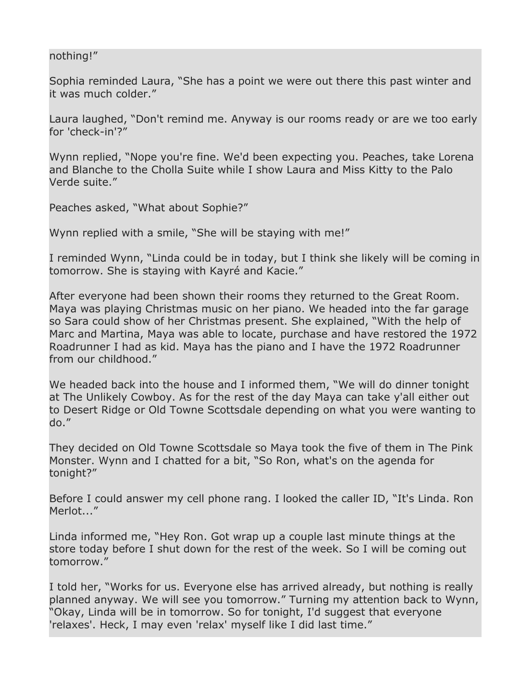## nothing!"

Sophia reminded Laura, "She has a point we were out there this past winter and it was much colder."

Laura laughed, "Don't remind me. Anyway is our rooms ready or are we too early for 'check-in'?"

Wynn replied, "Nope you're fine. We'd been expecting you. Peaches, take Lorena and Blanche to the Cholla Suite while I show Laura and Miss Kitty to the Palo Verde suite."

Peaches asked, "What about Sophie?"

Wynn replied with a smile, "She will be staying with me!"

I reminded Wynn, "Linda could be in today, but I think she likely will be coming in tomorrow. She is staying with Kayré and Kacie."

After everyone had been shown their rooms they returned to the Great Room. Maya was playing Christmas music on her piano. We headed into the far garage so Sara could show of her Christmas present. She explained, "With the help of Marc and Martina, Maya was able to locate, purchase and have restored the 1972 Roadrunner I had as kid. Maya has the piano and I have the 1972 Roadrunner from our childhood."

We headed back into the house and I informed them, "We will do dinner tonight at The Unlikely Cowboy. As for the rest of the day Maya can take y'all either out to Desert Ridge or Old Towne Scottsdale depending on what you were wanting to do."

They decided on Old Towne Scottsdale so Maya took the five of them in The Pink Monster. Wynn and I chatted for a bit, "So Ron, what's on the agenda for tonight?"

Before I could answer my cell phone rang. I looked the caller ID, "It's Linda. Ron Merlot..."

Linda informed me, "Hey Ron. Got wrap up a couple last minute things at the store today before I shut down for the rest of the week. So I will be coming out tomorrow."

I told her, "Works for us. Everyone else has arrived already, but nothing is really planned anyway. We will see you tomorrow." Turning my attention back to Wynn, "Okay, Linda will be in tomorrow. So for tonight, I'd suggest that everyone 'relaxes'. Heck, I may even 'relax' myself like I did last time."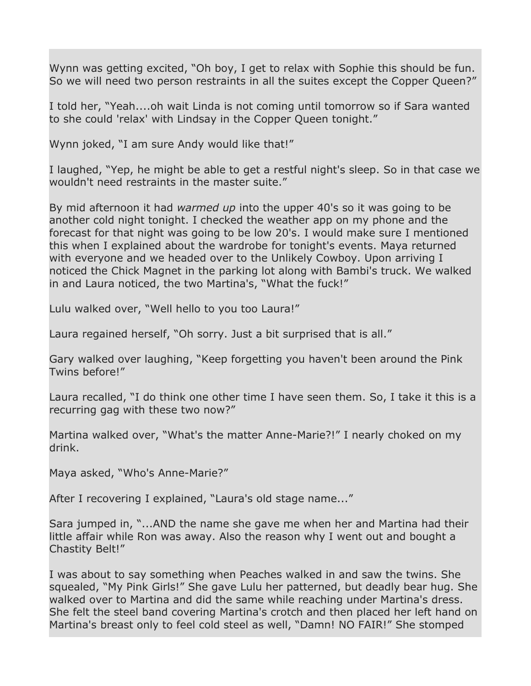Wynn was getting excited, "Oh boy, I get to relax with Sophie this should be fun. So we will need two person restraints in all the suites except the Copper Queen?"

I told her, "Yeah....oh wait Linda is not coming until tomorrow so if Sara wanted to she could 'relax' with Lindsay in the Copper Queen tonight."

Wynn joked, "I am sure Andy would like that!"

I laughed, "Yep, he might be able to get a restful night's sleep. So in that case we wouldn't need restraints in the master suite."

By mid afternoon it had *warmed up* into the upper 40's so it was going to be another cold night tonight. I checked the weather app on my phone and the forecast for that night was going to be low 20's. I would make sure I mentioned this when I explained about the wardrobe for tonight's events. Maya returned with everyone and we headed over to the Unlikely Cowboy. Upon arriving I noticed the Chick Magnet in the parking lot along with Bambi's truck. We walked in and Laura noticed, the two Martina's, "What the fuck!"

Lulu walked over, "Well hello to you too Laura!"

Laura regained herself, "Oh sorry. Just a bit surprised that is all."

Gary walked over laughing, "Keep forgetting you haven't been around the Pink Twins before!"

Laura recalled, "I do think one other time I have seen them. So, I take it this is a recurring gag with these two now?"

Martina walked over, "What's the matter Anne-Marie?!" I nearly choked on my drink.

Maya asked, "Who's Anne-Marie?"

After I recovering I explained, "Laura's old stage name..."

Sara jumped in, "...AND the name she gave me when her and Martina had their little affair while Ron was away. Also the reason why I went out and bought a Chastity Belt!"

I was about to say something when Peaches walked in and saw the twins. She squealed, "My Pink Girls!" She gave Lulu her patterned, but deadly bear hug. She walked over to Martina and did the same while reaching under Martina's dress. She felt the steel band covering Martina's crotch and then placed her left hand on Martina's breast only to feel cold steel as well, "Damn! NO FAIR!" She stomped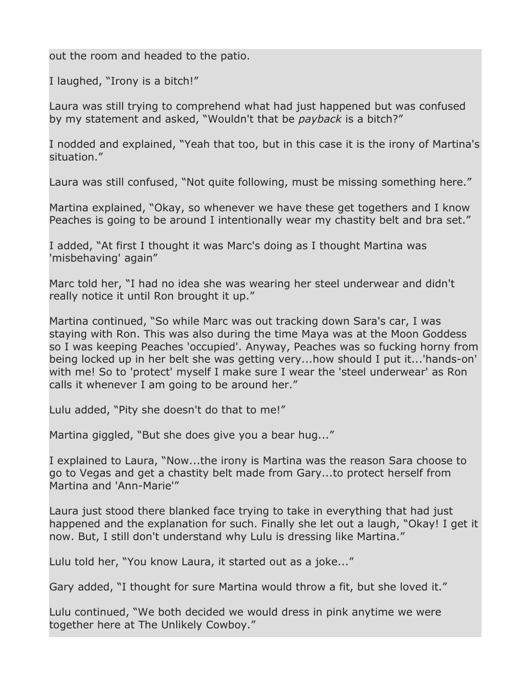out the room and headed to the patio.

I laughed, "Irony is a bitch!"

Laura was still trying to comprehend what had just happened but was confused by my statement and asked, "Wouldn't that be *payback* is a bitch?"

I nodded and explained, "Yeah that too, but in this case it is the irony of Martina's situation."

Laura was still confused, "Not quite following, must be missing something here."

Martina explained, "Okay, so whenever we have these get togethers and I know Peaches is going to be around I intentionally wear my chastity belt and bra set."

I added, "At first I thought it was Marc's doing as I thought Martina was 'misbehaving' again"

Marc told her, "I had no idea she was wearing her steel underwear and didn't really notice it until Ron brought it up."

Martina continued, "So while Marc was out tracking down Sara's car, I was staying with Ron. This was also during the time Maya was at the Moon Goddess so I was keeping Peaches 'occupied'. Anyway, Peaches was so fucking horny from being locked up in her belt she was getting very...how should I put it...'hands-on' with me! So to 'protect' myself I make sure I wear the 'steel underwear' as Ron calls it whenever I am going to be around her."

Lulu added, "Pity she doesn't do that to me!"

Martina giggled, "But she does give you a bear hug..."

I explained to Laura, "Now...the irony is Martina was the reason Sara choose to go to Vegas and get a chastity belt made from Gary...to protect herself from Martina and 'Ann-Marie'"

Laura just stood there blanked face trying to take in everything that had just happened and the explanation for such. Finally she let out a laugh, "Okay! I get it now. But, I still don't understand why Lulu is dressing like Martina."

Lulu told her, "You know Laura, it started out as a joke..."

Gary added, "I thought for sure Martina would throw a fit, but she loved it."

Lulu continued, "We both decided we would dress in pink anytime we were together here at The Unlikely Cowboy."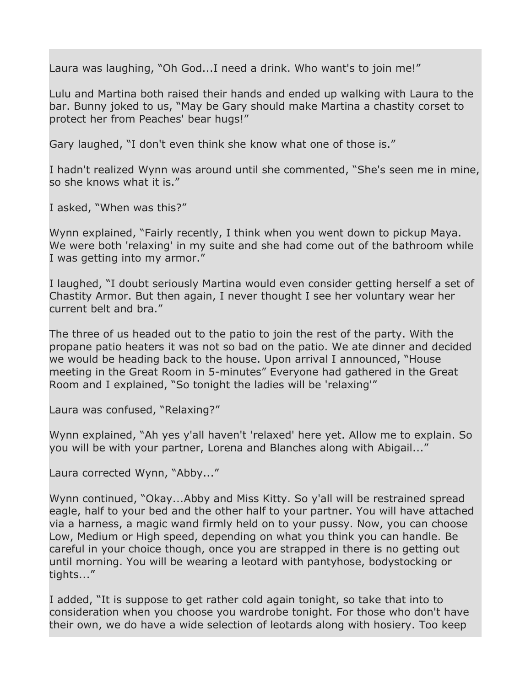Laura was laughing, "Oh God...I need a drink. Who want's to join me!"

Lulu and Martina both raised their hands and ended up walking with Laura to the bar. Bunny joked to us, "May be Gary should make Martina a chastity corset to protect her from Peaches' bear hugs!"

Gary laughed, "I don't even think she know what one of those is."

I hadn't realized Wynn was around until she commented, "She's seen me in mine, so she knows what it is."

I asked, "When was this?"

Wynn explained, "Fairly recently, I think when you went down to pickup Maya. We were both 'relaxing' in my suite and she had come out of the bathroom while I was getting into my armor."

I laughed, "I doubt seriously Martina would even consider getting herself a set of Chastity Armor. But then again, I never thought I see her voluntary wear her current belt and bra."

The three of us headed out to the patio to join the rest of the party. With the propane patio heaters it was not so bad on the patio. We ate dinner and decided we would be heading back to the house. Upon arrival I announced, "House meeting in the Great Room in 5-minutes" Everyone had gathered in the Great Room and I explained, "So tonight the ladies will be 'relaxing'"

Laura was confused, "Relaxing?"

Wynn explained, "Ah yes y'all haven't 'relaxed' here yet. Allow me to explain. So you will be with your partner, Lorena and Blanches along with Abigail..."

Laura corrected Wynn, "Abby..."

Wynn continued, "Okay...Abby and Miss Kitty. So y'all will be restrained spread eagle, half to your bed and the other half to your partner. You will have attached via a harness, a magic wand firmly held on to your pussy. Now, you can choose Low, Medium or High speed, depending on what you think you can handle. Be careful in your choice though, once you are strapped in there is no getting out until morning. You will be wearing a leotard with pantyhose, bodystocking or tights..."

I added, "It is suppose to get rather cold again tonight, so take that into to consideration when you choose you wardrobe tonight. For those who don't have their own, we do have a wide selection of leotards along with hosiery. Too keep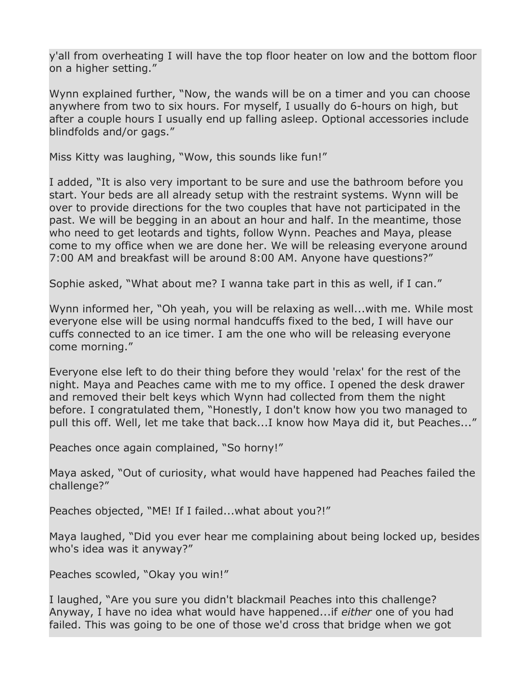y'all from overheating I will have the top floor heater on low and the bottom floor on a higher setting."

Wynn explained further, "Now, the wands will be on a timer and you can choose anywhere from two to six hours. For myself, I usually do 6-hours on high, but after a couple hours I usually end up falling asleep. Optional accessories include blindfolds and/or gags."

Miss Kitty was laughing, "Wow, this sounds like fun!"

I added, "It is also very important to be sure and use the bathroom before you start. Your beds are all already setup with the restraint systems. Wynn will be over to provide directions for the two couples that have not participated in the past. We will be begging in an about an hour and half. In the meantime, those who need to get leotards and tights, follow Wynn. Peaches and Maya, please come to my office when we are done her. We will be releasing everyone around 7:00 AM and breakfast will be around 8:00 AM. Anyone have questions?"

Sophie asked, "What about me? I wanna take part in this as well, if I can."

Wynn informed her, "Oh yeah, you will be relaxing as well...with me. While most everyone else will be using normal handcuffs fixed to the bed, I will have our cuffs connected to an ice timer. I am the one who will be releasing everyone come morning."

Everyone else left to do their thing before they would 'relax' for the rest of the night. Maya and Peaches came with me to my office. I opened the desk drawer and removed their belt keys which Wynn had collected from them the night before. I congratulated them, "Honestly, I don't know how you two managed to pull this off. Well, let me take that back...I know how Maya did it, but Peaches..."

Peaches once again complained, "So horny!"

Maya asked, "Out of curiosity, what would have happened had Peaches failed the challenge?"

Peaches objected, "ME! If I failed...what about you?!"

Maya laughed, "Did you ever hear me complaining about being locked up, besides who's idea was it anyway?"

Peaches scowled, "Okay you win!"

I laughed, "Are you sure you didn't blackmail Peaches into this challenge? Anyway, I have no idea what would have happened...if *either* one of you had failed. This was going to be one of those we'd cross that bridge when we got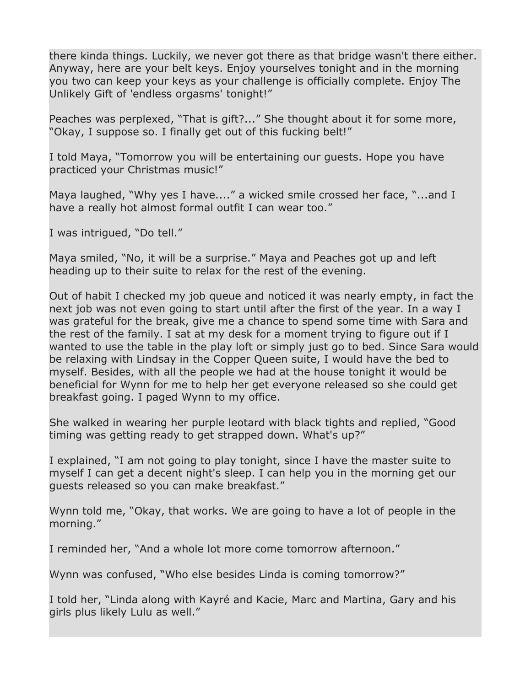there kinda things. Luckily, we never got there as that bridge wasn't there either. Anyway, here are your belt keys. Enjoy yourselves tonight and in the morning you two can keep your keys as your challenge is officially complete. Enjoy The Unlikely Gift of 'endless orgasms' tonight!"

Peaches was perplexed, "That is gift?..." She thought about it for some more, "Okay, I suppose so. I finally get out of this fucking belt!"

I told Maya, "Tomorrow you will be entertaining our guests. Hope you have practiced your Christmas music!"

Maya laughed, "Why yes I have...." a wicked smile crossed her face, "...and I have a really hot almost formal outfit I can wear too."

I was intrigued, "Do tell."

Maya smiled, "No, it will be a surprise." Maya and Peaches got up and left heading up to their suite to relax for the rest of the evening.

Out of habit I checked my job queue and noticed it was nearly empty, in fact the next job was not even going to start until after the first of the year. In a way I was grateful for the break, give me a chance to spend some time with Sara and the rest of the family. I sat at my desk for a moment trying to figure out if I wanted to use the table in the play loft or simply just go to bed. Since Sara would be relaxing with Lindsay in the Copper Queen suite, I would have the bed to myself. Besides, with all the people we had at the house tonight it would be beneficial for Wynn for me to help her get everyone released so she could get breakfast going. I paged Wynn to my office.

She walked in wearing her purple leotard with black tights and replied, "Good timing was getting ready to get strapped down. What's up?"

I explained, "I am not going to play tonight, since I have the master suite to myself I can get a decent night's sleep. I can help you in the morning get our guests released so you can make breakfast."

Wynn told me, "Okay, that works. We are going to have a lot of people in the morning."

I reminded her, "And a whole lot more come tomorrow afternoon."

Wynn was confused, "Who else besides Linda is coming tomorrow?"

I told her, "Linda along with Kayré and Kacie, Marc and Martina, Gary and his girls plus likely Lulu as well."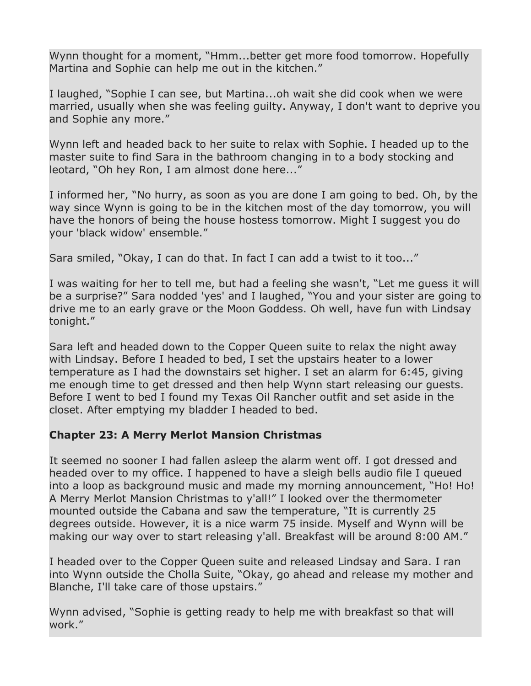Wynn thought for a moment, "Hmm...better get more food tomorrow. Hopefully Martina and Sophie can help me out in the kitchen."

I laughed, "Sophie I can see, but Martina...oh wait she did cook when we were married, usually when she was feeling guilty. Anyway, I don't want to deprive you and Sophie any more."

Wynn left and headed back to her suite to relax with Sophie. I headed up to the master suite to find Sara in the bathroom changing in to a body stocking and leotard, "Oh hey Ron, I am almost done here..."

I informed her, "No hurry, as soon as you are done I am going to bed. Oh, by the way since Wynn is going to be in the kitchen most of the day tomorrow, you will have the honors of being the house hostess tomorrow. Might I suggest you do your 'black widow' ensemble."

Sara smiled, "Okay, I can do that. In fact I can add a twist to it too..."

I was waiting for her to tell me, but had a feeling she wasn't, "Let me guess it will be a surprise?" Sara nodded 'yes' and I laughed, "You and your sister are going to drive me to an early grave or the Moon Goddess. Oh well, have fun with Lindsay tonight."

Sara left and headed down to the Copper Queen suite to relax the night away with Lindsay. Before I headed to bed, I set the upstairs heater to a lower temperature as I had the downstairs set higher. I set an alarm for 6:45, giving me enough time to get dressed and then help Wynn start releasing our guests. Before I went to bed I found my Texas Oil Rancher outfit and set aside in the closet. After emptying my bladder I headed to bed.

## **Chapter 23: A Merry Merlot Mansion Christmas**

It seemed no sooner I had fallen asleep the alarm went off. I got dressed and headed over to my office. I happened to have a sleigh bells audio file I queued into a loop as background music and made my morning announcement, "Ho! Ho! A Merry Merlot Mansion Christmas to y'all!" I looked over the thermometer mounted outside the Cabana and saw the temperature, "It is currently 25 degrees outside. However, it is a nice warm 75 inside. Myself and Wynn will be making our way over to start releasing y'all. Breakfast will be around 8:00 AM."

I headed over to the Copper Queen suite and released Lindsay and Sara. I ran into Wynn outside the Cholla Suite, "Okay, go ahead and release my mother and Blanche, I'll take care of those upstairs."

Wynn advised, "Sophie is getting ready to help me with breakfast so that will work."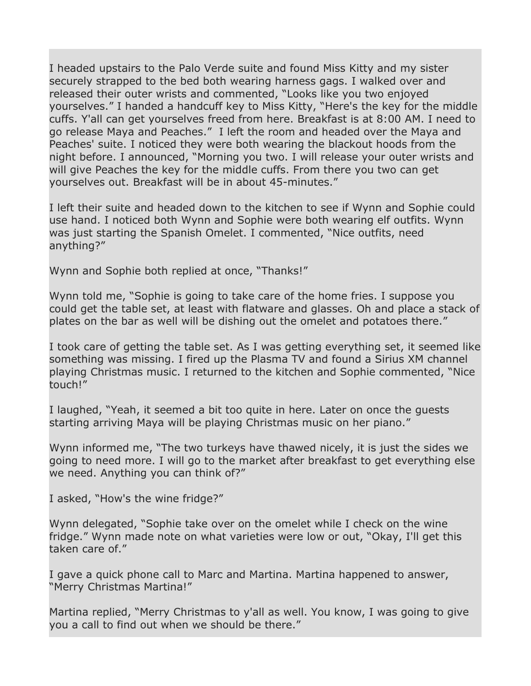I headed upstairs to the Palo Verde suite and found Miss Kitty and my sister securely strapped to the bed both wearing harness gags. I walked over and released their outer wrists and commented, "Looks like you two enjoyed yourselves." I handed a handcuff key to Miss Kitty, "Here's the key for the middle cuffs. Y'all can get yourselves freed from here. Breakfast is at 8:00 AM. I need to go release Maya and Peaches." I left the room and headed over the Maya and Peaches' suite. I noticed they were both wearing the blackout hoods from the night before. I announced, "Morning you two. I will release your outer wrists and will give Peaches the key for the middle cuffs. From there you two can get yourselves out. Breakfast will be in about 45-minutes."

I left their suite and headed down to the kitchen to see if Wynn and Sophie could use hand. I noticed both Wynn and Sophie were both wearing elf outfits. Wynn was just starting the Spanish Omelet. I commented, "Nice outfits, need anything?"

Wynn and Sophie both replied at once, "Thanks!"

Wynn told me, "Sophie is going to take care of the home fries. I suppose you could get the table set, at least with flatware and glasses. Oh and place a stack of plates on the bar as well will be dishing out the omelet and potatoes there."

I took care of getting the table set. As I was getting everything set, it seemed like something was missing. I fired up the Plasma TV and found a Sirius XM channel playing Christmas music. I returned to the kitchen and Sophie commented, "Nice touch!"

I laughed, "Yeah, it seemed a bit too quite in here. Later on once the guests starting arriving Maya will be playing Christmas music on her piano."

Wynn informed me, "The two turkeys have thawed nicely, it is just the sides we going to need more. I will go to the market after breakfast to get everything else we need. Anything you can think of?"

I asked, "How's the wine fridge?"

Wynn delegated, "Sophie take over on the omelet while I check on the wine fridge." Wynn made note on what varieties were low or out, "Okay, I'll get this taken care of."

I gave a quick phone call to Marc and Martina. Martina happened to answer, "Merry Christmas Martina!"

Martina replied, "Merry Christmas to y'all as well. You know, I was going to give you a call to find out when we should be there."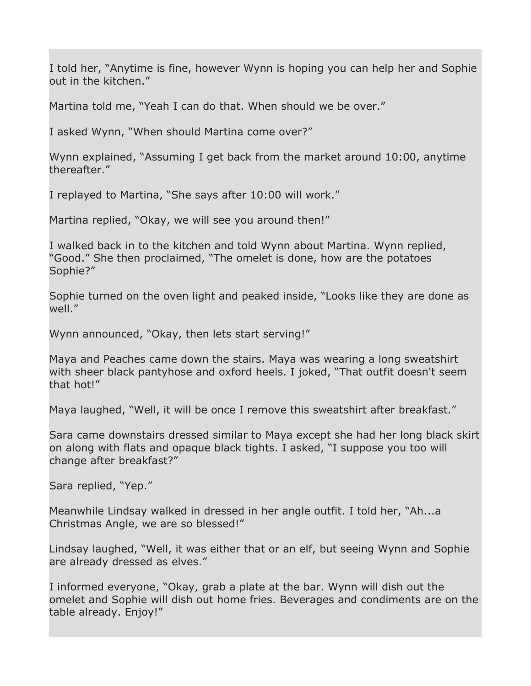I told her, "Anytime is fine, however Wynn is hoping you can help her and Sophie out in the kitchen."

Martina told me, "Yeah I can do that. When should we be over."

I asked Wynn, "When should Martina come over?"

Wynn explained, "Assuming I get back from the market around 10:00, anytime thereafter."

I replayed to Martina, "She says after 10:00 will work."

Martina replied, "Okay, we will see you around then!"

I walked back in to the kitchen and told Wynn about Martina. Wynn replied, "Good." She then proclaimed, "The omelet is done, how are the potatoes Sophie?"

Sophie turned on the oven light and peaked inside, "Looks like they are done as well."

Wynn announced, "Okay, then lets start serving!"

Maya and Peaches came down the stairs. Maya was wearing a long sweatshirt with sheer black pantyhose and oxford heels. I joked, "That outfit doesn't seem that hot!"

Maya laughed, "Well, it will be once I remove this sweatshirt after breakfast."

Sara came downstairs dressed similar to Maya except she had her long black skirt on along with flats and opaque black tights. I asked, "I suppose you too will change after breakfast?"

Sara replied, "Yep."

Meanwhile Lindsay walked in dressed in her angle outfit. I told her, "Ah...a Christmas Angle, we are so blessed!"

Lindsay laughed, "Well, it was either that or an elf, but seeing Wynn and Sophie are already dressed as elves."

I informed everyone, "Okay, grab a plate at the bar. Wynn will dish out the omelet and Sophie will dish out home fries. Beverages and condiments are on the table already. Enjoy!"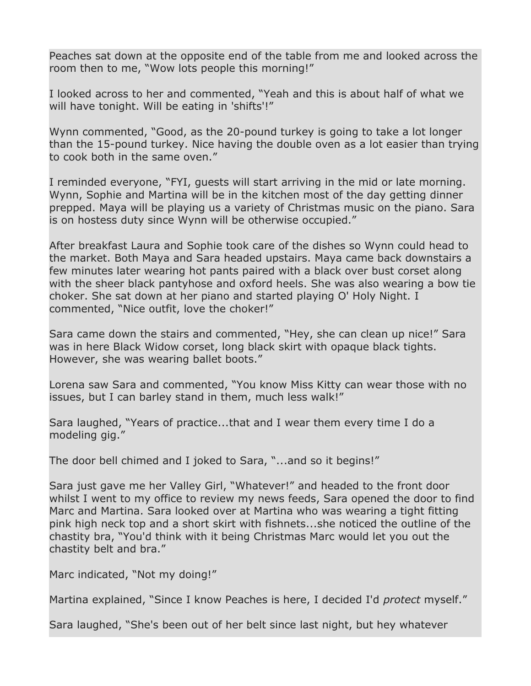Peaches sat down at the opposite end of the table from me and looked across the room then to me, "Wow lots people this morning!"

I looked across to her and commented, "Yeah and this is about half of what we will have tonight. Will be eating in 'shifts'!"

Wynn commented, "Good, as the 20-pound turkey is going to take a lot longer than the 15-pound turkey. Nice having the double oven as a lot easier than trying to cook both in the same oven."

I reminded everyone, "FYI, guests will start arriving in the mid or late morning. Wynn, Sophie and Martina will be in the kitchen most of the day getting dinner prepped. Maya will be playing us a variety of Christmas music on the piano. Sara is on hostess duty since Wynn will be otherwise occupied."

After breakfast Laura and Sophie took care of the dishes so Wynn could head to the market. Both Maya and Sara headed upstairs. Maya came back downstairs a few minutes later wearing hot pants paired with a black over bust corset along with the sheer black pantyhose and oxford heels. She was also wearing a bow tie choker. She sat down at her piano and started playing O' Holy Night. I commented, "Nice outfit, love the choker!"

Sara came down the stairs and commented, "Hey, she can clean up nice!" Sara was in here Black Widow corset, long black skirt with opaque black tights. However, she was wearing ballet boots."

Lorena saw Sara and commented, "You know Miss Kitty can wear those with no issues, but I can barley stand in them, much less walk!"

Sara laughed, "Years of practice...that and I wear them every time I do a modeling gig."

The door bell chimed and I joked to Sara, "...and so it begins!"

Sara just gave me her Valley Girl, "Whatever!" and headed to the front door whilst I went to my office to review my news feeds, Sara opened the door to find Marc and Martina. Sara looked over at Martina who was wearing a tight fitting pink high neck top and a short skirt with fishnets...she noticed the outline of the chastity bra, "You'd think with it being Christmas Marc would let you out the chastity belt and bra."

Marc indicated, "Not my doing!"

Martina explained, "Since I know Peaches is here, I decided I'd *protect* myself."

Sara laughed, "She's been out of her belt since last night, but hey whatever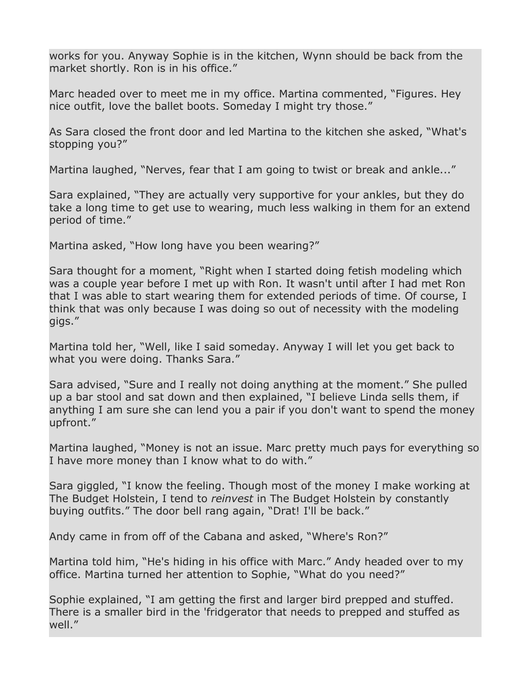works for you. Anyway Sophie is in the kitchen, Wynn should be back from the market shortly. Ron is in his office."

Marc headed over to meet me in my office. Martina commented, "Figures. Hey nice outfit, love the ballet boots. Someday I might try those."

As Sara closed the front door and led Martina to the kitchen she asked, "What's stopping you?"

Martina laughed, "Nerves, fear that I am going to twist or break and ankle..."

Sara explained, "They are actually very supportive for your ankles, but they do take a long time to get use to wearing, much less walking in them for an extend period of time."

Martina asked, "How long have you been wearing?"

Sara thought for a moment, "Right when I started doing fetish modeling which was a couple year before I met up with Ron. It wasn't until after I had met Ron that I was able to start wearing them for extended periods of time. Of course, I think that was only because I was doing so out of necessity with the modeling gigs."

Martina told her, "Well, like I said someday. Anyway I will let you get back to what you were doing. Thanks Sara."

Sara advised, "Sure and I really not doing anything at the moment." She pulled up a bar stool and sat down and then explained, "I believe Linda sells them, if anything I am sure she can lend you a pair if you don't want to spend the money upfront."

Martina laughed, "Money is not an issue. Marc pretty much pays for everything so I have more money than I know what to do with."

Sara giggled, "I know the feeling. Though most of the money I make working at The Budget Holstein, I tend to *reinvest* in The Budget Holstein by constantly buying outfits." The door bell rang again, "Drat! I'll be back."

Andy came in from off of the Cabana and asked, "Where's Ron?"

Martina told him, "He's hiding in his office with Marc." Andy headed over to my office. Martina turned her attention to Sophie, "What do you need?"

Sophie explained, "I am getting the first and larger bird prepped and stuffed. There is a smaller bird in the 'fridgerator that needs to prepped and stuffed as well."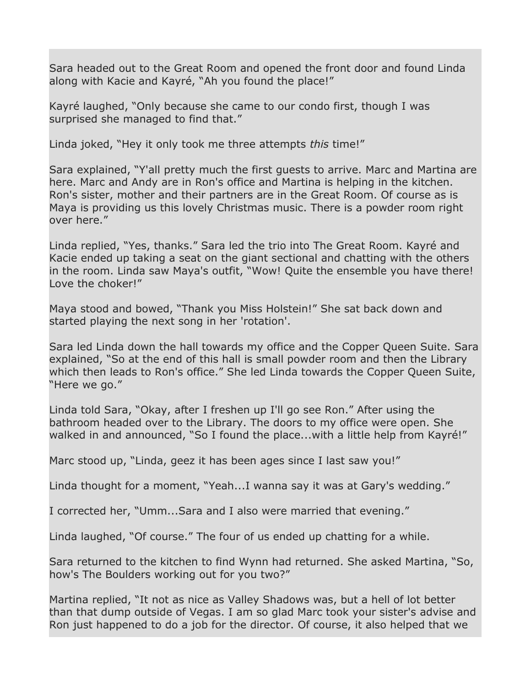Sara headed out to the Great Room and opened the front door and found Linda along with Kacie and Kayré, "Ah you found the place!"

Kayré laughed, "Only because she came to our condo first, though I was surprised she managed to find that."

Linda joked, "Hey it only took me three attempts *this* time!"

Sara explained, "Y'all pretty much the first guests to arrive. Marc and Martina are here. Marc and Andy are in Ron's office and Martina is helping in the kitchen. Ron's sister, mother and their partners are in the Great Room. Of course as is Maya is providing us this lovely Christmas music. There is a powder room right over here."

Linda replied, "Yes, thanks." Sara led the trio into The Great Room. Kayré and Kacie ended up taking a seat on the giant sectional and chatting with the others in the room. Linda saw Maya's outfit, "Wow! Quite the ensemble you have there! Love the choker!"

Maya stood and bowed, "Thank you Miss Holstein!" She sat back down and started playing the next song in her 'rotation'.

Sara led Linda down the hall towards my office and the Copper Queen Suite. Sara explained, "So at the end of this hall is small powder room and then the Library which then leads to Ron's office." She led Linda towards the Copper Queen Suite, "Here we go."

Linda told Sara, "Okay, after I freshen up I'll go see Ron." After using the bathroom headed over to the Library. The doors to my office were open. She walked in and announced, "So I found the place...with a little help from Kayré!"

Marc stood up, "Linda, geez it has been ages since I last saw you!"

Linda thought for a moment, "Yeah...I wanna say it was at Gary's wedding."

I corrected her, "Umm...Sara and I also were married that evening."

Linda laughed, "Of course." The four of us ended up chatting for a while.

Sara returned to the kitchen to find Wynn had returned. She asked Martina, "So, how's The Boulders working out for you two?"

Martina replied, "It not as nice as Valley Shadows was, but a hell of lot better than that dump outside of Vegas. I am so glad Marc took your sister's advise and Ron just happened to do a job for the director. Of course, it also helped that we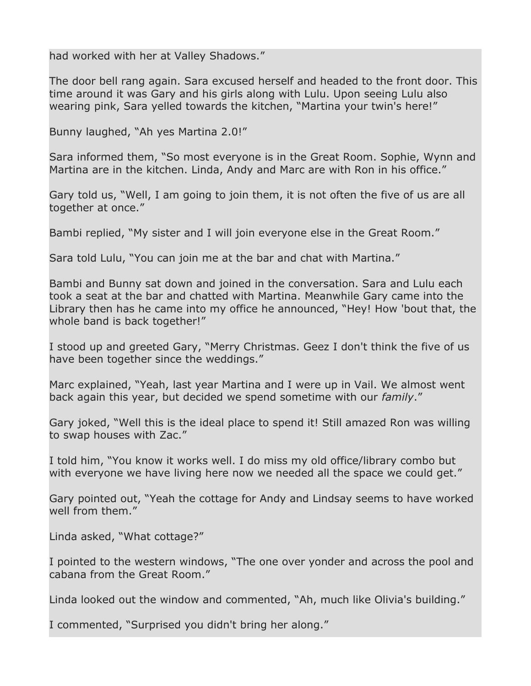had worked with her at Valley Shadows."

The door bell rang again. Sara excused herself and headed to the front door. This time around it was Gary and his girls along with Lulu. Upon seeing Lulu also wearing pink, Sara yelled towards the kitchen, "Martina your twin's here!"

Bunny laughed, "Ah yes Martina 2.0!"

Sara informed them, "So most everyone is in the Great Room. Sophie, Wynn and Martina are in the kitchen. Linda, Andy and Marc are with Ron in his office."

Gary told us, "Well, I am going to join them, it is not often the five of us are all together at once."

Bambi replied, "My sister and I will join everyone else in the Great Room."

Sara told Lulu, "You can join me at the bar and chat with Martina."

Bambi and Bunny sat down and joined in the conversation. Sara and Lulu each took a seat at the bar and chatted with Martina. Meanwhile Gary came into the Library then has he came into my office he announced, "Hey! How 'bout that, the whole band is back together!"

I stood up and greeted Gary, "Merry Christmas. Geez I don't think the five of us have been together since the weddings."

Marc explained, "Yeah, last year Martina and I were up in Vail. We almost went back again this year, but decided we spend sometime with our *family*."

Gary joked, "Well this is the ideal place to spend it! Still amazed Ron was willing to swap houses with Zac."

I told him, "You know it works well. I do miss my old office/library combo but with everyone we have living here now we needed all the space we could get."

Gary pointed out, "Yeah the cottage for Andy and Lindsay seems to have worked well from them."

Linda asked, "What cottage?"

I pointed to the western windows, "The one over yonder and across the pool and cabana from the Great Room."

Linda looked out the window and commented, "Ah, much like Olivia's building."

I commented, "Surprised you didn't bring her along."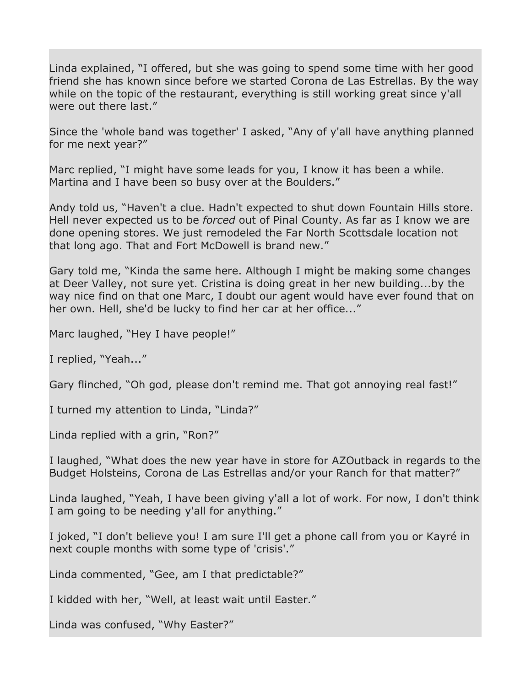Linda explained, "I offered, but she was going to spend some time with her good friend she has known since before we started Corona de Las Estrellas. By the way while on the topic of the restaurant, everything is still working great since y'all were out there last."

Since the 'whole band was together' I asked, "Any of y'all have anything planned for me next year?"

Marc replied, "I might have some leads for you, I know it has been a while. Martina and I have been so busy over at the Boulders."

Andy told us, "Haven't a clue. Hadn't expected to shut down Fountain Hills store. Hell never expected us to be *forced* out of Pinal County. As far as I know we are done opening stores. We just remodeled the Far North Scottsdale location not that long ago. That and Fort McDowell is brand new."

Gary told me, "Kinda the same here. Although I might be making some changes at Deer Valley, not sure yet. Cristina is doing great in her new building...by the way nice find on that one Marc, I doubt our agent would have ever found that on her own. Hell, she'd be lucky to find her car at her office..."

Marc laughed, "Hey I have people!"

I replied, "Yeah..."

Gary flinched, "Oh god, please don't remind me. That got annoying real fast!"

I turned my attention to Linda, "Linda?"

Linda replied with a grin, "Ron?"

I laughed, "What does the new year have in store for AZOutback in regards to the Budget Holsteins, Corona de Las Estrellas and/or your Ranch for that matter?"

Linda laughed, "Yeah, I have been giving y'all a lot of work. For now, I don't think I am going to be needing y'all for anything."

I joked, "I don't believe you! I am sure I'll get a phone call from you or Kayré in next couple months with some type of 'crisis'."

Linda commented, "Gee, am I that predictable?"

I kidded with her, "Well, at least wait until Easter."

Linda was confused, "Why Easter?"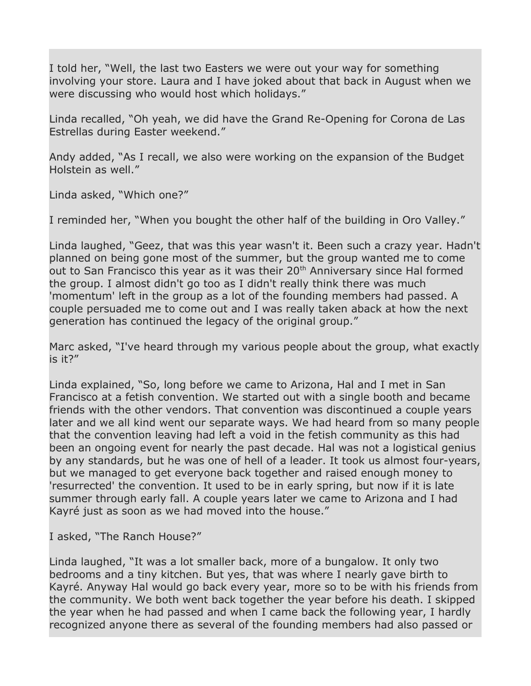I told her, "Well, the last two Easters we were out your way for something involving your store. Laura and I have joked about that back in August when we were discussing who would host which holidays."

Linda recalled, "Oh yeah, we did have the Grand Re-Opening for Corona de Las Estrellas during Easter weekend."

Andy added, "As I recall, we also were working on the expansion of the Budget Holstein as well."

Linda asked, "Which one?"

I reminded her, "When you bought the other half of the building in Oro Valley."

Linda laughed, "Geez, that was this year wasn't it. Been such a crazy year. Hadn't planned on being gone most of the summer, but the group wanted me to come out to San Francisco this year as it was their  $20<sup>th</sup>$  Anniversary since Hal formed the group. I almost didn't go too as I didn't really think there was much 'momentum' left in the group as a lot of the founding members had passed. A couple persuaded me to come out and I was really taken aback at how the next generation has continued the legacy of the original group."

Marc asked, "I've heard through my various people about the group, what exactly is it?"

Linda explained, "So, long before we came to Arizona, Hal and I met in San Francisco at a fetish convention. We started out with a single booth and became friends with the other vendors. That convention was discontinued a couple years later and we all kind went our separate ways. We had heard from so many people that the convention leaving had left a void in the fetish community as this had been an ongoing event for nearly the past decade. Hal was not a logistical genius by any standards, but he was one of hell of a leader. It took us almost four-years, but we managed to get everyone back together and raised enough money to 'resurrected' the convention. It used to be in early spring, but now if it is late summer through early fall. A couple years later we came to Arizona and I had Kayré just as soon as we had moved into the house."

I asked, "The Ranch House?"

Linda laughed, "It was a lot smaller back, more of a bungalow. It only two bedrooms and a tiny kitchen. But yes, that was where I nearly gave birth to Kayré. Anyway Hal would go back every year, more so to be with his friends from the community. We both went back together the year before his death. I skipped the year when he had passed and when I came back the following year, I hardly recognized anyone there as several of the founding members had also passed or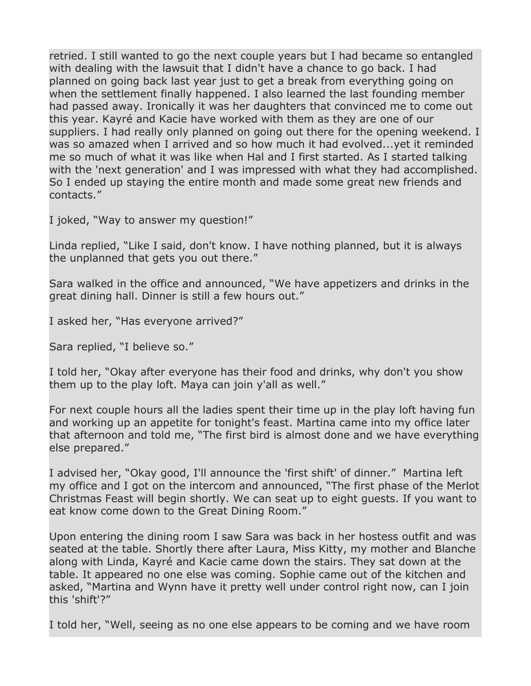retried. I still wanted to go the next couple years but I had became so entangled with dealing with the lawsuit that I didn't have a chance to go back. I had planned on going back last year just to get a break from everything going on when the settlement finally happened. I also learned the last founding member had passed away. Ironically it was her daughters that convinced me to come out this year. Kayré and Kacie have worked with them as they are one of our suppliers. I had really only planned on going out there for the opening weekend. I was so amazed when I arrived and so how much it had evolved...yet it reminded me so much of what it was like when Hal and I first started. As I started talking with the 'next generation' and I was impressed with what they had accomplished. So I ended up staying the entire month and made some great new friends and contacts."

I joked, "Way to answer my question!"

Linda replied, "Like I said, don't know. I have nothing planned, but it is always the unplanned that gets you out there."

Sara walked in the office and announced, "We have appetizers and drinks in the great dining hall. Dinner is still a few hours out."

I asked her, "Has everyone arrived?"

Sara replied, "I believe so."

I told her, "Okay after everyone has their food and drinks, why don't you show them up to the play loft. Maya can join y'all as well."

For next couple hours all the ladies spent their time up in the play loft having fun and working up an appetite for tonight's feast. Martina came into my office later that afternoon and told me, "The first bird is almost done and we have everything else prepared."

I advised her, "Okay good, I'll announce the 'first shift' of dinner." Martina left my office and I got on the intercom and announced, "The first phase of the Merlot Christmas Feast will begin shortly. We can seat up to eight guests. If you want to eat know come down to the Great Dining Room."

Upon entering the dining room I saw Sara was back in her hostess outfit and was seated at the table. Shortly there after Laura, Miss Kitty, my mother and Blanche along with Linda, Kayré and Kacie came down the stairs. They sat down at the table. It appeared no one else was coming. Sophie came out of the kitchen and asked, "Martina and Wynn have it pretty well under control right now, can I join this 'shift'?"

I told her, "Well, seeing as no one else appears to be coming and we have room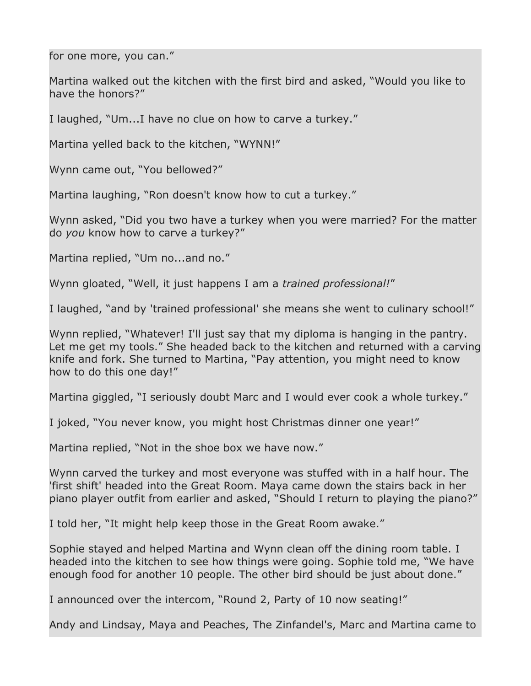for one more, you can."

Martina walked out the kitchen with the first bird and asked, "Would you like to have the honors?"

I laughed, "Um...I have no clue on how to carve a turkey."

Martina yelled back to the kitchen, "WYNN!"

Wynn came out, "You bellowed?"

Martina laughing, "Ron doesn't know how to cut a turkey."

Wynn asked, "Did you two have a turkey when you were married? For the matter do *you* know how to carve a turkey?"

Martina replied, "Um no...and no."

Wynn gloated, "Well, it just happens I am a *trained professional!*"

I laughed, "and by 'trained professional' she means she went to culinary school!"

Wynn replied, "Whatever! I'll just say that my diploma is hanging in the pantry. Let me get my tools." She headed back to the kitchen and returned with a carving knife and fork. She turned to Martina, "Pay attention, you might need to know how to do this one day!"

Martina giggled, "I seriously doubt Marc and I would ever cook a whole turkey."

I joked, "You never know, you might host Christmas dinner one year!"

Martina replied, "Not in the shoe box we have now."

Wynn carved the turkey and most everyone was stuffed with in a half hour. The 'first shift' headed into the Great Room. Maya came down the stairs back in her piano player outfit from earlier and asked, "Should I return to playing the piano?"

I told her, "It might help keep those in the Great Room awake."

Sophie stayed and helped Martina and Wynn clean off the dining room table. I headed into the kitchen to see how things were going. Sophie told me, "We have enough food for another 10 people. The other bird should be just about done."

I announced over the intercom, "Round 2, Party of 10 now seating!"

Andy and Lindsay, Maya and Peaches, The Zinfandel's, Marc and Martina came to